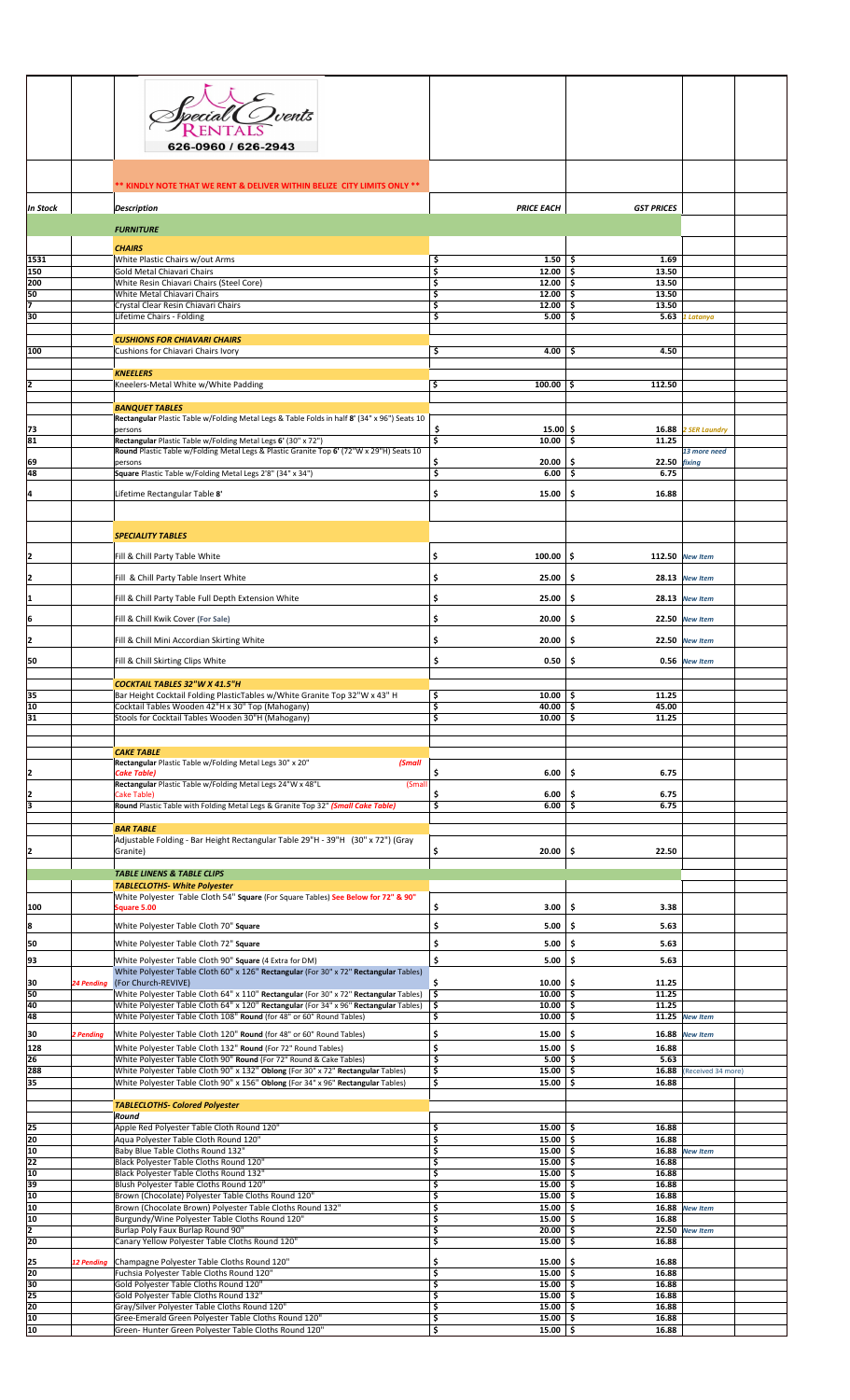|            |                   | <sup>E</sup> Ovents<br>626-0960 / 626-2943                                                                                                                                     |                                      |                              |                     |
|------------|-------------------|--------------------------------------------------------------------------------------------------------------------------------------------------------------------------------|--------------------------------------|------------------------------|---------------------|
|            |                   | ** KINDLY NOTE THAT WE RENT & DELIVER WITHIN BELIZE CITY LIMITS ONLY **                                                                                                        |                                      |                              |                     |
| In Stock   |                   | <b>Description</b>                                                                                                                                                             | <b>PRICE EACH</b>                    | <b>GST PRICES</b>            |                     |
|            |                   | <b>FURNITURE</b>                                                                                                                                                               |                                      |                              |                     |
| 1531       |                   | <b>CHAIRS</b><br>White Plastic Chairs w/out Arms                                                                                                                               | \$<br>$1.50$ $\sqrt{5}$              | 1.69                         |                     |
| 150<br>200 |                   | Gold Metal Chiavari Chairs<br>White Resin Chiavari Chairs (Steel Core)                                                                                                         | \$<br>12.00<br>\$<br>$12.00$   \$    | -\$<br>13.50<br>13.50        |                     |
| 50         |                   | White Metal Chiavari Chairs                                                                                                                                                    | Ś<br>$12.00$ \$                      | 13.50                        |                     |
| 30         |                   | Crystal Clear Resin Chiavari Chairs<br>Lifetime Chairs - Folding                                                                                                               | \$<br>12.00<br>\$<br>5.00            | -\$<br>13.50<br>5.63<br>-\$  | 1 Latanya           |
|            |                   |                                                                                                                                                                                |                                      |                              |                     |
| 100        |                   | <b>CUSHIONS FOR CHIAVARI CHAIRS</b><br>Cushions for Chiavari Chairs Ivory                                                                                                      | \$<br>4.00                           | 4.50<br>\$                   |                     |
|            |                   | <b>KNEELERS</b>                                                                                                                                                                |                                      |                              |                     |
| 2          |                   | Kneelers-Metal White w/White Padding                                                                                                                                           | \$<br>100.00                         | 112.50<br>Ŝ.                 |                     |
|            |                   | <b>BANQUET TABLES</b>                                                                                                                                                          |                                      |                              |                     |
|            |                   | Rectangular Plastic Table w/Folding Metal Legs & Table Folds in half 8' (34" x 96") Seats 10                                                                                   |                                      |                              |                     |
| 73<br>81   |                   | persons<br>Rectangular Plastic Table w/Folding Metal Legs 6' (30" x 72")                                                                                                       | \$<br>$15.00 $ \$<br>\$<br>10.00     | -\$<br>11.25                 | 16.88 2 SER Laundry |
| 69         |                   | Round Plastic Table w/Folding Metal Legs & Plastic Granite Top 6' (72"W x 29"H) Seats 10<br>persons                                                                            | 20.00                                | \$.<br>22.50 fixing          | 13 more need        |
| 48         |                   | Square Plastic Table w/Folding Metal Legs 2'8" (34" x 34")                                                                                                                     | \$<br>\$<br>6.00                     | -\$<br>6.75                  |                     |
| 4          |                   | Lifetime Rectangular Table 8'                                                                                                                                                  | \$<br>15.00                          | \$.<br>16.88                 |                     |
|            |                   |                                                                                                                                                                                |                                      |                              |                     |
|            |                   | <b>SPECIALITY TABLES</b>                                                                                                                                                       |                                      |                              |                     |
|            |                   |                                                                                                                                                                                |                                      |                              |                     |
| I2         |                   | Fill & Chill Party Table White                                                                                                                                                 | \$<br>100.00                         | \$.                          | 112.50 New Item     |
| 2          |                   | Fill & Chill Party Table Insert White                                                                                                                                          | \$<br>25.00                          | \$.                          | 28.13 New Item      |
| I1         |                   | Fill & Chill Party Table Full Depth Extension White                                                                                                                            | \$<br>25.00                          | \$.                          | 28.13 New Item      |
| ļ6         |                   | Fill & Chill Kwik Cover (For Sale)                                                                                                                                             | \$<br>20.00                          | -\$                          | 22.50 New Item      |
| I2         |                   | Fill & Chill Mini Accordian Skirting White                                                                                                                                     | \$<br>20.00                          | \$.                          | 22.50 New Item      |
| 50         |                   | Fill & Chill Skirting Clips White                                                                                                                                              | \$<br>0.50                           | \$                           | 0.56 New Item       |
|            |                   |                                                                                                                                                                                |                                      |                              |                     |
| 35         |                   | COCKTAIL TABLES 32"W X 41.5"H<br>Bar Height Cocktail Folding PlasticTables w/White Granite Top 32"W x 43" H                                                                    | Ś.<br>$10.00$ \$                     | 11.25                        |                     |
| 10<br>31   |                   | Cocktail Tables Wooden 42"H x 30" Top (Mahogany)<br>Stools for Cocktail Tables Wooden 30"H (Mahogany)                                                                          | \$<br>$40.00$ \$<br>\$<br>10.00      | 45.00<br>-\$<br>11.25        |                     |
|            |                   |                                                                                                                                                                                |                                      |                              |                     |
|            |                   | <b>CAKE TABLE</b>                                                                                                                                                              |                                      |                              |                     |
| I2         |                   | Rectangular Plastic Table w/Folding Metal Legs 30" x 20"<br>(Small<br><b>Cake Table)</b>                                                                                       | \$<br>6.00                           | \$.<br>6.75                  |                     |
|            |                   | Rectangular Plastic Table w/Folding Metal Legs 24"W x 48"L<br>(Small                                                                                                           |                                      |                              |                     |
| 2<br>3     |                   | Cake Table)<br>Round Plastic Table with Folding Metal Legs & Granite Top 32" (Small Cake Table)                                                                                | 6.00<br>\$.<br>\$<br>$6.00$ \$       | -\$<br>6.75<br>6.75          |                     |
|            |                   | <b>BAR TABLE</b>                                                                                                                                                               |                                      |                              |                     |
|            |                   | Adjustable Folding - Bar Height Rectangular Table 29"H - 39"H (30" x 72") (Gray                                                                                                |                                      |                              |                     |
|            |                   | Granite)                                                                                                                                                                       | \$<br>20.00                          | \$.<br>22.50                 |                     |
|            |                   | <b>TABLE LINENS &amp; TABLE CLIPS</b>                                                                                                                                          |                                      |                              |                     |
|            |                   | <b>TABLECLOTHS- White Polyester</b><br>White Polyester Table Cloth 54" Square (For Square Tables) See Below for 72" & 90"                                                      |                                      |                              |                     |
| 100        |                   | Square 5.00                                                                                                                                                                    | \$<br>3.00                           | \$<br>3.38                   |                     |
| 8          |                   | White Polyester Table Cloth 70" Square                                                                                                                                         | \$<br>5.00                           | \$.<br>5.63                  |                     |
| 50         |                   | White Polyester Table Cloth 72" Square                                                                                                                                         | \$<br>5.00                           | \$<br>5.63                   |                     |
| 93         |                   | White Polyester Table Cloth 90" Square (4 Extra for DM)<br>White Polyester Table Cloth 60" x 126" Rectangular (For 30" x 72" Rectangular Tables)                               | \$<br>5.00                           | \$<br>5.63                   |                     |
| 30         | 24 Pending        | (For Church-REVIVE)                                                                                                                                                            | \$<br>10.00                          | Ŝ.<br>11.25                  |                     |
| 50<br>40   |                   | White Polyester Table Cloth 64" x 110" Rectangular (For 30" x 72" Rectangular Tables)<br>White Polyester Table Cloth 64" x 120" Rectangular (For 34" x 96" Rectangular Tables) | \$<br>$10.00$ \$<br>\$<br>$10.00$ \$ | 11.25<br>11.25               |                     |
| 48         |                   | White Polyester Table Cloth 108" Round (for 48" or 60" Round Tables)                                                                                                           | \$<br>10.00                          | \$.                          | 11.25 New Item      |
| 30         | 2 Pending         | White Polyester Table Cloth 120" Round (for 48" or 60" Round Tables)                                                                                                           | \$<br>15.00                          | \$<br>16.88                  | <b>New Item</b>     |
| 128<br>26  |                   | White Polyester Table Cloth 132" Round (For 72" Round Tables)<br>White Polyester Table Cloth 90" Round (For 72" Round & Cake Tables)                                           | \$<br>15.00<br>\$<br>5.00            | -\$<br>16.88<br>Ŝ.<br>5.63   |                     |
| 288<br>35  |                   | White Polyester Table Cloth 90" x 132" Oblong (For 30" x 72" Rectangular Tables)<br>White Polyester Table Cloth 90" x 156" Oblong (For 34" x 96" Rectangular Tables)           | 15.00<br>\$<br>\$<br>15.00           | -\$<br>16.88<br>-\$<br>16.88 | (Received 34 more)  |
|            |                   |                                                                                                                                                                                |                                      |                              |                     |
|            |                   | <b>TABLECLOTHS- Colored Polyester</b><br>Round                                                                                                                                 |                                      |                              |                     |
| 25         |                   | Apple Red Polyester Table Cloth Round 120"                                                                                                                                     | Ś<br>$15.00$   \$                    | 16.88                        |                     |
| 20<br>10   |                   | Aqua Polyester Table Cloth Round 120"<br>Baby Blue Table Cloths Round 132"                                                                                                     | \$<br>15.00%<br>\$<br>15.00%         | 16.88                        | 16.88 New Item      |
| 22<br>10   |                   | Black Polyester Table Cloths Round 120"<br>Black Polyester Table Cloths Round 132"                                                                                             | \$<br>15.00%<br>\$<br>15.00%         | 16.88<br>16.88               |                     |
| 39         |                   | Blush Polyester Table Cloths Round 120"                                                                                                                                        | \$<br>15.00                          | -\$<br>16.88                 |                     |
| 10<br>10   |                   | Brown (Chocolate) Polyester Table Cloths Round 120"<br>Brown (Chocolate Brown) Polyester Table Cloths Round 132"                                                               | \$<br>15.00<br>\$<br>$15.00$ \$      | -\$<br>16.88<br>16.88        | <b>New Item</b>     |
| 10         |                   | Burgundy/Wine Polyester Table Cloths Round 120"                                                                                                                                | \$<br>15.00                          | 16.88<br>-\$                 |                     |
| 2<br>20    |                   | Burlap Poly Faux Burlap Round 90"<br>Canary Yellow Polyester Table Cloths Round 120"                                                                                           | \$<br>20.00<br>\$<br>15.00           | -\$<br>22.50<br>-\$<br>16.88 | <b>New Item</b>     |
| 25         | <b>12 Pending</b> | Champagne Polyester Table Cloths Round 120"                                                                                                                                    | \$<br>15.00                          | -\$<br>16.88                 |                     |
| 20         |                   | Fuchsia Polyester Table Cloths Round 120"                                                                                                                                      | \$<br>15.00%                         | 16.88                        |                     |
| 30<br>25   |                   | Gold Polyester Table Cloths Round 120"<br>Gold Polyester Table Cloths Round 132"                                                                                               | \$<br>15.00<br>\$<br>15.00           | \$.<br>16.88<br>16.88<br>-\$ |                     |
| 20<br>10   |                   | Gray/Silver Polyester Table Cloths Round 120"<br>Gree-Emerald Green Polyester Table Cloths Round 120"                                                                          | \$<br>15.00<br>\$                    | -\$<br>16.88                 |                     |
| 10         |                   | Green- Hunter Green Polyester Table Cloths Round 120"                                                                                                                          | 15.00<br>\$<br>$15.00$ \$            | -\$<br>16.88<br>16.88        |                     |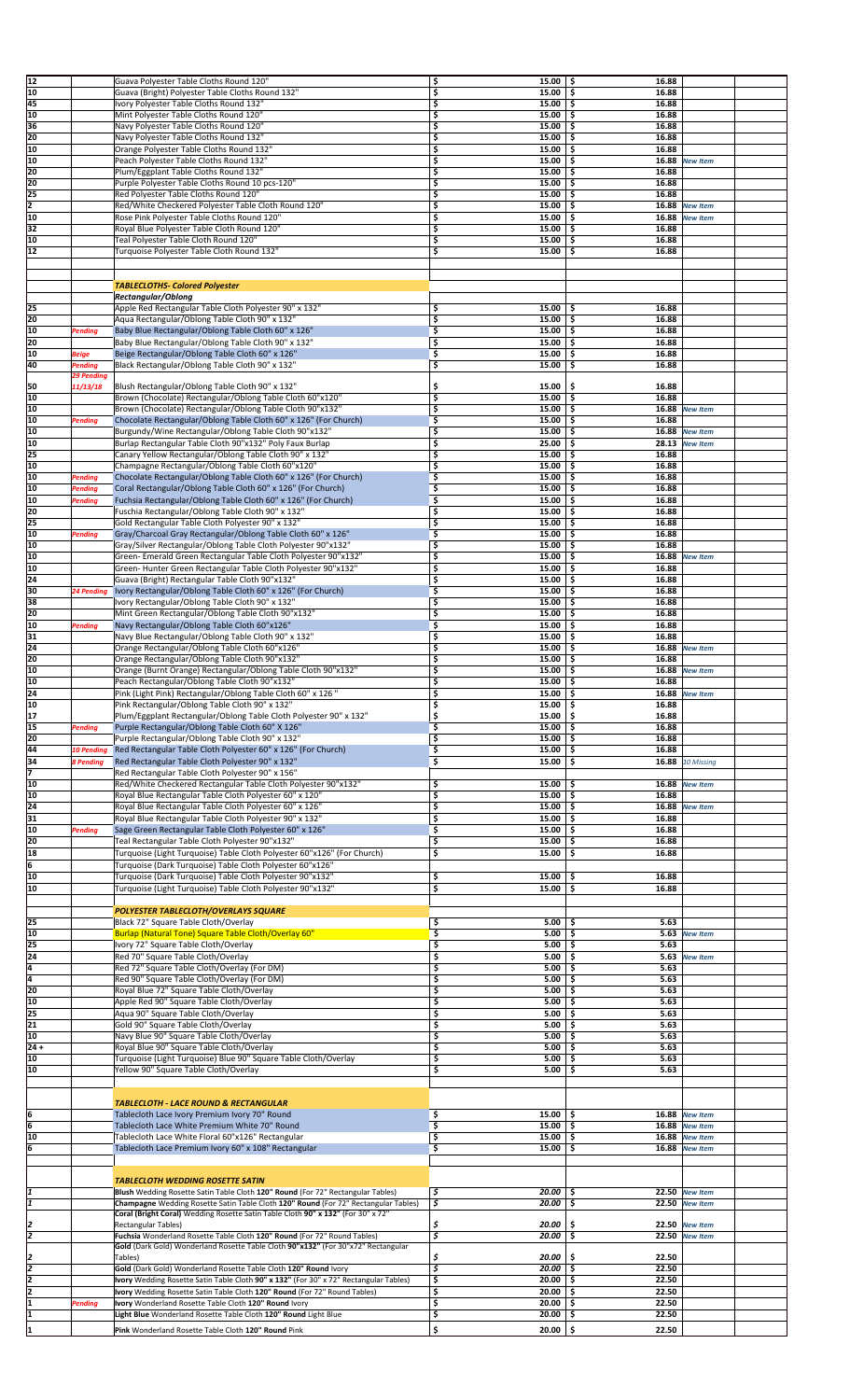| 12     |                   | Guava Polyester Table Cloths Round 120"                                               | \$<br>15.00%                                      | 16.88        |                  |
|--------|-------------------|---------------------------------------------------------------------------------------|---------------------------------------------------|--------------|------------------|
| 10     |                   | Guava (Bright) Polyester Table Cloths Round 132"                                      | \$<br>$15.00$ \$                                  | 16.88        |                  |
| 45     |                   | Ivory Polyester Table Cloths Round 132"                                               | $15.00$ \$<br>\$                                  | 16.88        |                  |
| 10     |                   | Mint Polyester Table Cloths Round 120"                                                | \$<br>15.00%                                      | 16.88        |                  |
| 36     |                   |                                                                                       |                                                   |              |                  |
|        |                   | Navy Polyester Table Cloths Round 120"                                                | \$<br>15.00                                       | \$.<br>16.88 |                  |
| 20     |                   | Navy Polyester Table Cloths Round 132"                                                | \$<br>15.00%                                      | 16.88        |                  |
| 10     |                   | Orange Polyester Table Cloths Round 132"                                              | \$<br>15.00                                       | \$.<br>16.88 |                  |
| 10     |                   | Peach Polyester Table Cloths Round 132"                                               | \$<br>15.00%                                      | 16.88        | <b>New Item</b>  |
| 120    |                   | Plum/Eggplant Table Cloths Round 132"                                                 | \$<br>15.00%                                      | 16.88        |                  |
| 20     |                   | Purple Polyester Table Cloths Round 10 pcs-120"                                       | \$<br>15.00                                       | \$.<br>16.88 |                  |
| 25     |                   | Red Polyester Table Cloths Round 120"                                                 | \$<br>15.00                                       | \$.<br>16.88 |                  |
| 12     |                   | Red/White Checkered Polyester Table Cloth Round 120"                                  | \$<br>$15.00$   \$                                | 16.88        | <b>New Item</b>  |
| 10     |                   | Rose Pink Polyester Table Cloths Round 120"                                           | \$<br>15.00                                       | \$<br>16.88  | <b>New Item</b>  |
| 32     |                   |                                                                                       | \$<br>$15.00$ \$                                  | 16.88        |                  |
|        |                   | Royal Blue Polyester Table Cloth Round 120"                                           |                                                   |              |                  |
| 10     |                   | Teal Polyester Table Cloth Round 120"                                                 | \$<br>15.00                                       | -\$<br>16.88 |                  |
| 12     |                   | Turquoise Polyester Table Cloth Round 132"                                            | \$<br>15.00                                       | -\$<br>16.88 |                  |
|        |                   |                                                                                       |                                                   |              |                  |
|        |                   |                                                                                       |                                                   |              |                  |
|        |                   | <b>TABLECLOTHS- Colored Polyester</b>                                                 |                                                   |              |                  |
|        |                   | Rectangular/Oblong                                                                    |                                                   |              |                  |
| 25     |                   | Apple Red Rectangular Table Cloth Polyester 90" x 132"                                | 15.00<br>\$                                       | 16.88<br>\$. |                  |
| 20     |                   | Aqua Rectangular/Oblong Table Cloth 90" x 132"                                        | \$<br>15.00                                       | \$.<br>16.88 |                  |
| 10     | Pending           | Baby Blue Rectangular/Oblong Table Cloth 60" x 126"                                   | \$<br>$15.00$   \$                                | 16.88        |                  |
| 20     |                   |                                                                                       | \$<br>15.00                                       | \$<br>16.88  |                  |
|        |                   | Baby Blue Rectangular/Oblong Table Cloth 90" x 132"                                   |                                                   |              |                  |
| 10     | <b>Beige</b>      | Beige Rectangular/Oblong Table Cloth 60" x 126"                                       | \$<br>15.00                                       | \$<br>16.88  |                  |
| 40     | Pending           | Black Rectangular/Oblong Table Cloth 90" x 132"                                       | \$<br>15.00                                       | \$.<br>16.88 |                  |
|        | 29 Pending        |                                                                                       |                                                   |              |                  |
| 150    | 11/13/18          | Blush Rectangular/Oblong Table Cloth 90" x 132"                                       | \$<br>15.00                                       | \$.<br>16.88 |                  |
| 10     |                   | Brown (Chocolate) Rectangular/Oblong Table Cloth 60"x120"                             | $\overline{\boldsymbol{\varsigma}}$<br>$15.00$ \$ | 16.88        |                  |
| 10     |                   | Brown (Chocolate) Rectangular/Oblong Table Cloth 90"x132"                             | \$<br>15.00                                       | 16.88<br>-\$ | <b>New Item</b>  |
| 10     | <b>Pending</b>    | Chocolate Rectangular/Oblong Table Cloth 60" x 126" (For Church)                      | \$<br>15.00                                       | '\$<br>16.88 |                  |
| 10     |                   | Burgundy/Wine Rectangular/Oblong Table Cloth 90"x132"                                 | \$<br>15.00                                       | \$<br>16.88  | <b>New Item</b>  |
| 10     |                   | Burlap Rectangular Table Cloth 90"x132" Poly Faux Burlap                              | \$<br>25.00                                       | \$.<br>28.13 | <b>New Item</b>  |
|        |                   |                                                                                       | \$                                                |              |                  |
| 25     |                   | Canary Yellow Rectangular/Oblong Table Cloth 90" x 132"                               | 15.00                                             | -\$<br>16.88 |                  |
| 10     |                   | Champagne Rectangular/Oblong Table Cloth 60"x120"                                     | \$<br>15.00                                       | \$.<br>16.88 |                  |
| 10     | Pending           | Chocolate Rectangular/Oblong Table Cloth 60" x 126" (For Church)                      | $15.00$   \$<br>\$                                | 16.88        |                  |
| 10     | Pending           | Coral Rectangular/Oblong Table Cloth 60" x 126" (For Church)                          | \$<br>15.00%                                      | 16.88        |                  |
| 10     | <b>Pending</b>    | Fuchsia Rectangular/Oblong Table Cloth 60" x 126" (For Church)                        | \$<br>15.00                                       | \$.<br>16.88 |                  |
| 20     |                   | Fuschia Rectangular/Oblong Table Cloth 90" x 132"                                     | \$<br>15.00                                       | \$.<br>16.88 |                  |
| 25     |                   | Gold Rectangular Table Cloth Polyester 90" x 132"                                     | \$<br>15.00                                       | 16.88<br>-\$ |                  |
| 10     | <b>Pending</b>    | Gray/Charcoal Gray Rectangular/Oblong Table Cloth 60" x 126"                          | \$<br>15.00                                       | \$<br>16.88  |                  |
|        |                   |                                                                                       |                                                   | 16.88        |                  |
| 10     |                   | Gray/Silver Rectangular/Oblong Table Cloth Polyester 90"x132"                         | \$<br>15.00                                       | \$.          |                  |
| 10     |                   | Green- Emerald Green Rectangular Table Cloth Polyester 90"x132"                       | \$<br>15.00                                       | -\$<br>16.88 | <b>New Item</b>  |
| 10     |                   | Green-Hunter Green Rectangular Table Cloth Polyester 90"x132"                         | \$<br>15.00                                       | \$.<br>16.88 |                  |
| 24     |                   | Guava (Bright) Rectangular Table Cloth 90"x132"                                       | \$<br>15.00                                       | -\$<br>16.88 |                  |
| 30     | 24 Pending        | Ivory Rectangular/Oblong Table Cloth 60" x 126" (For Church)                          | \$<br>15.00                                       | \$.<br>16.88 |                  |
| 38     |                   | Ivory Rectangular/Oblong Table Cloth 90" x 132"                                       | \$<br>$15.00$   \$                                | 16.88        |                  |
| 120    |                   | Mint Green Rectangular/Oblong Table Cloth 90"x132"                                    | \$<br>$15.00$ \$                                  | 16.88        |                  |
|        |                   |                                                                                       |                                                   |              |                  |
| 10     | Pending           | Navy Rectangular/Oblong Table Cloth 60"x126"                                          | \$<br>15.00                                       | \$.<br>16.88 |                  |
| 31     |                   | Navy Blue Rectangular/Oblong Table Cloth 90" x 132"                                   | \$<br>15.00                                       | \$.<br>16.88 |                  |
| 24     |                   | Orange Rectangular/Oblong Table Cloth 60"x126"                                        | \$<br>15.00%                                      | 16.88        | <b>New Item</b>  |
| 20     |                   | Orange Rectangular/Oblong Table Cloth 90"x132"                                        | \$<br>15.00                                       | \$.<br>16.88 |                  |
| 10     |                   | Orange (Burnt Orange) Rectangular/Oblong Table Cloth 90"x132"                         | \$<br>15.00                                       | \$.          | 16.88 New Item   |
| 10     |                   | Peach Rectangular/Oblong Table Cloth 90"x132"                                         | \$<br>15.00                                       | \$<br>16.88  |                  |
| 24     |                   | Pink (Light Pink) Rectangular/Oblong Table Cloth 60" x 126"                           | Ś<br>15.00                                        | Ŝ.           | 16.88 New Item   |
| 10     |                   |                                                                                       |                                                   |              |                  |
|        |                   | Pink Rectangular/Oblong Table Cloth 90" x 132"                                        | \$<br>15.00%                                      | 16.88        |                  |
| 17     |                   | Plum/Eggplant Rectangular/Oblong Table Cloth Polyester 90" x 132"                     | \$<br>$15.00$ \$                                  | 16.88        |                  |
| 15     | Pending           | Purple Rectangular/Oblong Table Cloth 60" X 126"                                      | $15.00$   \$<br>\$                                | 16.88        |                  |
| 20     |                   | Purple Rectangular/Oblong Table Cloth 90" x 132"                                      | \$<br>$15.00$   \$                                | 16.88        |                  |
| 44     | <b>10 Pending</b> | Red Rectangular Table Cloth Polyester 60" x 126" (For Church)                         | \$<br>15.00                                       | \$.<br>16.88 |                  |
| 34     | <b>8 Pending</b>  | Red Rectangular Table Cloth Polyester 90" x 132"                                      | \$<br>15.00                                       | \$.          | 16.88 10 Missing |
| 17     |                   | Red Rectangular Table Cloth Polyester 90" x 156"                                      |                                                   |              |                  |
|        |                   |                                                                                       |                                                   |              |                  |
| 10     |                   | Red/White Checkered Rectangular Table Cloth Polyester 90"x132"                        | \$<br>$15.00$   \$                                | 16.88        | <b>New Item</b>  |
| 10     |                   | Royal Blue Rectangular Table Cloth Polyester 60" x 120"                               | \$<br>15.00%                                      | 16.88        |                  |
| 24     |                   | Royal Blue Rectangular Table Cloth Polyester 60" x 126"                               | \$<br>15.00%                                      | 16.88        | <b>New Item</b>  |
| 31     |                   | Royal Blue Rectangular Table Cloth Polyester 90" x 132"                               | \$<br>$15.00$ \$                                  | 16.88        |                  |
| 10     | <b>Pending</b>    | Sage Green Rectangular Table Cloth Polyester 60" x 126"                               | \$<br>$15.00$ \$                                  | 16.88        |                  |
| 20     |                   | Teal Rectangular Table Cloth Polyester 90"x132"                                       | \$<br>15.00                                       | \$.<br>16.88 |                  |
| 18     |                   | Turquoise (Light Turquoise) Table Cloth Polyester 60"x126" (For Church)               | \$<br>15.00                                       | \$.<br>16.88 |                  |
|        |                   |                                                                                       |                                                   |              |                  |
| ļ6     |                   | Turquoise (Dark Turquoise) Table Cloth Polyester 60"x126"                             |                                                   |              |                  |
| 10     |                   | Turquoise (Dark Turquoise) Table Cloth Polyester 90"x132"                             | \$<br>$15.00$   \$                                | 16.88        |                  |
| 10     |                   | Turquoise (Light Turquoise) Table Cloth Polyester 90"x132"                            | \$<br>$15.00$ \$                                  | 16.88        |                  |
|        |                   |                                                                                       |                                                   |              |                  |
|        |                   | POLYESTER TABLECLOTH/OVERLAYS SQUARE                                                  |                                                   |              |                  |
| 25     |                   | Black 72" Square Table Cloth/Overlay                                                  | \$<br>$5.00$   \$                                 | 5.63         |                  |
| 10     |                   | Burlap (Natural Tone) Square Table Cloth/Overlay 60"                                  | \$<br>5.00                                        | -\$          | 5.63 New Item    |
| 25     |                   | Ivory 72" Square Table Cloth/Overlay                                                  | \$<br>5.00                                        | -\$<br>5.63  |                  |
| 24     |                   |                                                                                       |                                                   |              |                  |
|        |                   | Red 70" Square Table Cloth/Overlay                                                    | \$<br>5.00                                        | -\$<br>5.63  | <b>New Item</b>  |
| T.     |                   | Red 72" Square Table Cloth/Overlay (For DM)                                           | \$<br>5.00                                        | 5.63<br>\$   |                  |
| ā,     |                   | Red 90" Square Table Cloth/Overlay (For DM)                                           | \$<br>5.00                                        | \$<br>5.63   |                  |
| 20     |                   | Royal Blue 72" Square Table Cloth/Overlay                                             | \$<br>5.00                                        | \$.<br>5.63  |                  |
| 10     |                   | Apple Red 90" Square Table Cloth/Overlay                                              | \$<br>5.00                                        | 5.63<br>\$.  |                  |
| 25     |                   | Aqua 90" Square Table Cloth/Overlay                                                   | \$<br>5.00                                        | 5.63<br>-\$  |                  |
| 21     |                   | Gold 90" Square Table Cloth/Overlay                                                   | \$<br>5.00                                        | \$.<br>5.63  |                  |
| 10     |                   |                                                                                       |                                                   | 5.63         |                  |
|        |                   | Navy Blue 90" Square Table Cloth/Overlay                                              | \$<br>5.00                                        | \$           |                  |
| $24 +$ |                   | Royal Blue 90" Square Table Cloth/Overlay                                             | \$<br>5.00                                        | 5.63<br>\$.  |                  |
| 10     |                   | Turquoise (Light Turquoise) Blue 90" Square Table Cloth/Overlay                       | \$<br>5.00                                        | 5.63<br>\$   |                  |
| 10     |                   | Yellow 90" Square Table Cloth/Overlay                                                 | \$<br>5.00                                        | \$.<br>5.63  |                  |
|        |                   |                                                                                       |                                                   |              |                  |
|        |                   |                                                                                       |                                                   |              |                  |
|        |                   | <b>TABLECLOTH - LACE ROUND &amp; RECTANGULAR</b>                                      |                                                   |              |                  |
| İ6     |                   | Tablecloth Lace Ivory Premium Ivory 70" Round                                         | \$<br>$15.00$   \$                                |              | 16.88 New Item   |
| 6      |                   | Tablecloth Lace White Premium White 70" Round                                         | \$<br>15.00                                       | -\$          | 16.88 New Item   |
| 10     |                   | Tablecloth Lace White Floral 60"x126" Rectangular                                     | \$<br>15.00%                                      | 16.88        | <b>New Item</b>  |
|        |                   |                                                                                       |                                                   |              |                  |
| 6      |                   | Tablecloth Lace Premium Ivory 60" x 108" Rectangular                                  | \$<br>15.00                                       | \$<br>16.88  | <b>New Item</b>  |
|        |                   |                                                                                       |                                                   |              |                  |
|        |                   |                                                                                       |                                                   |              |                  |
|        |                   | <b>TABLECLOTH WEDDING ROSETTE SATIN</b>                                               |                                                   |              |                  |
| I1     |                   | Blush Wedding Rosette Satin Table Cloth 120" Round (For 72" Rectangular Tables)       | \$<br>20.00                                       | \$           | 22.50 New Item   |
| I1     |                   | Champagne Wedding Rosette Satin Table Cloth 120" Round (For 72" Rectangular Tables)   | \$<br>20.00                                       | \$           | 22.50 New Item   |
|        |                   | Coral (Bright Coral) Wedding Rosette Satin Table Cloth 90" x 132" (For 30" x 72"      |                                                   |              |                  |
|        |                   | <b>Rectangular Tables)</b>                                                            | \$<br>20.00                                       | \$<br>22.50  | <b>New Item</b>  |
| 2      |                   | Fuchsia Wonderland Rosette Table Cloth 120" Round (For 72" Round Tables)              | \$<br>20.00                                       | -\$          | 22.50 New Item   |
|        |                   | Gold (Dark Gold) Wonderland Rosette Table Cloth 90"x132" (For 30"x72" Rectangular     |                                                   |              |                  |
| 2      |                   | Tables)                                                                               | \$<br>20.00                                       | \$.<br>22.50 |                  |
| 12     |                   |                                                                                       | \$                                                | 22.50        |                  |
|        |                   | Gold (Dark Gold) Wonderland Rosette Table Cloth 120" Round Ivory                      | $20.00$ \$                                        |              |                  |
| I2     |                   | Ivory Wedding Rosette Satin Table Cloth 90" x 132" (For 30" x 72" Rectangular Tables) | \$<br>$20.00$ \$                                  | 22.50        |                  |
| 2      |                   | Ivory Wedding Rosette Satin Table Cloth 120" Round (For 72" Round Tables)             | \$<br>20.00                                       | Ŝ.<br>22.50  |                  |
| I1     | Pending           | Ivory Wonderland Rosette Table Cloth 120" Round Ivory                                 | \$<br>20.00                                       | 22.50<br>-\$ |                  |
| 1      |                   | Light Blue Wonderland Rosette Table Cloth 120" Round Light Blue                       | \$<br>$20.00$ \$                                  | 22.50        |                  |
|        |                   | Pink Wonderland Rosette Table Cloth 120" Round Pink                                   | \$<br>$20.00$ \$                                  | 22.50        |                  |
|        |                   |                                                                                       |                                                   |              |                  |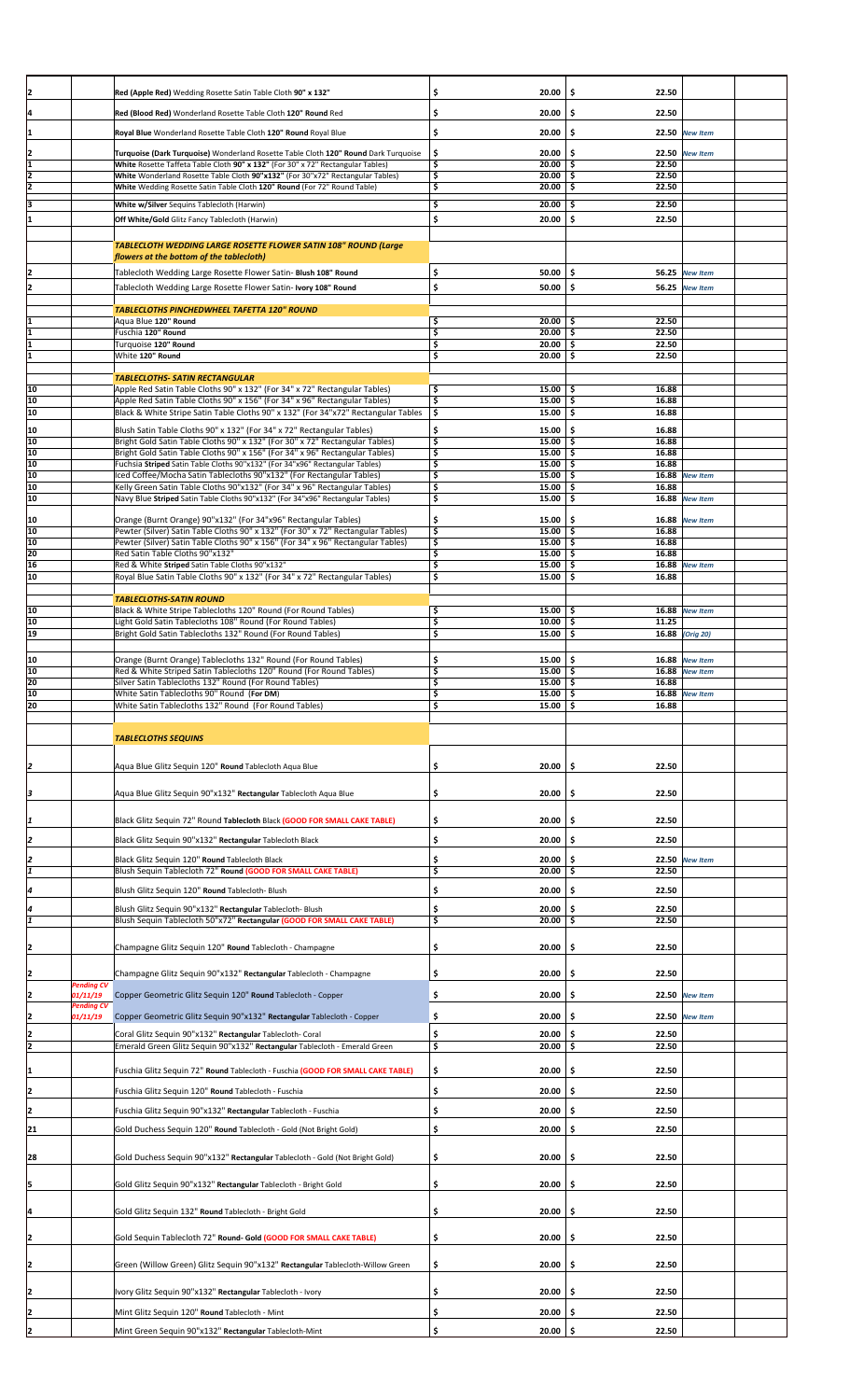| 12             |                   | Red (Apple Red) Wedding Rosette Satin Table Cloth 90" x 132"                                                                                                 | \$                            | 20.00                   | \$<br>22.50           |                       |  |
|----------------|-------------------|--------------------------------------------------------------------------------------------------------------------------------------------------------------|-------------------------------|-------------------------|-----------------------|-----------------------|--|
| 14             |                   |                                                                                                                                                              | \$                            | 20.00                   | \$.<br>22.50          |                       |  |
|                |                   | Red (Blood Red) Wonderland Rosette Table Cloth 120" Round Red                                                                                                |                               |                         |                       |                       |  |
| I1             |                   | Royal Blue Wonderland Rosette Table Cloth 120" Round Royal Blue                                                                                              | \$                            | 20.00                   | \$.                   | 22.50 New Item        |  |
| 12             |                   | Turquoise (Dark Turquoise) Wonderland Rosette Table Cloth 120" Round Dark Turquoise                                                                          | \$                            | 20.00                   | \$.                   | 22.50 New Item        |  |
| I1             |                   | White Rosette Taffeta Table Cloth 90" x 132" (For 30" x 72" Rectangular Tables)                                                                              | \$                            | $20.00$ \$              | 22.50                 |                       |  |
| 12             |                   | White Wonderland Rosette Table Cloth 90"x132" (For 30"x72" Rectangular Tables)                                                                               | \$                            | $20.00$ \$              | 22.50                 |                       |  |
| 12             |                   | White Wedding Rosette Satin Table Cloth 120" Round (For 72" Round Table)                                                                                     | \$                            | $20.00$ \$              | 22.50                 |                       |  |
|                |                   | White w/Silver Sequins Tablecloth (Harwin)                                                                                                                   | \$                            | 20.00                   | 22.50<br>\$.          |                       |  |
|                |                   | Off White/Gold Glitz Fancy Tablecloth (Harwin)                                                                                                               | \$                            | 20.00                   | \$.<br>22.50          |                       |  |
|                |                   |                                                                                                                                                              |                               |                         |                       |                       |  |
|                |                   | TABLECLOTH WEDDING LARGE ROSETTE FLOWER SATIN 108" ROUND (Large                                                                                              |                               |                         |                       |                       |  |
|                |                   | flowers at the bottom of the tablecloth)                                                                                                                     |                               |                         |                       |                       |  |
|                |                   | Tablecloth Wedding Large Rosette Flower Satin- Blush 108" Round                                                                                              | \$                            | 50.00                   | \$.                   | 56.25 New Item        |  |
|                |                   | Tablecloth Wedding Large Rosette Flower Satin- Ivory 108" Round                                                                                              | \$                            | 50.00                   | \$.                   | <b>56.25</b> New Item |  |
|                |                   | TABLECLOTHS PINCHEDWHEEL TAFETTA 120" ROUND                                                                                                                  |                               |                         |                       |                       |  |
|                |                   | Aqua Blue 120" Round                                                                                                                                         | \$                            | $20.00$ \$              | 22.50                 |                       |  |
| I1             |                   | Fuschia 120" Round                                                                                                                                           | \$                            | $20.00$ \$              | 22.50                 |                       |  |
| l1             |                   | Turquoise 120" Round                                                                                                                                         | \$                            | $20.00$ \$              | 22.50                 |                       |  |
| I1             |                   | White 120" Round                                                                                                                                             | \$                            | $20.00$ \$              | 22.50                 |                       |  |
|                |                   | <b>TABLECLOTHS- SATIN RECTANGULAR</b>                                                                                                                        |                               |                         |                       |                       |  |
| 10             |                   | Apple Red Satin Table Cloths 90" x 132" (For 34" x 72" Rectangular Tables)                                                                                   | \$                            | $15.00$ \$              | 16.88                 |                       |  |
| 10             |                   | Apple Red Satin Table Cloths 90" x 156" (For 34" x 96" Rectangular Tables)                                                                                   | \$                            | $15.00$ \$              | 16.88                 |                       |  |
| 10             |                   | Black & White Stripe Satin Table Cloths 90" x 132" (For 34"x72" Rectangular Tables                                                                           | \$                            | 15.00%                  | 16.88                 |                       |  |
| 10             |                   | Blush Satin Table Cloths 90" x 132" (For 34" x 72" Rectangular Tables)                                                                                       | \$                            | 15.00                   | \$.<br>16.88          |                       |  |
| 10             |                   | Bright Gold Satin Table Cloths 90" x 132" (For 30" x 72" Rectangular Tables)                                                                                 | \$                            | $15.00$   \$            | 16.88                 |                       |  |
| 10<br>10       |                   | Bright Gold Satin Table Cloths 90" x 156" (For 34" x 96" Rectangular Tables)<br>Fuchsia Striped Satin Table Cloths 90"x132" (For 34"x96" Rectangular Tables) | $\overline{\mathsf{s}}$<br>\$ | $15.00$   \$<br>15.00%  | 16.88<br>16.88        |                       |  |
| 10             |                   | Iced Coffee/Mocha Satin Tablecloths 90"x132" (For Rectangular Tables)                                                                                        | \$                            | $15.00$ \$              | 16.88                 | <b>New Item</b>       |  |
| 10             |                   | Kelly Green Satin Table Cloths 90"x132" (For 34" x 96" Rectangular Tables)                                                                                   | \$                            | 15.00%                  | 16.88                 |                       |  |
| 10             |                   | Navy Blue Striped Satin Table Cloths 90"x132" (For 34"x96" Rectangular Tables)                                                                               | \$                            | $15.00$ \$              | 16.88                 | <b>New Item</b>       |  |
| 10             |                   | Orange (Burnt Orange) 90"x132" (For 34"x96" Rectangular Tables)                                                                                              | \$                            | $15.00$   \$            |                       | 16.88 New Item        |  |
| 10             |                   | Pewter (Silver) Satin Table Cloths 90" x 132" (For 30" x 72" Rectangular Tables)                                                                             | \$                            | $15.00$ \$              | 16.88                 |                       |  |
| 10             |                   | Pewter (Silver) Satin Table Cloths 90" x 156" (For 34" x 96" Rectangular Tables)                                                                             | \$                            | $15.00$ \$              | 16.88                 |                       |  |
| 20             |                   | Red Satin Table Cloths 90"x132"                                                                                                                              | \$                            | 15.00%                  | 16.88                 |                       |  |
| 16<br>10       |                   | Red & White Striped Satin Table Cloths 90"x132"<br>Royal Blue Satin Table Cloths 90" x 132" (For 34" x 72" Rectangular Tables)                               | \$<br>\$                      | $15.00$   \$<br>15.00   | 16.88<br>\$.<br>16.88 | <b>New Item</b>       |  |
|                |                   |                                                                                                                                                              |                               |                         |                       |                       |  |
|                |                   | <b>TABLECLOTHS-SATIN ROUND</b>                                                                                                                               |                               |                         |                       |                       |  |
| 10             |                   | Black & White Stripe Tablecloths 120" Round (For Round Tables)                                                                                               | \$                            | 15.00%                  |                       | 16.88 New Item        |  |
| 10<br>19       |                   | Light Gold Satin Tablecloths 108" Round (For Round Tables)<br>Bright Gold Satin Tablecloths 132" Round (For Round Tables)                                    | \$<br>\$                      | 10.00%<br>15.00         | 11.25<br>\$.          | 16.88 (Orig 20)       |  |
|                |                   |                                                                                                                                                              |                               |                         |                       |                       |  |
| 10             |                   | Orange (Burnt Orange) Tablecloths 132" Round (For Round Tables)                                                                                              | \$                            | 15.00                   | \$.                   | 16.88 New Item        |  |
| 10             |                   | Red & White Striped Satin Tablecloths 120" Round (For Round Tables)                                                                                          | \$                            | 15.00                   | -\$                   | 16.88 New Item        |  |
| 20             |                   | Silver Satin Tablecloths 132" Round (For Round Tables)                                                                                                       | \$                            | $15.00$ \$              | 16.88                 |                       |  |
| 10<br>20       |                   | White Satin Tablecloths 90" Round (For DM)                                                                                                                   | Ś.<br>\$                      | $15.00$ S<br>$15.00$ \$ | 16.88                 | 16.88 New Item        |  |
|                |                   | White Satin Tablecloths 132" Round (For Round Tables)                                                                                                        |                               |                         |                       |                       |  |
|                |                   |                                                                                                                                                              |                               |                         |                       |                       |  |
|                |                   | <b>TABLECLOTHS SEQUINS</b>                                                                                                                                   |                               |                         |                       |                       |  |
|                |                   |                                                                                                                                                              |                               |                         |                       |                       |  |
| I2             |                   | Aqua Blue Glitz Sequin 120" Round Tablecloth Aqua Blue                                                                                                       | \$                            | 20.00                   | \$<br>22.50           |                       |  |
|                |                   |                                                                                                                                                              |                               |                         |                       |                       |  |
| з              |                   | Aqua Blue Glitz Sequin 90"x132" Rectangular Tablecloth Aqua Blue                                                                                             | \$                            | 20.00                   | - \$<br>22.50         |                       |  |
|                |                   |                                                                                                                                                              |                               |                         |                       |                       |  |
|                |                   | Black Glitz Sequin 72" Round Tablecloth Black (GOOD FOR SMALL CAKE TABLE)                                                                                    | \$                            | 20.00                   | 22.50<br>S            |                       |  |
| 2              |                   | Black Glitz Sequin 90"x132" Rectangular Tablecloth Black                                                                                                     | \$                            | 20.00                   | \$.<br>22.50          |                       |  |
|                |                   |                                                                                                                                                              | \$                            | 20.00                   | \$.                   |                       |  |
|                |                   | Black Glitz Sequin 120" Round Tablecloth Black<br>Blush Sequin Tablecloth 72" Round (GOOD FOR SMALL CAKE TABLE)                                              | \$                            | 20.00                   | 22.50<br>\$.          | 22.50 New Item        |  |
|                |                   |                                                                                                                                                              |                               |                         |                       |                       |  |
| 4              |                   | Blush Glitz Sequin 120" Round Tablecloth- Blush                                                                                                              | \$                            | 20.00                   | \$.<br>22.50          |                       |  |
|                |                   | Blush Glitz Sequin 90"x132" Rectangular Tablecloth-Blush                                                                                                     | \$                            | 20.00                   | 22.50<br>-S           |                       |  |
|                |                   | Blush Sequin Tablecloth 50"x72" Rectangular (GOOD FOR SMALL CAKE TABLE)                                                                                      | \$                            | $20.00$ \$              | 22.50                 |                       |  |
|                |                   |                                                                                                                                                              |                               |                         |                       |                       |  |
|                |                   | Champagne Glitz Sequin 120" Round Tablecloth - Champagne                                                                                                     | \$                            | 20.00                   | 22.50<br>-\$          |                       |  |
|                |                   |                                                                                                                                                              |                               |                         |                       |                       |  |
|                | <b>Pending CV</b> | Champagne Glitz Sequin 90"x132" Rectangular Tablecloth - Champagne                                                                                           | \$                            | 20.00                   | \$<br>22.50           |                       |  |
|                | 01/11/19          | Copper Geometric Glitz Sequin 120" Round Tablecloth - Copper                                                                                                 | \$                            | 20.00                   | \$                    | 22.50 New Item        |  |
|                | <b>Pending CV</b> |                                                                                                                                                              |                               |                         |                       |                       |  |
|                | 01/11/19          | Copper Geometric Glitz Sequin 90"x132" Rectangular Tablecloth - Copper                                                                                       | \$                            | 20.00                   | \$.                   | 22.50 New Item        |  |
| $\overline{2}$ |                   | Coral Glitz Sequin 90"x132" Rectangular Tablecloth- Coral                                                                                                    | \$                            | 20.00                   | 22.50                 |                       |  |
| 2              |                   | Emerald Green Glitz Sequin 90"x132" Rectangular Tablecloth - Emerald Green                                                                                   | \$                            | 20.00                   | 22.50<br>\$           |                       |  |
| 11             |                   | Fuschia Glitz Sequin 72" Round Tablecloth - Fuschia (GOOD FOR SMALL CAKE TABLE)                                                                              | \$                            | 20.00                   | \$<br>22.50           |                       |  |
|                |                   |                                                                                                                                                              |                               |                         |                       |                       |  |
| I2             |                   | Fuschia Glitz Sequin 120" Round Tablecloth - Fuschia                                                                                                         | \$                            | 20.00                   | 22.50<br>\$.          |                       |  |
| 12             |                   | Fuschia Glitz Sequin 90"x132" Rectangular Tablecloth - Fuschia                                                                                               | \$                            | 20.00                   | \$.<br>22.50          |                       |  |
| 21             |                   |                                                                                                                                                              | \$                            | 20.00                   | 22.50<br>\$.          |                       |  |
|                |                   | Gold Duchess Sequin 120" Round Tablecloth - Gold (Not Bright Gold)                                                                                           |                               |                         |                       |                       |  |
| 28             |                   | Gold Duchess Sequin 90"x132" Rectangular Tablecloth - Gold (Not Bright Gold)                                                                                 | \$                            | 20.00                   | 22.50<br>-\$          |                       |  |
|                |                   |                                                                                                                                                              |                               |                         |                       |                       |  |
| 15             |                   | Gold Glitz Sequin 90"x132" Rectangular Tablecloth - Bright Gold                                                                                              | \$                            | 20.00                   | 22.50<br>-\$          |                       |  |
|                |                   |                                                                                                                                                              |                               |                         |                       |                       |  |
| I4             |                   | Gold Glitz Sequin 132" Round Tablecloth - Bright Gold                                                                                                        | \$                            | 20.00                   | 22.50<br>s            |                       |  |
|                |                   |                                                                                                                                                              |                               |                         |                       |                       |  |
|                |                   | Gold Sequin Tablecloth 72" Round- Gold (GOOD FOR SMALL CAKE TABLE)                                                                                           | \$                            | 20.00                   | 22.50<br>-S           |                       |  |
|                |                   |                                                                                                                                                              |                               |                         |                       |                       |  |
|                |                   | Green (Willow Green) Glitz Sequin 90"x132" Rectangular Tablecloth-Willow Green                                                                               | \$                            | 20.00                   | \$.<br>22.50          |                       |  |
|                |                   |                                                                                                                                                              |                               |                         |                       |                       |  |
|                |                   | Ivory Glitz Sequin 90"x132" Rectangular Tablecloth - Ivory                                                                                                   | \$                            | 20.00                   | 22.50<br>\$           |                       |  |
| 2              |                   | Mint Glitz Sequin 120" Round Tablecloth - Mint                                                                                                               | \$                            | 20.00                   | \$<br>22.50           |                       |  |
|                |                   |                                                                                                                                                              |                               |                         |                       |                       |  |
|                |                   | Mint Green Sequin 90"x132" Rectangular Tablecloth-Mint                                                                                                       | \$                            | $20.00$ \$              | 22.50                 |                       |  |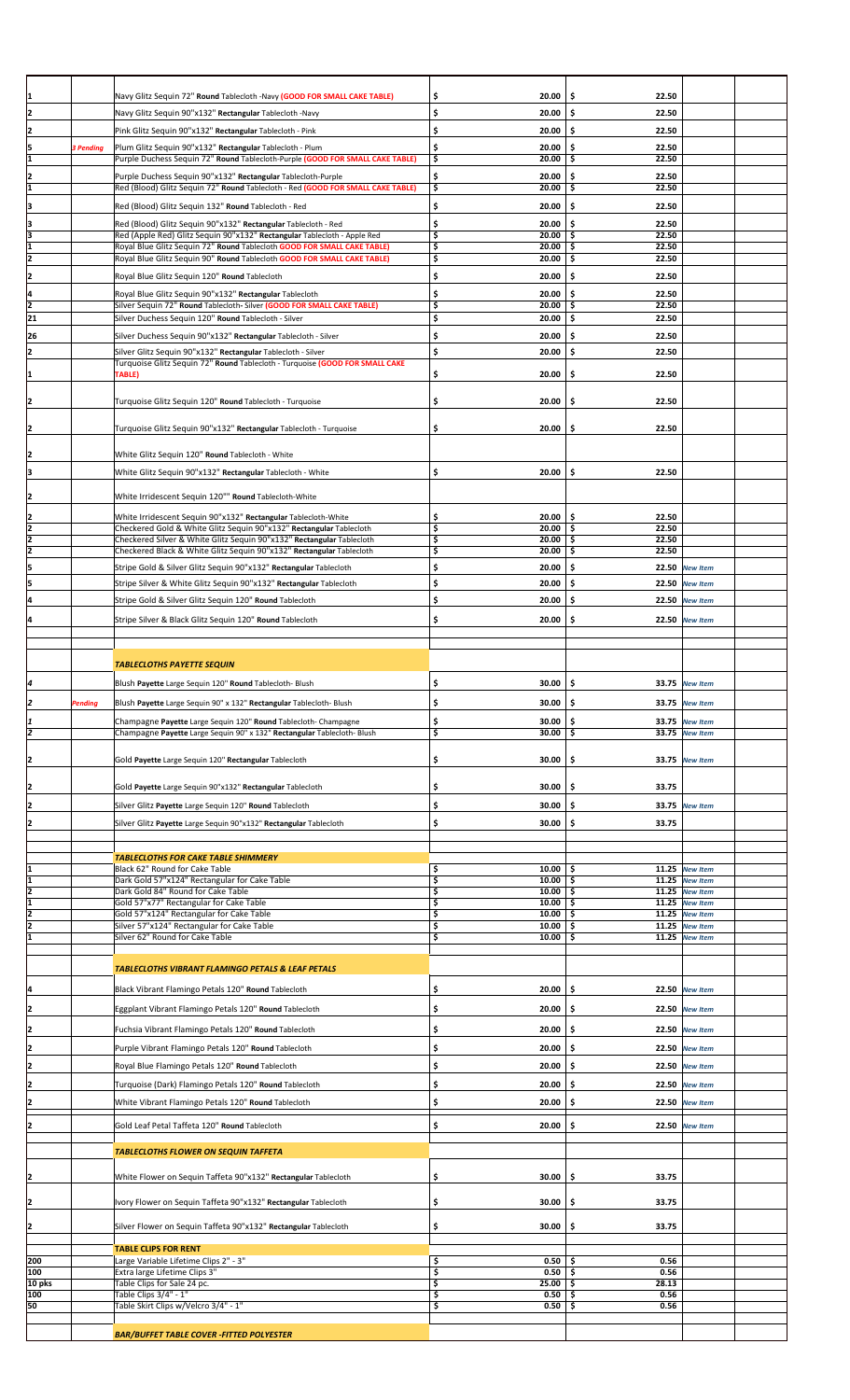| 1                                         |                  | Navy Glitz Sequin 72" Round Tablecloth -Navy (GOOD FOR SMALL CAKE TABLE)               | \$<br>20.00              | \$<br>22.50              |                |  |
|-------------------------------------------|------------------|----------------------------------------------------------------------------------------|--------------------------|--------------------------|----------------|--|
|                                           |                  |                                                                                        |                          |                          |                |  |
| 2                                         |                  | Navy Glitz Sequin 90"x132" Rectangular Tablecloth -Navy                                | \$<br>20.00              | \$.<br>22.50             |                |  |
| 2                                         |                  | Pink Glitz Sequin 90"x132" Rectangular Tablecloth - Pink                               | \$<br>20.00              | \$<br>22.50              |                |  |
|                                           | <b>3 Pending</b> | Plum Glitz Sequin 90"x132" Rectangular Tablecloth - Plum                               | \$<br>20.00              | \$.<br>22.50             |                |  |
| $\frac{5}{1}$                             |                  | Purple Duchess Sequin 72" Round Tablecloth-Purple (GOOD FOR SMALL CAKE TABLE)          | \$<br>20.00              | \$<br>22.50              |                |  |
|                                           |                  |                                                                                        |                          |                          |                |  |
| $\frac{2}{1}$                             |                  | Purple Duchess Sequin 90"x132" Rectangular Tablecloth-Purple                           | \$<br>20.00              | \$<br>22.50<br>22.50     |                |  |
|                                           |                  | Red (Blood) Glitz Sequin 72" Round Tablecloth - Red (GOOD FOR SMALL CAKE TABLE)        | \$<br>20.00              | \$                       |                |  |
| 3                                         |                  | Red (Blood) Glitz Sequin 132" Round Tablecloth - Red                                   | \$<br>20.00              | \$.<br>22.50             |                |  |
|                                           |                  | Red (Blood) Glitz Sequin 90"x132" Rectangular Tablecloth - Red                         | \$<br>20.00              | \$.<br>22.50             |                |  |
|                                           |                  | Red (Apple Red) Glitz Sequin 90"x132" Rectangular Tablecloth - Apple Red               | \$<br>$20.00$ \$         | 22.50                    |                |  |
| $\frac{3}{3}$ $\frac{1}{2}$               |                  | Royal Blue Glitz Sequin 72" Round Tablecloth GOOD FOR SMALL CAKE TABLE)                | \$<br>$20.00$ \$         | 22.50                    |                |  |
|                                           |                  | Royal Blue Glitz Sequin 90" Round Tablecloth GOOD FOR SMALL CAKE TABLE)                | \$<br>20.00              | \$.<br>22.50             |                |  |
|                                           |                  |                                                                                        |                          |                          |                |  |
| $\overline{z}$                            |                  | Royal Blue Glitz Sequin 120" Round Tablecloth                                          | \$<br>20.00              | \$.<br>22.50             |                |  |
| $\frac{4}{2}$ $\frac{2}{21}$              |                  | Royal Blue Glitz Sequin 90"x132" Rectangular Tablecloth                                | \$<br>20.00              | \$.<br>22.50             |                |  |
|                                           |                  | Silver Sequin 72" Round Tablecloth- Silver (GOOD FOR SMALL CAKE TABLE)                 | \$<br>$20.00$ \$         | 22.50                    |                |  |
|                                           |                  | Silver Duchess Sequin 120" Round Tablecloth - Silver                                   | \$<br>20.00              | \$.<br>22.50             |                |  |
| 26                                        |                  | Silver Duchess Sequin 90"x132" Rectangular Tablecloth - Silver                         | \$<br>20.00              | \$.<br>22.50             |                |  |
|                                           |                  |                                                                                        |                          |                          |                |  |
| 2                                         |                  | Silver Glitz Sequin 90"x132" Rectangular Tablecloth - Silver                           | \$<br>20.00              | \$.<br>22.50             |                |  |
| 1                                         |                  | Turquoise Glitz Sequin 72" Round Tablecloth - Turquoise (GOOD FOR SMALL CAKE<br>TABLE) | \$<br>20.00              | 22.50<br>.\$             |                |  |
|                                           |                  |                                                                                        |                          |                          |                |  |
|                                           |                  |                                                                                        |                          |                          |                |  |
| 2                                         |                  | Turquoise Glitz Sequin 120" Round Tablecloth - Turquoise                               | \$<br>20.00              | \$<br>22.50              |                |  |
|                                           |                  |                                                                                        |                          |                          |                |  |
| 2                                         |                  | Turquoise Glitz Sequin 90"x132" Rectangular Tablecloth - Turquoise                     | \$<br>20.00              | \$<br>22.50              |                |  |
|                                           |                  |                                                                                        |                          |                          |                |  |
| 2                                         |                  | White Glitz Sequin 120" Round Tablecloth - White                                       |                          |                          |                |  |
| 3                                         |                  | White Glitz Sequin 90"x132" Rectangular Tablecloth - White                             | \$<br>20.00              | \$.<br>22.50             |                |  |
|                                           |                  |                                                                                        |                          |                          |                |  |
| $\overline{2}$                            |                  | White Irridescent Sequin 120"" Round Tablecloth-White                                  |                          |                          |                |  |
|                                           |                  |                                                                                        |                          |                          |                |  |
|                                           |                  | White Irridescent Sequin 90"x132" Rectangular Tablecloth-White                         | \$<br>20.00              | \$.<br>22.50             |                |  |
|                                           |                  | Checkered Gold & White Glitz Sequin 90"x132" Rectangular Tablecloth                    | \$<br>$20.00$ \$         | 22.50                    |                |  |
|                                           |                  | Checkered Silver & White Glitz Sequin 90"x132" Rectangular Tablecloth                  | \$<br>$20.00$ \$         | 22.50                    |                |  |
|                                           |                  | Checkered Black & White Glitz Sequin 90"x132" Rectangular Tablecloth                   | \$<br>20.00              | \$<br>22.50              |                |  |
| 5                                         |                  | Stripe Gold & Silver Glitz Sequin 90"x132" Rectangular Tablecloth                      | \$<br>20.00              | \$.                      | 22.50 New Item |  |
| 5                                         |                  | Stripe Silver & White Glitz Sequin 90"x132" Rectangular Tablecloth                     | \$<br>20.00              | \$.                      | 22.50 New Item |  |
|                                           |                  |                                                                                        | 20.00                    | \$                       |                |  |
| 4                                         |                  | Stripe Gold & Silver Glitz Sequin 120" Round Tablecloth                                | \$                       |                          | 22.50 New Item |  |
| 14                                        |                  | Stripe Silver & Black Glitz Sequin 120" Round Tablecloth                               | \$<br>20.00              | \$                       | 22.50 New Item |  |
|                                           |                  |                                                                                        |                          |                          |                |  |
|                                           |                  |                                                                                        |                          |                          |                |  |
|                                           |                  |                                                                                        |                          |                          |                |  |
|                                           |                  | <b>TABLECLOTHS PAYETTE SEQUIN</b>                                                      |                          |                          |                |  |
| 4                                         |                  | Blush Payette Large Sequin 120" Round Tablecloth- Blush                                | \$<br>30.00              | \$.                      | 33.75 New Item |  |
|                                           |                  |                                                                                        |                          |                          |                |  |
| 2                                         | <b>Pending</b>   | Blush Payette Large Sequin 90" x 132" Rectangular Tablecloth- Blush                    | \$<br>$30.00$ \$         |                          | 33.75 New Item |  |
|                                           |                  | Champagne Payette Large Sequin 120" Round Tablecloth- Champagne                        | \$<br>30.00              | \$                       | 33.75 New Item |  |
| $\frac{1}{2}$                             |                  | Champagne Payette Large Sequin 90" x 132" Rectangular Tablecloth- Blush                | \$<br>30.00              | \$                       | 33.75 New Item |  |
|                                           |                  |                                                                                        |                          |                          |                |  |
|                                           |                  | Gold Payette Large Sequin 120" Rectangular Tablecloth                                  | 30.00                    | \$                       | 33.75 New Item |  |
| 2                                         |                  |                                                                                        | \$                       |                          |                |  |
|                                           |                  |                                                                                        |                          |                          |                |  |
| $\overline{\mathsf{E}}$                   |                  | Gold Payette Large Sequin 90"x132" Rectangular Tablecloth                              | \$<br>30.00              | 33.75<br>\$              |                |  |
| 2                                         |                  | Silver Glitz Payette Large Sequin 120" Round Tablecloth                                | \$<br>30.00              | \$                       | 33.75 New Item |  |
|                                           |                  |                                                                                        |                          |                          |                |  |
| 2                                         |                  | Silver Glitz Payette Large Sequin 90"x132" Rectangular Tablecloth                      | \$<br>30.00              | \$.<br>33.75             |                |  |
|                                           |                  |                                                                                        |                          |                          |                |  |
|                                           |                  | <b>TABLECLOTHS FOR CAKE TABLE SHIMMERY</b>                                             |                          |                          |                |  |
| 1                                         |                  | Black 62" Round for Cake Table                                                         | \$<br>$10.00$ \$         |                          | 11.25 New Item |  |
|                                           |                  | Dark Gold 57"x124" Rectangular for Cake Table                                          | \$<br>$10.00$ \$         |                          | 11.25 New Item |  |
| $\frac{1}{2}$ $\frac{2}{1}$ $\frac{2}{2}$ |                  | Dark Gold 84" Round for Cake Table                                                     | \$<br>$10.00$   \$       |                          | 11.25 New Item |  |
|                                           |                  | Gold 57"x77" Rectangular for Cake Table                                                | \$<br>$10.00$ \$         |                          | 11.25 New Item |  |
|                                           |                  | Gold 57"x124" Rectangular for Cake Table                                               | \$<br>$10.00$   \$       |                          | 11.25 New Item |  |
|                                           |                  | Silver 57"x124" Rectangular for Cake Table                                             | \$<br>10.00              | \$.                      | 11.25 New Item |  |
|                                           |                  | Silver 62" Round for Cake Table                                                        | \$<br>$10.00$ \$         |                          | 11.25 New Item |  |
|                                           |                  |                                                                                        |                          |                          |                |  |
|                                           |                  | <b>TABLECLOTHS VIBRANT FLAMINGO PETALS &amp; LEAF PETALS</b>                           |                          |                          |                |  |
|                                           |                  |                                                                                        |                          |                          |                |  |
|                                           |                  |                                                                                        |                          |                          |                |  |
| L                                         |                  | Black Vibrant Flamingo Petals 120" Round Tablecloth                                    | \$<br>20.00              | \$                       | 22.50 New Item |  |
|                                           |                  |                                                                                        |                          |                          |                |  |
| $\overline{2}$                            |                  | Eggplant Vibrant Flamingo Petals 120" Round Tablecloth                                 | \$<br>20.00              | \$                       | 22.50 New Item |  |
| 2                                         |                  | Fuchsia Vibrant Flamingo Petals 120" Round Tablecloth                                  | \$<br>20.00              | \$.                      | 22.50 New Item |  |
|                                           |                  |                                                                                        |                          |                          |                |  |
| $\overline{2}$                            |                  | Purple Vibrant Flamingo Petals 120" Round Tablecloth                                   | \$<br>20.00              | \$.                      | 22.50 New Item |  |
|                                           |                  | Royal Blue Flamingo Petals 120" Round Tablecloth                                       | \$<br>20.00              | \$.                      | 22.50 New Item |  |
| $\overline{z}$                            |                  |                                                                                        |                          |                          |                |  |
| 2                                         |                  | Turquoise (Dark) Flamingo Petals 120" Round Tablecloth                                 | \$<br>20.00              | \$                       | 22.50 New Item |  |
| 2                                         |                  | White Vibrant Flamingo Petals 120" Round Tablecloth                                    | \$<br>20.00              | \$.                      | 22.50 New Item |  |
|                                           |                  |                                                                                        |                          |                          |                |  |
| 2                                         |                  | Gold Leaf Petal Taffeta 120" Round Tablecloth                                          | \$<br>20.00              | \$                       | 22.50 New Item |  |
|                                           |                  |                                                                                        |                          |                          |                |  |
|                                           |                  | <b>TABLECLOTHS FLOWER ON SEQUIN TAFFETA</b>                                            |                          |                          |                |  |
|                                           |                  |                                                                                        |                          |                          |                |  |
| Ŀ                                         |                  | White Flower on Sequin Taffeta 90"x132" Rectangular Tablecloth                         | 30.00<br>\$              | 33.75<br>\$              |                |  |
|                                           |                  |                                                                                        |                          |                          |                |  |
| Ŀ                                         |                  | Ivory Flower on Sequin Taffeta 90"x132" Rectangular Tablecloth                         | \$<br>30.00              | 33.75<br>\$              |                |  |
|                                           |                  |                                                                                        |                          |                          |                |  |
| 2                                         |                  | Silver Flower on Sequin Taffeta 90"x132" Rectangular Tablecloth                        | \$<br>30.00              | \$<br>33.75              |                |  |
|                                           |                  |                                                                                        |                          |                          |                |  |
|                                           |                  | <b>TABLE CLIPS FOR RENT</b>                                                            |                          |                          |                |  |
| 200                                       |                  | Large Variable Lifetime Clips 2" - 3"                                                  | \$<br>0.50               | 0.56<br>-\$              |                |  |
| 100                                       |                  | Extra large Lifetime Clips 3"                                                          | \$<br>0.50               | \$<br>0.56               |                |  |
| 10 pks                                    |                  | Table Clips for Sale 24 pc.                                                            | \$<br>25.00              | \$<br>28.13              |                |  |
| 100                                       |                  | Table Clips 3/4" - 1"<br>Table Skirt Clips w/Velcro 3/4" - 1"                          | \$<br>0.50<br>\$<br>0.50 | \$<br>0.56<br>0.56<br>\$ |                |  |
| 50                                        |                  |                                                                                        |                          |                          |                |  |
|                                           |                  | <b>BAR/BUFFET TABLE COVER -FITTED POLYESTER</b>                                        |                          |                          |                |  |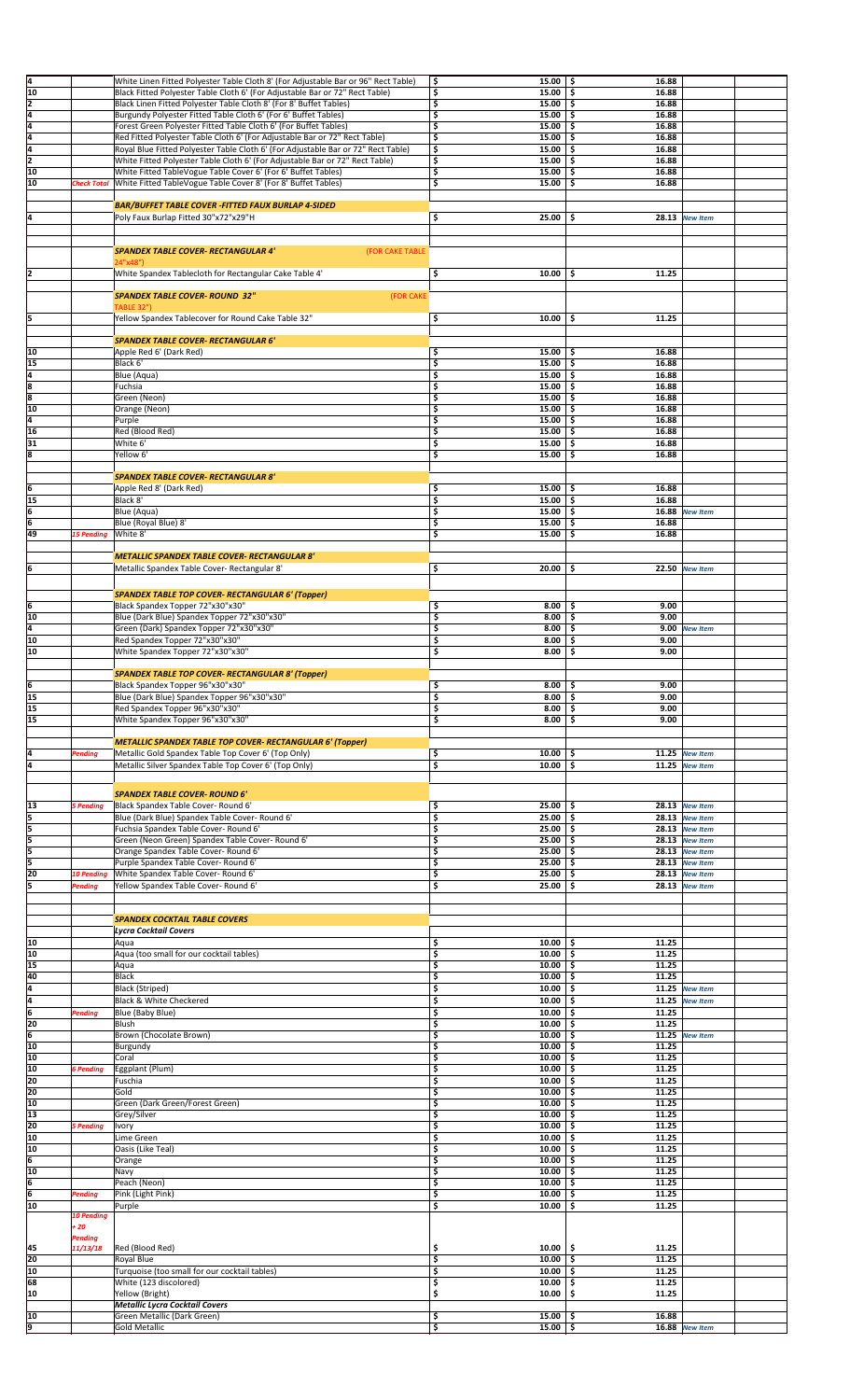| 4               |                    | White Linen Fitted Polyester Table Cloth 8' (For Adjustable Bar or 96" Rect Table) | \$<br>$15.00$ \$                  | 16.88                |                 |  |
|-----------------|--------------------|------------------------------------------------------------------------------------|-----------------------------------|----------------------|-----------------|--|
| $\overline{10}$ |                    | Black Fitted Polyester Table Cloth 6' (For Adjustable Bar or 72" Rect Table)       | \$<br>15.00                       | 16.88<br>\$.         |                 |  |
| 2               |                    | Black Linen Fitted Polyester Table Cloth 8' (For 8' Buffet Tables)                 | \$<br>15.00%                      | 16.88                |                 |  |
| Ā               |                    | Burgundy Polyester Fitted Table Cloth 6' (For 6' Buffet Tables)                    | \$<br>15.00                       | \$<br>16.88          |                 |  |
| T4              |                    |                                                                                    | \$<br>15.00                       | \$.<br>16.88         |                 |  |
| ā               |                    | Forest Green Polyester Fitted Table Cloth 6' (For Buffet Tables)                   | \$<br>15.00                       | l \$<br>16.88        |                 |  |
| Ā               |                    | Red Fitted Polyester Table Cloth 6' (For Adjustable Bar or 72" Rect Table)         |                                   |                      |                 |  |
| $\overline{2}$  |                    | Royal Blue Fitted Polyester Table Cloth 6' (For Adjustable Bar or 72" Rect Table)  | \$<br>15.00                       | \$.<br>16.88         |                 |  |
|                 |                    | White Fitted Polyester Table Cloth 6' (For Adjustable Bar or 72" Rect Table)       | \$<br>15.00                       | \$<br>16.88          |                 |  |
| 10              |                    | White Fitted TableVogue Table Cover 6' (For 6' Buffet Tables)                      | \$<br>$15.00$   \$                | 16.88                |                 |  |
| 10              | <b>Check Total</b> | White Fitted TableVogue Table Cover 8' (For 8' Buffet Tables)                      | \$<br>15.00                       | \$<br>16.88          |                 |  |
|                 |                    |                                                                                    |                                   |                      |                 |  |
|                 |                    | <b>BAR/BUFFET TABLE COVER -FITTED FAUX BURLAP 4-SIDED</b>                          |                                   |                      |                 |  |
| 4               |                    | Poly Faux Burlap Fitted 30"x72"x29"H                                               | 25.00%<br>\$                      |                      | 28.13 New Item  |  |
|                 |                    |                                                                                    |                                   |                      |                 |  |
|                 |                    |                                                                                    |                                   |                      |                 |  |
|                 |                    | <b>SPANDEX TABLE COVER- RECTANGULAR 4'</b><br>(FOR CAKE TABLE                      |                                   |                      |                 |  |
|                 |                    | 24"x48")                                                                           |                                   |                      |                 |  |
| 2               |                    | White Spandex Tablecloth for Rectangular Cake Table 4'                             | \$<br>10.00                       | 11.25<br>-\$         |                 |  |
|                 |                    |                                                                                    |                                   |                      |                 |  |
|                 |                    | <b>SPANDEX TABLE COVER- ROUND 32"</b><br>(FOR CAKE                                 |                                   |                      |                 |  |
|                 |                    | <b>TABLE 32")</b>                                                                  |                                   |                      |                 |  |
| 5               |                    | Yellow Spandex Tablecover for Round Cake Table 32"                                 | \$<br>10.00                       | 11.25<br>\$          |                 |  |
|                 |                    |                                                                                    |                                   |                      |                 |  |
|                 |                    | <b>SPANDEX TABLE COVER- RECTANGULAR 6'</b>                                         |                                   |                      |                 |  |
| 10              |                    | Apple Red 6' (Dark Red)                                                            | \$<br>15.00                       | 16.88<br>\$          |                 |  |
| 15              |                    | Black 6'                                                                           | \$<br>15.00                       | \$ ا<br>16.88        |                 |  |
| 4               |                    | Blue (Aqua)                                                                        | \$<br>15.00                       | \$<br>16.88          |                 |  |
|                 |                    | Fuchsia                                                                            | \$<br>$15.00$ \$                  | 16.88                |                 |  |
| $\frac{1}{8}$   |                    | Green (Neon)                                                                       | \$<br>$15.00$ \$                  | 16.88                |                 |  |
| 10              |                    |                                                                                    | \$<br>$15.00$ \$                  | 16.88                |                 |  |
|                 |                    | Orange (Neon)                                                                      |                                   |                      |                 |  |
| Ţ4              |                    | Purple                                                                             | \$<br>15.00%                      | 16.88                |                 |  |
| 16              |                    | Red (Blood Red)                                                                    | \$<br>$15.00$ $\pm$               | 16.88                |                 |  |
| 31              |                    | White 6'                                                                           | \$<br>15.00                       | \$<br>16.88          |                 |  |
| s               |                    | Yellow 6'                                                                          | \$<br>15.00                       | \$.<br>16.88         |                 |  |
|                 |                    |                                                                                    |                                   |                      |                 |  |
|                 |                    | <b>SPANDEX TABLE COVER- RECTANGULAR 8'</b>                                         |                                   |                      |                 |  |
| 6               |                    | Apple Red 8' (Dark Red)                                                            | \$<br>$15.00$ \$                  | 16.88                |                 |  |
| 15              |                    | Black 8'                                                                           | \$<br>15.00                       | \$<br>16.88          |                 |  |
| 6               |                    | Blue (Aqua)                                                                        | \$<br>$15.00$ \$                  |                      | 16.88 New Item  |  |
| 6               |                    | Blue (Royal Blue) 8'                                                               | \$<br>15.00%                      | 16.88                |                 |  |
| 49              | <b>15 Pending</b>  | White 8'                                                                           | \$<br>15.00                       | \$<br>16.88          |                 |  |
|                 |                    |                                                                                    |                                   |                      |                 |  |
|                 |                    |                                                                                    |                                   |                      |                 |  |
|                 |                    | <b>METALLIC SPANDEX TABLE COVER- RECTANGULAR 8'</b>                                |                                   |                      |                 |  |
| 6               |                    | Metallic Spandex Table Cover- Rectangular 8'                                       | \$<br>20.00                       | \$.                  | 22.50 New Item  |  |
|                 |                    |                                                                                    |                                   |                      |                 |  |
|                 |                    | <b>SPANDEX TABLE TOP COVER- RECTANGULAR 6' (Topper)</b>                            |                                   |                      |                 |  |
| 6               |                    | Black Spandex Topper 72"x30"x30"                                                   | \$<br>8.00                        | 9.00<br>\$           |                 |  |
| 10              |                    | Blue (Dark Blue) Spandex Topper 72"x30"x30"                                        | \$<br>8.00                        | 9.00<br>\$           |                 |  |
| 4               |                    | Green (Dark) Spandex Topper 72"x30"x30"                                            | \$<br>8.00                        | \$                   | 9.00 New Item   |  |
| 10              |                    | Red Spandex Topper 72"x30"x30"                                                     | \$<br>8.00                        | \$<br>9.00           |                 |  |
|                 |                    |                                                                                    |                                   |                      |                 |  |
| 10              |                    | White Spandex Topper 72"x30"x30"                                                   | \$<br>8.00                        | \$<br>9.00           |                 |  |
|                 |                    |                                                                                    |                                   |                      |                 |  |
|                 |                    | <b>SPANDEX TABLE TOP COVER- RECTANGULAR 8' (Topper)</b>                            |                                   |                      |                 |  |
| 6               |                    | Black Spandex Topper 96"x30"x30"                                                   | \$<br>8.00                        | 9.00<br>-\$          |                 |  |
| 15              |                    | Blue (Dark Blue) Spandex Topper 96"x30"x30"                                        | \$<br>$8.00$ $\frac{1}{5}$        | 9.00                 |                 |  |
|                 |                    |                                                                                    |                                   |                      |                 |  |
| 15              |                    | Red Spandex Topper 96"x30"x30"                                                     | \$<br>8.00                        | -\$<br>9.00          |                 |  |
| 15              |                    | White Spandex Topper 96"x30"x30"                                                   | \$<br>$8.00$ \$                   | 9.00                 |                 |  |
|                 |                    |                                                                                    |                                   |                      |                 |  |
|                 |                    | <b>METALLIC SPANDEX TABLE TOP COVER- RECTANGULAR 6' (Topper)</b>                   |                                   |                      |                 |  |
| 4               | Pending            |                                                                                    | \$<br>$10.00$ \$                  |                      | 11.25 New Item  |  |
|                 |                    | Metallic Gold Spandex Table Top Cover 6' (Top Only)                                |                                   |                      |                 |  |
| 4               |                    | Metallic Silver Spandex Table Top Cover 6' (Top Only)                              | \$<br>10.00                       | \$.                  | 11.25 New Item  |  |
|                 |                    |                                                                                    |                                   |                      |                 |  |
|                 |                    | <b>SPANDEX TABLE COVER- ROUND 6'</b>                                               |                                   |                      |                 |  |
| 13              | <b>5 Pending</b>   | Black Spandex Table Cover- Round 6'                                                | \$<br>25.00                       | -\$                  | 28.13 New Item  |  |
| 5               |                    | Blue (Dark Blue) Spandex Table Cover- Round 6'                                     | \$<br>25.00                       | -\$                  | 28.13 New Item  |  |
| 5               |                    | Fuchsia Spandex Table Cover- Round 6'                                              | \$<br>25.00%                      |                      | 28.13 New Item  |  |
|                 |                    |                                                                                    | 25.00                             |                      |                 |  |
| 5               |                    | Green (Neon Green) Spandex Table Cover- Round 6'                                   | \$                                | \$                   | 28.13 New Item  |  |
| 5               |                    | Orange Spandex Table Cover-Round 6'                                                | \$<br>25.00                       | \$                   | 28.13 New Item  |  |
| 5               |                    | Purple Spandex Table Cover- Round 6'                                               | \$<br>25.00                       | Ŝ                    | 28.13 New Item  |  |
| 20              | <b>10 Pending</b>  | White Spandex Table Cover- Round 6'                                                | \$<br>25.00                       | \$                   | 28.13 New Item  |  |
|                 | Pending            | Yellow Spandex Table Cover- Round 6'                                               | \$<br>25.00                       | \$                   | 28.13 New Item  |  |
|                 |                    |                                                                                    |                                   |                      |                 |  |
|                 |                    |                                                                                    |                                   |                      |                 |  |
|                 |                    | <b>SPANDEX COCKTAIL TABLE COVERS</b>                                               |                                   |                      |                 |  |
|                 |                    | <b>Lycra Cocktail Covers</b>                                                       |                                   |                      |                 |  |
| 10              |                    | Aqua                                                                               | \$<br>10.00                       | -\$<br>11.25         |                 |  |
| 10              |                    | Aqua (too small for our cocktail tables)                                           | \$<br>$10.00$ \$                  | 11.25                |                 |  |
| 15              |                    | Aqua                                                                               | \$<br>10.00                       | \$<br>11.25          |                 |  |
| 40              |                    | Black                                                                              | \$<br>10.00                       | 11.25<br>\$          |                 |  |
| I4              |                    | Black (Striped)                                                                    | \$<br>10.00                       | \$<br>11.25          | <b>New Item</b> |  |
| 4               |                    | Black & White Checkered                                                            | \$<br>10.00                       | \$<br>11.25          | <b>New Item</b> |  |
|                 |                    |                                                                                    |                                   |                      |                 |  |
| 6               | Pending            | Blue (Baby Blue)<br>Blush                                                          | \$<br>10.00                       | \$.<br>11.25<br>\$.  |                 |  |
| 20              |                    |                                                                                    | \$<br>10.00                       | 11.25                |                 |  |
| 6               |                    | Brown (Chocolate Brown)                                                            | \$<br>10.00                       | \$.                  | 11.25 New Item  |  |
| 10              |                    | Burgundy                                                                           | \$<br>10.00                       | 11.25<br>-\$         |                 |  |
| 10              |                    | Coral                                                                              | \$<br>10.00                       | 11.25<br>\$          |                 |  |
| 10              | <b>6 Pending</b>   | Eggplant (Plum)                                                                    | \$<br>10.00                       | 11.25<br>-\$         |                 |  |
| 20              |                    | Fuschia                                                                            | \$<br>10.00                       | 11.25<br>-\$         |                 |  |
| 20              |                    | Gold                                                                               | \$<br>10.00                       | 11.25<br>\$.         |                 |  |
| 10              |                    | Green (Dark Green/Forest Green)                                                    | \$<br>10.00                       | 11.25<br>-\$         |                 |  |
| 13              |                    | Grey/Silver                                                                        | \$<br>10.00                       | 11.25<br>\$.         |                 |  |
| 20              | 5 Pending          | <b>Ivory</b>                                                                       | \$<br>10.00                       | \$<br>11.25          |                 |  |
| 10              |                    | Lime Green                                                                         | \$<br>10.00                       | \$.<br>11.25         |                 |  |
| 10              |                    | Oasis (Like Teal)                                                                  | \$<br>10.00                       | \$.<br>11.25         |                 |  |
| 6               |                    | Orange                                                                             | \$<br>10.00                       | 11.25<br>\$.         |                 |  |
| 10              |                    | Navy                                                                               | \$<br>10.00                       | 11.25<br>-\$         |                 |  |
|                 |                    |                                                                                    |                                   |                      |                 |  |
| 6               |                    | Peach (Neon)                                                                       | \$<br>10.00<br>10.00              | 11.25<br>\$<br>11.25 |                 |  |
| 6               | Pending            | Pink (Light Pink)                                                                  | \$                                | \$                   |                 |  |
| 10              | <b>10 Pending</b>  | Purple                                                                             | \$<br>10.00                       | \$<br>11.25          |                 |  |
|                 |                    |                                                                                    |                                   |                      |                 |  |
|                 | + 20               |                                                                                    |                                   |                      |                 |  |
|                 | Pending            |                                                                                    |                                   |                      |                 |  |
| 45              | 11/13/18           | Red (Blood Red)                                                                    | \$<br>10.00                       | \$<br>11.25          |                 |  |
| 20              |                    | Royal Blue                                                                         | \$<br>10.00                       | \$<br>11.25          |                 |  |
| 10              |                    | Turquoise (too small for our cocktail tables)                                      | \$<br>10.00                       | -\$<br>11.25         |                 |  |
| 68              |                    | White (123 discolored)                                                             | \$<br>10.00                       | \$<br>11.25          |                 |  |
| 10              |                    | Yellow (Bright)                                                                    | \$<br>10.00                       | 11.25<br>-\$         |                 |  |
|                 |                    | <b>Metallic Lycra Cocktail Covers</b>                                              |                                   |                      |                 |  |
| 10<br>p         |                    | Green Metallic (Dark Green)<br>Gold Metallic                                       | $15.00$   \$<br>Ś<br>15.00%<br>\$ | 16.88                | 16.88 New Item  |  |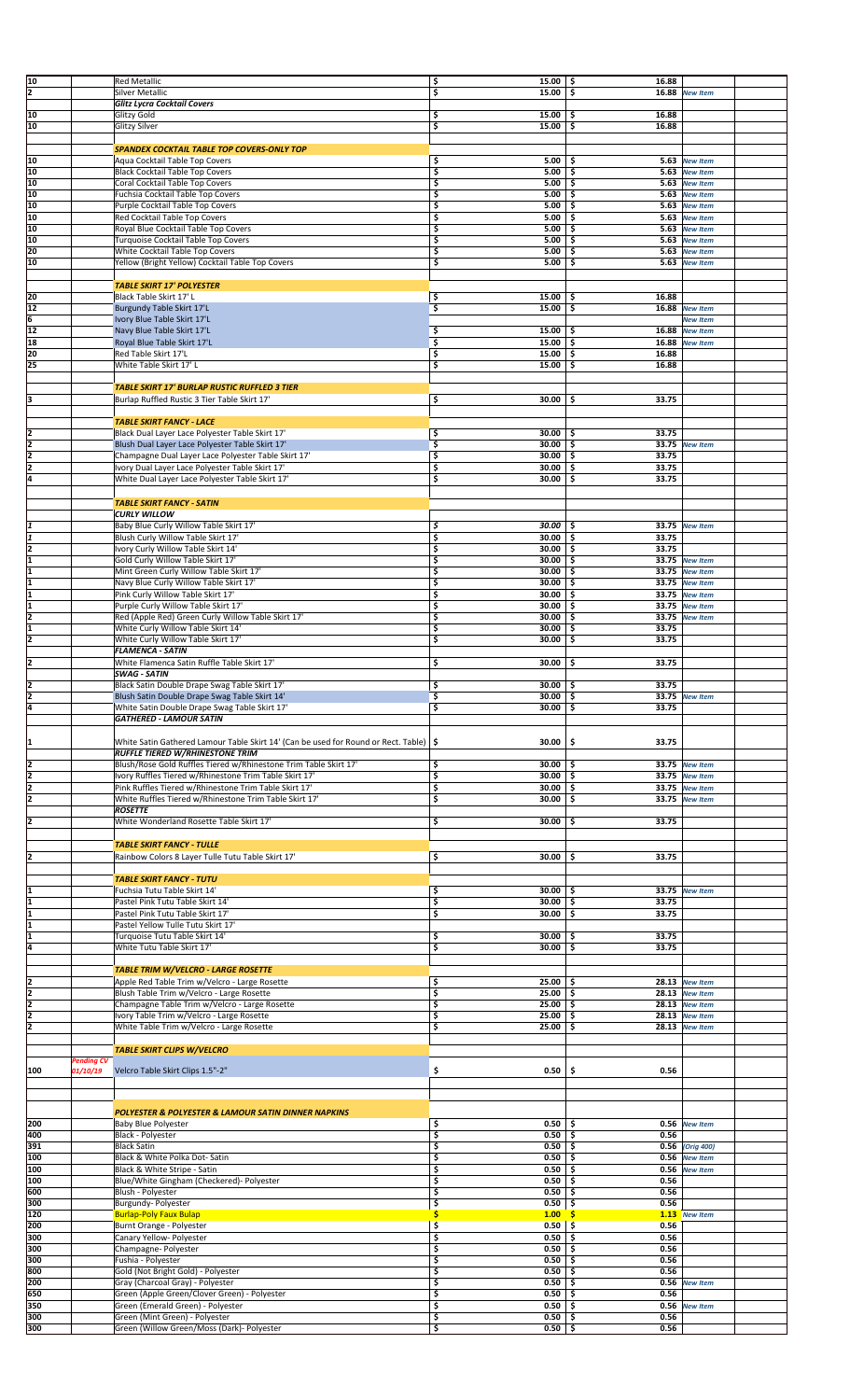| 10             |                   | <b>Red Metallic</b>                                                                     | \$                      | 15.00%       | 16.88        |                 |  |
|----------------|-------------------|-----------------------------------------------------------------------------------------|-------------------------|--------------|--------------|-----------------|--|
| 2              |                   | Silver Metallic                                                                         | \$                      | 15.00        | \$<br>16.88  | <b>New Item</b> |  |
|                |                   | Glitz Lycra Cocktail Covers                                                             |                         |              |              |                 |  |
| 10             |                   | Glitzy Gold                                                                             | \$                      | 15.00        | 16.88<br>\$  |                 |  |
| 10             |                   | Glitzy Silver                                                                           | \$                      | 15.00        | \$<br>16.88  |                 |  |
|                |                   |                                                                                         |                         |              |              |                 |  |
|                |                   | SPANDEX COCKTAIL TABLE TOP COVERS-ONLY TOP                                              |                         |              |              |                 |  |
| 10             |                   | Aqua Cocktail Table Top Covers                                                          | \$                      | 5.00         | \$           | 5.63 New Item   |  |
| 10             |                   | <b>Black Cocktail Table Top Covers</b>                                                  | \$                      | 5.00         | \$           | 5.63 New Item   |  |
| 10             |                   | Coral Cocktail Table Top Covers                                                         | \$                      | 5.00         | \$           | 5.63 New Item   |  |
| 10             |                   | Fuchsia Cocktail Table Top Covers                                                       | \$                      | 5.00         | \$           | 5.63 New Item   |  |
| 10             |                   | Purple Cocktail Table Top Covers                                                        | \$                      | 5.00         | \$           | 5.63 New Item   |  |
| 10             |                   | Red Cocktail Table Top Covers                                                           | \$                      | 5.00         | \$           | 5.63 New Item   |  |
| 10             |                   | Royal Blue Cocktail Table Top Covers                                                    | \$                      | 5.00         | \$           | 5.63 New Item   |  |
| 10             |                   | Turquoise Cocktail Table Top Covers                                                     | \$                      | 5.00         | \$           | 5.63 New Item   |  |
| 20             |                   | White Cocktail Table Top Covers                                                         | \$                      | 5.00         | \$<br>5.63   | <b>New Item</b> |  |
| 10             |                   | Yellow (Bright Yellow) Cocktail Table Top Covers                                        | \$                      | 5.00         | \$           | 5.63 New Item   |  |
|                |                   |                                                                                         |                         |              |              |                 |  |
|                |                   | <b>TABLE SKIRT 17' POLYESTER</b>                                                        |                         |              |              |                 |  |
| 20             |                   | Black Table Skirt 17' L                                                                 | \$                      | 15.00        | \$<br>16.88  |                 |  |
| 12             |                   | Burgundy Table Skirt 17'L                                                               | \$                      | 15.00        | \$<br>16.88  | <b>New Item</b> |  |
| 6              |                   | Ivory Blue Table Skirt 17'L                                                             |                         |              |              | <b>New Item</b> |  |
| 12             |                   | Navy Blue Table Skirt 17'L                                                              | \$                      | 15.00        | 16.88<br>\$  | <b>New Item</b> |  |
| 18             |                   | Royal Blue Table Skirt 17'L                                                             | \$                      | 15.00        | \$<br>16.88  | <b>New Item</b> |  |
| 20             |                   | Red Table Skirt 17'L                                                                    | \$                      | 15.00        | 16.88<br>\$  |                 |  |
| 25             |                   | White Table Skirt 17' L                                                                 | \$                      | 15.00        | \$<br>16.88  |                 |  |
|                |                   |                                                                                         |                         |              |              |                 |  |
|                |                   | <b>TABLE SKIRT 17' BURLAP RUSTIC RUFFLED 3 TIER</b>                                     |                         |              |              |                 |  |
|                |                   |                                                                                         |                         |              |              |                 |  |
| 3              |                   | Burlap Ruffled Rustic 3 Tier Table Skirt 17'                                            | \$                      | 30.00        | 33.75<br>\$  |                 |  |
|                |                   |                                                                                         |                         |              |              |                 |  |
|                |                   | <b>TABLE SKIRT FANCY - LACE</b>                                                         |                         |              |              |                 |  |
| 2              |                   | Black Dual Layer Lace Polyester Table Skirt 17'                                         | \$                      | 30.00        | 33.75<br>\$  |                 |  |
| 2              |                   | Blush Dual Layer Lace Polyester Table Skirt 17'                                         | \$                      | 30.00        | \$           | 33.75 New Item  |  |
| 2              |                   | Champagne Dual Layer Lace Polyester Table Skirt 17'                                     | $\overline{\mathsf{S}}$ | 30.00        | \$<br>33.75  |                 |  |
| $\overline{2}$ |                   | Ivory Dual Layer Lace Polyester Table Skirt 17'                                         | \$                      | 30.00        | \$<br>33.75  |                 |  |
| l4             |                   | White Dual Layer Lace Polyester Table Skirt 17'                                         | \$                      | 30.00        | \$<br>33.75  |                 |  |
|                |                   |                                                                                         |                         |              |              |                 |  |
|                |                   | <b>TABLE SKIRT FANCY - SATIN</b>                                                        |                         |              |              |                 |  |
|                |                   | <b>CURLY WILLOW</b>                                                                     |                         |              |              |                 |  |
|                |                   | Baby Blue Curly Willow Table Skirt 17'                                                  | \$                      | 30.00        | \$.          | 33.75 New Item  |  |
|                |                   | Blush Curly Willow Table Skirt 17'                                                      | \$                      | 30.00        | \$<br>33.75  |                 |  |
| İ2             |                   | Ivory Curly Willow Table Skirt 14'                                                      | \$                      | 30.00        | \$<br>33.75  |                 |  |
| ī              |                   | Gold Curly Willow Table Skirt 17'                                                       | \$                      | 30.00        | \$           | 33.75 New Item  |  |
| 1              |                   | Mint Green Curly Willow Table Skirt 17'                                                 | \$                      | 30.00        | \$           | 33.75 New Item  |  |
|                |                   | Navy Blue Curly Willow Table Skirt 17'                                                  | \$                      | 30.00        | \$<br>33.75  | <b>New Item</b> |  |
| I1             |                   | Pink Curly Willow Table Skirt 17'                                                       | \$                      | 30.00        | \$           | 33.75 New Item  |  |
|                |                   | Purple Curly Willow Table Skirt 17'                                                     | \$                      | 30.00        | \$<br>33.75  | <b>New Item</b> |  |
| l2             |                   | Red (Apple Red) Green Curly Willow Table Skirt 17'                                      | \$                      | 30.00        | 33.75<br>\$  | <b>New Item</b> |  |
|                |                   | White Curly Willow Table Skirt 14'                                                      | \$                      | 30.00        | \$<br>33.75  |                 |  |
| 12             |                   | White Curly Willow Table Skirt 17'                                                      | \$                      | 30.00        | \$<br>33.75  |                 |  |
|                |                   | <b>FLAMENCA - SATIN</b>                                                                 |                         |              |              |                 |  |
| 2              |                   | White Flamenca Satin Ruffle Table Skirt 17'                                             | \$                      | 30.00        | 33.75<br>\$  |                 |  |
|                |                   | <b>SWAG - SATIN</b>                                                                     |                         |              |              |                 |  |
| 2              |                   | Black Satin Double Drape Swag Table Skirt 17'                                           | \$                      | 30.00        | 33.75<br>-\$ |                 |  |
|                |                   | Blush Satin Double Drape Swag Table Skirt 14                                            | ÷,                      | $30.00$   \$ |              | 33.75 New Item  |  |
| 4              |                   | White Satin Double Drape Swag Table Skirt 17'                                           | \$                      | 30.00        | \$<br>33.75  |                 |  |
|                |                   | <b>GATHERED - LAMOUR SATIN</b>                                                          |                         |              |              |                 |  |
|                |                   |                                                                                         |                         |              |              |                 |  |
|                |                   | White Satin Gathered Lamour Table Skirt 14' (Can be used for Round or Rect. Table)   \$ |                         | 30.00        | \$<br>33.75  |                 |  |
|                |                   | <b>RUFFLE TIERED W/RHINESTONE TRIM</b>                                                  |                         |              |              |                 |  |
| 2              |                   | Blush/Rose Gold Ruffles Tiered w/Rhinestone Trim Table Skirt 17'                        | \$                      | $30.00$   \$ |              | 33.75 New Item  |  |
| 2              |                   | Ivory Ruffles Tiered w/Rhinestone Trim Table Skirt 17'                                  | \$                      | 30.00        | \$.          | 33.75 New Item  |  |
| 2              |                   | Pink Ruffles Tiered w/Rhinestone Trim Table Skirt 17'                                   | \$                      | 30.00        | \$           | 33.75 New Item  |  |
| l2             |                   | White Ruffles Tiered w/Rhinestone Trim Table Skirt 17'                                  | \$                      | 30.00        | \$           | 33.75 New Item  |  |
|                |                   | <b>ROSETTE</b>                                                                          |                         |              |              |                 |  |
|                |                   | White Wonderland Rosette Table Skirt 17'                                                | \$                      | 30.00        | \$<br>33.75  |                 |  |
|                |                   |                                                                                         |                         |              |              |                 |  |
|                |                   | <b>TABLE SKIRT FANCY - TULLE</b>                                                        |                         |              |              |                 |  |
|                |                   |                                                                                         |                         |              |              |                 |  |
| 12             |                   | Rainbow Colors 8 Layer Tulle Tutu Table Skirt 17'                                       | \$                      | 30.00        | 33.75<br>\$  |                 |  |
|                |                   | <b>TABLE SKIRT FANCY - TUTU</b>                                                         |                         |              |              |                 |  |
|                |                   |                                                                                         |                         |              |              |                 |  |
|                |                   | Fuchsia Tutu Table Skirt 14'                                                            | \$                      | 30.00        | \$.          | 33.75 New Item  |  |
|                |                   | Pastel Pink Tutu Table Skirt 14'                                                        | \$                      | 30.00        | \$<br>33.75  |                 |  |
|                |                   | Pastel Pink Tutu Table Skirt 17'                                                        | \$                      | 30.00        | \$.<br>33.75 |                 |  |
|                |                   | Pastel Yellow Tulle Tutu Skirt 17'                                                      |                         |              |              |                 |  |
|                |                   | Turquoise Tutu Table Skirt 14'                                                          | \$                      | 30.00        | 33.75<br>\$  |                 |  |
| ł4             |                   | White Tutu Table Skirt 17'                                                              | \$                      | 30.00        | \$<br>33.75  |                 |  |
|                |                   |                                                                                         |                         |              |              |                 |  |
|                |                   | <b>TABLE TRIM W/VELCRO - LARGE ROSETTE</b>                                              |                         |              |              |                 |  |
| 12             |                   | Apple Red Table Trim w/Velcro - Large Rosette                                           | \$                      | 25.00        | -\$          | 28.13 New Item  |  |
| 2              |                   | Blush Table Trim w/Velcro - Large Rosette                                               | \$                      | 25.00        | \$           | 28.13 New Item  |  |
| 12             |                   | Champagne Table Trim w/Velcro - Large Rosette                                           | \$                      | 25.00        | \$           | 28.13 New Item  |  |
| l7             |                   | Ivory Table Trim w/Velcro - Large Rosette                                               | \$                      | 25.00        | \$           | 28.13 New Item  |  |
| I2             |                   | White Table Trim w/Velcro - Large Rosette                                               | \$                      | 25.00        | \$           | 28.13 New Item  |  |
|                |                   |                                                                                         |                         |              |              |                 |  |
|                |                   | <b>TABLE SKIRT CLIPS W/VELCRO</b>                                                       |                         |              |              |                 |  |
|                | <b>Pending CV</b> |                                                                                         |                         |              |              |                 |  |
| 100            | 01/10/19          | Velcro Table Skirt Clips 1.5"-2"                                                        | \$                      | 0.50         | \$<br>0.56   |                 |  |
|                |                   |                                                                                         |                         |              |              |                 |  |
|                |                   |                                                                                         |                         |              |              |                 |  |
|                |                   | <b>POLYESTER &amp; POLYESTER &amp; LAMOUR SATIN DINNER NAPKINS</b>                      |                         |              |              |                 |  |
| 200            |                   | <b>Baby Blue Polyester</b>                                                              | \$                      | 0.50         | \$           | 0.56 New Item   |  |
| 400            |                   | Black - Polyester                                                                       | \$                      | 0.50         | \$<br>0.56   |                 |  |
| 391            |                   | <b>Black Satin</b>                                                                      | \$                      | 0.50         | \$           | 0.56 (Orig 400) |  |
| 100            |                   | Black & White Polka Dot-Satin                                                           | \$                      | 0.50         | \$           | 0.56 New Item   |  |
| 100            |                   | Black & White Stripe - Satin                                                            | \$                      | 0.50         | \$           | 0.56 New Item   |  |
| 100            |                   | Blue/White Gingham (Checkered)- Polyester                                               | \$                      | 0.50         | \$<br>0.56   |                 |  |
| 600            |                   | Blush - Polyester                                                                       | \$                      | 0.50         | \$<br>0.56   |                 |  |
| 300            |                   | Burgundy- Polyester                                                                     | \$                      | 0.50         | 0.56<br>\$   |                 |  |
| 120            |                   | <b>Burlap-Poly Faux Bulap</b>                                                           | \$                      | 1.00         | s.           | 1.13 New Item   |  |
| 200            |                   | Burnt Orange - Polyester                                                                | \$                      | 0.50         | \$<br>0.56   |                 |  |
| 300            |                   | Canary Yellow- Polyester                                                                | \$                      | 0.50         | 0.56<br>\$   |                 |  |
| 300            |                   | Champagne- Polyester                                                                    | \$                      | 0.50         | 0.56<br>\$   |                 |  |
| 300            |                   | Fushia - Polyester                                                                      | \$                      | 0.50         | \$<br>0.56   |                 |  |
| 800            |                   | Gold (Not Bright Gold) - Polyester                                                      | \$                      | 0.50         | \$<br>0.56   |                 |  |
| 200            |                   |                                                                                         |                         | 0.50         |              |                 |  |
|                |                   | Gray (Charcoal Gray) - Polyester                                                        | \$                      |              | \$<br>0.56   | <b>New Item</b> |  |
| 650            |                   | Green (Apple Green/Clover Green) - Polyester                                            | \$                      | 0.50         | 0.56<br>\$   |                 |  |
| 350            |                   | Green (Emerald Green) - Polyester                                                       | \$                      | 0.50         | \$           | 0.56 New Item   |  |
| 1300           |                   | Green (Mint Green) - Polyester                                                          | \$                      | 0.50         | \$<br>0.56   |                 |  |
| 300            |                   | Green (Willow Green/Moss (Dark)- Polyester                                              | \$                      | $0.50$ \$    | 0.56         |                 |  |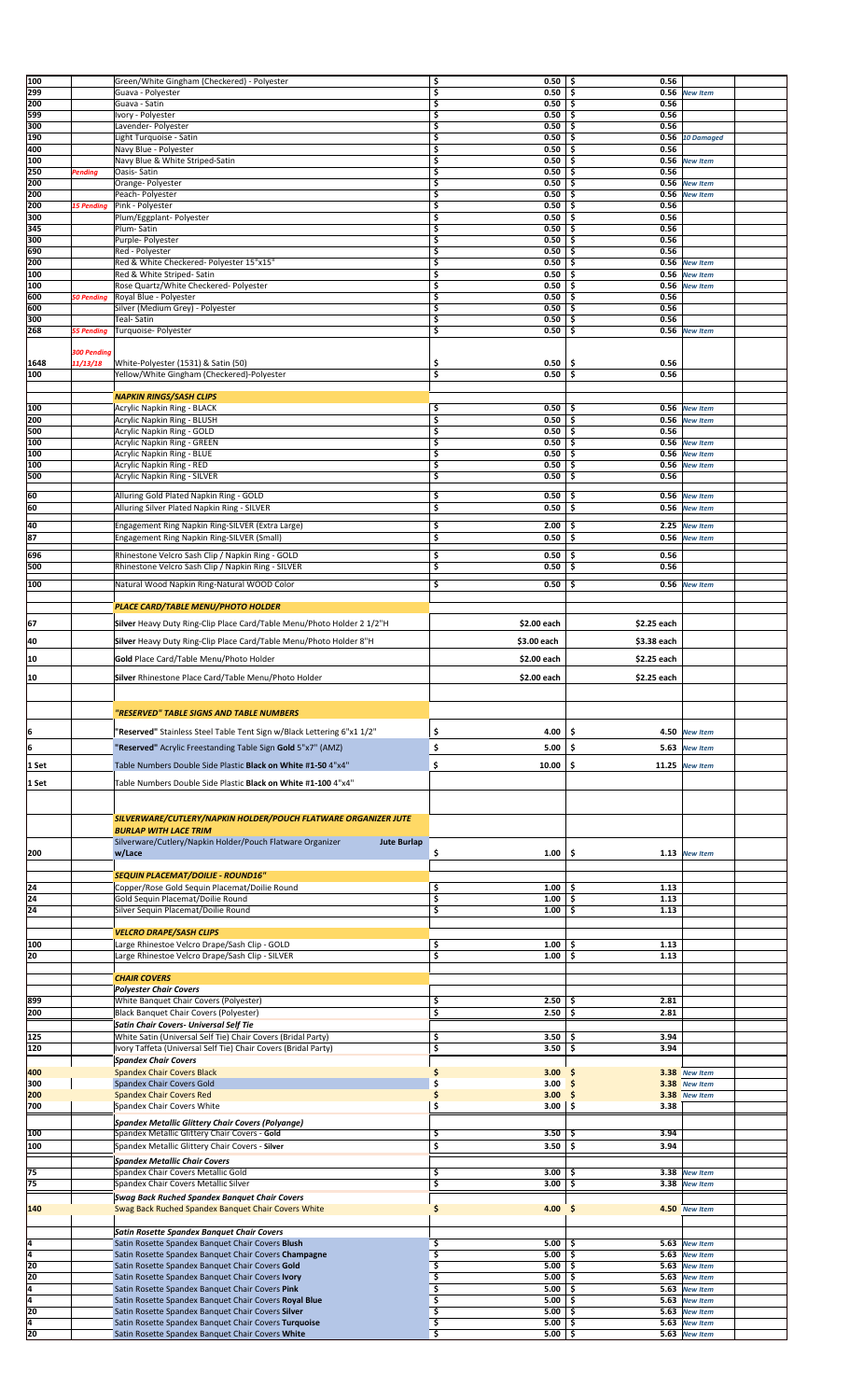| 100            |                    | Green/White Gingham (Checkered) - Polyester                                                              | \$      | 0.50                       | \$<br>0.56  |                                |  |
|----------------|--------------------|----------------------------------------------------------------------------------------------------------|---------|----------------------------|-------------|--------------------------------|--|
| 299            |                    | Guava - Polyester                                                                                        | \$      | 0.50                       | \$<br>0.56  | <b>New Item</b>                |  |
| 200            |                    | Guava - Satin                                                                                            | \$      | 0.50                       | \$<br>0.56  |                                |  |
|                |                    |                                                                                                          |         |                            |             |                                |  |
| 599            |                    | Ivory - Polyester                                                                                        | \$      | 0.50                       | \$<br>0.56  |                                |  |
| 300            |                    | Lavender- Polyester                                                                                      | \$      | 0.50                       | \$<br>0.56  |                                |  |
| 190            |                    | Light Turquoise - Satin                                                                                  | \$      | 0.50                       | \$          | 0.56 10 Damaged                |  |
| 400            |                    | Navy Blue - Polyester                                                                                    | \$      | 0.50                       | 0.56<br>\$  |                                |  |
| 100            |                    | Navy Blue & White Striped-Satin                                                                          | \$      | 0.50                       | \$<br>0.56  | <b>New Item</b>                |  |
| 250            | Pending            | Oasis-Satin                                                                                              | \$      | 0.50                       | \$<br>0.56  |                                |  |
| 200            |                    | Orange- Polyester                                                                                        | \$      | 0.50                       | \$<br>0.56  | <b>New Item</b>                |  |
| 200            |                    | Peach- Polyester                                                                                         | \$      | 0.50                       | \$<br>0.56  | <b>New Item</b>                |  |
| 200            | <b>15 Pending</b>  | Pink - Polyester                                                                                         | \$      | 0.50                       | 0.56<br>\$  |                                |  |
| 300            |                    | Plum/Eggplant- Polyester                                                                                 | \$      | 0.50                       | \$<br>0.56  |                                |  |
| 345            |                    | Plum-Satin                                                                                               | \$      | 0.50                       | \$<br>0.56  |                                |  |
| 300            |                    | Purple- Polyester                                                                                        | \$      | 0.50                       | \$<br>0.56  |                                |  |
| 690            |                    | Red - Polyester                                                                                          | \$      | 0.50                       | \$<br>0.56  |                                |  |
| 200            |                    | Red & White Checkered- Polyester 15"x15"                                                                 | \$      | 0.50                       | \$<br>0.56  | <b>New Item</b>                |  |
| 100            |                    | Red & White Striped- Satin                                                                               | \$      | 0.50                       | \$          | 0.56 New Item                  |  |
| 100            |                    | Rose Quartz/White Checkered-Polyester                                                                    | \$      | 0.50                       | \$<br>0.56  | <b>New Item</b>                |  |
| 600            | <b>50 Pending</b>  | Royal Blue - Polyester                                                                                   | \$      | 0.50                       | \$<br>0.56  |                                |  |
| 600            |                    | Silver (Medium Grey) - Polyester                                                                         | \$      | 0.50                       | \$<br>0.56  |                                |  |
| 300            |                    | <b>Teal-Satin</b>                                                                                        | \$      | 0.50                       | \$<br>0.56  |                                |  |
| 268            | 55 Pending         | Turquoise- Polyester                                                                                     | \$      | 0.50                       | \$          | 0.56 New Item                  |  |
|                |                    |                                                                                                          |         |                            |             |                                |  |
|                | <b>300 Pending</b> |                                                                                                          |         |                            |             |                                |  |
| 1648           | 11/13/18           | White-Polyester (1531) & Satin (50)                                                                      | \$      | 0.50                       | \$<br>0.56  |                                |  |
| 100            |                    | Yellow/White Gingham (Checkered)-Polyester                                                               | \$      | 0.50                       | \$<br>0.56  |                                |  |
|                |                    |                                                                                                          |         |                            |             |                                |  |
|                |                    | <b>NAPKIN RINGS/SASH CLIPS</b>                                                                           |         |                            |             |                                |  |
| 100            |                    | Acrylic Napkin Ring - BLACK                                                                              | \$      | 0.50                       | \$          | 0.56 New Item                  |  |
| 200            |                    | Acrylic Napkin Ring - BLUSH                                                                              | \$      | 0.50                       | \$          | 0.56 New Item                  |  |
| 500            |                    | <b>Acrylic Napkin Ring - GOLD</b>                                                                        | \$      | 0.50                       | \$<br>0.56  |                                |  |
| 100            |                    | <b>Acrylic Napkin Ring - GREEN</b>                                                                       | \$      | 0.50                       | \$<br>0.56  | <b>New Item</b>                |  |
| 100            |                    | Acrylic Napkin Ring - BLUE                                                                               | \$      | 0.50                       | \$          | 0.56 New Item                  |  |
| 100            |                    | Acrylic Napkin Ring - RED                                                                                | \$      | 0.50                       | \$          | 0.56 New Item                  |  |
| 500            |                    | Acrylic Napkin Ring - SILVER                                                                             | \$      | 0.50                       | \$<br>0.56  |                                |  |
|                |                    |                                                                                                          |         |                            |             |                                |  |
| 60             |                    | Alluring Gold Plated Napkin Ring - GOLD                                                                  | \$      | 0.50                       | \$<br>0.56  | <b>New Item</b>                |  |
| 60             |                    | Alluring Silver Plated Napkin Ring - SILVER                                                              | \$      | 0.50                       | \$          | 0.56 New Item                  |  |
|                |                    |                                                                                                          |         |                            |             |                                |  |
| 40             |                    | Engagement Ring Napkin Ring-SILVER (Extra Large)                                                         | \$      | 2.00                       | 2.25<br>\$  | <b>New Item</b>                |  |
| 87             |                    | Engagement Ring Napkin Ring-SILVER (Small)                                                               | \$      | 0.50                       | \$          | 0.56 New Item                  |  |
|                |                    |                                                                                                          |         |                            | 0.56        |                                |  |
| 696            |                    | Rhinestone Velcro Sash Clip / Napkin Ring - GOLD                                                         | \$      | 0.50                       | \$          |                                |  |
| 500            |                    | Rhinestone Velcro Sash Clip / Napkin Ring - SILVER                                                       | \$      | 0.50                       | \$<br>0.56  |                                |  |
| 100            |                    | Natural Wood Napkin Ring-Natural WOOD Color                                                              | \$      | 0.50                       | \$<br>0.56  | <b>New Item</b>                |  |
|                |                    |                                                                                                          |         |                            |             |                                |  |
|                |                    | PLACE CARD/TABLE MENU/PHOTO HOLDER                                                                       |         |                            |             |                                |  |
|                |                    |                                                                                                          |         | \$2.00 each                |             |                                |  |
| 67             |                    | Silver Heavy Duty Ring-Clip Place Card/Table Menu/Photo Holder 2 1/2"H                                   |         |                            | \$2.25 each |                                |  |
| 40             |                    | Silver Heavy Duty Ring-Clip Place Card/Table Menu/Photo Holder 8"H                                       |         | \$3.00 each                | \$3.38 each |                                |  |
|                |                    |                                                                                                          |         |                            |             |                                |  |
| 10             |                    | Gold Place Card/Table Menu/Photo Holder                                                                  |         | \$2.00 each                | \$2.25 each |                                |  |
| 10             |                    | Silver Rhinestone Place Card/Table Menu/Photo Holder                                                     |         | \$2.00 each                | \$2.25 each |                                |  |
|                |                    |                                                                                                          |         |                            |             |                                |  |
|                |                    |                                                                                                          |         |                            |             |                                |  |
|                |                    |                                                                                                          |         |                            |             |                                |  |
|                |                    |                                                                                                          |         |                            |             |                                |  |
|                |                    | "RESERVED" TABLE SIGNS AND TABLE NUMBERS                                                                 |         |                            |             |                                |  |
| 6              |                    | "Reserved" Stainless Steel Table Tent Sign w/Black Lettering 6"x1 1/2"                                   | \$      | 4.00                       | \$          | 4.50 New Item                  |  |
|                |                    |                                                                                                          |         |                            |             |                                |  |
| 6              |                    | "Reserved" Acrylic Freestanding Table Sign Gold 5"x7" (AMZ)                                              | \$      | 5.00                       | \$<br>5.63  | <b>New Item</b>                |  |
| 1 Set          |                    | Table Numbers Double Side Plastic Black on White #1-50 4"x4"                                             | \$      | 10.00                      | \$<br>11.25 | <b>New Item</b>                |  |
|                |                    |                                                                                                          |         |                            |             |                                |  |
| 1 Set          |                    | Table Numbers Double Side Plastic Black on White #1-100 4"x4"                                            |         |                            |             |                                |  |
|                |                    |                                                                                                          |         |                            |             |                                |  |
|                |                    |                                                                                                          |         |                            |             |                                |  |
|                |                    | SILVERWARE/CUTLERY/NAPKIN HOLDER/POUCH FLATWARE ORGANIZER JUTE                                           |         |                            |             |                                |  |
|                |                    | <b>BURLAP WITH LACE TRIM</b>                                                                             |         |                            |             |                                |  |
|                |                    | Silverware/Cutlery/Napkin Holder/Pouch Flatware Organizer<br><b>Jute Burlap</b>                          |         |                            |             |                                |  |
| 200            |                    | w/Lace                                                                                                   | \$      | 1.00                       | \$          | 1.13 New Item                  |  |
|                |                    |                                                                                                          |         |                            |             |                                |  |
|                |                    | SEQUIN PLACEMAT/DOILIE - ROUND16"                                                                        |         |                            |             |                                |  |
| 24             |                    | Copper/Rose Gold Sequin Placemat/Doilie Round                                                            | \$      | 1.00                       | 1.13<br>\$  |                                |  |
| 24             |                    | Gold Sequin Placemat/Doilie Round                                                                        | \$      | 1.00                       | \$<br>1.13  |                                |  |
| 24             |                    | Silver Sequin Placemat/Doilie Round                                                                      | \$      | 1.00                       | \$<br>1.13  |                                |  |
|                |                    |                                                                                                          |         |                            |             |                                |  |
|                |                    | <b>VELCRO DRAPE/SASH CLIPS</b>                                                                           |         |                            |             |                                |  |
| 100            |                    | Large Rhinestoe Velcro Drape/Sash Clip - GOLD                                                            | \$      | 1.00                       | 1.13<br>\$  |                                |  |
| 20             |                    | Large Rhinestoe Velcro Drape/Sash Clip - SILVER                                                          | \$      | 1.00                       | \$<br>1.13  |                                |  |
|                |                    |                                                                                                          |         |                            |             |                                |  |
|                |                    | <b>CHAIR COVERS</b>                                                                                      |         |                            |             |                                |  |
|                |                    | <b>Polyester Chair Covers</b>                                                                            |         |                            |             |                                |  |
| 899            |                    | White Banquet Chair Covers (Polyester)                                                                   | \$      | 2.50                       | 2.81<br>\$  |                                |  |
| 200            |                    | Black Banquet Chair Covers (Polyester)                                                                   | \$      | 2.50                       | \$<br>2.81  |                                |  |
|                |                    | Satin Chair Covers- Universal Self Tie                                                                   |         |                            |             |                                |  |
| 125            |                    | White Satin (Universal Self Tie) Chair Covers (Bridal Party)                                             | \$      | 3.50                       | 3.94<br>\$  |                                |  |
| 120            |                    | Ivory Taffeta (Universal Self Tie) Chair Covers (Bridal Party)                                           | \$      | 3.50                       | \$<br>3.94  |                                |  |
|                |                    | <b>Spandex Chair Covers</b>                                                                              |         |                            |             |                                |  |
| 400            |                    | <b>Spandex Chair Covers Black</b>                                                                        | \$      | 3.00                       | S           | 3.38 New Item                  |  |
| 300            |                    | Spandex Chair Covers Gold                                                                                | \$      | 3.00                       |             | 3.38 New Item                  |  |
| 200            |                    | <b>Spandex Chair Covers Red</b>                                                                          | \$      | 3.00                       | \$          | 3.38 New Item                  |  |
| 700            |                    | Spandex Chair Covers White                                                                               | \$      | 3.00                       | \$<br>3.38  |                                |  |
|                |                    | Spandex Metallic Glittery Chair Covers (Polyange)                                                        |         |                            |             |                                |  |
| 100            |                    | Spandex Metallic Glittery Chair Covers - Gold                                                            | \$      | 3.50                       | 3.94<br>s   |                                |  |
| 100            |                    |                                                                                                          |         | 3.50                       | 3.94        |                                |  |
|                |                    | Spandex Metallic Glittery Chair Covers - Silver                                                          | \$      |                            | \$          |                                |  |
|                |                    | <b>Spandex Metallic Chair Covers</b>                                                                     |         |                            |             |                                |  |
| 75             |                    | Spandex Chair Covers Metallic Gold                                                                       | \$      | 3.00                       | \$          | 3.38 New Item                  |  |
| 75             |                    | Spandex Chair Covers Metallic Silver                                                                     | \$      | 3.00                       | \$<br>3.38  | <b>New Item</b>                |  |
|                |                    | <b>Swag Back Ruched Spandex Banquet Chair Covers</b>                                                     |         |                            |             |                                |  |
| 140            |                    | Swag Back Ruched Spandex Banquet Chair Covers White                                                      | \$      | 4.00                       | \$          | 4.50 New Item                  |  |
|                |                    |                                                                                                          |         |                            |             |                                |  |
|                |                    | <b>Satin Rosette Spandex Banquet Chair Covers</b>                                                        |         |                            |             |                                |  |
| 4              |                    | Satin Rosette Spandex Banquet Chair Covers Blush                                                         | \$      | 5.00                       | \$          | 5.63 New Item                  |  |
| T4             |                    | Satin Rosette Spandex Banquet Chair Covers Champagne                                                     | \$      | 5.00                       | \$          | 5.63 New Item                  |  |
| 20             |                    | Satin Rosette Spandex Banquet Chair Covers Gold                                                          | \$      | 5.00                       | \$          | 5.63 New Item                  |  |
| 20             |                    | Satin Rosette Spandex Banquet Chair Covers Ivory                                                         | \$      | 5.00                       | \$          | 5.63 New Item                  |  |
| 4              |                    | Satin Rosette Spandex Banquet Chair Covers Pink                                                          | \$      | 5.00                       | \$          | 5.63 New Item                  |  |
| 4              |                    | Satin Rosette Spandex Banquet Chair Covers Royal Blue                                                    | \$      | 5.00                       | \$          | 5.63 New Item                  |  |
| 20             |                    | Satin Rosette Spandex Banquet Chair Covers Silver                                                        | \$      | 5.00                       | \$          | 5.63 New Item                  |  |
| $\frac{4}{20}$ |                    | Satin Rosette Spandex Banquet Chair Covers Turquoise<br>Satin Rosette Spandex Banquet Chair Covers White | Ş<br>\$ | $5.00 \mid 5$<br>$5.00$ \$ |             | 5.63 New Item<br>5.63 New Item |  |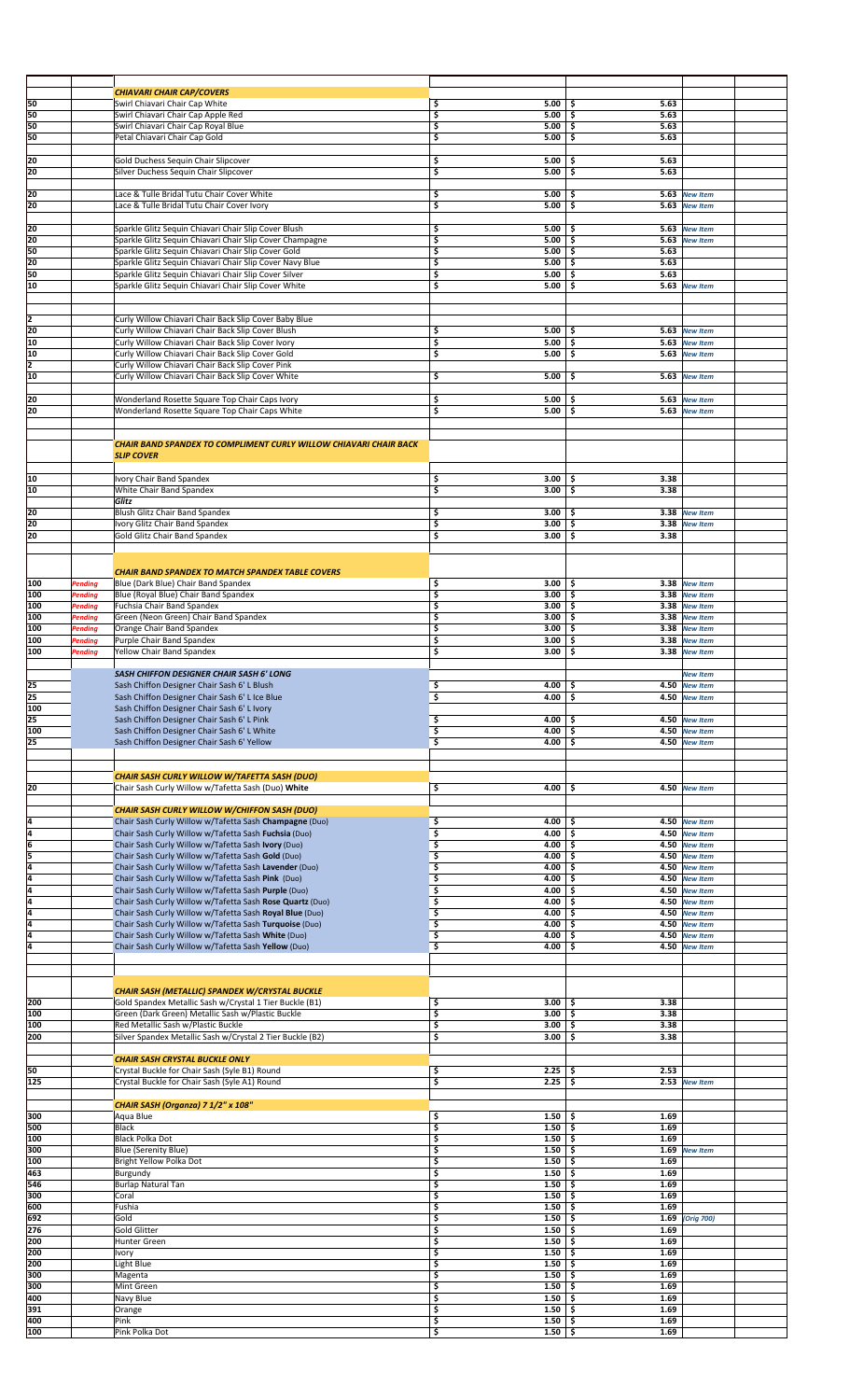|            |         | <b>CHIAVARI CHAIR CAP/COVERS</b>                                         |                                                |                            |                 |
|------------|---------|--------------------------------------------------------------------------|------------------------------------------------|----------------------------|-----------------|
| 50         |         | Swirl Chiavari Chair Cap White                                           | \$<br>5.00                                     | 5.63<br>-\$                |                 |
| 50         |         | Swirl Chiavari Chair Cap Apple Red                                       | \$<br>5.00                                     | \$<br>5.63                 |                 |
| 50         |         | Swirl Chiavari Chair Cap Royal Blue                                      | \$<br>5.00                                     | \$<br>5.63                 |                 |
| 50         |         | Petal Chiavari Chair Cap Gold                                            | \$<br>5.00                                     | \$<br>5.63                 |                 |
|            |         |                                                                          |                                                |                            |                 |
| 20         |         | Gold Duchess Sequin Chair Slipcover                                      | \$<br>5.00                                     | 5.63<br>-\$                |                 |
| 20         |         | Silver Duchess Sequin Chair Slipcover                                    | \$<br>5.00                                     | \$<br>5.63                 |                 |
|            |         |                                                                          |                                                |                            |                 |
|            |         |                                                                          | \$                                             |                            |                 |
| 20<br>20   |         | Lace & Tulle Bridal Tutu Chair Cover White                               | 5.00<br>5.00                                   | -\$<br>5.63<br>\$<br>5.63  | <b>New Item</b> |
|            |         | Lace & Tulle Bridal Tutu Chair Cover Ivory                               | \$                                             |                            | <b>New Item</b> |
|            |         |                                                                          |                                                |                            |                 |
| 20         |         | Sparkle Glitz Sequin Chiavari Chair Slip Cover Blush                     | \$<br>5.00                                     | 5.63<br>-\$                | <b>New Item</b> |
| 20         |         | Sparkle Glitz Sequin Chiavari Chair Slip Cover Champagne                 | \$<br>5.00                                     | \$<br>5.63                 | <b>New Item</b> |
| 50         |         | Sparkle Glitz Sequin Chiavari Chair Slip Cover Gold                      | \$<br>5.00                                     | \$<br>5.63                 |                 |
| 20         |         | Sparkle Glitz Sequin Chiavari Chair Slip Cover Navy Blue                 | \$<br>5.00                                     | \$<br>5.63                 |                 |
| 50         |         | Sparkle Glitz Sequin Chiavari Chair Slip Cover Silver                    | \$<br>5.00                                     | 5.63<br>\$                 |                 |
| 10         |         | Sparkle Glitz Sequin Chiavari Chair Slip Cover White                     | \$<br>5.00                                     | -\$                        | 5.63 New Item   |
|            |         |                                                                          |                                                |                            |                 |
|            |         |                                                                          |                                                |                            |                 |
| 12         |         | Curly Willow Chiavari Chair Back Slip Cover Baby Blue                    |                                                |                            |                 |
| 20         |         | Curly Willow Chiavari Chair Back Slip Cover Blush                        | \$<br>5.00                                     | \$<br>5.63                 | <b>New Item</b> |
| 10         |         | Curly Willow Chiavari Chair Back Slip Cover Ivory                        | \$<br>5.00                                     | \$                         | 5.63 New Item   |
| 10         |         | Curly Willow Chiavari Chair Back Slip Cover Gold                         | \$<br>5.00                                     | \$.<br>5.63                | <b>New Item</b> |
| 12         |         | Curly Willow Chiavari Chair Back Slip Cover Pink                         |                                                |                            |                 |
| 10         |         | Curly Willow Chiavari Chair Back Slip Cover White                        | \$<br>5.00                                     | \$                         | 5.63 New Item   |
|            |         |                                                                          |                                                |                            |                 |
| 20         |         | Wonderland Rosette Square Top Chair Caps Ivory                           | \$<br>5.00                                     | 5.63<br>\$.                | <b>New Item</b> |
| 20         |         | Wonderland Rosette Square Top Chair Caps White                           | \$<br>5.00                                     | \$                         | 5.63 New Item   |
|            |         |                                                                          |                                                |                            |                 |
|            |         |                                                                          |                                                |                            |                 |
|            |         | <b>CHAIR BAND SPANDEX TO COMPLIMENT CURLY WILLOW CHIAVARI CHAIR BACK</b> |                                                |                            |                 |
|            |         | <b>SLIP COVER</b>                                                        |                                                |                            |                 |
|            |         |                                                                          |                                                |                            |                 |
| 10         |         | Ivory Chair Band Spandex                                                 | \$<br>3.00                                     | 3.38<br>-\$                |                 |
| 10         |         | White Chair Band Spandex                                                 | \$<br>3.00                                     | \$.<br>3.38                |                 |
|            |         | Glitz                                                                    |                                                |                            |                 |
| 20         |         | Blush Glitz Chair Band Spandex                                           | \$<br>3.00                                     | \$<br>3.38                 | <b>New Item</b> |
| 20         |         |                                                                          | \$                                             |                            |                 |
|            |         | Ivory Glitz Chair Band Spandex                                           | 3.00                                           | \$<br>3.38                 | <b>New Item</b> |
| 20         |         | Gold Glitz Chair Band Spandex                                            | \$<br>3.00                                     | \$<br>3.38                 |                 |
|            |         |                                                                          |                                                |                            |                 |
|            |         |                                                                          |                                                |                            |                 |
|            |         | <b>CHAIR BAND SPANDEX TO MATCH SPANDEX TABLE COVERS</b>                  |                                                |                            |                 |
| 100        | Pending | Blue (Dark Blue) Chair Band Spandex                                      | \$<br>3.00                                     | -\$                        | 3.38 New Item   |
| 100        | Pending | Blue (Royal Blue) Chair Band Spandex                                     | \$<br>3.00                                     | -\$                        | 3.38 New Item   |
| 100        | Pending | Fuchsia Chair Band Spandex                                               | \$<br>3.00                                     | \$<br>3.38                 | <b>New Item</b> |
| 100        | Pending | Green (Neon Green) Chair Band Spandex                                    | \$<br>3.00                                     | \$<br>3.38                 | <b>New Item</b> |
| 100        | Pending | Orange Chair Band Spandex                                                | \$<br>3.00                                     | Ŝ.<br>3.38                 | <b>New Item</b> |
| 100        | Pending | Purple Chair Band Spandex                                                | \$<br>3.00                                     | \$<br>3.38                 | <b>New Item</b> |
| 100        | Pending | Yellow Chair Band Spandex                                                | \$<br>3.00                                     | \$<br>3.38                 | <b>New Item</b> |
|            |         |                                                                          |                                                |                            |                 |
|            |         | SASH CHIFFON DESIGNER CHAIR SASH 6' LONG                                 |                                                |                            | <b>New Item</b> |
| 25         |         | Sash Chiffon Designer Chair Sash 6' L Blush                              | \$<br>$4.00$ \$                                |                            | 4.50 New Item   |
| 25         |         | Sash Chiffon Designer Chair Sash 6' L Ice Blue                           | \$<br>4.00                                     | \$                         | 4.50 New Item   |
| 100        |         | Sash Chiffon Designer Chair Sash 6' L Ivory                              |                                                |                            |                 |
| 25         |         | Sash Chiffon Designer Chair Sash 6' L Pink                               | 4.00<br>\$                                     | -S                         | 4.50 New Item   |
| 100        |         | Sash Chiffon Designer Chair Sash 6' L White                              | \$<br>4.00                                     | -\$                        | 4.50 New Item   |
| 25         |         | Sash Chiffon Designer Chair Sash 6' Yellow                               | \$<br>4.00                                     | -\$                        | 4.50 New Item   |
|            |         |                                                                          |                                                |                            |                 |
|            |         |                                                                          |                                                |                            |                 |
|            |         |                                                                          |                                                |                            |                 |
|            |         | CHAIR SASH CURLY WILLOW W/TAFETTA SASH (DUO)                             |                                                | \$                         | 4.50 New Item   |
|            |         |                                                                          |                                                |                            |                 |
| 20         |         | Chair Sash Curly Willow w/Tafetta Sash (Duo) White                       | \$<br>4.00                                     |                            |                 |
|            |         |                                                                          |                                                |                            |                 |
|            |         | <b>CHAIR SASH CURLY WILLOW W/CHIFFON SASH (DUO)</b>                      |                                                |                            |                 |
| 4          |         | Chair Sash Curly Willow w/Tafetta Sash Champagne (Duo)                   | \$<br>4.00                                     | \$<br>4.50                 | <b>New Item</b> |
| 4          |         | Chair Sash Curly Willow w/Tafetta Sash Fuchsia (Duo)                     | \$<br>4.00                                     | \$                         | 4.50 New Item   |
| 6          |         | Chair Sash Curly Willow w/Tafetta Sash Ivory (Duo)                       | \$<br>4.00                                     | \$                         | 4.50 New Item   |
| 5          |         | Chair Sash Curly Willow w/Tafetta Sash Gold (Duo)                        | \$<br>4.00                                     | \$<br>4.50                 | <b>New Item</b> |
| 4          |         | Chair Sash Curly Willow w/Tafetta Sash Lavender (Duo)                    | \$<br>4.00                                     | \$<br>4.50                 | <b>New Item</b> |
| 4          |         | Chair Sash Curly Willow w/Tafetta Sash Pink (Duo)                        | \$<br>4.00                                     | -\$<br>4.50                | <b>New Item</b> |
| 4          |         | Chair Sash Curly Willow w/Tafetta Sash Purple (Duo)                      | \$<br>4.00                                     | \$<br>4.50                 | <b>New Item</b> |
| 4          |         | Chair Sash Curly Willow w/Tafetta Sash Rose Quartz (Duo)                 | \$<br>4.00                                     | \$<br>4.50                 | <b>New Item</b> |
| ā          |         | Chair Sash Curly Willow w/Tafetta Sash Royal Blue (Duo)                  | \$<br>4.00                                     | \$<br>4.50                 | <b>New Item</b> |
| 4          |         | Chair Sash Curly Willow w/Tafetta Sash Turquoise (Duo)                   | \$<br>4.00                                     | \$<br>4.50                 | <b>New Item</b> |
| 4          |         | Chair Sash Curly Willow w/Tafetta Sash White (Duo)                       | \$<br>4.00                                     | \$<br>4.50                 | <b>New Item</b> |
| l4         |         | Chair Sash Curly Willow w/Tafetta Sash Yellow (Duo)                      | \$<br>4.00                                     | \$<br>4.50                 | <b>New Item</b> |
|            |         |                                                                          |                                                |                            |                 |
|            |         |                                                                          |                                                |                            |                 |
|            |         |                                                                          |                                                |                            |                 |
|            |         | <b>CHAIR SASH (METALLIC) SPANDEX W/CRYSTAL BUCKLE</b>                    |                                                |                            |                 |
| 200        |         | Gold Spandex Metallic Sash w/Crystal 1 Tier Buckle (B1)                  | \$<br>3.00                                     | 3.38<br>-\$                |                 |
| 100        |         | Green (Dark Green) Metallic Sash w/Plastic Buckle                        | \$<br>3.00                                     | \$<br>3.38                 |                 |
| 100        |         | Red Metallic Sash w/Plastic Buckle                                       | \$<br>3.00                                     | \$<br>3.38                 |                 |
| 200        |         | Silver Spandex Metallic Sash w/Crystal 2 Tier Buckle (B2)                | \$<br>3.00                                     | \$.<br>3.38                |                 |
|            |         |                                                                          |                                                |                            |                 |
|            |         | <b>CHAIR SASH CRYSTAL BUCKLE ONLY</b>                                    |                                                |                            |                 |
| 50         |         | Crystal Buckle for Chair Sash (Syle B1) Round                            | \$<br>2.25                                     | 2.53<br>-\$                |                 |
| 125        |         | Crystal Buckle for Chair Sash (Syle A1) Round                            | \$<br>2.25                                     | \$.                        | 2.53 New Item   |
|            |         |                                                                          |                                                |                            |                 |
|            |         | CHAIR SASH (Organza) 7 1/2" x 108"                                       |                                                |                            |                 |
| 300        |         | Aqua Blue                                                                | \$<br>1.50                                     | 1.69<br>-\$                |                 |
| 500        |         | <b>Black</b>                                                             | \$<br>$1.50 \, \vert \,$ \$                    | 1.69                       |                 |
| 100        |         | <b>Black Polka Dot</b>                                                   | \$<br>1.50                                     | \$<br>1.69                 |                 |
| 300        |         | <b>Blue (Serenity Blue)</b>                                              | \$<br>1.50                                     | \$<br>1.69                 | <b>New Item</b> |
| 100        |         | Bright Yellow Polka Dot                                                  | \$<br>1.50                                     | -\$<br>1.69                |                 |
| 463        |         | Burgundy                                                                 | \$<br>1.50                                     | \$<br>1.69                 |                 |
| 546        |         | <b>Burlap Natural Tan</b>                                                | \$<br>1.50                                     | \$<br>1.69                 |                 |
| 300        |         | Coral                                                                    | \$<br>1.50                                     | \$<br>1.69                 |                 |
| 600        |         | Fushia                                                                   | \$<br>1.50                                     | 1.69<br>\$                 |                 |
|            |         | Gold                                                                     |                                                |                            |                 |
| 692<br>276 |         | <b>Gold Glitter</b>                                                      | \$<br>1.50<br>\$<br>1.50                       | -\$<br>1.69<br>-\$<br>1.69 | (Orig 700)      |
|            |         |                                                                          |                                                |                            |                 |
| 200        |         | Hunter Green                                                             | \$<br>1.50                                     | 1.69<br>\$                 |                 |
| 200        |         | Ivory                                                                    | \$<br>1.50                                     | -\$<br>1.69                |                 |
| 200        |         | Light Blue                                                               | \$<br>1.50                                     | -\$<br>1.69                |                 |
| 300        |         | Magenta                                                                  | \$<br>1.50                                     | \$<br>1.69                 |                 |
| 300        |         | Mint Green                                                               | \$<br>1.50                                     | -\$<br>1.69                |                 |
| 400        |         | Navy Blue                                                                | \$<br>1.50                                     | 1.69<br>\$                 |                 |
| 391        |         | Orange                                                                   | \$<br>1.50                                     | 1.69<br>\$                 |                 |
| 400<br>100 |         | Pink<br>Pink Polka Dot                                                   | \$<br>$1.50 \, \vert \, \$$<br>\$<br>$1.50$ \$ | 1.69<br>1.69               |                 |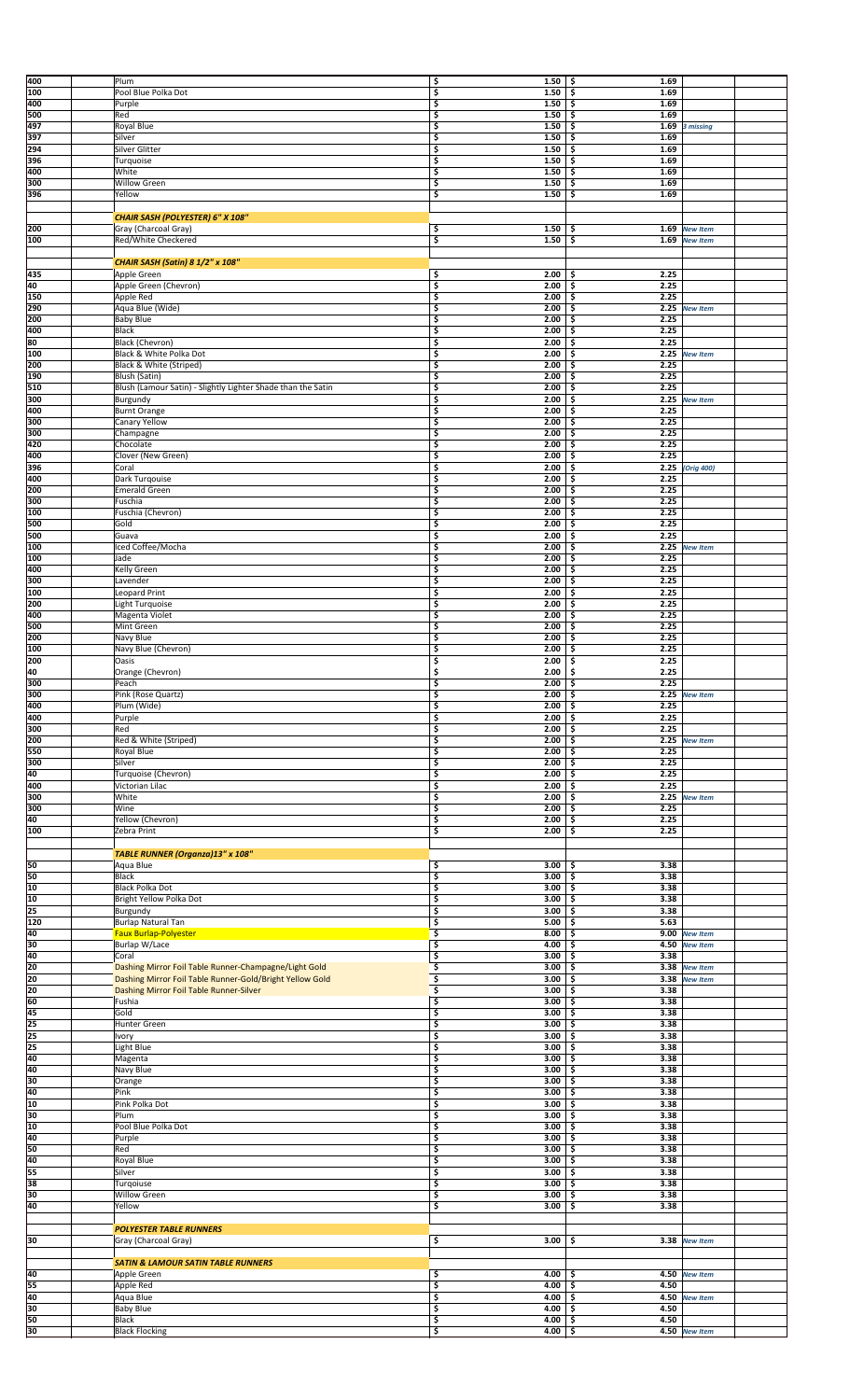| 400             | Plum                                                         | \$         | $1.50 \, \vert \, \$$ | 1.69 |                 |
|-----------------|--------------------------------------------------------------|------------|-----------------------|------|-----------------|
|                 |                                                              |            |                       |      |                 |
| 100             | Pool Blue Polka Dot                                          | \$<br>1.50 | \$.                   | 1.69 |                 |
| 400             | Purple                                                       | 1.50<br>\$ | -\$                   | 1.69 |                 |
| 500             | Red                                                          | \$<br>1.50 | \$.                   | 1.69 |                 |
| 497             | Royal Blue                                                   | \$<br>1.50 | \$                    | 1.69 | 3 missing       |
| 397             | Silver                                                       | \$<br>1.50 | -\$                   | 1.69 |                 |
| 294             | Silver Glitter                                               | \$<br>1.50 | -\$                   | 1.69 |                 |
|                 |                                                              |            |                       |      |                 |
| 396             | Turquoise                                                    | \$<br>1.50 | \$                    | 1.69 |                 |
| 400             | White                                                        | \$<br>1.50 | -\$                   | 1.69 |                 |
| 300             | <b>Willow Green</b>                                          | \$<br>1.50 | \$                    | 1.69 |                 |
| 396             | Yellow                                                       | \$<br>1.50 | \$                    | 1.69 |                 |
|                 |                                                              |            |                       |      |                 |
|                 | CHAIR SASH (POLYESTER) 6" X 108"                             |            |                       |      |                 |
| 200             | Gray (Charcoal Gray)                                         | \$<br>1.50 | -\$                   |      | 1.69 New Item   |
| 100             | Red/White Checkered                                          | \$<br>1.50 |                       |      |                 |
|                 |                                                              |            | \$                    |      | 1.69 New Item   |
|                 |                                                              |            |                       |      |                 |
|                 | <b>CHAIR SASH (Satin) 8 1/2" x 108"</b>                      |            |                       |      |                 |
| 435             | Apple Green                                                  | \$<br>2.00 | -\$                   | 2.25 |                 |
| 40              | Apple Green (Chevron)                                        | 2.00<br>\$ | \$                    | 2.25 |                 |
| 150             | Apple Red                                                    | \$<br>2.00 | -\$                   | 2.25 |                 |
| 290             | Aqua Blue (Wide)                                             | \$<br>2.00 | \$                    |      | 2.25 New Item   |
| 200             | <b>Baby Blue</b>                                             | \$<br>2.00 | \$                    | 2.25 |                 |
|                 |                                                              |            |                       |      |                 |
| 400             | <b>Black</b>                                                 | \$<br>2.00 | -\$                   | 2.25 |                 |
| 80              | Black (Chevron)                                              | \$<br>2.00 | \$                    | 2.25 |                 |
| 100             | Black & White Polka Dot                                      | \$<br>2.00 | -\$                   |      | 2.25 New Item   |
| 200             | Black & White (Striped)                                      | \$<br>2.00 | \$                    | 2.25 |                 |
| 190             | Blush (Satin)                                                | \$<br>2.00 | \$                    | 2.25 |                 |
| 510             | Blush (Lamour Satin) - Slightly Lighter Shade than the Satin | \$<br>2.00 | -\$                   | 2.25 |                 |
|                 |                                                              | 2.00       | -\$                   | 2.25 |                 |
| 300             | Burgundy                                                     | \$         |                       |      | <b>New Item</b> |
| 400             | <b>Burnt Orange</b>                                          | \$<br>2.00 | \$                    | 2.25 |                 |
| 300             | Canary Yellow                                                | \$<br>2.00 | -\$                   | 2.25 |                 |
| 300             | Champagne                                                    | \$<br>2.00 | \$                    | 2.25 |                 |
| 420             | Chocolate                                                    | \$<br>2.00 | -\$                   | 2.25 |                 |
| 400             | Clover (New Green)                                           | \$<br>2.00 | \$                    | 2.25 |                 |
| 396             | Coral                                                        | \$<br>2.00 | \$                    |      | 2.25 (Orig 400) |
|                 |                                                              |            |                       |      |                 |
| 400             | Dark Turqouise                                               | \$<br>2.00 | \$                    | 2.25 |                 |
| 200             | <b>Emerald Green</b>                                         | \$<br>2.00 | -\$                   | 2.25 |                 |
| 300             | Fuschia                                                      | \$<br>2.00 | \$                    | 2.25 |                 |
| 100             | Fuschia (Chevron)                                            | \$<br>2.00 | \$                    | 2.25 |                 |
| 500             | Gold                                                         | \$<br>2.00 | -\$                   | 2.25 |                 |
| 500             | Guava                                                        | \$<br>2.00 | \$                    | 2.25 |                 |
|                 | Iced Coffee/Mocha                                            | \$<br>2.00 |                       | 2.25 |                 |
| 100             |                                                              |            | -\$                   |      | <b>New Item</b> |
| 100             | Jade                                                         | \$<br>2.00 | \$                    | 2.25 |                 |
| 400             | Kelly Green                                                  | \$<br>2.00 | \$                    | 2.25 |                 |
| 300             | Lavender                                                     | \$<br>2.00 | \$                    | 2.25 |                 |
| 100             | Leopard Print                                                | \$<br>2.00 | -\$                   | 2.25 |                 |
| 200             | Light Turquoise                                              | \$<br>2.00 | -\$                   | 2.25 |                 |
| 400             |                                                              |            |                       | 2.25 |                 |
|                 | Magenta Violet                                               | \$<br>2.00 | \$                    |      |                 |
| 500             | Mint Green                                                   | \$<br>2.00 | \$                    | 2.25 |                 |
| 200             | Navy Blue                                                    | \$<br>2.00 | \$                    | 2.25 |                 |
| 100             | Navy Blue (Chevron)                                          | \$<br>2.00 | \$                    | 2.25 |                 |
| 200             | Oasis                                                        | \$<br>2.00 | \$                    | 2.25 |                 |
| 40              | Orange (Chevron)                                             | \$<br>2.00 | -\$                   | 2.25 |                 |
| 300             | Peach                                                        | 2.00<br>\$ | \$                    | 2.25 |                 |
|                 |                                                              |            | $2.00$ \$             |      |                 |
| 300             | Pink (Rose Quartz)                                           |            |                       |      | 2.25 New Item   |
| 400             | Plum (Wide)                                                  | \$<br>2.00 | -\$                   | 2.25 |                 |
| 400             | Purple                                                       | \$<br>2.00 | -\$                   | 2.25 |                 |
| 300             | Red                                                          | \$<br>2.00 | -\$                   | 2.25 |                 |
| 200             | Red & White (Striped)                                        | \$<br>2.00 | -\$                   | 2.25 | <b>New Item</b> |
| 550             | Royal Blue                                                   | \$<br>2.00 | \$                    | 2.25 |                 |
| 300             | Silver                                                       | \$<br>2.00 |                       | 2.25 |                 |
|                 |                                                              |            | -\$                   |      |                 |
| 40              | Turquoise (Chevron)                                          | \$<br>2.00 | -\$                   | 2.25 |                 |
| 400             | Victorian Lilac                                              | \$<br>2.00 | -\$                   | 2.25 |                 |
| 300             | White                                                        | \$<br>2.00 | -\$                   | 2.25 | <b>New Item</b> |
| 300             | Wine                                                         | \$<br>2.00 | \$                    | 2.25 |                 |
| 40              | Yellow (Chevron)                                             | \$<br>2.00 | -\$                   | 2.25 |                 |
| 100             | Zebra Print                                                  | \$<br>2.00 | \$                    | 2.25 |                 |
|                 |                                                              |            |                       |      |                 |
|                 |                                                              |            |                       |      |                 |
|                 | TABLE RUNNER (Organza)13" x 108"                             |            |                       |      |                 |
| 50              | Aqua Blue                                                    | \$<br>3.00 | -\$                   | 3.38 |                 |
| 50              | <b>Black</b>                                                 | \$<br>3.00 | \$                    | 3.38 |                 |
| 10              | <b>Black Polka Dot</b>                                       | \$<br>3.00 | -\$                   | 3.38 |                 |
| 10              | Bright Yellow Polka Dot                                      | \$<br>3.00 | \$                    | 3.38 |                 |
| 25              | Burgundy                                                     | \$<br>3.00 | -\$                   | 3.38 |                 |
|                 |                                                              |            |                       |      |                 |
| 120             | <b>Burlap Natural Tan</b>                                    | \$<br>5.00 | -\$                   | 5.63 |                 |
| 40              | <b>Faux Burlap-Polyester</b>                                 | \$<br>8.00 | \$                    |      | 9.00 New Item   |
| 30              | Burlap W/Lace                                                | \$<br>4.00 | -\$                   |      | 4.50 New Item   |
| 40              | Coral                                                        | \$<br>3.00 | \$                    | 3.38 |                 |
| 20              | Dashing Mirror Foil Table Runner-Champagne/Light Gold        | \$<br>3.00 |                       |      |                 |
| 20              |                                                              |            | -\$                   | 3.38 | <b>New Item</b> |
| 20              |                                                              |            |                       |      |                 |
|                 | Dashing Mirror Foil Table Runner-Gold/Bright Yellow Gold     | \$<br>3.00 | -\$                   |      | 3.38 New Item   |
|                 | Dashing Mirror Foil Table Runner-Silver                      | \$<br>3.00 | -\$                   | 3.38 |                 |
| 60              | Fushia                                                       | \$<br>3.00 | \$                    | 3.38 |                 |
| 45              | Gold                                                         | \$<br>3.00 | -\$                   | 3.38 |                 |
| $\overline{25}$ | Hunter Green                                                 | \$<br>3.00 | \$                    | 3.38 |                 |
| $\overline{25}$ | Ivory                                                        | \$<br>3.00 | \$                    | 3.38 |                 |
|                 | Light Blue                                                   | \$<br>3.00 | -\$                   | 3.38 |                 |
| 25              |                                                              |            |                       |      |                 |
| 40              | Magenta                                                      | \$<br>3.00 | \$                    | 3.38 |                 |
| 40              | Navy Blue                                                    | \$<br>3.00 | -\$                   | 3.38 |                 |
| 30              | Orange                                                       | \$<br>3.00 | -\$                   | 3.38 |                 |
| 40              | Pink                                                         | \$<br>3.00 | -\$                   | 3.38 |                 |
| 10              | Pink Polka Dot                                               | \$<br>3.00 | -\$                   | 3.38 |                 |
| 30              | Plum                                                         | \$<br>3.00 | -\$                   | 3.38 |                 |
| 10              | Pool Blue Polka Dot                                          | \$<br>3.00 | \$                    | 3.38 |                 |
| 40              |                                                              |            |                       | 3.38 |                 |
|                 | Purple                                                       | \$<br>3.00 | -\$                   |      |                 |
| 50              | Red                                                          | \$<br>3.00 | \$                    | 3.38 |                 |
| 40              | Royal Blue                                                   | \$<br>3.00 | \$                    | 3.38 |                 |
| 55              | Silver                                                       | \$<br>3.00 | -\$                   | 3.38 |                 |
| 38              | Turgoiuse                                                    | \$<br>3.00 | \$                    | 3.38 |                 |
| 30              | <b>Willow Green</b>                                          | \$<br>3.00 | -\$                   | 3.38 |                 |
| 40              | Yellow                                                       | \$<br>3.00 | \$                    | 3.38 |                 |
|                 |                                                              |            |                       |      |                 |
|                 |                                                              |            |                       |      |                 |
|                 | <b>POLYESTER TABLE RUNNERS</b>                               |            |                       |      |                 |
| 30              | Gray (Charcoal Gray)                                         | \$<br>3.00 | s                     |      | 3.38 New Item   |
|                 |                                                              |            |                       |      |                 |
|                 | <b>SATIN &amp; LAMOUR SATIN TABLE RUNNERS</b>                |            |                       |      |                 |
| 40              | Apple Green                                                  | \$<br>4.00 | -\$                   |      | 4.50 New Item   |
| 55              |                                                              | 4.00       | -\$                   | 4.50 |                 |
|                 | Apple Red                                                    | \$         |                       |      |                 |
| 40              | Aqua Blue                                                    | \$<br>4.00 | -\$                   |      | 4.50 New Item   |
| 30              | <b>Baby Blue</b>                                             | \$<br>4.00 | \$                    | 4.50 |                 |
| 50<br>30        | Black<br><b>Black Flocking</b>                               | \$         | 4.00%<br>$4.00 \t5$   | 4.50 | 4.50 New Item   |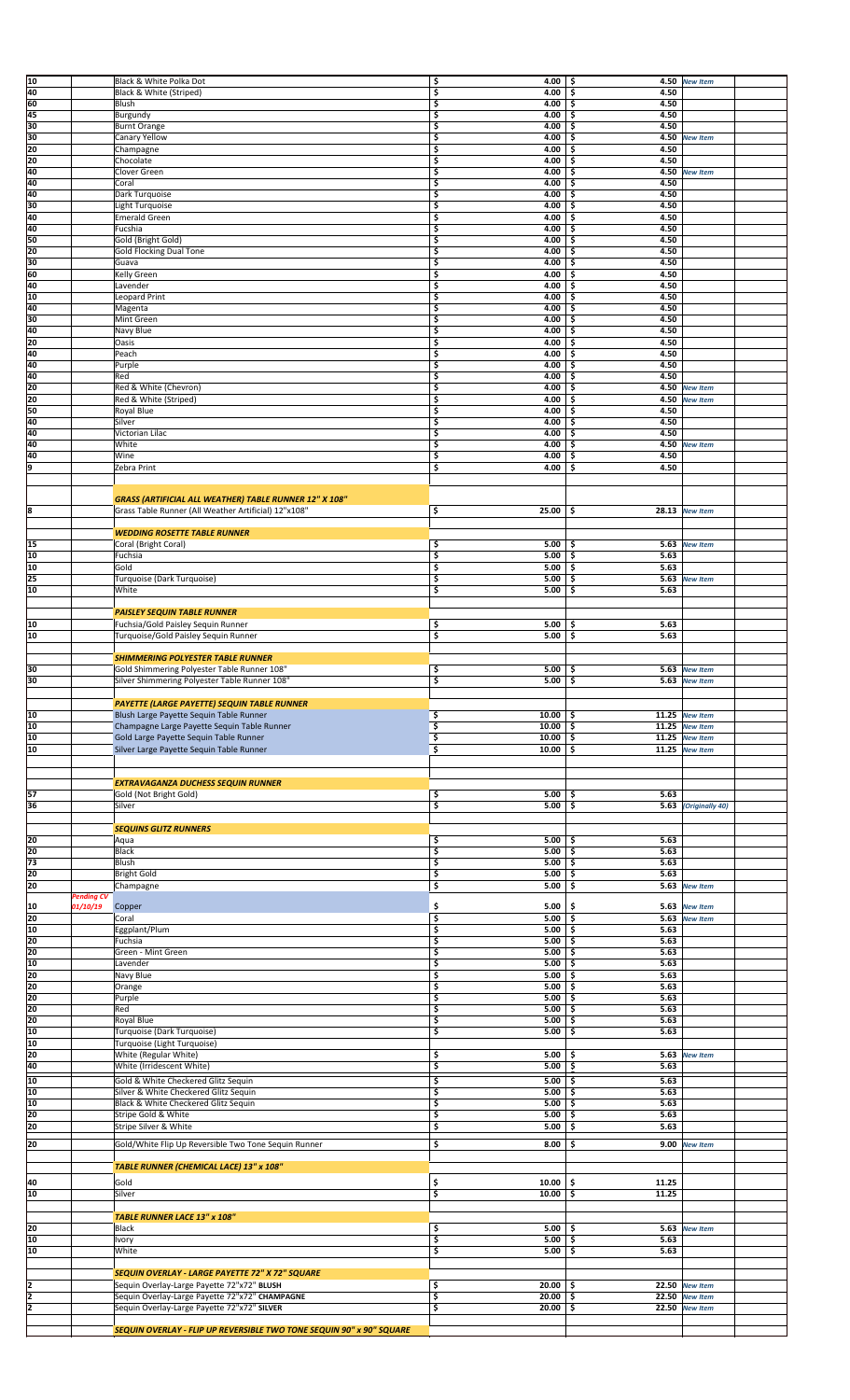| 40<br>\$<br>4.00<br>4.50<br>Black & White (Striped)<br>\$.<br>60<br>Blush<br>\$<br>4.00<br>-\$<br>4.50<br>45<br>\$<br>4.00<br>\$.<br>4.50<br>Burgundy<br>30<br>\$<br>4.50<br><b>Burnt Orange</b><br>4.00<br>\$<br>30<br>\$<br>Canary Yellow<br>4.00<br>\$<br>4.50<br><b>New Item</b><br>20<br>Champagne<br>\$<br>4.00<br>4.50<br>\$<br>20<br>\$<br>4.00<br>4.50<br>Chocolate<br>\$<br>40<br>Clover Green<br>\$<br>4.00<br>\$<br>4.50<br><b>New Item</b><br>40<br>\$<br>4.00<br>4.50<br>Coral<br>\$<br>40<br>\$<br>4.50<br>Dark Turquoise<br>4.00<br>-\$<br>30<br>\$<br>4.50<br>Light Turquoise<br>4.00<br>\$<br>40<br>\$<br>4.00<br>4.50<br><b>Emerald Green</b><br>\$<br>40<br>Fucshia<br>4.00<br>4.50<br>\$<br>-\$<br>50<br>\$<br>Gold (Bright Gold)<br>4.00<br>4.50<br>\$<br>20<br>Gold Flocking Dual Tone<br>\$<br>4.50<br>4.00<br>\$<br>\$<br>30<br>4.50<br>4.00<br>-\$<br>Guava<br>60<br>Kelly Green<br>\$<br>4.00<br>4.50<br>\$<br>40<br>\$<br>4.00<br>4.50<br>Lavender<br>\$<br>10<br>Leopard Print<br>\$<br>4.00<br>\$<br>4.50<br>40<br>\$<br>4.00<br>4.50<br>Magenta<br>\$<br>30<br>\$<br>Mint Green<br>4.00<br>-\$<br>4.50<br>40<br>\$<br>4.50<br>Navy Blue<br>4.00<br>\$<br>20<br>\$<br>4.50<br>Oasis<br>4.00<br>\$<br>40<br>4.50<br>Peach<br>\$<br>4.00<br>-\$<br>40<br>\$<br>4.00<br>4.50<br>Purple<br>-\$<br>40<br>\$<br>4.50<br>Red<br>4.00<br>\$<br>20<br>\$<br>4.00<br>Red & White (Chevron)<br>-\$<br>4.50<br><b>New Item</b><br>20<br>Red & White (Striped)<br>\$<br>4.00<br>\$<br>4.50<br><b>New Item</b><br>50<br>Royal Blue<br>\$<br>4.00<br>4.50<br>\$<br>40<br>Silver<br>\$<br>4.00<br>\$<br>4.50<br>40<br>\$<br>4.00<br>\$<br>4.50<br>Victorian Lilac<br>40<br>\$<br>4.00<br>\$<br>White<br>4.50 New Item<br>40<br>\$<br>4.00<br>\$.<br>4.50<br>Wine<br>9<br>\$<br>4.00<br>4.50<br>Zebra Print<br>\$<br>GRASS (ARTIFICIAL ALL WEATHER) TABLE RUNNER 12" X 108"<br>18<br>\$<br>Grass Table Runner (All Weather Artificial) 12"x108"<br>25.00<br>\$.<br>28.13 New Item<br><b>WEDDING ROSETTE TABLE RUNNER</b><br>15<br>\$<br>Coral (Bright Coral)<br>5.00<br>-\$<br>5.63 New Item<br>10<br>\$<br>Fuchsia<br>5.00<br>-\$<br>5.63<br>5.63<br>10<br>\$<br>Gold<br>5.00<br>\$<br>25<br>Turquoise (Dark Turquoise)<br>\$<br>5.00<br>\$<br>5.63 New Item<br>10<br>\$<br>5.00<br>\$.<br>White<br>5.63<br><b>PAISLEY SEQUIN TABLE RUNNER</b><br>10<br>Fuchsia/Gold Paisley Sequin Runner<br>\$<br>5.00<br>5.63<br>\$<br>10<br>\$<br>5.00<br>\$.<br>5.63<br>Turquoise/Gold Paisley Sequin Runner<br><b>SHIMMERING POLYESTER TABLE RUNNER</b><br>30<br>Gold Shimmering Polyester Table Runner 108"<br>\$<br>5.00<br>-\$<br>5.63 New Item<br>30<br>\$<br>Silver Shimmering Polyester Table Runner 108'<br>5.00<br>\$<br>5.63 New Item<br>PAYETTE (LARGE PAYETTE) SEQUIN TABLE RUNNER<br>10<br>\$<br>Blush Large Payette Sequin Table Runner<br>10.00<br>11.25<br>\$<br><b>New Item</b><br>10<br>Champagne Large Payette Sequin Table Runner<br>\$<br>10.00<br>\$<br>11.25<br><b>New Item</b><br>10<br>\$<br>Gold Large Payette Sequin Table Runner<br>10.00<br>\$<br>11.25 New Item<br>10<br>Silver Large Payette Sequin Table Runner<br>\$<br>10.00<br>\$<br>11.25 New Item<br><b>EXTRAVAGANZA DUCHESS SEQUIN RUNNER</b><br>57<br>\$<br>5.63<br>Gold (Not Bright Gold)<br>5.00<br>-\$<br>\$<br>36<br>\$<br>Silver<br>5.00<br><b>5.63</b> (Originally 40)<br><b>SEQUINS GLITZ RUNNERS</b><br>\$<br>20<br>5.00<br>5.63<br>Aqua<br>-\$<br>20<br>\$<br><b>Black</b><br>5.00<br>\$<br>5.63<br>73<br>\$<br>Blush<br>5.00<br>\$.<br>5.63<br>20<br><b>Bright Gold</b><br>\$<br>5.00<br>\$<br>5.63<br>20<br>\$<br>5.00<br>\$<br>Champagne<br>5.63 New Item<br><b>Pending CV</b><br>\$<br>5.00<br>\$<br>10<br>01/10/19<br>Copper<br>5.63<br><b>New Item</b><br>20<br>\$<br>Coral<br>5.00<br>\$<br>5.63 New Item<br>10<br>Eggplant/Plum<br>\$<br>5.63<br>5.00<br>-\$<br>20<br>\$<br>5.00<br>Fuchsia<br>\$<br>5.63<br>20<br>\$<br>5.63<br>Green - Mint Green<br>5.00<br>\$<br>10<br>\$<br>Lavender<br>5.00<br>-\$<br>5.63<br>20<br>\$<br>5.00<br>5.63<br>Navy Blue<br>\$<br>20<br>\$<br>\$<br>5.00<br>5.63<br>Orange<br>20<br>\$<br>5.00<br>\$.<br>5.63<br>Purple<br>20<br>Red<br>\$<br>5.00<br>\$<br>5.63<br>20<br>Royal Blue<br>\$<br>5.00<br>\$<br>5.63<br>10<br>\$<br>5.63<br>Turquoise (Dark Turquoise)<br>5.00<br>-\$<br>10<br>Turquoise (Light Turquoise)<br>20<br>White (Regular White)<br>\$<br>5.00<br>-\$<br>5.63<br><b>New Item</b><br>40<br>\$<br>5.00<br>White (Irridescent White)<br>\$<br>5.63<br>10<br>Gold & White Checkered Glitz Sequin<br>\$<br>5.00<br>5.63<br>-\$<br>10<br>\$<br>5.00<br>5.63<br>Silver & White Checkered Glitz Sequin<br>\$<br>10<br>Black & White Checkered Glitz Sequin<br>\$<br>5.00<br>-\$<br>5.63<br>20<br>\$<br>\$.<br>5.63<br>Stripe Gold & White<br>5.00<br>20<br>Stripe Silver & White<br>\$<br>5.00<br>\$<br>5.63<br>\$<br>20<br>Gold/White Flip Up Reversible Two Tone Sequin Runner<br>8.00<br>-\$<br>9.00 New Item<br>TABLE RUNNER (CHEMICAL LACE) 13" x 108"<br>Gold<br>40<br>\$<br>10.00<br>\$<br>11.25<br>10<br>\$<br>10.00<br>\$<br>11.25<br>Silver<br><b>TABLE RUNNER LACE 13" x 108"</b><br>20<br>Black<br>\$<br>$5.00$ \$<br>5.63 New Item<br>10<br>\$<br>Ivory<br>5.00<br>\$<br>5.63<br>\$<br>10<br>White<br>5.00<br>\$<br>5.63<br>SEQUIN OVERLAY - LARGE PAYETTE 72" X 72" SQUARE<br>I2<br>Sequin Overlay-Large Payette 72"x72" BLUSH<br>\$<br>20.00<br>22.50 New Item<br>-\$<br>2<br>Sequin Overlay-Large Payette 72"x72" CHAMPAGNE<br>\$<br>20.00<br>-\$<br>22.50 New Item<br>2<br>Sequin Overlay-Large Payette 72"x72" SILVER<br>\$<br>20.00<br>22.50 New Item<br>\$<br>SEQUIN OVERLAY - FLIP UP REVERSIBLE TWO TONE SEQUIN 90" x 90" SQUARE | 10 | Black & White Polka Dot | \$<br>4.00 | -\$<br>4.50 | <b>New Item</b> |
|-----------------------------------------------------------------------------------------------------------------------------------------------------------------------------------------------------------------------------------------------------------------------------------------------------------------------------------------------------------------------------------------------------------------------------------------------------------------------------------------------------------------------------------------------------------------------------------------------------------------------------------------------------------------------------------------------------------------------------------------------------------------------------------------------------------------------------------------------------------------------------------------------------------------------------------------------------------------------------------------------------------------------------------------------------------------------------------------------------------------------------------------------------------------------------------------------------------------------------------------------------------------------------------------------------------------------------------------------------------------------------------------------------------------------------------------------------------------------------------------------------------------------------------------------------------------------------------------------------------------------------------------------------------------------------------------------------------------------------------------------------------------------------------------------------------------------------------------------------------------------------------------------------------------------------------------------------------------------------------------------------------------------------------------------------------------------------------------------------------------------------------------------------------------------------------------------------------------------------------------------------------------------------------------------------------------------------------------------------------------------------------------------------------------------------------------------------------------------------------------------------------------------------------------------------------------------------------------------------------------------------------------------------------------------------------------------------------------------------------------------------------------------------------------------------------------------------------------------------------------------------------------------------------------------------------------------------------------------------------------------------------------------------------------------------------------------------------------------------------------------------------------------------------------------------------------------------------------------------------------------------------------------------------------------------------------------------------------------------------------------------------------------------------------------------------------------------------------------------------------------------------------------------------------------------------------------------------------------------------------------------------------------------------------------------------------------------------------------------------------------------------------------------------------------------------------------------------------------------------------------------------------------------------------------------------------------------------------------------------------------------------------------------------------------------------------------------------------------------------------------------------------------------------------------------------------------------------------------------------------------------------------------------------------------------------------------------------------------------------------------------------------------------------------------------------------------------------------------------------------------------------------------------------------------------------------------------------------------------------------------------------------------------------------------------------------------------------------------------------------------------------------------------------------------------------------------------------------------------------------------------------------------------------------------------------------------------------------------------------------------------------------------------------------------------------------------------------------------------------------------------------------------------------------------------------------------------------------------------------------------------------------------------------------------------------------------------------------------------------------------------------------------------------------------------------------------------------------------------------------------------------------------------------------------------------------------------------------------------------------------------------------------------------------------------------------------------------------|----|-------------------------|------------|-------------|-----------------|
|                                                                                                                                                                                                                                                                                                                                                                                                                                                                                                                                                                                                                                                                                                                                                                                                                                                                                                                                                                                                                                                                                                                                                                                                                                                                                                                                                                                                                                                                                                                                                                                                                                                                                                                                                                                                                                                                                                                                                                                                                                                                                                                                                                                                                                                                                                                                                                                                                                                                                                                                                                                                                                                                                                                                                                                                                                                                                                                                                                                                                                                                                                                                                                                                                                                                                                                                                                                                                                                                                                                                                                                                                                                                                                                                                                                                                                                                                                                                                                                                                                                                                                                                                                                                                                                                                                                                                                                                                                                                                                                                                                                                                                                                                                                                                                                                                                                                                                                                                                                                                                                                                                                                                                                                                                                                                                                                                                                                                                                                                                                                                                                                                                                                                                                 |    |                         |            |             |                 |
|                                                                                                                                                                                                                                                                                                                                                                                                                                                                                                                                                                                                                                                                                                                                                                                                                                                                                                                                                                                                                                                                                                                                                                                                                                                                                                                                                                                                                                                                                                                                                                                                                                                                                                                                                                                                                                                                                                                                                                                                                                                                                                                                                                                                                                                                                                                                                                                                                                                                                                                                                                                                                                                                                                                                                                                                                                                                                                                                                                                                                                                                                                                                                                                                                                                                                                                                                                                                                                                                                                                                                                                                                                                                                                                                                                                                                                                                                                                                                                                                                                                                                                                                                                                                                                                                                                                                                                                                                                                                                                                                                                                                                                                                                                                                                                                                                                                                                                                                                                                                                                                                                                                                                                                                                                                                                                                                                                                                                                                                                                                                                                                                                                                                                                                 |    |                         |            |             |                 |
|                                                                                                                                                                                                                                                                                                                                                                                                                                                                                                                                                                                                                                                                                                                                                                                                                                                                                                                                                                                                                                                                                                                                                                                                                                                                                                                                                                                                                                                                                                                                                                                                                                                                                                                                                                                                                                                                                                                                                                                                                                                                                                                                                                                                                                                                                                                                                                                                                                                                                                                                                                                                                                                                                                                                                                                                                                                                                                                                                                                                                                                                                                                                                                                                                                                                                                                                                                                                                                                                                                                                                                                                                                                                                                                                                                                                                                                                                                                                                                                                                                                                                                                                                                                                                                                                                                                                                                                                                                                                                                                                                                                                                                                                                                                                                                                                                                                                                                                                                                                                                                                                                                                                                                                                                                                                                                                                                                                                                                                                                                                                                                                                                                                                                                                 |    |                         |            |             |                 |
|                                                                                                                                                                                                                                                                                                                                                                                                                                                                                                                                                                                                                                                                                                                                                                                                                                                                                                                                                                                                                                                                                                                                                                                                                                                                                                                                                                                                                                                                                                                                                                                                                                                                                                                                                                                                                                                                                                                                                                                                                                                                                                                                                                                                                                                                                                                                                                                                                                                                                                                                                                                                                                                                                                                                                                                                                                                                                                                                                                                                                                                                                                                                                                                                                                                                                                                                                                                                                                                                                                                                                                                                                                                                                                                                                                                                                                                                                                                                                                                                                                                                                                                                                                                                                                                                                                                                                                                                                                                                                                                                                                                                                                                                                                                                                                                                                                                                                                                                                                                                                                                                                                                                                                                                                                                                                                                                                                                                                                                                                                                                                                                                                                                                                                                 |    |                         |            |             |                 |
|                                                                                                                                                                                                                                                                                                                                                                                                                                                                                                                                                                                                                                                                                                                                                                                                                                                                                                                                                                                                                                                                                                                                                                                                                                                                                                                                                                                                                                                                                                                                                                                                                                                                                                                                                                                                                                                                                                                                                                                                                                                                                                                                                                                                                                                                                                                                                                                                                                                                                                                                                                                                                                                                                                                                                                                                                                                                                                                                                                                                                                                                                                                                                                                                                                                                                                                                                                                                                                                                                                                                                                                                                                                                                                                                                                                                                                                                                                                                                                                                                                                                                                                                                                                                                                                                                                                                                                                                                                                                                                                                                                                                                                                                                                                                                                                                                                                                                                                                                                                                                                                                                                                                                                                                                                                                                                                                                                                                                                                                                                                                                                                                                                                                                                                 |    |                         |            |             |                 |
|                                                                                                                                                                                                                                                                                                                                                                                                                                                                                                                                                                                                                                                                                                                                                                                                                                                                                                                                                                                                                                                                                                                                                                                                                                                                                                                                                                                                                                                                                                                                                                                                                                                                                                                                                                                                                                                                                                                                                                                                                                                                                                                                                                                                                                                                                                                                                                                                                                                                                                                                                                                                                                                                                                                                                                                                                                                                                                                                                                                                                                                                                                                                                                                                                                                                                                                                                                                                                                                                                                                                                                                                                                                                                                                                                                                                                                                                                                                                                                                                                                                                                                                                                                                                                                                                                                                                                                                                                                                                                                                                                                                                                                                                                                                                                                                                                                                                                                                                                                                                                                                                                                                                                                                                                                                                                                                                                                                                                                                                                                                                                                                                                                                                                                                 |    |                         |            |             |                 |
|                                                                                                                                                                                                                                                                                                                                                                                                                                                                                                                                                                                                                                                                                                                                                                                                                                                                                                                                                                                                                                                                                                                                                                                                                                                                                                                                                                                                                                                                                                                                                                                                                                                                                                                                                                                                                                                                                                                                                                                                                                                                                                                                                                                                                                                                                                                                                                                                                                                                                                                                                                                                                                                                                                                                                                                                                                                                                                                                                                                                                                                                                                                                                                                                                                                                                                                                                                                                                                                                                                                                                                                                                                                                                                                                                                                                                                                                                                                                                                                                                                                                                                                                                                                                                                                                                                                                                                                                                                                                                                                                                                                                                                                                                                                                                                                                                                                                                                                                                                                                                                                                                                                                                                                                                                                                                                                                                                                                                                                                                                                                                                                                                                                                                                                 |    |                         |            |             |                 |
|                                                                                                                                                                                                                                                                                                                                                                                                                                                                                                                                                                                                                                                                                                                                                                                                                                                                                                                                                                                                                                                                                                                                                                                                                                                                                                                                                                                                                                                                                                                                                                                                                                                                                                                                                                                                                                                                                                                                                                                                                                                                                                                                                                                                                                                                                                                                                                                                                                                                                                                                                                                                                                                                                                                                                                                                                                                                                                                                                                                                                                                                                                                                                                                                                                                                                                                                                                                                                                                                                                                                                                                                                                                                                                                                                                                                                                                                                                                                                                                                                                                                                                                                                                                                                                                                                                                                                                                                                                                                                                                                                                                                                                                                                                                                                                                                                                                                                                                                                                                                                                                                                                                                                                                                                                                                                                                                                                                                                                                                                                                                                                                                                                                                                                                 |    |                         |            |             |                 |
|                                                                                                                                                                                                                                                                                                                                                                                                                                                                                                                                                                                                                                                                                                                                                                                                                                                                                                                                                                                                                                                                                                                                                                                                                                                                                                                                                                                                                                                                                                                                                                                                                                                                                                                                                                                                                                                                                                                                                                                                                                                                                                                                                                                                                                                                                                                                                                                                                                                                                                                                                                                                                                                                                                                                                                                                                                                                                                                                                                                                                                                                                                                                                                                                                                                                                                                                                                                                                                                                                                                                                                                                                                                                                                                                                                                                                                                                                                                                                                                                                                                                                                                                                                                                                                                                                                                                                                                                                                                                                                                                                                                                                                                                                                                                                                                                                                                                                                                                                                                                                                                                                                                                                                                                                                                                                                                                                                                                                                                                                                                                                                                                                                                                                                                 |    |                         |            |             |                 |
|                                                                                                                                                                                                                                                                                                                                                                                                                                                                                                                                                                                                                                                                                                                                                                                                                                                                                                                                                                                                                                                                                                                                                                                                                                                                                                                                                                                                                                                                                                                                                                                                                                                                                                                                                                                                                                                                                                                                                                                                                                                                                                                                                                                                                                                                                                                                                                                                                                                                                                                                                                                                                                                                                                                                                                                                                                                                                                                                                                                                                                                                                                                                                                                                                                                                                                                                                                                                                                                                                                                                                                                                                                                                                                                                                                                                                                                                                                                                                                                                                                                                                                                                                                                                                                                                                                                                                                                                                                                                                                                                                                                                                                                                                                                                                                                                                                                                                                                                                                                                                                                                                                                                                                                                                                                                                                                                                                                                                                                                                                                                                                                                                                                                                                                 |    |                         |            |             |                 |
|                                                                                                                                                                                                                                                                                                                                                                                                                                                                                                                                                                                                                                                                                                                                                                                                                                                                                                                                                                                                                                                                                                                                                                                                                                                                                                                                                                                                                                                                                                                                                                                                                                                                                                                                                                                                                                                                                                                                                                                                                                                                                                                                                                                                                                                                                                                                                                                                                                                                                                                                                                                                                                                                                                                                                                                                                                                                                                                                                                                                                                                                                                                                                                                                                                                                                                                                                                                                                                                                                                                                                                                                                                                                                                                                                                                                                                                                                                                                                                                                                                                                                                                                                                                                                                                                                                                                                                                                                                                                                                                                                                                                                                                                                                                                                                                                                                                                                                                                                                                                                                                                                                                                                                                                                                                                                                                                                                                                                                                                                                                                                                                                                                                                                                                 |    |                         |            |             |                 |
|                                                                                                                                                                                                                                                                                                                                                                                                                                                                                                                                                                                                                                                                                                                                                                                                                                                                                                                                                                                                                                                                                                                                                                                                                                                                                                                                                                                                                                                                                                                                                                                                                                                                                                                                                                                                                                                                                                                                                                                                                                                                                                                                                                                                                                                                                                                                                                                                                                                                                                                                                                                                                                                                                                                                                                                                                                                                                                                                                                                                                                                                                                                                                                                                                                                                                                                                                                                                                                                                                                                                                                                                                                                                                                                                                                                                                                                                                                                                                                                                                                                                                                                                                                                                                                                                                                                                                                                                                                                                                                                                                                                                                                                                                                                                                                                                                                                                                                                                                                                                                                                                                                                                                                                                                                                                                                                                                                                                                                                                                                                                                                                                                                                                                                                 |    |                         |            |             |                 |
|                                                                                                                                                                                                                                                                                                                                                                                                                                                                                                                                                                                                                                                                                                                                                                                                                                                                                                                                                                                                                                                                                                                                                                                                                                                                                                                                                                                                                                                                                                                                                                                                                                                                                                                                                                                                                                                                                                                                                                                                                                                                                                                                                                                                                                                                                                                                                                                                                                                                                                                                                                                                                                                                                                                                                                                                                                                                                                                                                                                                                                                                                                                                                                                                                                                                                                                                                                                                                                                                                                                                                                                                                                                                                                                                                                                                                                                                                                                                                                                                                                                                                                                                                                                                                                                                                                                                                                                                                                                                                                                                                                                                                                                                                                                                                                                                                                                                                                                                                                                                                                                                                                                                                                                                                                                                                                                                                                                                                                                                                                                                                                                                                                                                                                                 |    |                         |            |             |                 |
|                                                                                                                                                                                                                                                                                                                                                                                                                                                                                                                                                                                                                                                                                                                                                                                                                                                                                                                                                                                                                                                                                                                                                                                                                                                                                                                                                                                                                                                                                                                                                                                                                                                                                                                                                                                                                                                                                                                                                                                                                                                                                                                                                                                                                                                                                                                                                                                                                                                                                                                                                                                                                                                                                                                                                                                                                                                                                                                                                                                                                                                                                                                                                                                                                                                                                                                                                                                                                                                                                                                                                                                                                                                                                                                                                                                                                                                                                                                                                                                                                                                                                                                                                                                                                                                                                                                                                                                                                                                                                                                                                                                                                                                                                                                                                                                                                                                                                                                                                                                                                                                                                                                                                                                                                                                                                                                                                                                                                                                                                                                                                                                                                                                                                                                 |    |                         |            |             |                 |
|                                                                                                                                                                                                                                                                                                                                                                                                                                                                                                                                                                                                                                                                                                                                                                                                                                                                                                                                                                                                                                                                                                                                                                                                                                                                                                                                                                                                                                                                                                                                                                                                                                                                                                                                                                                                                                                                                                                                                                                                                                                                                                                                                                                                                                                                                                                                                                                                                                                                                                                                                                                                                                                                                                                                                                                                                                                                                                                                                                                                                                                                                                                                                                                                                                                                                                                                                                                                                                                                                                                                                                                                                                                                                                                                                                                                                                                                                                                                                                                                                                                                                                                                                                                                                                                                                                                                                                                                                                                                                                                                                                                                                                                                                                                                                                                                                                                                                                                                                                                                                                                                                                                                                                                                                                                                                                                                                                                                                                                                                                                                                                                                                                                                                                                 |    |                         |            |             |                 |
|                                                                                                                                                                                                                                                                                                                                                                                                                                                                                                                                                                                                                                                                                                                                                                                                                                                                                                                                                                                                                                                                                                                                                                                                                                                                                                                                                                                                                                                                                                                                                                                                                                                                                                                                                                                                                                                                                                                                                                                                                                                                                                                                                                                                                                                                                                                                                                                                                                                                                                                                                                                                                                                                                                                                                                                                                                                                                                                                                                                                                                                                                                                                                                                                                                                                                                                                                                                                                                                                                                                                                                                                                                                                                                                                                                                                                                                                                                                                                                                                                                                                                                                                                                                                                                                                                                                                                                                                                                                                                                                                                                                                                                                                                                                                                                                                                                                                                                                                                                                                                                                                                                                                                                                                                                                                                                                                                                                                                                                                                                                                                                                                                                                                                                                 |    |                         |            |             |                 |
|                                                                                                                                                                                                                                                                                                                                                                                                                                                                                                                                                                                                                                                                                                                                                                                                                                                                                                                                                                                                                                                                                                                                                                                                                                                                                                                                                                                                                                                                                                                                                                                                                                                                                                                                                                                                                                                                                                                                                                                                                                                                                                                                                                                                                                                                                                                                                                                                                                                                                                                                                                                                                                                                                                                                                                                                                                                                                                                                                                                                                                                                                                                                                                                                                                                                                                                                                                                                                                                                                                                                                                                                                                                                                                                                                                                                                                                                                                                                                                                                                                                                                                                                                                                                                                                                                                                                                                                                                                                                                                                                                                                                                                                                                                                                                                                                                                                                                                                                                                                                                                                                                                                                                                                                                                                                                                                                                                                                                                                                                                                                                                                                                                                                                                                 |    |                         |            |             |                 |
|                                                                                                                                                                                                                                                                                                                                                                                                                                                                                                                                                                                                                                                                                                                                                                                                                                                                                                                                                                                                                                                                                                                                                                                                                                                                                                                                                                                                                                                                                                                                                                                                                                                                                                                                                                                                                                                                                                                                                                                                                                                                                                                                                                                                                                                                                                                                                                                                                                                                                                                                                                                                                                                                                                                                                                                                                                                                                                                                                                                                                                                                                                                                                                                                                                                                                                                                                                                                                                                                                                                                                                                                                                                                                                                                                                                                                                                                                                                                                                                                                                                                                                                                                                                                                                                                                                                                                                                                                                                                                                                                                                                                                                                                                                                                                                                                                                                                                                                                                                                                                                                                                                                                                                                                                                                                                                                                                                                                                                                                                                                                                                                                                                                                                                                 |    |                         |            |             |                 |
|                                                                                                                                                                                                                                                                                                                                                                                                                                                                                                                                                                                                                                                                                                                                                                                                                                                                                                                                                                                                                                                                                                                                                                                                                                                                                                                                                                                                                                                                                                                                                                                                                                                                                                                                                                                                                                                                                                                                                                                                                                                                                                                                                                                                                                                                                                                                                                                                                                                                                                                                                                                                                                                                                                                                                                                                                                                                                                                                                                                                                                                                                                                                                                                                                                                                                                                                                                                                                                                                                                                                                                                                                                                                                                                                                                                                                                                                                                                                                                                                                                                                                                                                                                                                                                                                                                                                                                                                                                                                                                                                                                                                                                                                                                                                                                                                                                                                                                                                                                                                                                                                                                                                                                                                                                                                                                                                                                                                                                                                                                                                                                                                                                                                                                                 |    |                         |            |             |                 |
|                                                                                                                                                                                                                                                                                                                                                                                                                                                                                                                                                                                                                                                                                                                                                                                                                                                                                                                                                                                                                                                                                                                                                                                                                                                                                                                                                                                                                                                                                                                                                                                                                                                                                                                                                                                                                                                                                                                                                                                                                                                                                                                                                                                                                                                                                                                                                                                                                                                                                                                                                                                                                                                                                                                                                                                                                                                                                                                                                                                                                                                                                                                                                                                                                                                                                                                                                                                                                                                                                                                                                                                                                                                                                                                                                                                                                                                                                                                                                                                                                                                                                                                                                                                                                                                                                                                                                                                                                                                                                                                                                                                                                                                                                                                                                                                                                                                                                                                                                                                                                                                                                                                                                                                                                                                                                                                                                                                                                                                                                                                                                                                                                                                                                                                 |    |                         |            |             |                 |
|                                                                                                                                                                                                                                                                                                                                                                                                                                                                                                                                                                                                                                                                                                                                                                                                                                                                                                                                                                                                                                                                                                                                                                                                                                                                                                                                                                                                                                                                                                                                                                                                                                                                                                                                                                                                                                                                                                                                                                                                                                                                                                                                                                                                                                                                                                                                                                                                                                                                                                                                                                                                                                                                                                                                                                                                                                                                                                                                                                                                                                                                                                                                                                                                                                                                                                                                                                                                                                                                                                                                                                                                                                                                                                                                                                                                                                                                                                                                                                                                                                                                                                                                                                                                                                                                                                                                                                                                                                                                                                                                                                                                                                                                                                                                                                                                                                                                                                                                                                                                                                                                                                                                                                                                                                                                                                                                                                                                                                                                                                                                                                                                                                                                                                                 |    |                         |            |             |                 |
|                                                                                                                                                                                                                                                                                                                                                                                                                                                                                                                                                                                                                                                                                                                                                                                                                                                                                                                                                                                                                                                                                                                                                                                                                                                                                                                                                                                                                                                                                                                                                                                                                                                                                                                                                                                                                                                                                                                                                                                                                                                                                                                                                                                                                                                                                                                                                                                                                                                                                                                                                                                                                                                                                                                                                                                                                                                                                                                                                                                                                                                                                                                                                                                                                                                                                                                                                                                                                                                                                                                                                                                                                                                                                                                                                                                                                                                                                                                                                                                                                                                                                                                                                                                                                                                                                                                                                                                                                                                                                                                                                                                                                                                                                                                                                                                                                                                                                                                                                                                                                                                                                                                                                                                                                                                                                                                                                                                                                                                                                                                                                                                                                                                                                                                 |    |                         |            |             |                 |
|                                                                                                                                                                                                                                                                                                                                                                                                                                                                                                                                                                                                                                                                                                                                                                                                                                                                                                                                                                                                                                                                                                                                                                                                                                                                                                                                                                                                                                                                                                                                                                                                                                                                                                                                                                                                                                                                                                                                                                                                                                                                                                                                                                                                                                                                                                                                                                                                                                                                                                                                                                                                                                                                                                                                                                                                                                                                                                                                                                                                                                                                                                                                                                                                                                                                                                                                                                                                                                                                                                                                                                                                                                                                                                                                                                                                                                                                                                                                                                                                                                                                                                                                                                                                                                                                                                                                                                                                                                                                                                                                                                                                                                                                                                                                                                                                                                                                                                                                                                                                                                                                                                                                                                                                                                                                                                                                                                                                                                                                                                                                                                                                                                                                                                                 |    |                         |            |             |                 |
|                                                                                                                                                                                                                                                                                                                                                                                                                                                                                                                                                                                                                                                                                                                                                                                                                                                                                                                                                                                                                                                                                                                                                                                                                                                                                                                                                                                                                                                                                                                                                                                                                                                                                                                                                                                                                                                                                                                                                                                                                                                                                                                                                                                                                                                                                                                                                                                                                                                                                                                                                                                                                                                                                                                                                                                                                                                                                                                                                                                                                                                                                                                                                                                                                                                                                                                                                                                                                                                                                                                                                                                                                                                                                                                                                                                                                                                                                                                                                                                                                                                                                                                                                                                                                                                                                                                                                                                                                                                                                                                                                                                                                                                                                                                                                                                                                                                                                                                                                                                                                                                                                                                                                                                                                                                                                                                                                                                                                                                                                                                                                                                                                                                                                                                 |    |                         |            |             |                 |
|                                                                                                                                                                                                                                                                                                                                                                                                                                                                                                                                                                                                                                                                                                                                                                                                                                                                                                                                                                                                                                                                                                                                                                                                                                                                                                                                                                                                                                                                                                                                                                                                                                                                                                                                                                                                                                                                                                                                                                                                                                                                                                                                                                                                                                                                                                                                                                                                                                                                                                                                                                                                                                                                                                                                                                                                                                                                                                                                                                                                                                                                                                                                                                                                                                                                                                                                                                                                                                                                                                                                                                                                                                                                                                                                                                                                                                                                                                                                                                                                                                                                                                                                                                                                                                                                                                                                                                                                                                                                                                                                                                                                                                                                                                                                                                                                                                                                                                                                                                                                                                                                                                                                                                                                                                                                                                                                                                                                                                                                                                                                                                                                                                                                                                                 |    |                         |            |             |                 |
|                                                                                                                                                                                                                                                                                                                                                                                                                                                                                                                                                                                                                                                                                                                                                                                                                                                                                                                                                                                                                                                                                                                                                                                                                                                                                                                                                                                                                                                                                                                                                                                                                                                                                                                                                                                                                                                                                                                                                                                                                                                                                                                                                                                                                                                                                                                                                                                                                                                                                                                                                                                                                                                                                                                                                                                                                                                                                                                                                                                                                                                                                                                                                                                                                                                                                                                                                                                                                                                                                                                                                                                                                                                                                                                                                                                                                                                                                                                                                                                                                                                                                                                                                                                                                                                                                                                                                                                                                                                                                                                                                                                                                                                                                                                                                                                                                                                                                                                                                                                                                                                                                                                                                                                                                                                                                                                                                                                                                                                                                                                                                                                                                                                                                                                 |    |                         |            |             |                 |
|                                                                                                                                                                                                                                                                                                                                                                                                                                                                                                                                                                                                                                                                                                                                                                                                                                                                                                                                                                                                                                                                                                                                                                                                                                                                                                                                                                                                                                                                                                                                                                                                                                                                                                                                                                                                                                                                                                                                                                                                                                                                                                                                                                                                                                                                                                                                                                                                                                                                                                                                                                                                                                                                                                                                                                                                                                                                                                                                                                                                                                                                                                                                                                                                                                                                                                                                                                                                                                                                                                                                                                                                                                                                                                                                                                                                                                                                                                                                                                                                                                                                                                                                                                                                                                                                                                                                                                                                                                                                                                                                                                                                                                                                                                                                                                                                                                                                                                                                                                                                                                                                                                                                                                                                                                                                                                                                                                                                                                                                                                                                                                                                                                                                                                                 |    |                         |            |             |                 |
|                                                                                                                                                                                                                                                                                                                                                                                                                                                                                                                                                                                                                                                                                                                                                                                                                                                                                                                                                                                                                                                                                                                                                                                                                                                                                                                                                                                                                                                                                                                                                                                                                                                                                                                                                                                                                                                                                                                                                                                                                                                                                                                                                                                                                                                                                                                                                                                                                                                                                                                                                                                                                                                                                                                                                                                                                                                                                                                                                                                                                                                                                                                                                                                                                                                                                                                                                                                                                                                                                                                                                                                                                                                                                                                                                                                                                                                                                                                                                                                                                                                                                                                                                                                                                                                                                                                                                                                                                                                                                                                                                                                                                                                                                                                                                                                                                                                                                                                                                                                                                                                                                                                                                                                                                                                                                                                                                                                                                                                                                                                                                                                                                                                                                                                 |    |                         |            |             |                 |
|                                                                                                                                                                                                                                                                                                                                                                                                                                                                                                                                                                                                                                                                                                                                                                                                                                                                                                                                                                                                                                                                                                                                                                                                                                                                                                                                                                                                                                                                                                                                                                                                                                                                                                                                                                                                                                                                                                                                                                                                                                                                                                                                                                                                                                                                                                                                                                                                                                                                                                                                                                                                                                                                                                                                                                                                                                                                                                                                                                                                                                                                                                                                                                                                                                                                                                                                                                                                                                                                                                                                                                                                                                                                                                                                                                                                                                                                                                                                                                                                                                                                                                                                                                                                                                                                                                                                                                                                                                                                                                                                                                                                                                                                                                                                                                                                                                                                                                                                                                                                                                                                                                                                                                                                                                                                                                                                                                                                                                                                                                                                                                                                                                                                                                                 |    |                         |            |             |                 |
|                                                                                                                                                                                                                                                                                                                                                                                                                                                                                                                                                                                                                                                                                                                                                                                                                                                                                                                                                                                                                                                                                                                                                                                                                                                                                                                                                                                                                                                                                                                                                                                                                                                                                                                                                                                                                                                                                                                                                                                                                                                                                                                                                                                                                                                                                                                                                                                                                                                                                                                                                                                                                                                                                                                                                                                                                                                                                                                                                                                                                                                                                                                                                                                                                                                                                                                                                                                                                                                                                                                                                                                                                                                                                                                                                                                                                                                                                                                                                                                                                                                                                                                                                                                                                                                                                                                                                                                                                                                                                                                                                                                                                                                                                                                                                                                                                                                                                                                                                                                                                                                                                                                                                                                                                                                                                                                                                                                                                                                                                                                                                                                                                                                                                                                 |    |                         |            |             |                 |
|                                                                                                                                                                                                                                                                                                                                                                                                                                                                                                                                                                                                                                                                                                                                                                                                                                                                                                                                                                                                                                                                                                                                                                                                                                                                                                                                                                                                                                                                                                                                                                                                                                                                                                                                                                                                                                                                                                                                                                                                                                                                                                                                                                                                                                                                                                                                                                                                                                                                                                                                                                                                                                                                                                                                                                                                                                                                                                                                                                                                                                                                                                                                                                                                                                                                                                                                                                                                                                                                                                                                                                                                                                                                                                                                                                                                                                                                                                                                                                                                                                                                                                                                                                                                                                                                                                                                                                                                                                                                                                                                                                                                                                                                                                                                                                                                                                                                                                                                                                                                                                                                                                                                                                                                                                                                                                                                                                                                                                                                                                                                                                                                                                                                                                                 |    |                         |            |             |                 |
|                                                                                                                                                                                                                                                                                                                                                                                                                                                                                                                                                                                                                                                                                                                                                                                                                                                                                                                                                                                                                                                                                                                                                                                                                                                                                                                                                                                                                                                                                                                                                                                                                                                                                                                                                                                                                                                                                                                                                                                                                                                                                                                                                                                                                                                                                                                                                                                                                                                                                                                                                                                                                                                                                                                                                                                                                                                                                                                                                                                                                                                                                                                                                                                                                                                                                                                                                                                                                                                                                                                                                                                                                                                                                                                                                                                                                                                                                                                                                                                                                                                                                                                                                                                                                                                                                                                                                                                                                                                                                                                                                                                                                                                                                                                                                                                                                                                                                                                                                                                                                                                                                                                                                                                                                                                                                                                                                                                                                                                                                                                                                                                                                                                                                                                 |    |                         |            |             |                 |
|                                                                                                                                                                                                                                                                                                                                                                                                                                                                                                                                                                                                                                                                                                                                                                                                                                                                                                                                                                                                                                                                                                                                                                                                                                                                                                                                                                                                                                                                                                                                                                                                                                                                                                                                                                                                                                                                                                                                                                                                                                                                                                                                                                                                                                                                                                                                                                                                                                                                                                                                                                                                                                                                                                                                                                                                                                                                                                                                                                                                                                                                                                                                                                                                                                                                                                                                                                                                                                                                                                                                                                                                                                                                                                                                                                                                                                                                                                                                                                                                                                                                                                                                                                                                                                                                                                                                                                                                                                                                                                                                                                                                                                                                                                                                                                                                                                                                                                                                                                                                                                                                                                                                                                                                                                                                                                                                                                                                                                                                                                                                                                                                                                                                                                                 |    |                         |            |             |                 |
|                                                                                                                                                                                                                                                                                                                                                                                                                                                                                                                                                                                                                                                                                                                                                                                                                                                                                                                                                                                                                                                                                                                                                                                                                                                                                                                                                                                                                                                                                                                                                                                                                                                                                                                                                                                                                                                                                                                                                                                                                                                                                                                                                                                                                                                                                                                                                                                                                                                                                                                                                                                                                                                                                                                                                                                                                                                                                                                                                                                                                                                                                                                                                                                                                                                                                                                                                                                                                                                                                                                                                                                                                                                                                                                                                                                                                                                                                                                                                                                                                                                                                                                                                                                                                                                                                                                                                                                                                                                                                                                                                                                                                                                                                                                                                                                                                                                                                                                                                                                                                                                                                                                                                                                                                                                                                                                                                                                                                                                                                                                                                                                                                                                                                                                 |    |                         |            |             |                 |
|                                                                                                                                                                                                                                                                                                                                                                                                                                                                                                                                                                                                                                                                                                                                                                                                                                                                                                                                                                                                                                                                                                                                                                                                                                                                                                                                                                                                                                                                                                                                                                                                                                                                                                                                                                                                                                                                                                                                                                                                                                                                                                                                                                                                                                                                                                                                                                                                                                                                                                                                                                                                                                                                                                                                                                                                                                                                                                                                                                                                                                                                                                                                                                                                                                                                                                                                                                                                                                                                                                                                                                                                                                                                                                                                                                                                                                                                                                                                                                                                                                                                                                                                                                                                                                                                                                                                                                                                                                                                                                                                                                                                                                                                                                                                                                                                                                                                                                                                                                                                                                                                                                                                                                                                                                                                                                                                                                                                                                                                                                                                                                                                                                                                                                                 |    |                         |            |             |                 |
|                                                                                                                                                                                                                                                                                                                                                                                                                                                                                                                                                                                                                                                                                                                                                                                                                                                                                                                                                                                                                                                                                                                                                                                                                                                                                                                                                                                                                                                                                                                                                                                                                                                                                                                                                                                                                                                                                                                                                                                                                                                                                                                                                                                                                                                                                                                                                                                                                                                                                                                                                                                                                                                                                                                                                                                                                                                                                                                                                                                                                                                                                                                                                                                                                                                                                                                                                                                                                                                                                                                                                                                                                                                                                                                                                                                                                                                                                                                                                                                                                                                                                                                                                                                                                                                                                                                                                                                                                                                                                                                                                                                                                                                                                                                                                                                                                                                                                                                                                                                                                                                                                                                                                                                                                                                                                                                                                                                                                                                                                                                                                                                                                                                                                                                 |    |                         |            |             |                 |
|                                                                                                                                                                                                                                                                                                                                                                                                                                                                                                                                                                                                                                                                                                                                                                                                                                                                                                                                                                                                                                                                                                                                                                                                                                                                                                                                                                                                                                                                                                                                                                                                                                                                                                                                                                                                                                                                                                                                                                                                                                                                                                                                                                                                                                                                                                                                                                                                                                                                                                                                                                                                                                                                                                                                                                                                                                                                                                                                                                                                                                                                                                                                                                                                                                                                                                                                                                                                                                                                                                                                                                                                                                                                                                                                                                                                                                                                                                                                                                                                                                                                                                                                                                                                                                                                                                                                                                                                                                                                                                                                                                                                                                                                                                                                                                                                                                                                                                                                                                                                                                                                                                                                                                                                                                                                                                                                                                                                                                                                                                                                                                                                                                                                                                                 |    |                         |            |             |                 |
|                                                                                                                                                                                                                                                                                                                                                                                                                                                                                                                                                                                                                                                                                                                                                                                                                                                                                                                                                                                                                                                                                                                                                                                                                                                                                                                                                                                                                                                                                                                                                                                                                                                                                                                                                                                                                                                                                                                                                                                                                                                                                                                                                                                                                                                                                                                                                                                                                                                                                                                                                                                                                                                                                                                                                                                                                                                                                                                                                                                                                                                                                                                                                                                                                                                                                                                                                                                                                                                                                                                                                                                                                                                                                                                                                                                                                                                                                                                                                                                                                                                                                                                                                                                                                                                                                                                                                                                                                                                                                                                                                                                                                                                                                                                                                                                                                                                                                                                                                                                                                                                                                                                                                                                                                                                                                                                                                                                                                                                                                                                                                                                                                                                                                                                 |    |                         |            |             |                 |
|                                                                                                                                                                                                                                                                                                                                                                                                                                                                                                                                                                                                                                                                                                                                                                                                                                                                                                                                                                                                                                                                                                                                                                                                                                                                                                                                                                                                                                                                                                                                                                                                                                                                                                                                                                                                                                                                                                                                                                                                                                                                                                                                                                                                                                                                                                                                                                                                                                                                                                                                                                                                                                                                                                                                                                                                                                                                                                                                                                                                                                                                                                                                                                                                                                                                                                                                                                                                                                                                                                                                                                                                                                                                                                                                                                                                                                                                                                                                                                                                                                                                                                                                                                                                                                                                                                                                                                                                                                                                                                                                                                                                                                                                                                                                                                                                                                                                                                                                                                                                                                                                                                                                                                                                                                                                                                                                                                                                                                                                                                                                                                                                                                                                                                                 |    |                         |            |             |                 |
|                                                                                                                                                                                                                                                                                                                                                                                                                                                                                                                                                                                                                                                                                                                                                                                                                                                                                                                                                                                                                                                                                                                                                                                                                                                                                                                                                                                                                                                                                                                                                                                                                                                                                                                                                                                                                                                                                                                                                                                                                                                                                                                                                                                                                                                                                                                                                                                                                                                                                                                                                                                                                                                                                                                                                                                                                                                                                                                                                                                                                                                                                                                                                                                                                                                                                                                                                                                                                                                                                                                                                                                                                                                                                                                                                                                                                                                                                                                                                                                                                                                                                                                                                                                                                                                                                                                                                                                                                                                                                                                                                                                                                                                                                                                                                                                                                                                                                                                                                                                                                                                                                                                                                                                                                                                                                                                                                                                                                                                                                                                                                                                                                                                                                                                 |    |                         |            |             |                 |
|                                                                                                                                                                                                                                                                                                                                                                                                                                                                                                                                                                                                                                                                                                                                                                                                                                                                                                                                                                                                                                                                                                                                                                                                                                                                                                                                                                                                                                                                                                                                                                                                                                                                                                                                                                                                                                                                                                                                                                                                                                                                                                                                                                                                                                                                                                                                                                                                                                                                                                                                                                                                                                                                                                                                                                                                                                                                                                                                                                                                                                                                                                                                                                                                                                                                                                                                                                                                                                                                                                                                                                                                                                                                                                                                                                                                                                                                                                                                                                                                                                                                                                                                                                                                                                                                                                                                                                                                                                                                                                                                                                                                                                                                                                                                                                                                                                                                                                                                                                                                                                                                                                                                                                                                                                                                                                                                                                                                                                                                                                                                                                                                                                                                                                                 |    |                         |            |             |                 |
|                                                                                                                                                                                                                                                                                                                                                                                                                                                                                                                                                                                                                                                                                                                                                                                                                                                                                                                                                                                                                                                                                                                                                                                                                                                                                                                                                                                                                                                                                                                                                                                                                                                                                                                                                                                                                                                                                                                                                                                                                                                                                                                                                                                                                                                                                                                                                                                                                                                                                                                                                                                                                                                                                                                                                                                                                                                                                                                                                                                                                                                                                                                                                                                                                                                                                                                                                                                                                                                                                                                                                                                                                                                                                                                                                                                                                                                                                                                                                                                                                                                                                                                                                                                                                                                                                                                                                                                                                                                                                                                                                                                                                                                                                                                                                                                                                                                                                                                                                                                                                                                                                                                                                                                                                                                                                                                                                                                                                                                                                                                                                                                                                                                                                                                 |    |                         |            |             |                 |
|                                                                                                                                                                                                                                                                                                                                                                                                                                                                                                                                                                                                                                                                                                                                                                                                                                                                                                                                                                                                                                                                                                                                                                                                                                                                                                                                                                                                                                                                                                                                                                                                                                                                                                                                                                                                                                                                                                                                                                                                                                                                                                                                                                                                                                                                                                                                                                                                                                                                                                                                                                                                                                                                                                                                                                                                                                                                                                                                                                                                                                                                                                                                                                                                                                                                                                                                                                                                                                                                                                                                                                                                                                                                                                                                                                                                                                                                                                                                                                                                                                                                                                                                                                                                                                                                                                                                                                                                                                                                                                                                                                                                                                                                                                                                                                                                                                                                                                                                                                                                                                                                                                                                                                                                                                                                                                                                                                                                                                                                                                                                                                                                                                                                                                                 |    |                         |            |             |                 |
|                                                                                                                                                                                                                                                                                                                                                                                                                                                                                                                                                                                                                                                                                                                                                                                                                                                                                                                                                                                                                                                                                                                                                                                                                                                                                                                                                                                                                                                                                                                                                                                                                                                                                                                                                                                                                                                                                                                                                                                                                                                                                                                                                                                                                                                                                                                                                                                                                                                                                                                                                                                                                                                                                                                                                                                                                                                                                                                                                                                                                                                                                                                                                                                                                                                                                                                                                                                                                                                                                                                                                                                                                                                                                                                                                                                                                                                                                                                                                                                                                                                                                                                                                                                                                                                                                                                                                                                                                                                                                                                                                                                                                                                                                                                                                                                                                                                                                                                                                                                                                                                                                                                                                                                                                                                                                                                                                                                                                                                                                                                                                                                                                                                                                                                 |    |                         |            |             |                 |
|                                                                                                                                                                                                                                                                                                                                                                                                                                                                                                                                                                                                                                                                                                                                                                                                                                                                                                                                                                                                                                                                                                                                                                                                                                                                                                                                                                                                                                                                                                                                                                                                                                                                                                                                                                                                                                                                                                                                                                                                                                                                                                                                                                                                                                                                                                                                                                                                                                                                                                                                                                                                                                                                                                                                                                                                                                                                                                                                                                                                                                                                                                                                                                                                                                                                                                                                                                                                                                                                                                                                                                                                                                                                                                                                                                                                                                                                                                                                                                                                                                                                                                                                                                                                                                                                                                                                                                                                                                                                                                                                                                                                                                                                                                                                                                                                                                                                                                                                                                                                                                                                                                                                                                                                                                                                                                                                                                                                                                                                                                                                                                                                                                                                                                                 |    |                         |            |             |                 |
|                                                                                                                                                                                                                                                                                                                                                                                                                                                                                                                                                                                                                                                                                                                                                                                                                                                                                                                                                                                                                                                                                                                                                                                                                                                                                                                                                                                                                                                                                                                                                                                                                                                                                                                                                                                                                                                                                                                                                                                                                                                                                                                                                                                                                                                                                                                                                                                                                                                                                                                                                                                                                                                                                                                                                                                                                                                                                                                                                                                                                                                                                                                                                                                                                                                                                                                                                                                                                                                                                                                                                                                                                                                                                                                                                                                                                                                                                                                                                                                                                                                                                                                                                                                                                                                                                                                                                                                                                                                                                                                                                                                                                                                                                                                                                                                                                                                                                                                                                                                                                                                                                                                                                                                                                                                                                                                                                                                                                                                                                                                                                                                                                                                                                                                 |    |                         |            |             |                 |
|                                                                                                                                                                                                                                                                                                                                                                                                                                                                                                                                                                                                                                                                                                                                                                                                                                                                                                                                                                                                                                                                                                                                                                                                                                                                                                                                                                                                                                                                                                                                                                                                                                                                                                                                                                                                                                                                                                                                                                                                                                                                                                                                                                                                                                                                                                                                                                                                                                                                                                                                                                                                                                                                                                                                                                                                                                                                                                                                                                                                                                                                                                                                                                                                                                                                                                                                                                                                                                                                                                                                                                                                                                                                                                                                                                                                                                                                                                                                                                                                                                                                                                                                                                                                                                                                                                                                                                                                                                                                                                                                                                                                                                                                                                                                                                                                                                                                                                                                                                                                                                                                                                                                                                                                                                                                                                                                                                                                                                                                                                                                                                                                                                                                                                                 |    |                         |            |             |                 |
|                                                                                                                                                                                                                                                                                                                                                                                                                                                                                                                                                                                                                                                                                                                                                                                                                                                                                                                                                                                                                                                                                                                                                                                                                                                                                                                                                                                                                                                                                                                                                                                                                                                                                                                                                                                                                                                                                                                                                                                                                                                                                                                                                                                                                                                                                                                                                                                                                                                                                                                                                                                                                                                                                                                                                                                                                                                                                                                                                                                                                                                                                                                                                                                                                                                                                                                                                                                                                                                                                                                                                                                                                                                                                                                                                                                                                                                                                                                                                                                                                                                                                                                                                                                                                                                                                                                                                                                                                                                                                                                                                                                                                                                                                                                                                                                                                                                                                                                                                                                                                                                                                                                                                                                                                                                                                                                                                                                                                                                                                                                                                                                                                                                                                                                 |    |                         |            |             |                 |
|                                                                                                                                                                                                                                                                                                                                                                                                                                                                                                                                                                                                                                                                                                                                                                                                                                                                                                                                                                                                                                                                                                                                                                                                                                                                                                                                                                                                                                                                                                                                                                                                                                                                                                                                                                                                                                                                                                                                                                                                                                                                                                                                                                                                                                                                                                                                                                                                                                                                                                                                                                                                                                                                                                                                                                                                                                                                                                                                                                                                                                                                                                                                                                                                                                                                                                                                                                                                                                                                                                                                                                                                                                                                                                                                                                                                                                                                                                                                                                                                                                                                                                                                                                                                                                                                                                                                                                                                                                                                                                                                                                                                                                                                                                                                                                                                                                                                                                                                                                                                                                                                                                                                                                                                                                                                                                                                                                                                                                                                                                                                                                                                                                                                                                                 |    |                         |            |             |                 |
|                                                                                                                                                                                                                                                                                                                                                                                                                                                                                                                                                                                                                                                                                                                                                                                                                                                                                                                                                                                                                                                                                                                                                                                                                                                                                                                                                                                                                                                                                                                                                                                                                                                                                                                                                                                                                                                                                                                                                                                                                                                                                                                                                                                                                                                                                                                                                                                                                                                                                                                                                                                                                                                                                                                                                                                                                                                                                                                                                                                                                                                                                                                                                                                                                                                                                                                                                                                                                                                                                                                                                                                                                                                                                                                                                                                                                                                                                                                                                                                                                                                                                                                                                                                                                                                                                                                                                                                                                                                                                                                                                                                                                                                                                                                                                                                                                                                                                                                                                                                                                                                                                                                                                                                                                                                                                                                                                                                                                                                                                                                                                                                                                                                                                                                 |    |                         |            |             |                 |
|                                                                                                                                                                                                                                                                                                                                                                                                                                                                                                                                                                                                                                                                                                                                                                                                                                                                                                                                                                                                                                                                                                                                                                                                                                                                                                                                                                                                                                                                                                                                                                                                                                                                                                                                                                                                                                                                                                                                                                                                                                                                                                                                                                                                                                                                                                                                                                                                                                                                                                                                                                                                                                                                                                                                                                                                                                                                                                                                                                                                                                                                                                                                                                                                                                                                                                                                                                                                                                                                                                                                                                                                                                                                                                                                                                                                                                                                                                                                                                                                                                                                                                                                                                                                                                                                                                                                                                                                                                                                                                                                                                                                                                                                                                                                                                                                                                                                                                                                                                                                                                                                                                                                                                                                                                                                                                                                                                                                                                                                                                                                                                                                                                                                                                                 |    |                         |            |             |                 |
|                                                                                                                                                                                                                                                                                                                                                                                                                                                                                                                                                                                                                                                                                                                                                                                                                                                                                                                                                                                                                                                                                                                                                                                                                                                                                                                                                                                                                                                                                                                                                                                                                                                                                                                                                                                                                                                                                                                                                                                                                                                                                                                                                                                                                                                                                                                                                                                                                                                                                                                                                                                                                                                                                                                                                                                                                                                                                                                                                                                                                                                                                                                                                                                                                                                                                                                                                                                                                                                                                                                                                                                                                                                                                                                                                                                                                                                                                                                                                                                                                                                                                                                                                                                                                                                                                                                                                                                                                                                                                                                                                                                                                                                                                                                                                                                                                                                                                                                                                                                                                                                                                                                                                                                                                                                                                                                                                                                                                                                                                                                                                                                                                                                                                                                 |    |                         |            |             |                 |
|                                                                                                                                                                                                                                                                                                                                                                                                                                                                                                                                                                                                                                                                                                                                                                                                                                                                                                                                                                                                                                                                                                                                                                                                                                                                                                                                                                                                                                                                                                                                                                                                                                                                                                                                                                                                                                                                                                                                                                                                                                                                                                                                                                                                                                                                                                                                                                                                                                                                                                                                                                                                                                                                                                                                                                                                                                                                                                                                                                                                                                                                                                                                                                                                                                                                                                                                                                                                                                                                                                                                                                                                                                                                                                                                                                                                                                                                                                                                                                                                                                                                                                                                                                                                                                                                                                                                                                                                                                                                                                                                                                                                                                                                                                                                                                                                                                                                                                                                                                                                                                                                                                                                                                                                                                                                                                                                                                                                                                                                                                                                                                                                                                                                                                                 |    |                         |            |             |                 |
|                                                                                                                                                                                                                                                                                                                                                                                                                                                                                                                                                                                                                                                                                                                                                                                                                                                                                                                                                                                                                                                                                                                                                                                                                                                                                                                                                                                                                                                                                                                                                                                                                                                                                                                                                                                                                                                                                                                                                                                                                                                                                                                                                                                                                                                                                                                                                                                                                                                                                                                                                                                                                                                                                                                                                                                                                                                                                                                                                                                                                                                                                                                                                                                                                                                                                                                                                                                                                                                                                                                                                                                                                                                                                                                                                                                                                                                                                                                                                                                                                                                                                                                                                                                                                                                                                                                                                                                                                                                                                                                                                                                                                                                                                                                                                                                                                                                                                                                                                                                                                                                                                                                                                                                                                                                                                                                                                                                                                                                                                                                                                                                                                                                                                                                 |    |                         |            |             |                 |
|                                                                                                                                                                                                                                                                                                                                                                                                                                                                                                                                                                                                                                                                                                                                                                                                                                                                                                                                                                                                                                                                                                                                                                                                                                                                                                                                                                                                                                                                                                                                                                                                                                                                                                                                                                                                                                                                                                                                                                                                                                                                                                                                                                                                                                                                                                                                                                                                                                                                                                                                                                                                                                                                                                                                                                                                                                                                                                                                                                                                                                                                                                                                                                                                                                                                                                                                                                                                                                                                                                                                                                                                                                                                                                                                                                                                                                                                                                                                                                                                                                                                                                                                                                                                                                                                                                                                                                                                                                                                                                                                                                                                                                                                                                                                                                                                                                                                                                                                                                                                                                                                                                                                                                                                                                                                                                                                                                                                                                                                                                                                                                                                                                                                                                                 |    |                         |            |             |                 |
|                                                                                                                                                                                                                                                                                                                                                                                                                                                                                                                                                                                                                                                                                                                                                                                                                                                                                                                                                                                                                                                                                                                                                                                                                                                                                                                                                                                                                                                                                                                                                                                                                                                                                                                                                                                                                                                                                                                                                                                                                                                                                                                                                                                                                                                                                                                                                                                                                                                                                                                                                                                                                                                                                                                                                                                                                                                                                                                                                                                                                                                                                                                                                                                                                                                                                                                                                                                                                                                                                                                                                                                                                                                                                                                                                                                                                                                                                                                                                                                                                                                                                                                                                                                                                                                                                                                                                                                                                                                                                                                                                                                                                                                                                                                                                                                                                                                                                                                                                                                                                                                                                                                                                                                                                                                                                                                                                                                                                                                                                                                                                                                                                                                                                                                 |    |                         |            |             |                 |
|                                                                                                                                                                                                                                                                                                                                                                                                                                                                                                                                                                                                                                                                                                                                                                                                                                                                                                                                                                                                                                                                                                                                                                                                                                                                                                                                                                                                                                                                                                                                                                                                                                                                                                                                                                                                                                                                                                                                                                                                                                                                                                                                                                                                                                                                                                                                                                                                                                                                                                                                                                                                                                                                                                                                                                                                                                                                                                                                                                                                                                                                                                                                                                                                                                                                                                                                                                                                                                                                                                                                                                                                                                                                                                                                                                                                                                                                                                                                                                                                                                                                                                                                                                                                                                                                                                                                                                                                                                                                                                                                                                                                                                                                                                                                                                                                                                                                                                                                                                                                                                                                                                                                                                                                                                                                                                                                                                                                                                                                                                                                                                                                                                                                                                                 |    |                         |            |             |                 |
|                                                                                                                                                                                                                                                                                                                                                                                                                                                                                                                                                                                                                                                                                                                                                                                                                                                                                                                                                                                                                                                                                                                                                                                                                                                                                                                                                                                                                                                                                                                                                                                                                                                                                                                                                                                                                                                                                                                                                                                                                                                                                                                                                                                                                                                                                                                                                                                                                                                                                                                                                                                                                                                                                                                                                                                                                                                                                                                                                                                                                                                                                                                                                                                                                                                                                                                                                                                                                                                                                                                                                                                                                                                                                                                                                                                                                                                                                                                                                                                                                                                                                                                                                                                                                                                                                                                                                                                                                                                                                                                                                                                                                                                                                                                                                                                                                                                                                                                                                                                                                                                                                                                                                                                                                                                                                                                                                                                                                                                                                                                                                                                                                                                                                                                 |    |                         |            |             |                 |
|                                                                                                                                                                                                                                                                                                                                                                                                                                                                                                                                                                                                                                                                                                                                                                                                                                                                                                                                                                                                                                                                                                                                                                                                                                                                                                                                                                                                                                                                                                                                                                                                                                                                                                                                                                                                                                                                                                                                                                                                                                                                                                                                                                                                                                                                                                                                                                                                                                                                                                                                                                                                                                                                                                                                                                                                                                                                                                                                                                                                                                                                                                                                                                                                                                                                                                                                                                                                                                                                                                                                                                                                                                                                                                                                                                                                                                                                                                                                                                                                                                                                                                                                                                                                                                                                                                                                                                                                                                                                                                                                                                                                                                                                                                                                                                                                                                                                                                                                                                                                                                                                                                                                                                                                                                                                                                                                                                                                                                                                                                                                                                                                                                                                                                                 |    |                         |            |             |                 |
|                                                                                                                                                                                                                                                                                                                                                                                                                                                                                                                                                                                                                                                                                                                                                                                                                                                                                                                                                                                                                                                                                                                                                                                                                                                                                                                                                                                                                                                                                                                                                                                                                                                                                                                                                                                                                                                                                                                                                                                                                                                                                                                                                                                                                                                                                                                                                                                                                                                                                                                                                                                                                                                                                                                                                                                                                                                                                                                                                                                                                                                                                                                                                                                                                                                                                                                                                                                                                                                                                                                                                                                                                                                                                                                                                                                                                                                                                                                                                                                                                                                                                                                                                                                                                                                                                                                                                                                                                                                                                                                                                                                                                                                                                                                                                                                                                                                                                                                                                                                                                                                                                                                                                                                                                                                                                                                                                                                                                                                                                                                                                                                                                                                                                                                 |    |                         |            |             |                 |
|                                                                                                                                                                                                                                                                                                                                                                                                                                                                                                                                                                                                                                                                                                                                                                                                                                                                                                                                                                                                                                                                                                                                                                                                                                                                                                                                                                                                                                                                                                                                                                                                                                                                                                                                                                                                                                                                                                                                                                                                                                                                                                                                                                                                                                                                                                                                                                                                                                                                                                                                                                                                                                                                                                                                                                                                                                                                                                                                                                                                                                                                                                                                                                                                                                                                                                                                                                                                                                                                                                                                                                                                                                                                                                                                                                                                                                                                                                                                                                                                                                                                                                                                                                                                                                                                                                                                                                                                                                                                                                                                                                                                                                                                                                                                                                                                                                                                                                                                                                                                                                                                                                                                                                                                                                                                                                                                                                                                                                                                                                                                                                                                                                                                                                                 |    |                         |            |             |                 |
|                                                                                                                                                                                                                                                                                                                                                                                                                                                                                                                                                                                                                                                                                                                                                                                                                                                                                                                                                                                                                                                                                                                                                                                                                                                                                                                                                                                                                                                                                                                                                                                                                                                                                                                                                                                                                                                                                                                                                                                                                                                                                                                                                                                                                                                                                                                                                                                                                                                                                                                                                                                                                                                                                                                                                                                                                                                                                                                                                                                                                                                                                                                                                                                                                                                                                                                                                                                                                                                                                                                                                                                                                                                                                                                                                                                                                                                                                                                                                                                                                                                                                                                                                                                                                                                                                                                                                                                                                                                                                                                                                                                                                                                                                                                                                                                                                                                                                                                                                                                                                                                                                                                                                                                                                                                                                                                                                                                                                                                                                                                                                                                                                                                                                                                 |    |                         |            |             |                 |
|                                                                                                                                                                                                                                                                                                                                                                                                                                                                                                                                                                                                                                                                                                                                                                                                                                                                                                                                                                                                                                                                                                                                                                                                                                                                                                                                                                                                                                                                                                                                                                                                                                                                                                                                                                                                                                                                                                                                                                                                                                                                                                                                                                                                                                                                                                                                                                                                                                                                                                                                                                                                                                                                                                                                                                                                                                                                                                                                                                                                                                                                                                                                                                                                                                                                                                                                                                                                                                                                                                                                                                                                                                                                                                                                                                                                                                                                                                                                                                                                                                                                                                                                                                                                                                                                                                                                                                                                                                                                                                                                                                                                                                                                                                                                                                                                                                                                                                                                                                                                                                                                                                                                                                                                                                                                                                                                                                                                                                                                                                                                                                                                                                                                                                                 |    |                         |            |             |                 |
|                                                                                                                                                                                                                                                                                                                                                                                                                                                                                                                                                                                                                                                                                                                                                                                                                                                                                                                                                                                                                                                                                                                                                                                                                                                                                                                                                                                                                                                                                                                                                                                                                                                                                                                                                                                                                                                                                                                                                                                                                                                                                                                                                                                                                                                                                                                                                                                                                                                                                                                                                                                                                                                                                                                                                                                                                                                                                                                                                                                                                                                                                                                                                                                                                                                                                                                                                                                                                                                                                                                                                                                                                                                                                                                                                                                                                                                                                                                                                                                                                                                                                                                                                                                                                                                                                                                                                                                                                                                                                                                                                                                                                                                                                                                                                                                                                                                                                                                                                                                                                                                                                                                                                                                                                                                                                                                                                                                                                                                                                                                                                                                                                                                                                                                 |    |                         |            |             |                 |
|                                                                                                                                                                                                                                                                                                                                                                                                                                                                                                                                                                                                                                                                                                                                                                                                                                                                                                                                                                                                                                                                                                                                                                                                                                                                                                                                                                                                                                                                                                                                                                                                                                                                                                                                                                                                                                                                                                                                                                                                                                                                                                                                                                                                                                                                                                                                                                                                                                                                                                                                                                                                                                                                                                                                                                                                                                                                                                                                                                                                                                                                                                                                                                                                                                                                                                                                                                                                                                                                                                                                                                                                                                                                                                                                                                                                                                                                                                                                                                                                                                                                                                                                                                                                                                                                                                                                                                                                                                                                                                                                                                                                                                                                                                                                                                                                                                                                                                                                                                                                                                                                                                                                                                                                                                                                                                                                                                                                                                                                                                                                                                                                                                                                                                                 |    |                         |            |             |                 |
|                                                                                                                                                                                                                                                                                                                                                                                                                                                                                                                                                                                                                                                                                                                                                                                                                                                                                                                                                                                                                                                                                                                                                                                                                                                                                                                                                                                                                                                                                                                                                                                                                                                                                                                                                                                                                                                                                                                                                                                                                                                                                                                                                                                                                                                                                                                                                                                                                                                                                                                                                                                                                                                                                                                                                                                                                                                                                                                                                                                                                                                                                                                                                                                                                                                                                                                                                                                                                                                                                                                                                                                                                                                                                                                                                                                                                                                                                                                                                                                                                                                                                                                                                                                                                                                                                                                                                                                                                                                                                                                                                                                                                                                                                                                                                                                                                                                                                                                                                                                                                                                                                                                                                                                                                                                                                                                                                                                                                                                                                                                                                                                                                                                                                                                 |    |                         |            |             |                 |
|                                                                                                                                                                                                                                                                                                                                                                                                                                                                                                                                                                                                                                                                                                                                                                                                                                                                                                                                                                                                                                                                                                                                                                                                                                                                                                                                                                                                                                                                                                                                                                                                                                                                                                                                                                                                                                                                                                                                                                                                                                                                                                                                                                                                                                                                                                                                                                                                                                                                                                                                                                                                                                                                                                                                                                                                                                                                                                                                                                                                                                                                                                                                                                                                                                                                                                                                                                                                                                                                                                                                                                                                                                                                                                                                                                                                                                                                                                                                                                                                                                                                                                                                                                                                                                                                                                                                                                                                                                                                                                                                                                                                                                                                                                                                                                                                                                                                                                                                                                                                                                                                                                                                                                                                                                                                                                                                                                                                                                                                                                                                                                                                                                                                                                                 |    |                         |            |             |                 |
|                                                                                                                                                                                                                                                                                                                                                                                                                                                                                                                                                                                                                                                                                                                                                                                                                                                                                                                                                                                                                                                                                                                                                                                                                                                                                                                                                                                                                                                                                                                                                                                                                                                                                                                                                                                                                                                                                                                                                                                                                                                                                                                                                                                                                                                                                                                                                                                                                                                                                                                                                                                                                                                                                                                                                                                                                                                                                                                                                                                                                                                                                                                                                                                                                                                                                                                                                                                                                                                                                                                                                                                                                                                                                                                                                                                                                                                                                                                                                                                                                                                                                                                                                                                                                                                                                                                                                                                                                                                                                                                                                                                                                                                                                                                                                                                                                                                                                                                                                                                                                                                                                                                                                                                                                                                                                                                                                                                                                                                                                                                                                                                                                                                                                                                 |    |                         |            |             |                 |
|                                                                                                                                                                                                                                                                                                                                                                                                                                                                                                                                                                                                                                                                                                                                                                                                                                                                                                                                                                                                                                                                                                                                                                                                                                                                                                                                                                                                                                                                                                                                                                                                                                                                                                                                                                                                                                                                                                                                                                                                                                                                                                                                                                                                                                                                                                                                                                                                                                                                                                                                                                                                                                                                                                                                                                                                                                                                                                                                                                                                                                                                                                                                                                                                                                                                                                                                                                                                                                                                                                                                                                                                                                                                                                                                                                                                                                                                                                                                                                                                                                                                                                                                                                                                                                                                                                                                                                                                                                                                                                                                                                                                                                                                                                                                                                                                                                                                                                                                                                                                                                                                                                                                                                                                                                                                                                                                                                                                                                                                                                                                                                                                                                                                                                                 |    |                         |            |             |                 |
|                                                                                                                                                                                                                                                                                                                                                                                                                                                                                                                                                                                                                                                                                                                                                                                                                                                                                                                                                                                                                                                                                                                                                                                                                                                                                                                                                                                                                                                                                                                                                                                                                                                                                                                                                                                                                                                                                                                                                                                                                                                                                                                                                                                                                                                                                                                                                                                                                                                                                                                                                                                                                                                                                                                                                                                                                                                                                                                                                                                                                                                                                                                                                                                                                                                                                                                                                                                                                                                                                                                                                                                                                                                                                                                                                                                                                                                                                                                                                                                                                                                                                                                                                                                                                                                                                                                                                                                                                                                                                                                                                                                                                                                                                                                                                                                                                                                                                                                                                                                                                                                                                                                                                                                                                                                                                                                                                                                                                                                                                                                                                                                                                                                                                                                 |    |                         |            |             |                 |
|                                                                                                                                                                                                                                                                                                                                                                                                                                                                                                                                                                                                                                                                                                                                                                                                                                                                                                                                                                                                                                                                                                                                                                                                                                                                                                                                                                                                                                                                                                                                                                                                                                                                                                                                                                                                                                                                                                                                                                                                                                                                                                                                                                                                                                                                                                                                                                                                                                                                                                                                                                                                                                                                                                                                                                                                                                                                                                                                                                                                                                                                                                                                                                                                                                                                                                                                                                                                                                                                                                                                                                                                                                                                                                                                                                                                                                                                                                                                                                                                                                                                                                                                                                                                                                                                                                                                                                                                                                                                                                                                                                                                                                                                                                                                                                                                                                                                                                                                                                                                                                                                                                                                                                                                                                                                                                                                                                                                                                                                                                                                                                                                                                                                                                                 |    |                         |            |             |                 |
|                                                                                                                                                                                                                                                                                                                                                                                                                                                                                                                                                                                                                                                                                                                                                                                                                                                                                                                                                                                                                                                                                                                                                                                                                                                                                                                                                                                                                                                                                                                                                                                                                                                                                                                                                                                                                                                                                                                                                                                                                                                                                                                                                                                                                                                                                                                                                                                                                                                                                                                                                                                                                                                                                                                                                                                                                                                                                                                                                                                                                                                                                                                                                                                                                                                                                                                                                                                                                                                                                                                                                                                                                                                                                                                                                                                                                                                                                                                                                                                                                                                                                                                                                                                                                                                                                                                                                                                                                                                                                                                                                                                                                                                                                                                                                                                                                                                                                                                                                                                                                                                                                                                                                                                                                                                                                                                                                                                                                                                                                                                                                                                                                                                                                                                 |    |                         |            |             |                 |
|                                                                                                                                                                                                                                                                                                                                                                                                                                                                                                                                                                                                                                                                                                                                                                                                                                                                                                                                                                                                                                                                                                                                                                                                                                                                                                                                                                                                                                                                                                                                                                                                                                                                                                                                                                                                                                                                                                                                                                                                                                                                                                                                                                                                                                                                                                                                                                                                                                                                                                                                                                                                                                                                                                                                                                                                                                                                                                                                                                                                                                                                                                                                                                                                                                                                                                                                                                                                                                                                                                                                                                                                                                                                                                                                                                                                                                                                                                                                                                                                                                                                                                                                                                                                                                                                                                                                                                                                                                                                                                                                                                                                                                                                                                                                                                                                                                                                                                                                                                                                                                                                                                                                                                                                                                                                                                                                                                                                                                                                                                                                                                                                                                                                                                                 |    |                         |            |             |                 |
|                                                                                                                                                                                                                                                                                                                                                                                                                                                                                                                                                                                                                                                                                                                                                                                                                                                                                                                                                                                                                                                                                                                                                                                                                                                                                                                                                                                                                                                                                                                                                                                                                                                                                                                                                                                                                                                                                                                                                                                                                                                                                                                                                                                                                                                                                                                                                                                                                                                                                                                                                                                                                                                                                                                                                                                                                                                                                                                                                                                                                                                                                                                                                                                                                                                                                                                                                                                                                                                                                                                                                                                                                                                                                                                                                                                                                                                                                                                                                                                                                                                                                                                                                                                                                                                                                                                                                                                                                                                                                                                                                                                                                                                                                                                                                                                                                                                                                                                                                                                                                                                                                                                                                                                                                                                                                                                                                                                                                                                                                                                                                                                                                                                                                                                 |    |                         |            |             |                 |
|                                                                                                                                                                                                                                                                                                                                                                                                                                                                                                                                                                                                                                                                                                                                                                                                                                                                                                                                                                                                                                                                                                                                                                                                                                                                                                                                                                                                                                                                                                                                                                                                                                                                                                                                                                                                                                                                                                                                                                                                                                                                                                                                                                                                                                                                                                                                                                                                                                                                                                                                                                                                                                                                                                                                                                                                                                                                                                                                                                                                                                                                                                                                                                                                                                                                                                                                                                                                                                                                                                                                                                                                                                                                                                                                                                                                                                                                                                                                                                                                                                                                                                                                                                                                                                                                                                                                                                                                                                                                                                                                                                                                                                                                                                                                                                                                                                                                                                                                                                                                                                                                                                                                                                                                                                                                                                                                                                                                                                                                                                                                                                                                                                                                                                                 |    |                         |            |             |                 |
|                                                                                                                                                                                                                                                                                                                                                                                                                                                                                                                                                                                                                                                                                                                                                                                                                                                                                                                                                                                                                                                                                                                                                                                                                                                                                                                                                                                                                                                                                                                                                                                                                                                                                                                                                                                                                                                                                                                                                                                                                                                                                                                                                                                                                                                                                                                                                                                                                                                                                                                                                                                                                                                                                                                                                                                                                                                                                                                                                                                                                                                                                                                                                                                                                                                                                                                                                                                                                                                                                                                                                                                                                                                                                                                                                                                                                                                                                                                                                                                                                                                                                                                                                                                                                                                                                                                                                                                                                                                                                                                                                                                                                                                                                                                                                                                                                                                                                                                                                                                                                                                                                                                                                                                                                                                                                                                                                                                                                                                                                                                                                                                                                                                                                                                 |    |                         |            |             |                 |
|                                                                                                                                                                                                                                                                                                                                                                                                                                                                                                                                                                                                                                                                                                                                                                                                                                                                                                                                                                                                                                                                                                                                                                                                                                                                                                                                                                                                                                                                                                                                                                                                                                                                                                                                                                                                                                                                                                                                                                                                                                                                                                                                                                                                                                                                                                                                                                                                                                                                                                                                                                                                                                                                                                                                                                                                                                                                                                                                                                                                                                                                                                                                                                                                                                                                                                                                                                                                                                                                                                                                                                                                                                                                                                                                                                                                                                                                                                                                                                                                                                                                                                                                                                                                                                                                                                                                                                                                                                                                                                                                                                                                                                                                                                                                                                                                                                                                                                                                                                                                                                                                                                                                                                                                                                                                                                                                                                                                                                                                                                                                                                                                                                                                                                                 |    |                         |            |             |                 |
|                                                                                                                                                                                                                                                                                                                                                                                                                                                                                                                                                                                                                                                                                                                                                                                                                                                                                                                                                                                                                                                                                                                                                                                                                                                                                                                                                                                                                                                                                                                                                                                                                                                                                                                                                                                                                                                                                                                                                                                                                                                                                                                                                                                                                                                                                                                                                                                                                                                                                                                                                                                                                                                                                                                                                                                                                                                                                                                                                                                                                                                                                                                                                                                                                                                                                                                                                                                                                                                                                                                                                                                                                                                                                                                                                                                                                                                                                                                                                                                                                                                                                                                                                                                                                                                                                                                                                                                                                                                                                                                                                                                                                                                                                                                                                                                                                                                                                                                                                                                                                                                                                                                                                                                                                                                                                                                                                                                                                                                                                                                                                                                                                                                                                                                 |    |                         |            |             |                 |
|                                                                                                                                                                                                                                                                                                                                                                                                                                                                                                                                                                                                                                                                                                                                                                                                                                                                                                                                                                                                                                                                                                                                                                                                                                                                                                                                                                                                                                                                                                                                                                                                                                                                                                                                                                                                                                                                                                                                                                                                                                                                                                                                                                                                                                                                                                                                                                                                                                                                                                                                                                                                                                                                                                                                                                                                                                                                                                                                                                                                                                                                                                                                                                                                                                                                                                                                                                                                                                                                                                                                                                                                                                                                                                                                                                                                                                                                                                                                                                                                                                                                                                                                                                                                                                                                                                                                                                                                                                                                                                                                                                                                                                                                                                                                                                                                                                                                                                                                                                                                                                                                                                                                                                                                                                                                                                                                                                                                                                                                                                                                                                                                                                                                                                                 |    |                         |            |             |                 |
|                                                                                                                                                                                                                                                                                                                                                                                                                                                                                                                                                                                                                                                                                                                                                                                                                                                                                                                                                                                                                                                                                                                                                                                                                                                                                                                                                                                                                                                                                                                                                                                                                                                                                                                                                                                                                                                                                                                                                                                                                                                                                                                                                                                                                                                                                                                                                                                                                                                                                                                                                                                                                                                                                                                                                                                                                                                                                                                                                                                                                                                                                                                                                                                                                                                                                                                                                                                                                                                                                                                                                                                                                                                                                                                                                                                                                                                                                                                                                                                                                                                                                                                                                                                                                                                                                                                                                                                                                                                                                                                                                                                                                                                                                                                                                                                                                                                                                                                                                                                                                                                                                                                                                                                                                                                                                                                                                                                                                                                                                                                                                                                                                                                                                                                 |    |                         |            |             |                 |
|                                                                                                                                                                                                                                                                                                                                                                                                                                                                                                                                                                                                                                                                                                                                                                                                                                                                                                                                                                                                                                                                                                                                                                                                                                                                                                                                                                                                                                                                                                                                                                                                                                                                                                                                                                                                                                                                                                                                                                                                                                                                                                                                                                                                                                                                                                                                                                                                                                                                                                                                                                                                                                                                                                                                                                                                                                                                                                                                                                                                                                                                                                                                                                                                                                                                                                                                                                                                                                                                                                                                                                                                                                                                                                                                                                                                                                                                                                                                                                                                                                                                                                                                                                                                                                                                                                                                                                                                                                                                                                                                                                                                                                                                                                                                                                                                                                                                                                                                                                                                                                                                                                                                                                                                                                                                                                                                                                                                                                                                                                                                                                                                                                                                                                                 |    |                         |            |             |                 |
|                                                                                                                                                                                                                                                                                                                                                                                                                                                                                                                                                                                                                                                                                                                                                                                                                                                                                                                                                                                                                                                                                                                                                                                                                                                                                                                                                                                                                                                                                                                                                                                                                                                                                                                                                                                                                                                                                                                                                                                                                                                                                                                                                                                                                                                                                                                                                                                                                                                                                                                                                                                                                                                                                                                                                                                                                                                                                                                                                                                                                                                                                                                                                                                                                                                                                                                                                                                                                                                                                                                                                                                                                                                                                                                                                                                                                                                                                                                                                                                                                                                                                                                                                                                                                                                                                                                                                                                                                                                                                                                                                                                                                                                                                                                                                                                                                                                                                                                                                                                                                                                                                                                                                                                                                                                                                                                                                                                                                                                                                                                                                                                                                                                                                                                 |    |                         |            |             |                 |
|                                                                                                                                                                                                                                                                                                                                                                                                                                                                                                                                                                                                                                                                                                                                                                                                                                                                                                                                                                                                                                                                                                                                                                                                                                                                                                                                                                                                                                                                                                                                                                                                                                                                                                                                                                                                                                                                                                                                                                                                                                                                                                                                                                                                                                                                                                                                                                                                                                                                                                                                                                                                                                                                                                                                                                                                                                                                                                                                                                                                                                                                                                                                                                                                                                                                                                                                                                                                                                                                                                                                                                                                                                                                                                                                                                                                                                                                                                                                                                                                                                                                                                                                                                                                                                                                                                                                                                                                                                                                                                                                                                                                                                                                                                                                                                                                                                                                                                                                                                                                                                                                                                                                                                                                                                                                                                                                                                                                                                                                                                                                                                                                                                                                                                                 |    |                         |            |             |                 |
|                                                                                                                                                                                                                                                                                                                                                                                                                                                                                                                                                                                                                                                                                                                                                                                                                                                                                                                                                                                                                                                                                                                                                                                                                                                                                                                                                                                                                                                                                                                                                                                                                                                                                                                                                                                                                                                                                                                                                                                                                                                                                                                                                                                                                                                                                                                                                                                                                                                                                                                                                                                                                                                                                                                                                                                                                                                                                                                                                                                                                                                                                                                                                                                                                                                                                                                                                                                                                                                                                                                                                                                                                                                                                                                                                                                                                                                                                                                                                                                                                                                                                                                                                                                                                                                                                                                                                                                                                                                                                                                                                                                                                                                                                                                                                                                                                                                                                                                                                                                                                                                                                                                                                                                                                                                                                                                                                                                                                                                                                                                                                                                                                                                                                                                 |    |                         |            |             |                 |
|                                                                                                                                                                                                                                                                                                                                                                                                                                                                                                                                                                                                                                                                                                                                                                                                                                                                                                                                                                                                                                                                                                                                                                                                                                                                                                                                                                                                                                                                                                                                                                                                                                                                                                                                                                                                                                                                                                                                                                                                                                                                                                                                                                                                                                                                                                                                                                                                                                                                                                                                                                                                                                                                                                                                                                                                                                                                                                                                                                                                                                                                                                                                                                                                                                                                                                                                                                                                                                                                                                                                                                                                                                                                                                                                                                                                                                                                                                                                                                                                                                                                                                                                                                                                                                                                                                                                                                                                                                                                                                                                                                                                                                                                                                                                                                                                                                                                                                                                                                                                                                                                                                                                                                                                                                                                                                                                                                                                                                                                                                                                                                                                                                                                                                                 |    |                         |            |             |                 |
|                                                                                                                                                                                                                                                                                                                                                                                                                                                                                                                                                                                                                                                                                                                                                                                                                                                                                                                                                                                                                                                                                                                                                                                                                                                                                                                                                                                                                                                                                                                                                                                                                                                                                                                                                                                                                                                                                                                                                                                                                                                                                                                                                                                                                                                                                                                                                                                                                                                                                                                                                                                                                                                                                                                                                                                                                                                                                                                                                                                                                                                                                                                                                                                                                                                                                                                                                                                                                                                                                                                                                                                                                                                                                                                                                                                                                                                                                                                                                                                                                                                                                                                                                                                                                                                                                                                                                                                                                                                                                                                                                                                                                                                                                                                                                                                                                                                                                                                                                                                                                                                                                                                                                                                                                                                                                                                                                                                                                                                                                                                                                                                                                                                                                                                 |    |                         |            |             |                 |
|                                                                                                                                                                                                                                                                                                                                                                                                                                                                                                                                                                                                                                                                                                                                                                                                                                                                                                                                                                                                                                                                                                                                                                                                                                                                                                                                                                                                                                                                                                                                                                                                                                                                                                                                                                                                                                                                                                                                                                                                                                                                                                                                                                                                                                                                                                                                                                                                                                                                                                                                                                                                                                                                                                                                                                                                                                                                                                                                                                                                                                                                                                                                                                                                                                                                                                                                                                                                                                                                                                                                                                                                                                                                                                                                                                                                                                                                                                                                                                                                                                                                                                                                                                                                                                                                                                                                                                                                                                                                                                                                                                                                                                                                                                                                                                                                                                                                                                                                                                                                                                                                                                                                                                                                                                                                                                                                                                                                                                                                                                                                                                                                                                                                                                                 |    |                         |            |             |                 |
|                                                                                                                                                                                                                                                                                                                                                                                                                                                                                                                                                                                                                                                                                                                                                                                                                                                                                                                                                                                                                                                                                                                                                                                                                                                                                                                                                                                                                                                                                                                                                                                                                                                                                                                                                                                                                                                                                                                                                                                                                                                                                                                                                                                                                                                                                                                                                                                                                                                                                                                                                                                                                                                                                                                                                                                                                                                                                                                                                                                                                                                                                                                                                                                                                                                                                                                                                                                                                                                                                                                                                                                                                                                                                                                                                                                                                                                                                                                                                                                                                                                                                                                                                                                                                                                                                                                                                                                                                                                                                                                                                                                                                                                                                                                                                                                                                                                                                                                                                                                                                                                                                                                                                                                                                                                                                                                                                                                                                                                                                                                                                                                                                                                                                                                 |    |                         |            |             |                 |
|                                                                                                                                                                                                                                                                                                                                                                                                                                                                                                                                                                                                                                                                                                                                                                                                                                                                                                                                                                                                                                                                                                                                                                                                                                                                                                                                                                                                                                                                                                                                                                                                                                                                                                                                                                                                                                                                                                                                                                                                                                                                                                                                                                                                                                                                                                                                                                                                                                                                                                                                                                                                                                                                                                                                                                                                                                                                                                                                                                                                                                                                                                                                                                                                                                                                                                                                                                                                                                                                                                                                                                                                                                                                                                                                                                                                                                                                                                                                                                                                                                                                                                                                                                                                                                                                                                                                                                                                                                                                                                                                                                                                                                                                                                                                                                                                                                                                                                                                                                                                                                                                                                                                                                                                                                                                                                                                                                                                                                                                                                                                                                                                                                                                                                                 |    |                         |            |             |                 |
|                                                                                                                                                                                                                                                                                                                                                                                                                                                                                                                                                                                                                                                                                                                                                                                                                                                                                                                                                                                                                                                                                                                                                                                                                                                                                                                                                                                                                                                                                                                                                                                                                                                                                                                                                                                                                                                                                                                                                                                                                                                                                                                                                                                                                                                                                                                                                                                                                                                                                                                                                                                                                                                                                                                                                                                                                                                                                                                                                                                                                                                                                                                                                                                                                                                                                                                                                                                                                                                                                                                                                                                                                                                                                                                                                                                                                                                                                                                                                                                                                                                                                                                                                                                                                                                                                                                                                                                                                                                                                                                                                                                                                                                                                                                                                                                                                                                                                                                                                                                                                                                                                                                                                                                                                                                                                                                                                                                                                                                                                                                                                                                                                                                                                                                 |    |                         |            |             |                 |
|                                                                                                                                                                                                                                                                                                                                                                                                                                                                                                                                                                                                                                                                                                                                                                                                                                                                                                                                                                                                                                                                                                                                                                                                                                                                                                                                                                                                                                                                                                                                                                                                                                                                                                                                                                                                                                                                                                                                                                                                                                                                                                                                                                                                                                                                                                                                                                                                                                                                                                                                                                                                                                                                                                                                                                                                                                                                                                                                                                                                                                                                                                                                                                                                                                                                                                                                                                                                                                                                                                                                                                                                                                                                                                                                                                                                                                                                                                                                                                                                                                                                                                                                                                                                                                                                                                                                                                                                                                                                                                                                                                                                                                                                                                                                                                                                                                                                                                                                                                                                                                                                                                                                                                                                                                                                                                                                                                                                                                                                                                                                                                                                                                                                                                                 |    |                         |            |             |                 |
|                                                                                                                                                                                                                                                                                                                                                                                                                                                                                                                                                                                                                                                                                                                                                                                                                                                                                                                                                                                                                                                                                                                                                                                                                                                                                                                                                                                                                                                                                                                                                                                                                                                                                                                                                                                                                                                                                                                                                                                                                                                                                                                                                                                                                                                                                                                                                                                                                                                                                                                                                                                                                                                                                                                                                                                                                                                                                                                                                                                                                                                                                                                                                                                                                                                                                                                                                                                                                                                                                                                                                                                                                                                                                                                                                                                                                                                                                                                                                                                                                                                                                                                                                                                                                                                                                                                                                                                                                                                                                                                                                                                                                                                                                                                                                                                                                                                                                                                                                                                                                                                                                                                                                                                                                                                                                                                                                                                                                                                                                                                                                                                                                                                                                                                 |    |                         |            |             |                 |
|                                                                                                                                                                                                                                                                                                                                                                                                                                                                                                                                                                                                                                                                                                                                                                                                                                                                                                                                                                                                                                                                                                                                                                                                                                                                                                                                                                                                                                                                                                                                                                                                                                                                                                                                                                                                                                                                                                                                                                                                                                                                                                                                                                                                                                                                                                                                                                                                                                                                                                                                                                                                                                                                                                                                                                                                                                                                                                                                                                                                                                                                                                                                                                                                                                                                                                                                                                                                                                                                                                                                                                                                                                                                                                                                                                                                                                                                                                                                                                                                                                                                                                                                                                                                                                                                                                                                                                                                                                                                                                                                                                                                                                                                                                                                                                                                                                                                                                                                                                                                                                                                                                                                                                                                                                                                                                                                                                                                                                                                                                                                                                                                                                                                                                                 |    |                         |            |             |                 |
|                                                                                                                                                                                                                                                                                                                                                                                                                                                                                                                                                                                                                                                                                                                                                                                                                                                                                                                                                                                                                                                                                                                                                                                                                                                                                                                                                                                                                                                                                                                                                                                                                                                                                                                                                                                                                                                                                                                                                                                                                                                                                                                                                                                                                                                                                                                                                                                                                                                                                                                                                                                                                                                                                                                                                                                                                                                                                                                                                                                                                                                                                                                                                                                                                                                                                                                                                                                                                                                                                                                                                                                                                                                                                                                                                                                                                                                                                                                                                                                                                                                                                                                                                                                                                                                                                                                                                                                                                                                                                                                                                                                                                                                                                                                                                                                                                                                                                                                                                                                                                                                                                                                                                                                                                                                                                                                                                                                                                                                                                                                                                                                                                                                                                                                 |    |                         |            |             |                 |
|                                                                                                                                                                                                                                                                                                                                                                                                                                                                                                                                                                                                                                                                                                                                                                                                                                                                                                                                                                                                                                                                                                                                                                                                                                                                                                                                                                                                                                                                                                                                                                                                                                                                                                                                                                                                                                                                                                                                                                                                                                                                                                                                                                                                                                                                                                                                                                                                                                                                                                                                                                                                                                                                                                                                                                                                                                                                                                                                                                                                                                                                                                                                                                                                                                                                                                                                                                                                                                                                                                                                                                                                                                                                                                                                                                                                                                                                                                                                                                                                                                                                                                                                                                                                                                                                                                                                                                                                                                                                                                                                                                                                                                                                                                                                                                                                                                                                                                                                                                                                                                                                                                                                                                                                                                                                                                                                                                                                                                                                                                                                                                                                                                                                                                                 |    |                         |            |             |                 |
|                                                                                                                                                                                                                                                                                                                                                                                                                                                                                                                                                                                                                                                                                                                                                                                                                                                                                                                                                                                                                                                                                                                                                                                                                                                                                                                                                                                                                                                                                                                                                                                                                                                                                                                                                                                                                                                                                                                                                                                                                                                                                                                                                                                                                                                                                                                                                                                                                                                                                                                                                                                                                                                                                                                                                                                                                                                                                                                                                                                                                                                                                                                                                                                                                                                                                                                                                                                                                                                                                                                                                                                                                                                                                                                                                                                                                                                                                                                                                                                                                                                                                                                                                                                                                                                                                                                                                                                                                                                                                                                                                                                                                                                                                                                                                                                                                                                                                                                                                                                                                                                                                                                                                                                                                                                                                                                                                                                                                                                                                                                                                                                                                                                                                                                 |    |                         |            |             |                 |
|                                                                                                                                                                                                                                                                                                                                                                                                                                                                                                                                                                                                                                                                                                                                                                                                                                                                                                                                                                                                                                                                                                                                                                                                                                                                                                                                                                                                                                                                                                                                                                                                                                                                                                                                                                                                                                                                                                                                                                                                                                                                                                                                                                                                                                                                                                                                                                                                                                                                                                                                                                                                                                                                                                                                                                                                                                                                                                                                                                                                                                                                                                                                                                                                                                                                                                                                                                                                                                                                                                                                                                                                                                                                                                                                                                                                                                                                                                                                                                                                                                                                                                                                                                                                                                                                                                                                                                                                                                                                                                                                                                                                                                                                                                                                                                                                                                                                                                                                                                                                                                                                                                                                                                                                                                                                                                                                                                                                                                                                                                                                                                                                                                                                                                                 |    |                         |            |             |                 |
|                                                                                                                                                                                                                                                                                                                                                                                                                                                                                                                                                                                                                                                                                                                                                                                                                                                                                                                                                                                                                                                                                                                                                                                                                                                                                                                                                                                                                                                                                                                                                                                                                                                                                                                                                                                                                                                                                                                                                                                                                                                                                                                                                                                                                                                                                                                                                                                                                                                                                                                                                                                                                                                                                                                                                                                                                                                                                                                                                                                                                                                                                                                                                                                                                                                                                                                                                                                                                                                                                                                                                                                                                                                                                                                                                                                                                                                                                                                                                                                                                                                                                                                                                                                                                                                                                                                                                                                                                                                                                                                                                                                                                                                                                                                                                                                                                                                                                                                                                                                                                                                                                                                                                                                                                                                                                                                                                                                                                                                                                                                                                                                                                                                                                                                 |    |                         |            |             |                 |
|                                                                                                                                                                                                                                                                                                                                                                                                                                                                                                                                                                                                                                                                                                                                                                                                                                                                                                                                                                                                                                                                                                                                                                                                                                                                                                                                                                                                                                                                                                                                                                                                                                                                                                                                                                                                                                                                                                                                                                                                                                                                                                                                                                                                                                                                                                                                                                                                                                                                                                                                                                                                                                                                                                                                                                                                                                                                                                                                                                                                                                                                                                                                                                                                                                                                                                                                                                                                                                                                                                                                                                                                                                                                                                                                                                                                                                                                                                                                                                                                                                                                                                                                                                                                                                                                                                                                                                                                                                                                                                                                                                                                                                                                                                                                                                                                                                                                                                                                                                                                                                                                                                                                                                                                                                                                                                                                                                                                                                                                                                                                                                                                                                                                                                                 |    |                         |            |             |                 |
|                                                                                                                                                                                                                                                                                                                                                                                                                                                                                                                                                                                                                                                                                                                                                                                                                                                                                                                                                                                                                                                                                                                                                                                                                                                                                                                                                                                                                                                                                                                                                                                                                                                                                                                                                                                                                                                                                                                                                                                                                                                                                                                                                                                                                                                                                                                                                                                                                                                                                                                                                                                                                                                                                                                                                                                                                                                                                                                                                                                                                                                                                                                                                                                                                                                                                                                                                                                                                                                                                                                                                                                                                                                                                                                                                                                                                                                                                                                                                                                                                                                                                                                                                                                                                                                                                                                                                                                                                                                                                                                                                                                                                                                                                                                                                                                                                                                                                                                                                                                                                                                                                                                                                                                                                                                                                                                                                                                                                                                                                                                                                                                                                                                                                                                 |    |                         |            |             |                 |
|                                                                                                                                                                                                                                                                                                                                                                                                                                                                                                                                                                                                                                                                                                                                                                                                                                                                                                                                                                                                                                                                                                                                                                                                                                                                                                                                                                                                                                                                                                                                                                                                                                                                                                                                                                                                                                                                                                                                                                                                                                                                                                                                                                                                                                                                                                                                                                                                                                                                                                                                                                                                                                                                                                                                                                                                                                                                                                                                                                                                                                                                                                                                                                                                                                                                                                                                                                                                                                                                                                                                                                                                                                                                                                                                                                                                                                                                                                                                                                                                                                                                                                                                                                                                                                                                                                                                                                                                                                                                                                                                                                                                                                                                                                                                                                                                                                                                                                                                                                                                                                                                                                                                                                                                                                                                                                                                                                                                                                                                                                                                                                                                                                                                                                                 |    |                         |            |             |                 |
|                                                                                                                                                                                                                                                                                                                                                                                                                                                                                                                                                                                                                                                                                                                                                                                                                                                                                                                                                                                                                                                                                                                                                                                                                                                                                                                                                                                                                                                                                                                                                                                                                                                                                                                                                                                                                                                                                                                                                                                                                                                                                                                                                                                                                                                                                                                                                                                                                                                                                                                                                                                                                                                                                                                                                                                                                                                                                                                                                                                                                                                                                                                                                                                                                                                                                                                                                                                                                                                                                                                                                                                                                                                                                                                                                                                                                                                                                                                                                                                                                                                                                                                                                                                                                                                                                                                                                                                                                                                                                                                                                                                                                                                                                                                                                                                                                                                                                                                                                                                                                                                                                                                                                                                                                                                                                                                                                                                                                                                                                                                                                                                                                                                                                                                 |    |                         |            |             |                 |
|                                                                                                                                                                                                                                                                                                                                                                                                                                                                                                                                                                                                                                                                                                                                                                                                                                                                                                                                                                                                                                                                                                                                                                                                                                                                                                                                                                                                                                                                                                                                                                                                                                                                                                                                                                                                                                                                                                                                                                                                                                                                                                                                                                                                                                                                                                                                                                                                                                                                                                                                                                                                                                                                                                                                                                                                                                                                                                                                                                                                                                                                                                                                                                                                                                                                                                                                                                                                                                                                                                                                                                                                                                                                                                                                                                                                                                                                                                                                                                                                                                                                                                                                                                                                                                                                                                                                                                                                                                                                                                                                                                                                                                                                                                                                                                                                                                                                                                                                                                                                                                                                                                                                                                                                                                                                                                                                                                                                                                                                                                                                                                                                                                                                                                                 |    |                         |            |             |                 |
|                                                                                                                                                                                                                                                                                                                                                                                                                                                                                                                                                                                                                                                                                                                                                                                                                                                                                                                                                                                                                                                                                                                                                                                                                                                                                                                                                                                                                                                                                                                                                                                                                                                                                                                                                                                                                                                                                                                                                                                                                                                                                                                                                                                                                                                                                                                                                                                                                                                                                                                                                                                                                                                                                                                                                                                                                                                                                                                                                                                                                                                                                                                                                                                                                                                                                                                                                                                                                                                                                                                                                                                                                                                                                                                                                                                                                                                                                                                                                                                                                                                                                                                                                                                                                                                                                                                                                                                                                                                                                                                                                                                                                                                                                                                                                                                                                                                                                                                                                                                                                                                                                                                                                                                                                                                                                                                                                                                                                                                                                                                                                                                                                                                                                                                 |    |                         |            |             |                 |
|                                                                                                                                                                                                                                                                                                                                                                                                                                                                                                                                                                                                                                                                                                                                                                                                                                                                                                                                                                                                                                                                                                                                                                                                                                                                                                                                                                                                                                                                                                                                                                                                                                                                                                                                                                                                                                                                                                                                                                                                                                                                                                                                                                                                                                                                                                                                                                                                                                                                                                                                                                                                                                                                                                                                                                                                                                                                                                                                                                                                                                                                                                                                                                                                                                                                                                                                                                                                                                                                                                                                                                                                                                                                                                                                                                                                                                                                                                                                                                                                                                                                                                                                                                                                                                                                                                                                                                                                                                                                                                                                                                                                                                                                                                                                                                                                                                                                                                                                                                                                                                                                                                                                                                                                                                                                                                                                                                                                                                                                                                                                                                                                                                                                                                                 |    |                         |            |             |                 |
|                                                                                                                                                                                                                                                                                                                                                                                                                                                                                                                                                                                                                                                                                                                                                                                                                                                                                                                                                                                                                                                                                                                                                                                                                                                                                                                                                                                                                                                                                                                                                                                                                                                                                                                                                                                                                                                                                                                                                                                                                                                                                                                                                                                                                                                                                                                                                                                                                                                                                                                                                                                                                                                                                                                                                                                                                                                                                                                                                                                                                                                                                                                                                                                                                                                                                                                                                                                                                                                                                                                                                                                                                                                                                                                                                                                                                                                                                                                                                                                                                                                                                                                                                                                                                                                                                                                                                                                                                                                                                                                                                                                                                                                                                                                                                                                                                                                                                                                                                                                                                                                                                                                                                                                                                                                                                                                                                                                                                                                                                                                                                                                                                                                                                                                 |    |                         |            |             |                 |
|                                                                                                                                                                                                                                                                                                                                                                                                                                                                                                                                                                                                                                                                                                                                                                                                                                                                                                                                                                                                                                                                                                                                                                                                                                                                                                                                                                                                                                                                                                                                                                                                                                                                                                                                                                                                                                                                                                                                                                                                                                                                                                                                                                                                                                                                                                                                                                                                                                                                                                                                                                                                                                                                                                                                                                                                                                                                                                                                                                                                                                                                                                                                                                                                                                                                                                                                                                                                                                                                                                                                                                                                                                                                                                                                                                                                                                                                                                                                                                                                                                                                                                                                                                                                                                                                                                                                                                                                                                                                                                                                                                                                                                                                                                                                                                                                                                                                                                                                                                                                                                                                                                                                                                                                                                                                                                                                                                                                                                                                                                                                                                                                                                                                                                                 |    |                         |            |             |                 |
|                                                                                                                                                                                                                                                                                                                                                                                                                                                                                                                                                                                                                                                                                                                                                                                                                                                                                                                                                                                                                                                                                                                                                                                                                                                                                                                                                                                                                                                                                                                                                                                                                                                                                                                                                                                                                                                                                                                                                                                                                                                                                                                                                                                                                                                                                                                                                                                                                                                                                                                                                                                                                                                                                                                                                                                                                                                                                                                                                                                                                                                                                                                                                                                                                                                                                                                                                                                                                                                                                                                                                                                                                                                                                                                                                                                                                                                                                                                                                                                                                                                                                                                                                                                                                                                                                                                                                                                                                                                                                                                                                                                                                                                                                                                                                                                                                                                                                                                                                                                                                                                                                                                                                                                                                                                                                                                                                                                                                                                                                                                                                                                                                                                                                                                 |    |                         |            |             |                 |
|                                                                                                                                                                                                                                                                                                                                                                                                                                                                                                                                                                                                                                                                                                                                                                                                                                                                                                                                                                                                                                                                                                                                                                                                                                                                                                                                                                                                                                                                                                                                                                                                                                                                                                                                                                                                                                                                                                                                                                                                                                                                                                                                                                                                                                                                                                                                                                                                                                                                                                                                                                                                                                                                                                                                                                                                                                                                                                                                                                                                                                                                                                                                                                                                                                                                                                                                                                                                                                                                                                                                                                                                                                                                                                                                                                                                                                                                                                                                                                                                                                                                                                                                                                                                                                                                                                                                                                                                                                                                                                                                                                                                                                                                                                                                                                                                                                                                                                                                                                                                                                                                                                                                                                                                                                                                                                                                                                                                                                                                                                                                                                                                                                                                                                                 |    |                         |            |             |                 |
|                                                                                                                                                                                                                                                                                                                                                                                                                                                                                                                                                                                                                                                                                                                                                                                                                                                                                                                                                                                                                                                                                                                                                                                                                                                                                                                                                                                                                                                                                                                                                                                                                                                                                                                                                                                                                                                                                                                                                                                                                                                                                                                                                                                                                                                                                                                                                                                                                                                                                                                                                                                                                                                                                                                                                                                                                                                                                                                                                                                                                                                                                                                                                                                                                                                                                                                                                                                                                                                                                                                                                                                                                                                                                                                                                                                                                                                                                                                                                                                                                                                                                                                                                                                                                                                                                                                                                                                                                                                                                                                                                                                                                                                                                                                                                                                                                                                                                                                                                                                                                                                                                                                                                                                                                                                                                                                                                                                                                                                                                                                                                                                                                                                                                                                 |    |                         |            |             |                 |
|                                                                                                                                                                                                                                                                                                                                                                                                                                                                                                                                                                                                                                                                                                                                                                                                                                                                                                                                                                                                                                                                                                                                                                                                                                                                                                                                                                                                                                                                                                                                                                                                                                                                                                                                                                                                                                                                                                                                                                                                                                                                                                                                                                                                                                                                                                                                                                                                                                                                                                                                                                                                                                                                                                                                                                                                                                                                                                                                                                                                                                                                                                                                                                                                                                                                                                                                                                                                                                                                                                                                                                                                                                                                                                                                                                                                                                                                                                                                                                                                                                                                                                                                                                                                                                                                                                                                                                                                                                                                                                                                                                                                                                                                                                                                                                                                                                                                                                                                                                                                                                                                                                                                                                                                                                                                                                                                                                                                                                                                                                                                                                                                                                                                                                                 |    |                         |            |             |                 |
|                                                                                                                                                                                                                                                                                                                                                                                                                                                                                                                                                                                                                                                                                                                                                                                                                                                                                                                                                                                                                                                                                                                                                                                                                                                                                                                                                                                                                                                                                                                                                                                                                                                                                                                                                                                                                                                                                                                                                                                                                                                                                                                                                                                                                                                                                                                                                                                                                                                                                                                                                                                                                                                                                                                                                                                                                                                                                                                                                                                                                                                                                                                                                                                                                                                                                                                                                                                                                                                                                                                                                                                                                                                                                                                                                                                                                                                                                                                                                                                                                                                                                                                                                                                                                                                                                                                                                                                                                                                                                                                                                                                                                                                                                                                                                                                                                                                                                                                                                                                                                                                                                                                                                                                                                                                                                                                                                                                                                                                                                                                                                                                                                                                                                                                 |    |                         |            |             |                 |
|                                                                                                                                                                                                                                                                                                                                                                                                                                                                                                                                                                                                                                                                                                                                                                                                                                                                                                                                                                                                                                                                                                                                                                                                                                                                                                                                                                                                                                                                                                                                                                                                                                                                                                                                                                                                                                                                                                                                                                                                                                                                                                                                                                                                                                                                                                                                                                                                                                                                                                                                                                                                                                                                                                                                                                                                                                                                                                                                                                                                                                                                                                                                                                                                                                                                                                                                                                                                                                                                                                                                                                                                                                                                                                                                                                                                                                                                                                                                                                                                                                                                                                                                                                                                                                                                                                                                                                                                                                                                                                                                                                                                                                                                                                                                                                                                                                                                                                                                                                                                                                                                                                                                                                                                                                                                                                                                                                                                                                                                                                                                                                                                                                                                                                                 |    |                         |            |             |                 |
|                                                                                                                                                                                                                                                                                                                                                                                                                                                                                                                                                                                                                                                                                                                                                                                                                                                                                                                                                                                                                                                                                                                                                                                                                                                                                                                                                                                                                                                                                                                                                                                                                                                                                                                                                                                                                                                                                                                                                                                                                                                                                                                                                                                                                                                                                                                                                                                                                                                                                                                                                                                                                                                                                                                                                                                                                                                                                                                                                                                                                                                                                                                                                                                                                                                                                                                                                                                                                                                                                                                                                                                                                                                                                                                                                                                                                                                                                                                                                                                                                                                                                                                                                                                                                                                                                                                                                                                                                                                                                                                                                                                                                                                                                                                                                                                                                                                                                                                                                                                                                                                                                                                                                                                                                                                                                                                                                                                                                                                                                                                                                                                                                                                                                                                 |    |                         |            |             |                 |
|                                                                                                                                                                                                                                                                                                                                                                                                                                                                                                                                                                                                                                                                                                                                                                                                                                                                                                                                                                                                                                                                                                                                                                                                                                                                                                                                                                                                                                                                                                                                                                                                                                                                                                                                                                                                                                                                                                                                                                                                                                                                                                                                                                                                                                                                                                                                                                                                                                                                                                                                                                                                                                                                                                                                                                                                                                                                                                                                                                                                                                                                                                                                                                                                                                                                                                                                                                                                                                                                                                                                                                                                                                                                                                                                                                                                                                                                                                                                                                                                                                                                                                                                                                                                                                                                                                                                                                                                                                                                                                                                                                                                                                                                                                                                                                                                                                                                                                                                                                                                                                                                                                                                                                                                                                                                                                                                                                                                                                                                                                                                                                                                                                                                                                                 |    |                         |            |             |                 |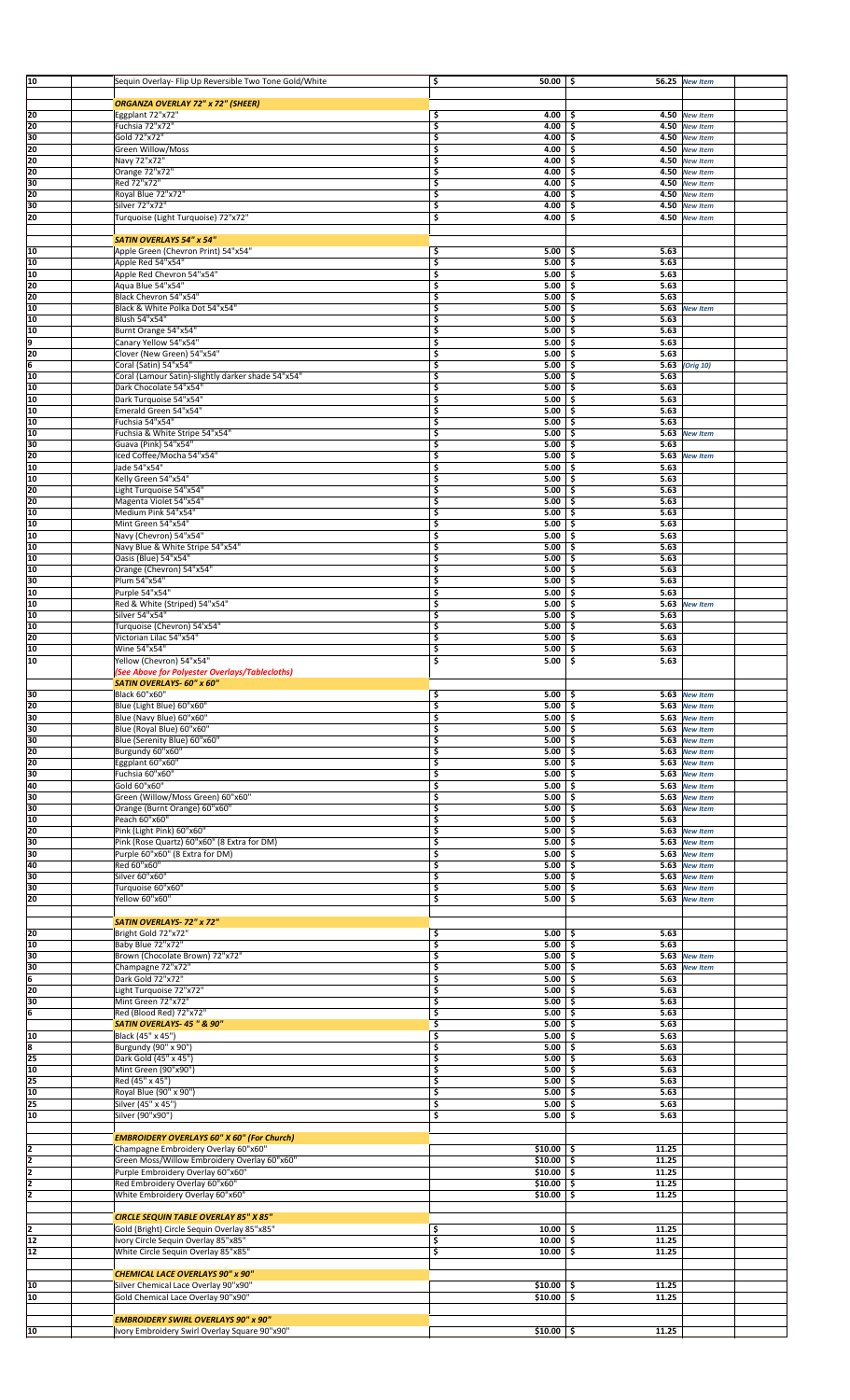| 10            | Sequin Overlay- Flip Up Reversible Two Tone Gold/White                             | \$                      | $50.00$   \$  |                           | <b>56.25</b> New Item              |  |
|---------------|------------------------------------------------------------------------------------|-------------------------|---------------|---------------------------|------------------------------------|--|
|               |                                                                                    |                         |               |                           |                                    |  |
|               | <b>ORGANZA OVERLAY 72" x 72" (SHEER)</b>                                           |                         |               |                           |                                    |  |
| 20            | Eggplant 72"x72"                                                                   | \$                      | 4.00          | \$                        | 4.50 New Item                      |  |
| 20            | Fuchsia 72"x72"                                                                    | $\overline{\mathsf{s}}$ | 4.00          | \$                        | 4.50 New Item                      |  |
| 30<br>20      | Gold 72"x72"<br>Green Willow/Moss                                                  | \$<br>\$                | 4.00<br>4.00  | \$<br>\$<br>4.50          | 4.50 New Item                      |  |
| 20            | Navy 72"x72"                                                                       | \$                      | 4.00          | \$                        | <b>New Item</b><br>4.50 New Item   |  |
| 20            | Orange 72"x72"                                                                     | \$                      | 4.00          | \$<br>4.50                | <b>New Item</b>                    |  |
| 30            | Red 72"x72"                                                                        | \$                      | 4.00          | \$<br>4.50                | <b>New Item</b>                    |  |
| 20            | Royal Blue 72"x72"                                                                 | \$                      | 4.00          | \$<br>4.50                | <b>New Item</b>                    |  |
| 30            | Silver 72"x72"                                                                     | \$                      | 4.00          | \$<br>4.50                | <b>New Item</b>                    |  |
| 20            | Turquoise (Light Turquoise) 72"x72"                                                | \$                      | 4.00          | \$<br>4.50                | <b>New Item</b>                    |  |
|               |                                                                                    |                         |               |                           |                                    |  |
|               | <b>SATIN OVERLAYS 54" x 54"</b>                                                    |                         |               |                           |                                    |  |
| 10            | Apple Green (Chevron Print) 54"x54"                                                | \$.                     | 5.00          | 5.63<br>\$                |                                    |  |
| 10            | Apple Red 54"x54"                                                                  | \$                      | 5.00          | \$.<br>5.63               |                                    |  |
| 10            | Apple Red Chevron 54"x54"                                                          | \$                      | 5.00          | \$<br>5.63                |                                    |  |
| 20            | Aqua Blue 54"x54"                                                                  | \$                      | 5.00          | \$<br>5.63                |                                    |  |
| 20            | Black Chevron 54"x54"                                                              | \$                      | 5.00          | 5.63<br>-\$               |                                    |  |
| 10            | Black & White Polka Dot 54"x54"                                                    | \$                      | 5.00          | \$<br>5.63                | <b>New Item</b>                    |  |
| 10            | Blush 54"x54"                                                                      | \$                      | 5.00          | \$.<br>5.63               |                                    |  |
| 10            | Burnt Orange 54"x54"                                                               | \$                      | 5.00          | \$<br>5.63                |                                    |  |
| l9            | Canary Yellow 54"x54"                                                              | \$                      | 5.00          | \$<br>5.63                |                                    |  |
| 20            | Clover (New Green) 54"x54"                                                         | \$                      | 5.00          | \$<br>5.63                |                                    |  |
| İ6            | Coral (Satin) 54"x54"                                                              | \$                      | 5.00          | \$<br>5.63                | (Orig 10)                          |  |
| l10           | Coral (Lamour Satin)-slightly darker shade 54"x54"                                 | 5                       | 5.00          | \$.<br>5.63               |                                    |  |
| 10            | Dark Chocolate 54"x54"                                                             | \$                      | 5.00          | \$.<br>5.63               |                                    |  |
| 10            | Dark Turquoise 54"x54"                                                             | \$                      | 5.00          | 5.63<br>\$                |                                    |  |
| 10            | Emerald Green 54"x54"                                                              | \$                      | 5.00          | \$<br>5.63                |                                    |  |
| 10            | Fuchsia 54"x54"                                                                    | \$                      | 5.00          | 5.63<br>\$.               |                                    |  |
| 10            | Fuchsia & White Stripe 54"x54"                                                     | \$                      | 5.00          | \$<br>5.63                | <b>New Item</b>                    |  |
| 30            | Guava (Pink) 54"x54"                                                               | \$                      | 5.00          | \$<br>5.63                |                                    |  |
| 20            | Iced Coffee/Mocha 54"x54"                                                          | \$                      | 5.00          | \$<br>5.63                | <b>New Item</b>                    |  |
| 10            | Jade 54"x54"                                                                       | \$                      | 5.00          | \$<br>5.63                |                                    |  |
| 10            | Kelly Green 54"x54"                                                                | \$                      | 5.00          | \$<br>5.63                |                                    |  |
| 20            | Light Turquoise 54"x54"                                                            | \$                      | 5.00          | \$<br>5.63                |                                    |  |
| 20            | Magenta Violet 54"x54"                                                             | \$                      | 5.00          | \$<br>5.63                |                                    |  |
| 10            | Medium Pink 54"x54"                                                                | \$                      | 5.00          | \$.<br>5.63               |                                    |  |
| 10            | Mint Green 54"x54"                                                                 | \$                      | 5.00          | \$<br>5.63                |                                    |  |
| 10<br>10      | Navy (Chevron) 54"x54"                                                             | \$<br>\$                | 5.00<br>5.00  | \$<br>5.63<br>5.63<br>\$. |                                    |  |
| 10            | Navy Blue & White Stripe 54"x54"<br>Oasis (Blue) 54"x54"                           | \$                      | 5.00          | \$<br>5.63                |                                    |  |
| 10            | Orange (Chevron) 54"x54"                                                           | \$                      | 5.00          | \$<br>5.63                |                                    |  |
| 30            | Plum 54"x54"                                                                       | \$                      | 5.00          | \$<br>5.63                |                                    |  |
| 10            | Purple 54"x54"                                                                     | \$                      | 5.00          | \$<br>5.63                |                                    |  |
| 10            | Red & White (Striped) 54"x54"                                                      | \$                      | 5.00          | \$                        | 5.63 New Item                      |  |
| 10            | Silver 54"x54"                                                                     | \$                      | 5.00          | \$<br>5.63                |                                    |  |
| l10           | Turquoise (Chevron) 54'x54"                                                        | 5                       | 5.00          | \$.<br>5.63               |                                    |  |
| 20            | Victorian Lilac 54"x54"                                                            | \$                      | 5.00          | \$.<br>5.63               |                                    |  |
| l10           | Wine 54"x54"                                                                       | \$                      | 5.00          | \$<br>5.63                |                                    |  |
| 10            | Yellow (Chevron) 54"x54"                                                           | \$                      | 5.00          | \$<br>5.63                |                                    |  |
|               | (See Above for Polyester Overlays/Tablecloths)                                     |                         |               |                           |                                    |  |
|               | SATIN OVERLAYS- 60" x 60"                                                          |                         |               |                           |                                    |  |
| 30            | Black 60"x60"                                                                      | 5                       | $5.00$ \$     |                           | 5.63 New Item                      |  |
| 20            | Blue (Light Blue) 60"x60"                                                          | \$                      | $5.00$ \$     |                           | 5.63 New Item                      |  |
| 30            | Blue (Navy Blue) 60"x60"                                                           | \$                      | $5.00$ \$     |                           | 5.63 New Item                      |  |
| 30            | Blue (Royal Blue) 60"x60"                                                          | \$                      | $5.00$ \$     |                           | 5.63 New Item                      |  |
| 30            | Blue (Serenity Blue) 60"x60'                                                       | \$                      | 5.00          | \$.                       | 5.63 New Item                      |  |
| 20            | Burgundy 60"x60"                                                                   | \$                      | 5.00          | \$                        | 5.63 New Item                      |  |
| 20            | Eggplant 60"x60"                                                                   | \$                      | 5.00          | \$.<br>5.63               | <b>New Item</b>                    |  |
| 30            | Fuchsia 60"x60"                                                                    | \$                      | 5.00          | \$<br>5.63                | <b>New Item</b>                    |  |
| 40            | Gold 60"x60"                                                                       | \$                      | 5.00          | \$<br>5.63                | <b>New Item</b>                    |  |
| 30            | Green (Willow/Moss Green) 60"x60"                                                  | \$                      | 5.00          | \$<br>5.63                | <b>New Item</b>                    |  |
| 30            | Orange (Burnt Orange) 60"x60"                                                      | \$                      | 5.00          | \$<br>5.63                | <b>New Item</b>                    |  |
| 10            | Peach 60"x60"                                                                      | \$                      | 5.00          | \$<br>5.63                |                                    |  |
| 20            | Pink (Light Pink) 60"x60"                                                          | \$                      | 5.00          | \$                        | 5.63 New Item                      |  |
| 30            | Pink (Rose Quartz) 60"x60" (8 Extra for DM)                                        | \$                      | 5.00          | \$<br>5.63                | <b>New Item</b>                    |  |
| 30            | Purple 60"x60" (8 Extra for DM)                                                    | \$                      | 5.00          | \$                        | 5.63 New Item                      |  |
| 40            | Red 60"x60"                                                                        | \$                      | 5.00          | \$<br>5.63                | <b>New Item</b>                    |  |
| 30            | Silver 60"x60"                                                                     | \$                      | 5.00          | \$<br>5.63                | <b>New Item</b>                    |  |
| 30            | Turquoise 60"x60"                                                                  | \$                      | 5.00          | \$<br>5.63                | <b>New Item</b>                    |  |
| 20            | Yellow 60"x60"                                                                     | \$                      | 5.00          | \$<br>5.63                | <b>New Item</b>                    |  |
|               |                                                                                    |                         |               |                           |                                    |  |
|               | SATIN OVERLAYS-72" x 72"                                                           |                         |               |                           |                                    |  |
| 20<br>10      | Bright Gold 72"x72"                                                                | \$                      | $5.00$ \$     | 5.63<br>5.63              |                                    |  |
| 30            | Baby Blue 72"x72"                                                                  | \$<br>\$                | 5.00%<br>5.00 | \$<br>5.63                |                                    |  |
| 30            | Brown (Chocolate Brown) 72"x72"<br>Champagne 72"x72"                               | \$                      | 5.00          | \$<br>5.63                | <b>New Item</b><br><b>New Item</b> |  |
| 6             | Dark Gold 72"x72"                                                                  | \$                      | $5.00$ \$     | 5.63                      |                                    |  |
| 20            | Light Turquoise 72"x72"                                                            | \$                      | 5.00          | \$<br>5.63                |                                    |  |
| 30            | Mint Green 72"x72"                                                                 | \$                      | 5.00          | 5.63<br>\$                |                                    |  |
| ļ6            | Red (Blood Red) 72"x72"                                                            | \$                      | 5.00          | \$.<br>5.63               |                                    |  |
|               | SATIN OVERLAYS- 45 " & 90"                                                         | \$                      | 5.00          | \$<br>5.63                |                                    |  |
| 10            | Black (45" x 45")                                                                  | \$                      | 5.00          | \$<br>5.63                |                                    |  |
| 8             | Burgundy (90" x 90")                                                               | \$                      | 5.00          | \$<br>5.63                |                                    |  |
| 25            | Dark Gold (45" x 45")                                                              | \$                      | 5.00          | \$<br>5.63                |                                    |  |
| 10            | Mint Green (90"x90")                                                               | \$                      | 5.00          | \$<br>5.63                |                                    |  |
| 25            | Red (45" x 45")                                                                    | \$                      | 5.00          | \$<br>5.63                |                                    |  |
| 10            | Royal Blue (90" x 90")                                                             | \$                      | 5.00          | \$<br>5.63                |                                    |  |
| 25            | Silver (45" x 45")                                                                 | \$                      | 5.00          | \$<br>5.63                |                                    |  |
| 10            | Silver (90"x90")                                                                   | \$                      | 5.00          | \$<br>5.63                |                                    |  |
|               |                                                                                    |                         |               |                           |                                    |  |
|               | <b>EMBROIDERY OVERLAYS 60" X 60" (For Church)</b>                                  |                         |               |                           |                                    |  |
| $\frac{2}{2}$ | Champagne Embroidery Overlay 60"x60"                                               |                         | $$10.00$   \$ | 11.25                     |                                    |  |
|               | Green Moss/Willow Embroidery Overlay 60"x60"                                       |                         | $$10.00$ $$$  | 11.25                     |                                    |  |
| ī             | Purple Embroidery Overlay 60"x60"                                                  |                         | $$10.00$ \$   | 11.25                     |                                    |  |
| 2             | Red Embroidery Overlay 60"x60"                                                     |                         | $$10.00$ \$   | 11.25                     |                                    |  |
| z             | White Embroidery Overlay 60"x60"                                                   |                         | $$10.00$ \$   | 11.25                     |                                    |  |
|               |                                                                                    |                         |               |                           |                                    |  |
| 12            | <b>CIRCLE SEQUIN TABLE OVERLAY 85" X 85"</b>                                       |                         | $10.00$ \$    | 11.25                     |                                    |  |
| 12            | Gold (Bright) Circle Sequin Overlay 85"x85"<br>Ivory Circle Sequin Overlay 85"x85" | \$<br>\$                | $10.00$ \$    | 11.25                     |                                    |  |
| 12            | White Circle Sequin Overlay 85"x85"                                                | \$                      | $10.00$ \$    | 11.25                     |                                    |  |
|               |                                                                                    |                         |               |                           |                                    |  |
|               | <b>CHEMICAL LACE OVERLAYS 90" x 90"</b>                                            |                         |               |                           |                                    |  |
| 10            | Silver Chemical Lace Overlay 90"x90"                                               |                         | \$10.00       | 11.25<br>\$               |                                    |  |
| 10            | Gold Chemical Lace Overlay 90"x90"                                                 |                         | \$10.00       | Ŝ.<br>11.25               |                                    |  |
|               |                                                                                    |                         |               |                           |                                    |  |
|               | <b>EMBROIDERY SWIRL OVERLAYS 90" x 90"</b>                                         |                         |               |                           |                                    |  |
| 10            |                                                                                    |                         | $$10.00$ \$   | 11.25                     |                                    |  |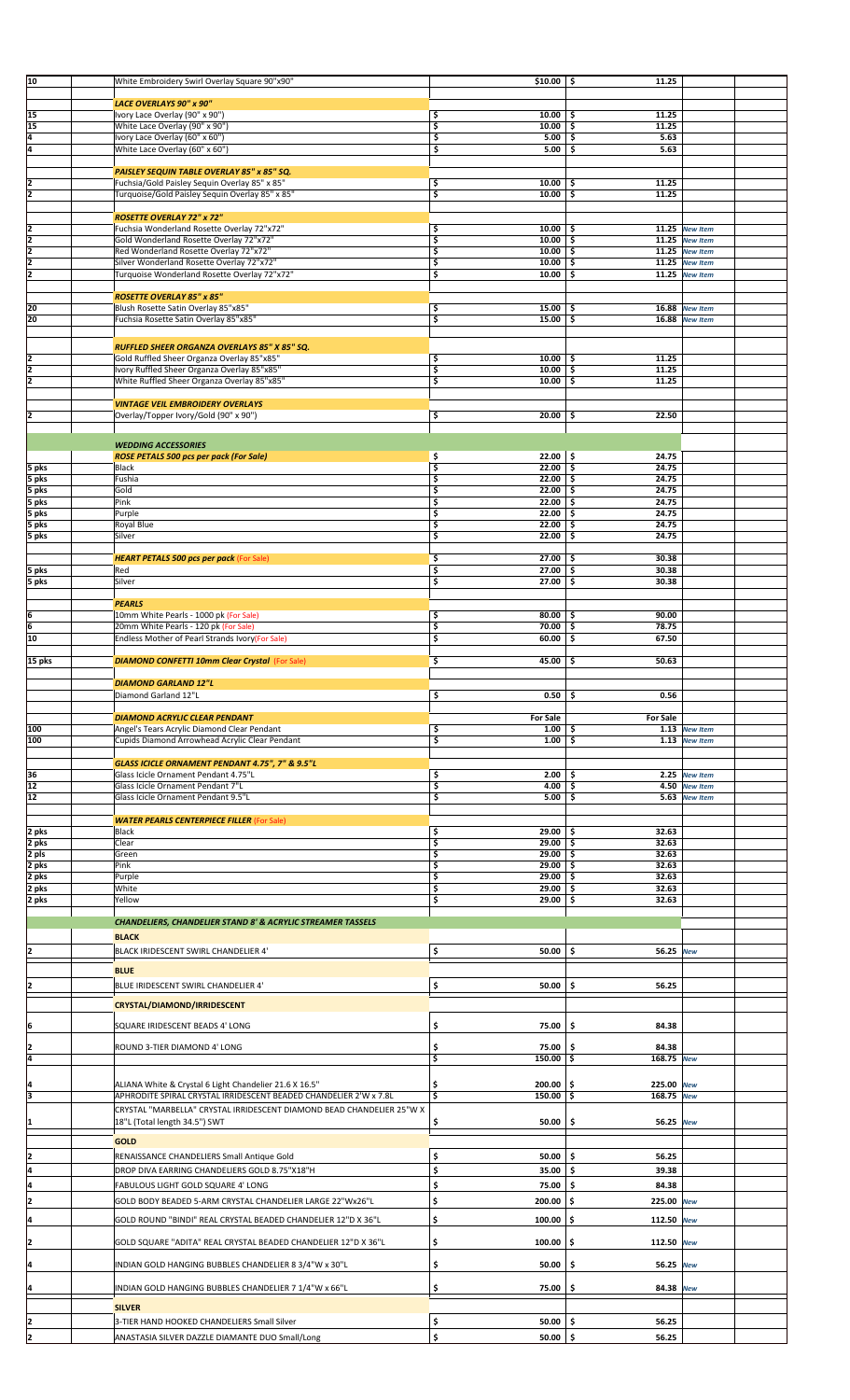| 10             | White Embroidery Swirl Overlay Square 90"x90"                          | $$10.00$   \$     | 11.25                                 |                |  |
|----------------|------------------------------------------------------------------------|-------------------|---------------------------------------|----------------|--|
|                |                                                                        |                   |                                       |                |  |
|                | <b>LACE OVERLAYS 90" x 90"</b>                                         |                   |                                       |                |  |
| 15             | Ivory Lace Overlay (90" x 90")                                         | \$<br>10.00       | 11.25<br>-\$                          |                |  |
| 15             | White Lace Overlay (90" x 90")                                         | \$<br>10.00       | 11.25<br>\$                           |                |  |
| 4              | Ivory Lace Overlay (60" x 60")                                         | \$<br>5.00        | -\$<br>5.63                           |                |  |
| 4              | White Lace Overlay (60" x 60")                                         | \$<br>5.00        | 5.63<br>\$                            |                |  |
|                |                                                                        |                   |                                       |                |  |
|                | PAISLEY SEQUIN TABLE OVERLAY 85" x 85" SQ.                             |                   |                                       |                |  |
|                | Fuchsia/Gold Paisley Sequin Overlay 85" x 85"                          | \$<br>10.00       | 11.25<br>\$                           |                |  |
| $\frac{2}{2}$  | Turquoise/Gold Paisley Sequin Overlay 85" x 85"                        | \$<br>10.00       | \$<br>11.25                           |                |  |
|                |                                                                        |                   |                                       |                |  |
|                | <b>ROSETTE OVERLAY 72" x 72"</b>                                       |                   |                                       |                |  |
| 2              | Fuchsia Wonderland Rosette Overlay 72"x72"                             | \$<br>$10.00$ \$  |                                       | 11.25 New Item |  |
|                | Gold Wonderland Rosette Overlay 72"x72"                                |                   |                                       |                |  |
| ī              |                                                                        | \$<br>10.00       | \$.                                   | 11.25 New Item |  |
| 2              | Red Wonderland Rosette Overlay 72"x72"                                 | \$<br>10.00       | \$.                                   | 11.25 New Item |  |
| $\overline{2}$ | Silver Wonderland Rosette Overlay 72"x72"                              | \$<br>10.00       | \$                                    | 11.25 New Item |  |
| 2              | Turquoise Wonderland Rosette Overlay 72"x72"                           | \$<br>10.00       | \$.                                   | 11.25 New Item |  |
|                |                                                                        |                   |                                       |                |  |
|                | <b>ROSETTE OVERLAY 85" x 85"</b>                                       |                   |                                       |                |  |
| 20             | Blush Rosette Satin Overlay 85"x85"                                    | \$<br>15.00       | -\$                                   | 16.88 New Item |  |
| 20             | Fuchsia Rosette Satin Overlay 85"x85"                                  | \$<br>15.00       | \$                                    | 16.88 New Item |  |
|                |                                                                        |                   |                                       |                |  |
|                |                                                                        |                   |                                       |                |  |
|                | RUFFLED SHEER ORGANZA OVERLAYS 85" X 85" SQ.                           |                   |                                       |                |  |
| 2              | Gold Ruffled Sheer Organza Overlay 85"x85"                             | \$<br>10.00       | 11.25<br>-\$                          |                |  |
| 2              | Ivory Ruffled Sheer Organza Overlay 85"x85"                            | \$<br>10.00       | 11.25<br>\$                           |                |  |
| 2              | White Ruffled Sheer Organza Overlay 85"x85"                            | \$<br>10.00       | \$.<br>11.25                          |                |  |
|                |                                                                        |                   |                                       |                |  |
|                | <b>VINTAGE VEIL EMBROIDERY OVERLAYS</b>                                |                   |                                       |                |  |
|                | Overlay/Topper Ivory/Gold (90" x 90")                                  | \$<br>20.00       | 22.50<br>\$                           |                |  |
|                |                                                                        |                   |                                       |                |  |
|                |                                                                        |                   |                                       |                |  |
|                | <b>WEDDING ACCESSORIES</b>                                             |                   |                                       |                |  |
|                | <b>ROSE PETALS 500 pcs per pack (For Sale)</b>                         | \$<br>22.00%      | 24.75                                 |                |  |
| 5 pks          | Black                                                                  | \$<br>22.00       | \$<br>24.75                           |                |  |
| 5 pks          | Fushia                                                                 | \$<br>22.00       | ۱\$<br>24.75                          |                |  |
| 5 pks          | Gold                                                                   | \$<br>22.00       | \$.<br>24.75                          |                |  |
|                |                                                                        |                   |                                       |                |  |
| 5 pks          | Pink                                                                   | \$<br>22.00       | 24.75<br>\$                           |                |  |
| 5 pks          | Purple                                                                 | \$<br>22.00       | \$ ا<br>24.75                         |                |  |
| 5 pks          | Royal Blue                                                             | \$<br>22.00       | 24.75<br>\$                           |                |  |
| 5 pks          | Silver                                                                 | 22.00<br>\$       | 24.75<br>\$                           |                |  |
|                |                                                                        |                   |                                       |                |  |
|                | <b>HEART PETALS 500 pcs per pack (For Sale)</b>                        | \$<br>27.00       | 30.38<br>-\$                          |                |  |
| 5 pks          | Red                                                                    | \$<br>27.00       | 30.38<br>\$ ا                         |                |  |
| 5 pks          | Silver                                                                 | \$<br>27.00       | -\$<br>30.38                          |                |  |
|                |                                                                        |                   |                                       |                |  |
|                | <b>PEARLS</b>                                                          |                   |                                       |                |  |
| ļ6             | 10mm White Pearls - 1000 pk (For Sale)                                 | \$<br>80.00       | 90.00<br>\$.                          |                |  |
| 6              |                                                                        |                   |                                       |                |  |
|                | 20mm White Pearls - 120 pk (For Sale)                                  | \$<br>70.00       | \$<br>78.75                           |                |  |
| 10             | Endless Mother of Pearl Strands Ivory(For Sale)                        | \$<br>60.00       | \$<br>67.50                           |                |  |
|                |                                                                        |                   |                                       |                |  |
| 15 pks         | <b>DIAMOND CONFETTI 10mm Clear Crystal (For Sale)</b>                  | \$<br>45.00       | 50.63<br>\$                           |                |  |
|                |                                                                        |                   |                                       |                |  |
|                | <b>DIAMOND GARLAND 12"L</b>                                            |                   |                                       |                |  |
|                | Diamond Garland 12"L                                                   | \$<br>$0.50$ \$   | 0.56                                  |                |  |
|                |                                                                        |                   |                                       |                |  |
|                |                                                                        |                   |                                       |                |  |
|                |                                                                        |                   |                                       |                |  |
|                | <b>DIAMOND ACRYLIC CLEAR PENDANT</b>                                   | <b>For Sale</b>   | <b>For Sale</b>                       |                |  |
| 100            | Angel's Tears Acrylic Diamond Clear Pendant                            | \$<br>1.00        | \$                                    | 1.13 New Item  |  |
| 100            | Cupids Diamond Arrowhead Acrylic Clear Pendant                         | \$<br>1.00        | \$                                    | 1.13 New Item  |  |
|                |                                                                        |                   |                                       |                |  |
|                | GLASS ICICLE ORNAMENT PENDANT 4.75", 7" & 9.5"L                        |                   |                                       |                |  |
| 36             | Glass Icicle Ornament Pendant 4.75"L                                   | \$<br>2.00        | \$                                    | 2.25 New Item  |  |
| 12             | Glass Icicle Ornament Pendant 7"L                                      | \$<br>4.00        | \$                                    | 4.50 New Item  |  |
| 12             | Glass Icicle Ornament Pendant 9.5"L                                    | \$<br>5.00        | \$.                                   | 5.63 New Item  |  |
|                |                                                                        |                   |                                       |                |  |
|                | <b>WATER PEARLS CENTERPIECE FILLER (For Sale)</b>                      |                   |                                       |                |  |
|                | Black                                                                  | \$<br>$29.00$ \$  | 32.63                                 |                |  |
| 2 pks          | Clear                                                                  | 29.00             | 32.63<br>\$.                          |                |  |
| 2 pks          |                                                                        | \$                |                                       |                |  |
| 2 pls          | Green                                                                  | \$<br>$29.00$ \$  | 32.63                                 |                |  |
| 2 pks          | Pink                                                                   | \$<br>29.00       | 32.63<br>\$.                          |                |  |
| 2 pks          | Purple                                                                 | \$<br>29.00       | \$<br>32.63                           |                |  |
| 2 pks          | White                                                                  | \$<br>29.00       | -\$<br>32.63                          |                |  |
| 2 pks          | Yellow                                                                 | \$<br>29.00       | <b>S</b><br>32.63                     |                |  |
|                |                                                                        |                   |                                       |                |  |
|                | <b>CHANDELIERS, CHANDELIER STAND 8' &amp; ACRYLIC STREAMER TASSELS</b> |                   |                                       |                |  |
|                | <b>BLACK</b>                                                           |                   |                                       |                |  |
|                |                                                                        |                   |                                       |                |  |
| I2             | BLACK IRIDESCENT SWIRL CHANDELIER 4'                                   | \$<br>50.00       | Ŝ.<br>56.25 New                       |                |  |
|                |                                                                        |                   |                                       |                |  |
|                | <b>BLUE</b>                                                            |                   |                                       |                |  |
| 12             | BLUE IRIDESCENT SWIRL CHANDELIER 4'                                    | \$<br>50.00       | \$<br>56.25                           |                |  |
|                |                                                                        |                   |                                       |                |  |
|                | CRYSTAL/DIAMOND/IRRIDESCENT                                            |                   |                                       |                |  |
|                |                                                                        |                   |                                       |                |  |
| 6              | SQUARE IRIDESCENT BEADS 4' LONG                                        | \$<br>75.00       | 84.38<br>\$.                          |                |  |
|                |                                                                        |                   |                                       |                |  |
| 2              | ROUND 3-TIER DIAMOND 4' LONG                                           | \$<br>75.00       | 84.38<br>-S                           |                |  |
| 4              |                                                                        | \$<br>150.00      | 168.75 New<br>۱\$                     |                |  |
|                |                                                                        |                   |                                       |                |  |
| Ι4             | ALIANA White & Crystal 6 Light Chandelier 21.6 X 16.5"                 | \$<br>200.00      | \$<br>225.00 New                      |                |  |
| 3              | APHRODITE SPIRAL CRYSTAL IRRIDESCENT BEADED CHANDELIER 2'W x 7.8L      | 150.00<br>\$      | $\overline{\mathsf{s}}$<br>168.75 New |                |  |
|                |                                                                        |                   |                                       |                |  |
|                | CRYSTAL "MARBELLA" CRYSTAL IRRIDESCENT DIAMOND BEAD CHANDELIER 25"W X  |                   |                                       |                |  |
| 11             | 18"L (Total length 34.5") SWT                                          | \$<br>50.00       | \$.<br>56.25 New                      |                |  |
|                |                                                                        |                   |                                       |                |  |
|                | <b>GOLD</b>                                                            |                   |                                       |                |  |
| 12             | RENAISSANCE CHANDELIERS Small Antique Gold                             | \$<br>50.00       | \$<br>56.25                           |                |  |
| 4              |                                                                        |                   | Ŝ.                                    |                |  |
|                | DROP DIVA EARRING CHANDELIERS GOLD 8.75"X18"H                          | \$<br>35.00       | 39.38                                 |                |  |
| 14             | FABULOUS LIGHT GOLD SQUARE 4' LONG                                     | \$<br>75.00       | \$.<br>84.38                          |                |  |
|                |                                                                        |                   |                                       |                |  |
| 12             | GOLD BODY BEADED 5-ARM CRYSTAL CHANDELIER LARGE 22"Wx26"L              | \$<br>200.00      | \$.<br>225.00 New                     |                |  |
| 4              | GOLD ROUND "BINDI" REAL CRYSTAL BEADED CHANDELIER 12"D X 36"L          | \$<br>100.00      | \$.<br>112.50 New                     |                |  |
|                |                                                                        |                   |                                       |                |  |
|                |                                                                        |                   |                                       |                |  |
| 2              | GOLD SQUARE "ADITA" REAL CRYSTAL BEADED CHANDELIER 12"D X 36"L         | \$<br>100.00      | \$<br>112.50 New                      |                |  |
|                |                                                                        |                   |                                       |                |  |
| Ι4             | INDIAN GOLD HANGING BUBBLES CHANDELIER 8 3/4"W x 30"L                  | \$<br>50.00       | \$<br>56.25 New                       |                |  |
|                |                                                                        |                   |                                       |                |  |
| ļ4             | INDIAN GOLD HANGING BUBBLES CHANDELIER 7 1/4"W x 66"L                  | \$<br>75.00       | \$.<br>84.38 New                      |                |  |
|                |                                                                        |                   |                                       |                |  |
|                | <b>SILVER</b>                                                          |                   |                                       |                |  |
|                | 3-TIER HAND HOOKED CHANDELIERS Small Silver                            | Ş<br>$50.00$   \$ | 56.25                                 |                |  |
| 2              | ANASTASIA SILVER DAZZLE DIAMANTE DUO Small/Long                        | \$<br>$50.00$ \$  | 56.25                                 |                |  |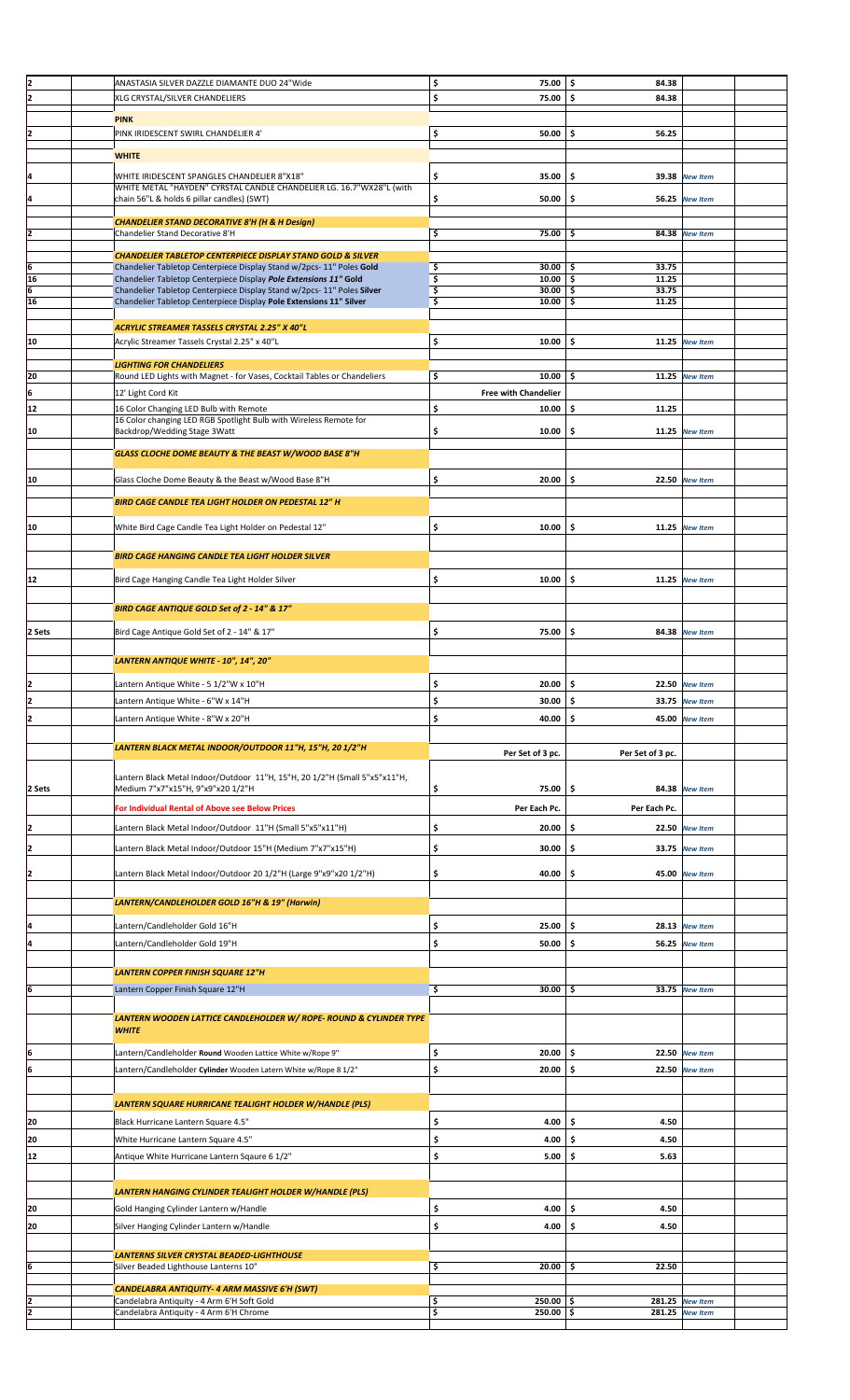|                                                               |                                                                                                                                           | 75.00                                |                  |                       |
|---------------------------------------------------------------|-------------------------------------------------------------------------------------------------------------------------------------------|--------------------------------------|------------------|-----------------------|
| $\frac{2}{2}$                                                 | ANASTASIA SILVER DAZZLE DIAMANTE DUO 24"Wide                                                                                              | \$                                   | \$<br>84.38      |                       |
|                                                               | XLG CRYSTAL/SILVER CHANDELIERS                                                                                                            | \$<br>75.00                          | \$<br>84.38      |                       |
|                                                               | <b>PINK</b>                                                                                                                               |                                      |                  |                       |
| $\overline{z}$                                                | PINK IRIDESCENT SWIRL CHANDELIER 4'                                                                                                       | \$<br>50.00                          | \$<br>56.25      |                       |
|                                                               |                                                                                                                                           |                                      |                  |                       |
|                                                               | <b>WHITE</b>                                                                                                                              |                                      |                  |                       |
|                                                               |                                                                                                                                           |                                      |                  |                       |
| 4                                                             | WHITE IRIDESCENT SPANGLES CHANDELIER 8"X18"                                                                                               | \$<br>35.00                          | \$               | 39.38 New Item        |
|                                                               | WHITE METAL "HAYDEN" CYRSTAL CANDLE CHANDELIER LG. 16.7"WX28"L (with<br>chain 56"L & holds 6 pillar candles) (SWT)                        | \$<br>50.00                          | \$               | 56.25 New Item        |
| <u> 4</u>                                                     |                                                                                                                                           |                                      |                  |                       |
|                                                               | <b>CHANDELIER STAND DECORATIVE 8'H (H &amp; H Design)</b>                                                                                 |                                      |                  |                       |
| $\overline{2}$                                                | Chandelier Stand Decorative 8'H                                                                                                           | \$<br>75.00                          | \$.              | 84.38 New Item        |
|                                                               |                                                                                                                                           |                                      |                  |                       |
|                                                               | <b>CHANDELIER TABLETOP CENTERPIECE DISPLAY STAND GOLD &amp; SILVER</b>                                                                    |                                      |                  |                       |
|                                                               | Chandelier Tabletop Centerpiece Display Stand w/2pcs-11" Poles Gold                                                                       | \$<br>30.00                          | 33.75<br>\$      |                       |
| $\begin{array}{c}\n6 \\ \hline\n16 \\ \hline\n6\n\end{array}$ | Chandelier Tabletop Centerpiece Display Pole Extensions 11" Gold<br>Chandelier Tabletop Centerpiece Display Stand w/2pcs-11" Poles Silver | \$<br>$10.00$ \$<br>\$<br>$30.00$ \$ | 11.25<br>33.75   |                       |
| 16                                                            | Chandelier Tabletop Centerpiece Display Pole Extensions 11" Silver                                                                        | \$<br>10.00                          | \$<br>11.25      |                       |
|                                                               |                                                                                                                                           |                                      |                  |                       |
|                                                               | ACRYLIC STREAMER TASSELS CRYSTAL 2.25" X 40"L                                                                                             |                                      |                  |                       |
| 10                                                            | Acrylic Streamer Tassels Crystal 2.25" x 40"L                                                                                             | \$<br>10.00                          | \$.              | 11.25 New Item        |
|                                                               |                                                                                                                                           |                                      |                  |                       |
|                                                               | <b>LIGHTING FOR CHANDELIERS</b>                                                                                                           |                                      |                  |                       |
| 20                                                            | Round LED Lights with Magnet - for Vases, Cocktail Tables or Chandeliers                                                                  | \$<br>10.00                          | \$               | 11.25 New Item        |
| 6                                                             | 12' Light Cord Kit                                                                                                                        | <b>Free with Chandelier</b>          |                  |                       |
| 12                                                            | 16 Color Changing LED Bulb with Remote                                                                                                    | \$<br>10.00                          | \$<br>11.25      |                       |
|                                                               | 16 Color changing LED RGB Spotlight Bulb with Wireless Remote for                                                                         |                                      |                  |                       |
| 10                                                            | Backdrop/Wedding Stage 3Watt                                                                                                              | \$<br>10.00                          | \$<br>11.25      | <b>New Item</b>       |
|                                                               |                                                                                                                                           |                                      |                  |                       |
|                                                               | GLASS CLOCHE DOME BEAUTY & THE BEAST W/WOOD BASE 8"H                                                                                      |                                      |                  |                       |
|                                                               |                                                                                                                                           |                                      |                  |                       |
| 10                                                            | Glass Cloche Dome Beauty & the Beast w/Wood Base 8"H                                                                                      | \$<br>20.00                          | \$               | 22.50 New Item        |
|                                                               |                                                                                                                                           |                                      |                  |                       |
|                                                               | <b>BIRD CAGE CANDLE TEA LIGHT HOLDER ON PEDESTAL 12" H</b>                                                                                |                                      |                  |                       |
|                                                               |                                                                                                                                           |                                      |                  |                       |
| 10                                                            | White Bird Cage Candle Tea Light Holder on Pedestal 12"                                                                                   | \$<br>10.00                          | \$               | 11.25 New Item        |
|                                                               |                                                                                                                                           |                                      |                  |                       |
|                                                               | <b>BIRD CAGE HANGING CANDLE TEA LIGHT HOLDER SILVER</b>                                                                                   |                                      |                  |                       |
|                                                               |                                                                                                                                           |                                      |                  |                       |
| 12                                                            | Bird Cage Hanging Candle Tea Light Holder Silver                                                                                          | \$<br>10.00                          | \$               | 11.25 New Item        |
|                                                               |                                                                                                                                           |                                      |                  |                       |
|                                                               | BIRD CAGE ANTIQUE GOLD Set of 2 - 14" & 17"                                                                                               |                                      |                  |                       |
|                                                               |                                                                                                                                           |                                      |                  |                       |
| 2 Sets                                                        | Bird Cage Antique Gold Set of 2 - 14" & 17"                                                                                               | \$<br>75.00                          | \$               | 84.38 New Item        |
|                                                               |                                                                                                                                           |                                      |                  |                       |
|                                                               | LANTERN ANTIQUE WHITE - 10", 14", 20"                                                                                                     |                                      |                  |                       |
|                                                               |                                                                                                                                           |                                      |                  |                       |
| 2                                                             | Lantern Antique White - 5 1/2"W x 10"H                                                                                                    | \$<br>20.00                          | \$               | <b>22.50</b> New Item |
| 2                                                             | Lantern Antique White - 6"W x 14"H                                                                                                        | \$<br>$30.00$ \$                     |                  | 33.75 New Item        |
| 2                                                             | Lantern Antique White - 8"W x 20"H                                                                                                        | \$<br>40.00                          | \$               | 45.00 New Item        |
|                                                               |                                                                                                                                           |                                      |                  |                       |
|                                                               |                                                                                                                                           |                                      |                  |                       |
|                                                               | LANTERN BLACK METAL INDOOR/OUTDOOR 11"H, 15"H, 20 1/2"H                                                                                   | Per Set of 3 pc.                     | Per Set of 3 pc. |                       |
|                                                               |                                                                                                                                           |                                      |                  |                       |
|                                                               | Lantern Black Metal Indoor/Outdoor 11"H, 15"H, 20 1/2"H (Small 5"x5"x11"H,                                                                |                                      |                  |                       |
| 2 Sets                                                        | Medium 7"x7"x15"H, 9"x9"x20 1/2"H                                                                                                         | \$<br>75.00                          | \$               | 84.38 New Item        |
|                                                               | For Individual Rental of Above see Below Prices                                                                                           | Per Each Pc.                         | Per Each Pc.     |                       |
|                                                               |                                                                                                                                           |                                      |                  |                       |
| 2                                                             | Lantern Black Metal Indoor/Outdoor 11"H (Small 5"x5"x11"H)                                                                                | \$<br>20.00                          | \$               | 22.50 New Item        |
| $\overline{\mathbf{z}}$                                       | Lantern Black Metal Indoor/Outdoor 15"H (Medium 7"x7"x15"H)                                                                               | \$<br>30.00                          | \$<br>33.75      | <b>New Item</b>       |
|                                                               |                                                                                                                                           |                                      |                  |                       |
| 2                                                             | Lantern Black Metal Indoor/Outdoor 20 1/2"H (Large 9"x9"x20 1/2"H)                                                                        | \$<br>40.00                          | \$               | 45.00 New Item        |
|                                                               |                                                                                                                                           |                                      |                  |                       |
|                                                               |                                                                                                                                           |                                      |                  |                       |
|                                                               | LANTERN/CANDLEHOLDER GOLD 16"H & 19" (Harwin)                                                                                             |                                      |                  |                       |
| 4                                                             | Lantern/Candleholder Gold 16"H                                                                                                            | \$<br>25.00                          | \$               | 28.13 New Item        |
|                                                               |                                                                                                                                           |                                      |                  |                       |
| 4                                                             | Lantern/Candleholder Gold 19"H                                                                                                            | \$<br>50.00                          | \$               | <b>56.25 New Item</b> |
|                                                               |                                                                                                                                           |                                      |                  |                       |
|                                                               | <b>LANTERN COPPER FINISH SQUARE 12"H</b>                                                                                                  |                                      |                  |                       |
| 6                                                             | Lantern Copper Finish Square 12"H                                                                                                         | \$<br>30.00                          | \$.              | 33.75 New Item        |
|                                                               |                                                                                                                                           |                                      |                  |                       |
|                                                               | LANTERN WOODEN LATTICE CANDLEHOLDER W/ ROPE- ROUND & CYLINDER TYPE                                                                        |                                      |                  |                       |
|                                                               | <b>WHITE</b>                                                                                                                              |                                      |                  |                       |
|                                                               |                                                                                                                                           |                                      |                  |                       |
| 6                                                             | Lantern/Candleholder Round Wooden Lattice White w/Rope 9"                                                                                 | \$<br>20.00                          | \$               | 22.50 New Item        |
| 6                                                             | Lantern/Candleholder Cylinder Wooden Latern White w/Rope 8 1/2"                                                                           | \$<br>20.00                          | \$               | 22.50 New Item        |
|                                                               |                                                                                                                                           |                                      |                  |                       |
|                                                               |                                                                                                                                           |                                      |                  |                       |
|                                                               | LANTERN SQUARE HURRICANE TEALIGHT HOLDER W/HANDLE (PLS)                                                                                   |                                      |                  |                       |
| 20                                                            | Black Hurricane Lantern Square 4.5"                                                                                                       | \$<br>4.00                           | \$<br>4.50       |                       |
|                                                               |                                                                                                                                           |                                      |                  |                       |
| 20                                                            | White Hurricane Lantern Square 4.5"                                                                                                       | \$<br>4.00                           | \$<br>4.50       |                       |
| 12                                                            | Antique White Hurricane Lantern Sqaure 6 1/2"                                                                                             | \$<br>5.00                           | \$<br>5.63       |                       |
|                                                               |                                                                                                                                           |                                      |                  |                       |
|                                                               |                                                                                                                                           |                                      |                  |                       |
|                                                               | LANTERN HANGING CYLINDER TEALIGHT HOLDER W/HANDLE (PLS)                                                                                   |                                      |                  |                       |
| 20                                                            | Gold Hanging Cylinder Lantern w/Handle                                                                                                    | \$<br>4.00                           | \$<br>4.50       |                       |
| 20                                                            | Silver Hanging Cylinder Lantern w/Handle                                                                                                  | \$<br>4.00                           | \$<br>4.50       |                       |
|                                                               |                                                                                                                                           |                                      |                  |                       |
|                                                               | <b>LANTERNS SILVER CRYSTAL BEADED-LIGHTHOUSE</b>                                                                                          |                                      |                  |                       |
| 6                                                             | Silver Beaded Lighthouse Lanterns 10"                                                                                                     | \$<br>20.00                          | \$<br>22.50      |                       |
|                                                               |                                                                                                                                           |                                      |                  |                       |
|                                                               | CANDELABRA ANTIQUITY- 4 ARM MASSIVE 6'H (SWT)                                                                                             |                                      |                  |                       |
|                                                               | Candelabra Antiquity - 4 Arm 6'H Soft Gold                                                                                                | \$<br>$250.00$ \$                    |                  | 281.25 New Item       |
| $\frac{2}{2}$                                                 | Candelabra Antiquity - 4 Arm 6'H Chrome                                                                                                   | \$<br>$250.00$ \$                    |                  | 281.25 New Item       |
|                                                               |                                                                                                                                           |                                      |                  |                       |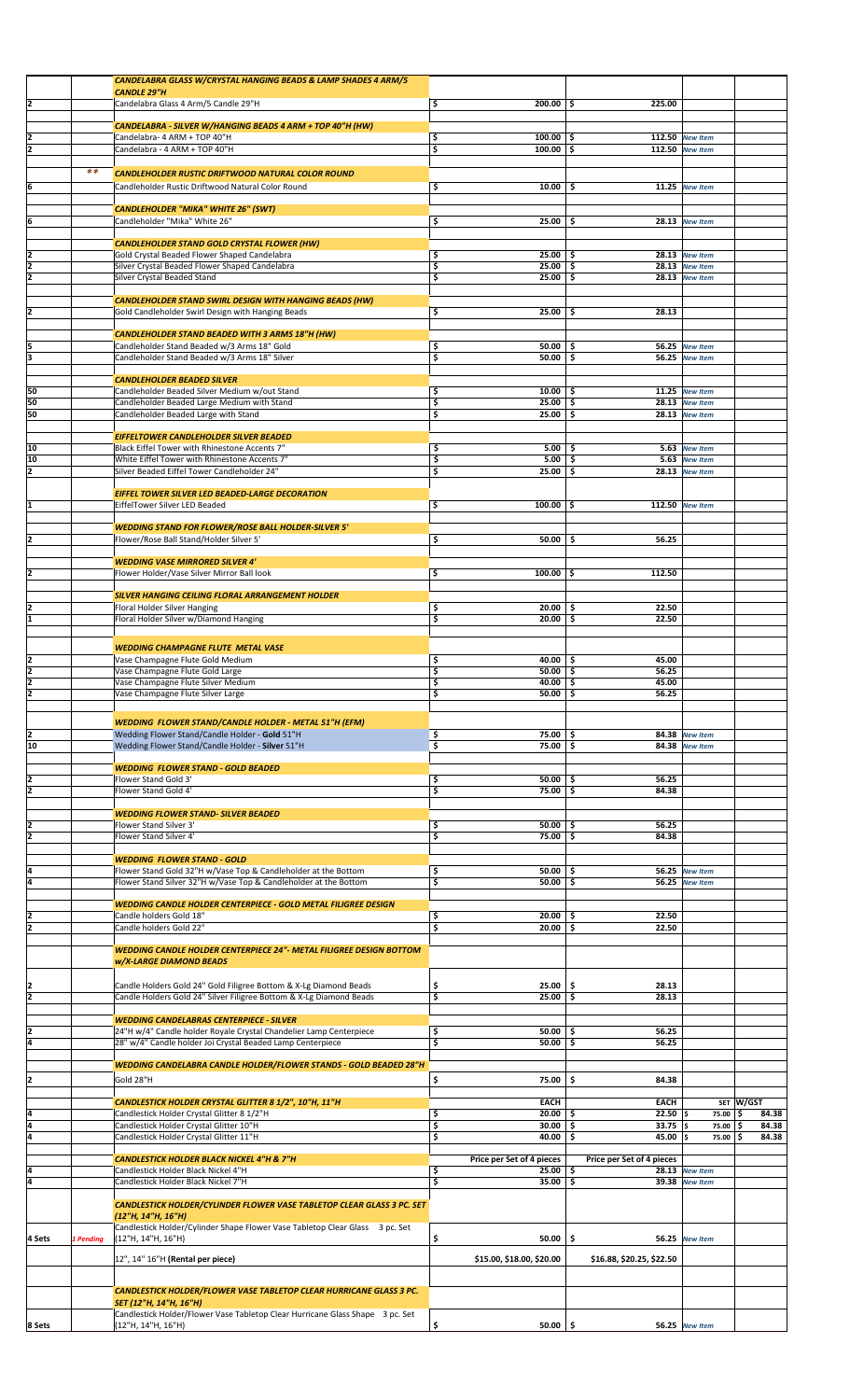|                |           | CANDELABRA GLASS W/CRYSTAL HANGING BEADS & LAMP SHADES 4 ARM/5                               |                                 |                           |                       |              |
|----------------|-----------|----------------------------------------------------------------------------------------------|---------------------------------|---------------------------|-----------------------|--------------|
|                |           | <b>CANDLE 29"H</b>                                                                           |                                 |                           |                       |              |
| 2              |           | Candelabra Glass 4 Arm/5 Candle 29"H                                                         | $200.00$ \$<br>\$               | 225.00                    |                       |              |
|                |           |                                                                                              |                                 |                           |                       |              |
|                |           | CANDELABRA - SILVER W/HANGING BEADS 4 ARM + TOP 40"H (HW)                                    |                                 |                           |                       |              |
| 2              |           | Candelabra- 4 ARM + TOP 40"H                                                                 | \$<br>$100.00$ \$               |                           | 112.50 New Item       |              |
| 2              |           | Candelabra - 4 ARM + TOP 40"H                                                                | \$<br>$100.00$ \$               |                           | 112.50 New Item       |              |
|                |           |                                                                                              |                                 |                           |                       |              |
|                | $**$      | CANDLEHOLDER RUSTIC DRIFTWOOD NATURAL COLOR ROUND                                            |                                 |                           |                       |              |
|                |           |                                                                                              |                                 |                           |                       |              |
| 6              |           | Candleholder Rustic Driftwood Natural Color Round                                            | \$<br>10.00                     | - \$                      | 11.25 New Item        |              |
|                |           |                                                                                              |                                 |                           |                       |              |
|                |           | <b>CANDLEHOLDER "MIKA" WHITE 26" (SWT)</b>                                                   |                                 |                           |                       |              |
| 6              |           | Candleholder "Mika" White 26"                                                                | \$<br>25.00                     | -\$                       | 28.13 New Item        |              |
|                |           |                                                                                              |                                 |                           |                       |              |
|                |           | <b>CANDLEHOLDER STAND GOLD CRYSTAL FLOWER (HW)</b>                                           |                                 |                           |                       |              |
| 2              |           | Gold Crystal Beaded Flower Shaped Candelabra                                                 | \$<br>$25.00$ $\vert$ \$        |                           | 28.13 New Item        |              |
| 2              |           | Silver Crystal Beaded Flower Shaped Candelabra                                               | \$<br>25.00                     | \$                        | 28.13 New Item        |              |
| z              |           | Silver Crystal Beaded Stand                                                                  | \$<br>$25.00$ \$                |                           | 28.13 New Item        |              |
|                |           |                                                                                              |                                 |                           |                       |              |
|                |           | <b>CANDLEHOLDER STAND SWIRL DESIGN WITH HANGING BEADS (HW)</b>                               |                                 |                           |                       |              |
| 2              |           | Gold Candleholder Swirl Design with Hanging Beads                                            | \$<br>$25.00$ \$                | 28.13                     |                       |              |
|                |           |                                                                                              |                                 |                           |                       |              |
|                |           | <b>CANDLEHOLDER STAND BEADED WITH 3 ARMS 18"H (HW)</b>                                       |                                 |                           | 56.25 New Item        |              |
| 5<br>3         |           | Candleholder Stand Beaded w/3 Arms 18" Gold<br>Candleholder Stand Beaded w/3 Arms 18" Silver | \$<br>$50.00$ \$<br>\$<br>50.00 | \$                        | 56.25 New Item        |              |
|                |           |                                                                                              |                                 |                           |                       |              |
|                |           |                                                                                              |                                 |                           |                       |              |
|                |           | <b>CANDLEHOLDER BEADED SILVER</b>                                                            |                                 |                           |                       |              |
| 50             |           | Candleholder Beaded Silver Medium w/out Stand                                                | \$<br>$10.00$   \$              |                           | $11.25$ New Item      |              |
| 50             |           | Candleholder Beaded Large Medium with Stand                                                  | \$<br>$25.00$ \$                |                           | 28.13 New Item        |              |
| 50             |           | Candleholder Beaded Large with Stand                                                         | \$<br>25.00                     | Ŝ.                        | <b>28.13</b> New Item |              |
|                |           |                                                                                              |                                 |                           |                       |              |
|                |           | EIFFELTOWER CANDLEHOLDER SILVER BEADED                                                       |                                 |                           |                       |              |
| 10             |           | Black Eiffel Tower with Rhinestone Accents 7"                                                | \$<br>5.00                      | -\$                       | 5.63 New Item         |              |
| 10             |           | White Eiffel Tower with Rhinestone Accents 7"                                                | \$<br>5.00                      | \$                        | 5.63 New Item         |              |
| 12             |           | Silver Beaded Eiffel Tower Candleholder 24"                                                  | \$<br>25.00                     | \$.                       | 28.13 New Item        |              |
|                |           |                                                                                              |                                 |                           |                       |              |
|                |           | EIFFEL TOWER SILVER LED BEADED-LARGE DECORATION                                              |                                 |                           |                       |              |
| 1              |           | EiffelTower Silver LED Beaded                                                                | \$<br>$100.00$ \$               |                           | 112.50 New Item       |              |
|                |           |                                                                                              |                                 |                           |                       |              |
|                |           | <b>WEDDING STAND FOR FLOWER/ROSE BALL HOLDER-SILVER 5'</b>                                   |                                 |                           |                       |              |
|                |           | Flower/Rose Ball Stand/Holder Silver 5'                                                      | \$<br>50.00                     | 56.25<br>\$               |                       |              |
|                |           |                                                                                              |                                 |                           |                       |              |
|                |           | <b>WEDDING VASE MIRRORED SILVER 4'</b>                                                       |                                 |                           |                       |              |
|                |           | Flower Holder/Vase Silver Mirror Ball look                                                   | \$<br>$100.00$ \$               | 112.50                    |                       |              |
|                |           |                                                                                              |                                 |                           |                       |              |
|                |           | SILVER HANGING CEILING FLORAL ARRANGEMENT HOLDER                                             |                                 |                           |                       |              |
|                |           | Floral Holder Silver Hanging                                                                 | \$<br>20.00                     | 22.50<br>\$.              |                       |              |
| 1              |           | Floral Holder Silver w/Diamond Hanging                                                       | $20.00$ \$<br>\$                | 22.50                     |                       |              |
|                |           |                                                                                              |                                 |                           |                       |              |
|                |           | <b>WEDDING CHAMPAGNE FLUTE METAL VASE</b>                                                    |                                 |                           |                       |              |
| 2              |           | Vase Champagne Flute Gold Medium                                                             | \$<br>40.00                     | 45.00<br>-\$              |                       |              |
| 2              |           | Vase Champagne Flute Gold Large                                                              | \$<br>50.00                     | 56.25<br>-\$              |                       |              |
| 2              |           | Vase Champagne Flute Silver Medium                                                           | \$<br>40.00                     | 45.00<br>-\$              |                       |              |
|                |           | Vase Champagne Flute Silver Large                                                            | $50.00$ $\frac{1}{5}$<br>Ş      | 56.25                     |                       |              |
|                |           |                                                                                              |                                 |                           |                       |              |
|                |           |                                                                                              |                                 |                           |                       |              |
|                |           | <b>WEDDING FLOWER STAND/CANDLE HOLDER - METAL 51"H (EFM)</b>                                 |                                 |                           |                       |              |
| 2              |           | Wedding Flower Stand/Candle Holder - Gold 51"H                                               | \$<br>75.00                     | \$                        | 84.38 New Item        |              |
| 10             |           | Wedding Flower Stand/Candle Holder - Silver 51"H                                             | \$<br>75.00                     | \$                        | 84.38 New Item        |              |
|                |           |                                                                                              |                                 |                           |                       |              |
|                |           | <b>WEDDING FLOWER STAND - GOLD BEADED</b>                                                    |                                 |                           |                       |              |
| 2              |           | Flower Stand Gold 3'                                                                         | \$<br>$50.00$ \$                | 56.25                     |                       |              |
| $\overline{2}$ |           | Flower Stand Gold 4'                                                                         | \$<br>75.00                     | 84.38<br>-\$              |                       |              |
|                |           |                                                                                              |                                 |                           |                       |              |
|                |           | <b>WEDDING FLOWER STAND- SILVER BEADED</b>                                                   |                                 |                           |                       |              |
| 2              |           | Flower Stand Silver 3'                                                                       | \$<br>50.00                     | 56.25<br>-\$              |                       |              |
| 2              |           | Flower Stand Silver 4'                                                                       | \$<br>75.00                     | \$.<br>84.38              |                       |              |
|                |           |                                                                                              |                                 |                           |                       |              |
|                |           | <b>WEDDING FLOWER STAND - GOLD</b>                                                           |                                 |                           |                       |              |
| 4              |           | Flower Stand Gold 32"H w/Vase Top & Candleholder at the Bottom                               | \$<br>50.00                     | -\$                       | 56.25 New Item        |              |
| ā              |           | Flower Stand Silver 32"H w/Vase Top & Candleholder at the Bottom                             | \$<br>50.00                     | \$                        | 56.25 New Item        |              |
|                |           |                                                                                              |                                 |                           |                       |              |
|                |           | WEDDING CANDLE HOLDER CENTERPIECE - GOLD METAL FILIGREE DESIGN                               |                                 |                           |                       |              |
| 12             |           | Candle holders Gold 18"                                                                      | $20.00$   \$<br>\$              | 22.50                     |                       |              |
|                |           | Candle holders Gold 22"                                                                      | \$<br>$20.00$ \$                | 22.50                     |                       |              |
|                |           |                                                                                              |                                 |                           |                       |              |
|                |           | <b>WEDDING CANDLE HOLDER CENTERPIECE 24"- METAL FILIGREE DESIGN BOTTOM</b>                   |                                 |                           |                       |              |
|                |           | <b>w/X-LARGE DIAMOND BEADS</b>                                                               |                                 |                           |                       |              |
|                |           |                                                                                              |                                 |                           |                       |              |
|                |           | Candle Holders Gold 24" Gold Filigree Bottom & X-Lg Diamond Beads                            | \$<br>$25.00$ \$                | 28.13                     |                       |              |
| 2              |           | Candle Holders Gold 24" Silver Filigree Bottom & X-Lg Diamond Beads                          | \$<br>$25.00$ \$                | 28.13                     |                       |              |
|                |           |                                                                                              |                                 |                           |                       |              |
|                |           | <b>WEDDING CANDELABRAS CENTERPIECE - SILVER</b>                                              |                                 |                           |                       |              |
|                |           | 24"H w/4" Candle holder Royale Crystal Chandelier Lamp Centerpiece                           | \$<br>$50.00$ \$                | 56.25                     |                       |              |
| 4              |           | 28" w/4" Candle holder Joi Crystal Beaded Lamp Centerpiece                                   | \$<br>50.00                     | \$.<br>56.25              |                       |              |
|                |           |                                                                                              |                                 |                           |                       |              |
|                |           | WEDDING CANDELABRA CANDLE HOLDER/FLOWER STANDS - GOLD BEADED 28"H                            |                                 |                           |                       |              |
|                |           |                                                                                              |                                 |                           |                       |              |
| 2              |           | Gold 28"H                                                                                    | \$<br>75.00                     | \$<br>84.38               |                       |              |
|                |           |                                                                                              |                                 |                           |                       |              |
|                |           | CANDLESTICK HOLDER CRYSTAL GLITTER 8 1/2", 10"H, 11"H                                        | EACH                            | <b>EACH</b>               |                       | SET W/GST    |
| 4              |           | Candlestick Holder Crystal Glitter 8 1/2"H                                                   | \$<br>20.00                     | $22.50$ \$<br>\$          | 75.00                 | '\$<br>84.38 |
| 4              |           | Candlestick Holder Crystal Glitter 10"H                                                      | \$<br>30.00                     | \$<br>$33.75$ \$          | 75.00                 | ۱\$<br>84.38 |
| ā              |           | Candlestick Holder Crystal Glitter 11"H                                                      | \$<br>40.00                     | \$.<br>45.00              | \$<br>75.00           | '\$<br>84.38 |
|                |           |                                                                                              |                                 |                           |                       |              |
|                |           | <b>CANDLESTICK HOLDER BLACK NICKEL 4"H &amp; 7"H</b>                                         | Price per Set of 4 pieces       | Price per Set of 4 pieces |                       |              |
| 4              |           | Candlestick Holder Black Nickel 4"H                                                          | \$<br>25.00                     | -\$                       | 28.13 New Item        |              |
| ā              |           | Candlestick Holder Black Nickel 7"H                                                          | \$<br>35.00                     | \$                        | 39.38 New Item        |              |
|                |           |                                                                                              |                                 |                           |                       |              |
|                |           | <b>CANDLESTICK HOLDER/CYLINDER FLOWER VASE TABLETOP CLEAR GLASS 3 PC. SET</b>                |                                 |                           |                       |              |
|                |           | (12"H, 14"H, 16"H)                                                                           |                                 |                           |                       |              |
|                |           | Candlestick Holder/Cylinder Shape Flower Vase Tabletop Clear Glass 3 pc. Set                 |                                 |                           |                       |              |
| 4 Sets         | 1 Pending | (12"H, 14"H, 16"H)                                                                           | \$<br>50.00                     | \$                        | 56.25 New Item        |              |
|                |           |                                                                                              |                                 |                           |                       |              |
|                |           | 12", 14" 16"H (Rental per piece)                                                             | \$15.00, \$18.00, \$20.00       | \$16.88, \$20.25, \$22.50 |                       |              |
|                |           |                                                                                              |                                 |                           |                       |              |
|                |           | <b>CANDLESTICK HOLDER/FLOWER VASE TABLETOP CLEAR HURRICANE GLASS 3 PC.</b>                   |                                 |                           |                       |              |
|                |           | SET (12"H, 14"H, 16"H)                                                                       |                                 |                           |                       |              |
|                |           |                                                                                              |                                 |                           |                       |              |
|                |           | Candlestick Holder/Flower Vase Tabletop Clear Hurricane Glass Shape 3 pc. Set                |                                 |                           |                       |              |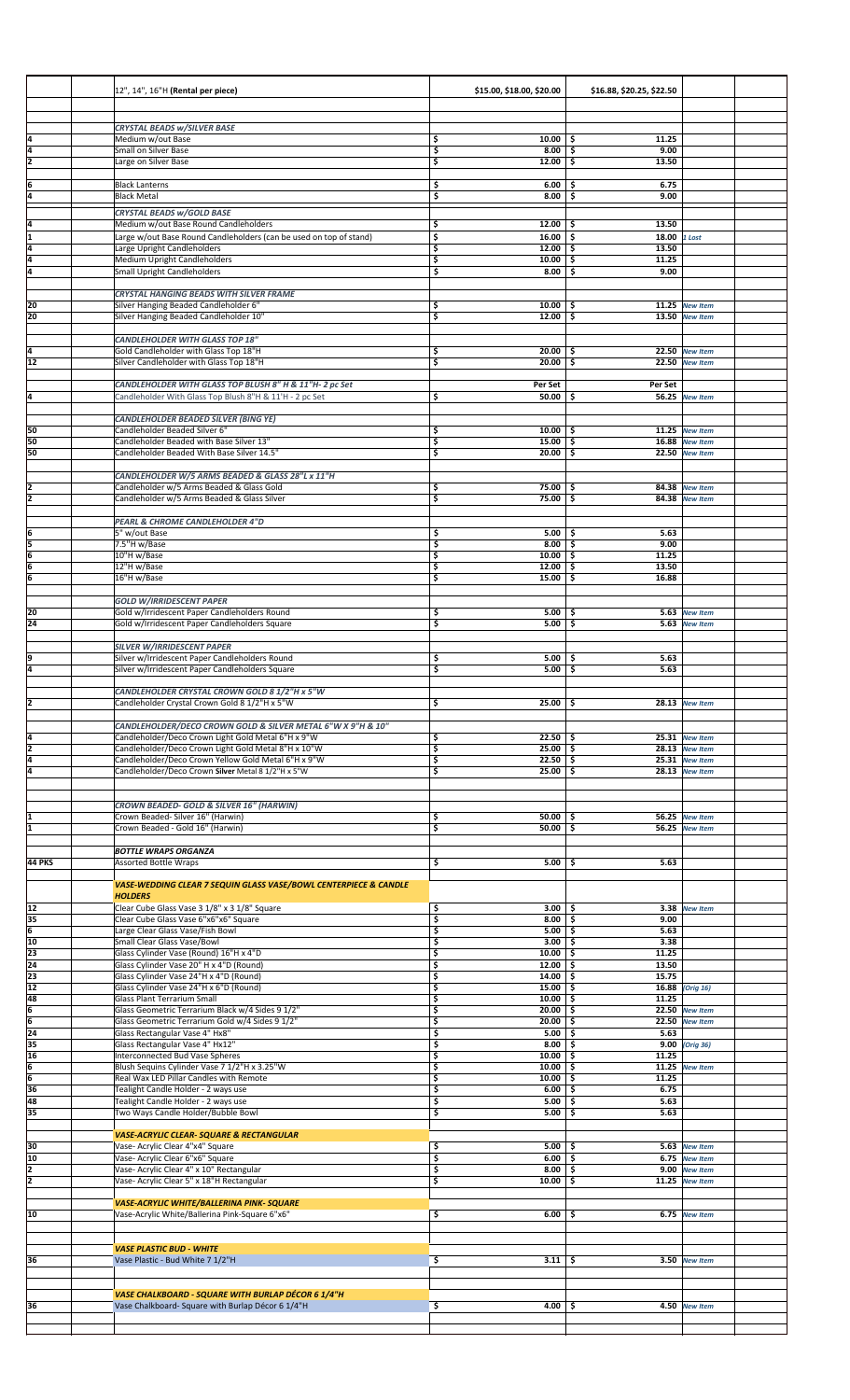|                       | 12", 14", 16"H (Rental per piece)                                                                           | \$15.00, \$18.00, \$20.00                     | \$16.88, \$20.25, \$22.50    |                                         |
|-----------------------|-------------------------------------------------------------------------------------------------------------|-----------------------------------------------|------------------------------|-----------------------------------------|
|                       | <b>CRYSTAL BEADS w/SILVER BASE</b>                                                                          |                                               |                              |                                         |
| l4                    | Medium w/out Base                                                                                           | $10.00$ \$<br>\$                              | 11.25                        |                                         |
| Ī4<br>ī               | Small on Silver Base<br>Large on Silver Base                                                                | \$<br>8.00<br>$12.00$ \$<br>\$                | \$<br>9.00<br>13.50          |                                         |
| 6                     | <b>Black Lanterns</b>                                                                                       | $6.00$ \$<br>\$                               | 6.75                         |                                         |
| 4                     | <b>Black Metal</b>                                                                                          | \$<br>$8.00$ \$                               | 9.00                         |                                         |
|                       | <b>CRYSTAL BEADS W/GOLD BASE</b>                                                                            |                                               |                              |                                         |
| ļ4<br>I1              | Medium w/out Base Round Candleholders<br>Large w/out Base Round Candleholders (can be used on top of stand) | 12.00<br>\$<br>\$<br>$16.00$ \$               | 13.50<br>-\$<br>18.00 1 Lost |                                         |
| ī4<br>ā               | Large Upright Candleholders<br>Medium Upright Candleholders                                                 | \$<br>$12.00$ \$                              | 13.50<br>11.25               |                                         |
| l4                    | <b>Small Upright Candleholders</b>                                                                          | \$<br>$10.00$ \$<br>\$<br>$8.00$ \$           | 9.00                         |                                         |
|                       | <b>CRYSTAL HANGING BEADS WITH SILVER FRAME</b>                                                              |                                               |                              |                                         |
| 20                    | Silver Hanging Beaded Candleholder 6"                                                                       | \$<br>$10.00$   \$                            |                              | 11.25 New Item                          |
| 20                    | Silver Hanging Beaded Candleholder 10"                                                                      | \$<br>$12.00$ \$                              |                              | 13.50 New Item                          |
|                       | <b>CANDLEHOLDER WITH GLASS TOP 18"</b>                                                                      |                                               |                              | 22.50 New Item                          |
| ļ4<br>$\overline{12}$ | Gold Candleholder with Glass Top 18"H<br>Silver Candleholder with Glass Top 18"H                            | $20.00$ \$<br>\$<br>\$<br>$20.00$ \$          |                              | 22.50 New Item                          |
|                       | CANDLEHOLDER WITH GLASS TOP BLUSH 8" H & 11"H- 2 pc Set                                                     | Per Set                                       | Per Set                      |                                         |
| ļ4                    | Candleholder With Glass Top Blush 8"H & 11'H - 2 pc Set                                                     | $50.00$ \$<br>\$                              |                              | 56.25 New Item                          |
|                       | CANDLEHOLDER BEADED SILVER (BING YE)                                                                        |                                               |                              |                                         |
| 50                    | Candleholder Beaded Silver 6"                                                                               | \$<br>$10.00$   \$                            |                              | 11.25 New Item                          |
| 50<br>50              | Candleholder Beaded with Base Silver 13"<br>Candleholder Beaded With Base Silver 14.5"                      | \$<br>$15.00$ \$<br>$20.00$ \$<br>\$          |                              | 16.88 New Item<br>22.50 New Item        |
|                       | CANDLEHOLDER W/5 ARMS BEADED & GLASS 28"L x 11"H                                                            |                                               |                              |                                         |
| 2                     | Candleholder w/5 Arms Beaded & Glass Gold                                                                   | \$<br>75.00%                                  |                              | 84.38 New Item                          |
| z                     | Candleholder w/5 Arms Beaded & Glass Silver                                                                 | \$<br>75.00                                   | -\$                          | 84.38 New Item                          |
|                       | PEARL & CHROME CANDLEHOLDER 4"D                                                                             |                                               |                              |                                         |
| ļ6<br>15              | 5" w/out Base<br>7.5"H w/Base                                                                               | \$<br>$5.00$   \$<br>\$<br>8.00               | 5.63<br>5<br>9.00            |                                         |
| 6                     | 10"H w/Base                                                                                                 | \$<br>$10.00$ \$                              | 11.25                        |                                         |
| 6<br>6                | 12"H w/Base<br>16"H w/Base                                                                                  | \$<br>$12.00$ \$<br>$15.00$ \$<br>\$          | 13.50<br>16.88               |                                         |
|                       |                                                                                                             |                                               |                              |                                         |
| 20                    | <b>GOLD W/IRRIDESCENT PAPER</b><br>Gold w/Irridescent Paper Candleholders Round                             | \$<br>$5.00$ \$                               |                              | 5.63 New Item                           |
| 24                    | Gold w/Irridescent Paper Candleholders Square                                                               | \$<br>5.00                                    | \$                           | 5.63 New Item                           |
|                       | <b>SILVER W/IRRIDESCENT PAPER</b>                                                                           |                                               |                              |                                         |
| ļ9<br>4               | Silver w/Irridescent Paper Candleholders Round<br>Silver w/Irridescent Paper Candleholders Square           | $5.00$ \$<br>\$<br>\$<br>$5.00$ $\frac{1}{5}$ | 5.63<br>5.63                 |                                         |
|                       |                                                                                                             |                                               |                              |                                         |
| 2                     | CANDLEHOLDER CRYSTAL CROWN GOLD 8 1/2"H x 5"W<br>Candleholder Crystal Crown Gold 8 1/2"H x 5"W              | \$<br>25.00%                                  |                              | 28.13 New Item                          |
|                       | CANDLEHOLDER/DECO CROWN GOLD & SILVER METAL 6"W X 9"H & 10"                                                 |                                               |                              |                                         |
| ļ4                    | Candleholder/Deco Crown Light Gold Metal 6"H x 9"W                                                          | \$<br>$22.50$ \$                              |                              | 25.31 New Item                          |
| ī<br>4                | Candleholder/Deco Crown Light Gold Metal 8"H x 10"W<br>Candleholder/Deco Crown Yellow Gold Metal 6"H x 9"W  | \$<br>$25.00$ \$<br>\$<br>$22.50$ \$          |                              | 28.13 New Item<br>25.31 New Item        |
| 4                     | Candleholder/Deco Crown Silver Metal 8 1/2"H x 5"W                                                          | \$<br>$25.00$ \$                              |                              | 28.13 New Item                          |
|                       |                                                                                                             |                                               |                              |                                         |
|                       | CROWN BEADED- GOLD & SILVER 16" (HARWIN)<br>Crown Beaded- Silver 16" (Harwin)                               | \$<br>50.00                                   |                              |                                         |
| I1                    | Crown Beaded - Gold 16" (Harwin)                                                                            | \$<br>$50.00$ \$                              | -S                           | 56.25 New Item<br><b>56.25</b> New Item |
|                       | <b>BOTTLE WRAPS ORGANZA</b>                                                                                 |                                               |                              |                                         |
| <b>44 PKS</b>         | <b>Assorted Bottle Wraps</b>                                                                                | \$<br>5.00                                    | 5.63<br>-\$                  |                                         |
|                       | VASE-WEDDING CLEAR 7 SEQUIN GLASS VASE/BOWL CENTERPIECE & CANDLE                                            |                                               |                              |                                         |
|                       | <b>HOLDERS</b>                                                                                              |                                               |                              |                                         |
| 12<br>35              | Clear Cube Glass Vase 3 1/8" x 3 1/8" Square<br>Clear Cube Glass Vase 6"x6"x6" Square                       | \$<br>3.00<br>\$<br>8.00                      | -\$<br>\$<br>9.00            | 3.38 New Item                           |
| $\overline{6}$<br>10  | Large Clear Glass Vase/Fish Bowl                                                                            | \$<br>5.00<br>\$<br>3.00                      | \$<br>5.63<br>3.38           |                                         |
| 23                    | Small Clear Glass Vase/Bowl<br>Glass Cylinder Vase (Round) 16"H x 4"D                                       | \$<br>$10.00$ \$                              | -\$<br>11.25                 |                                         |
| 24<br>23              | Glass Cylinder Vase 20" H x 4"D (Round)<br>Glass Cylinder Vase 24"H x 4"D (Round)                           | \$<br>$12.00$ \$<br>\$<br>$14.00 \,$ \$       | 13.50<br>15.75               |                                         |
| $\overline{12}$       | Glass Cylinder Vase 24"H x 6"D (Round)                                                                      | \$<br>15.00%                                  |                              | 16.88 (Orig 16)                         |
| 48<br>6               | Glass Plant Terrarium Small<br>Glass Geometric Terrarium Black w/4 Sides 9 1/2"                             | \$<br>10.00<br>\$<br>20.00                    | -\$<br>11.25<br>-\$          | 22.50 New Item                          |
| 6                     | Glass Geometric Terrarium Gold w/4 Sides 9 1/2"                                                             | \$<br>$20.00$ \$                              |                              | 22.50 New Item                          |
| 24<br>35              | Glass Rectangular Vase 4" Hx8"<br>Glass Rectangular Vase 4" Hx12"                                           | \$<br>5.00<br>\$<br>8.00                      | -\$<br>5.63<br>-\$           | 9.00 (Orig 36)                          |
| 16<br>16              | Interconnected Bud Vase Spheres                                                                             | \$<br>$10.00$ \$<br>10.00                     | 11.25                        |                                         |
| 6                     | Blush Sequins Cylinder Vase 7 1/2"H x 3.25"W<br>Real Wax LED Pillar Candles with Remote                     | \$<br>\$<br>$10.00$ \$                        | \$<br>11.25                  | 11.25 New Item                          |
| 36<br>48              | Tealight Candle Holder - 2 ways use<br>Tealight Candle Holder - 2 ways use                                  | \$<br>6.00<br>\$<br>5.00                      | -\$<br>6.75<br>\$<br>5.63    |                                         |
| 35                    | Two Ways Candle Holder/Bubble Bowl                                                                          | \$<br>5.00                                    | -\$<br>5.63                  |                                         |
|                       | <b>VASE-ACRYLIC CLEAR- SQUARE &amp; RECTANGULAR</b>                                                         |                                               |                              |                                         |
| 30                    | Vase- Acrylic Clear 4"x4" Square                                                                            | \$<br>$5.00$ \$                               |                              | 5.63 New Item                           |
| 10<br>2               | Vase- Acrylic Clear 6"x6" Square<br>Vase- Acrylic Clear 4" x 10" Rectangular                                | \$<br>6.00<br>\$<br>8.00                      | -\$<br>-\$                   | 6.75 New Item<br>9.00 New Item          |
| 2                     | Vase- Acrylic Clear 5" x 18"H Rectangular                                                                   | \$<br>10.00                                   | -\$                          | 11.25 New Item                          |
|                       | VASE-ACRYLIC WHITE/BALLERINA PINK- SQUARE                                                                   |                                               |                              |                                         |
| 10                    | Vase-Acrylic White/Ballerina Pink-Square 6"x6"                                                              | \$<br>6.00                                    | s                            | 6.75 New Item                           |
|                       |                                                                                                             |                                               |                              |                                         |
| 36                    | <b>VASE PLASTIC BUD - WHITE</b><br>Vase Plastic - Bud White 7 1/2"H                                         | \$<br>$3.11 \, \vert \,$ \$                   |                              | 3.50 New Item                           |
|                       |                                                                                                             |                                               |                              |                                         |
|                       | VASE CHALKBOARD - SQUARE WITH BURLAP DÉCOR 6 1/4"H                                                          |                                               |                              |                                         |
| 36                    | Vase Chalkboard- Square with Burlap Décor 6 1/4"H                                                           | \$<br>4.00                                    | -\$                          | 4.50 New Item                           |
|                       |                                                                                                             |                                               |                              |                                         |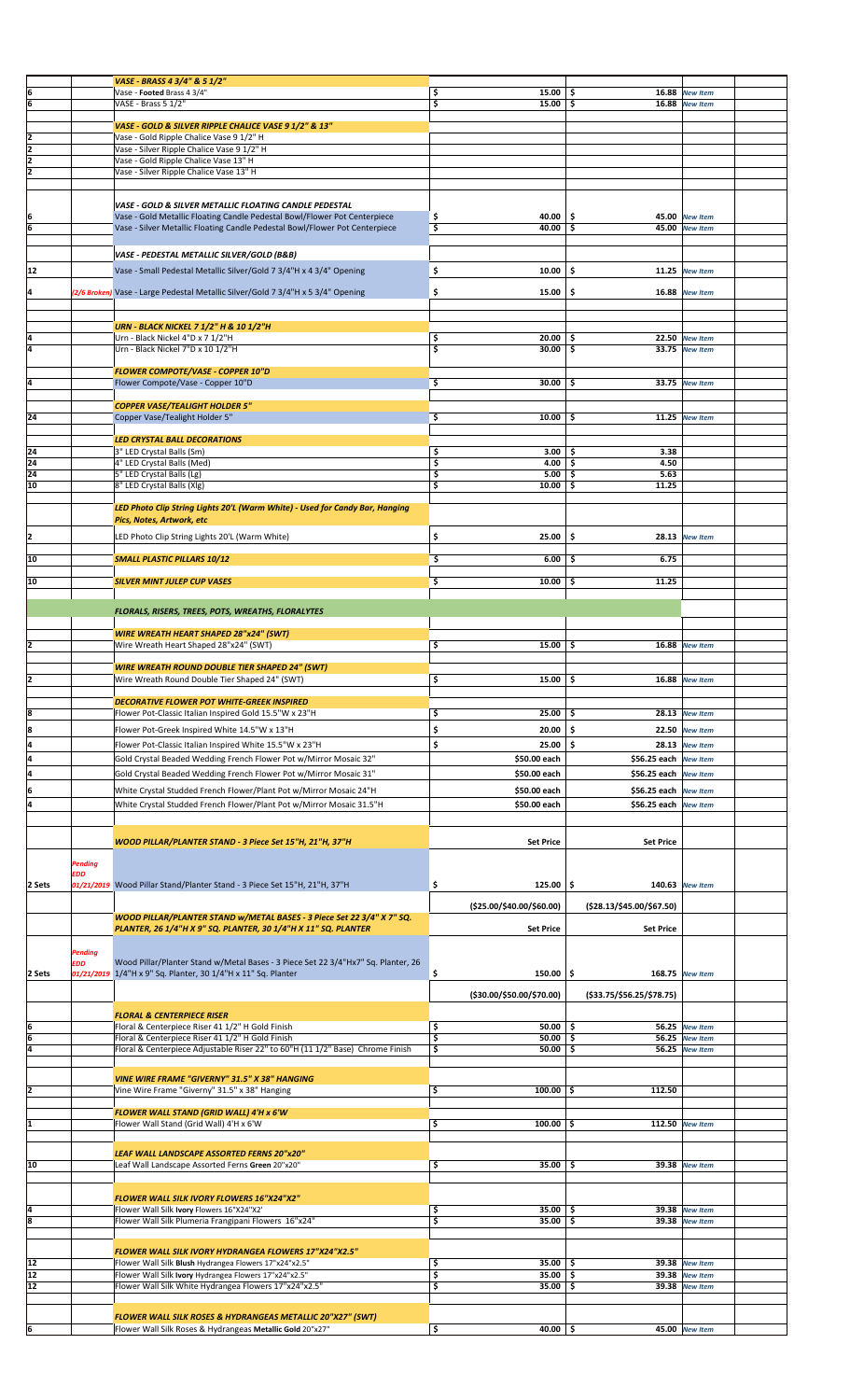|                |                       | VASE - BRASS 4 3/4" & 5 1/2"                                                                                                             |                                           |                                         |                       |  |
|----------------|-----------------------|------------------------------------------------------------------------------------------------------------------------------------------|-------------------------------------------|-----------------------------------------|-----------------------|--|
| 6              |                       | Vase - Footed Brass 4 3/4"                                                                                                               | $15.00$   \$<br>\$                        | 16.88                                   | <b>New Item</b>       |  |
| 6              |                       | VASE - Brass 5 1/2"                                                                                                                      | $15.00$ \$<br>\$                          |                                         | 16.88 New Item        |  |
|                |                       |                                                                                                                                          |                                           |                                         |                       |  |
|                |                       | VASE - GOLD & SILVER RIPPLE CHALICE VASE 9 1/2" & 13"                                                                                    |                                           |                                         |                       |  |
| 2<br>z         |                       | Vase - Gold Ripple Chalice Vase 9 1/2" H<br>Vase - Silver Ripple Chalice Vase 9 1/2" H                                                   |                                           |                                         |                       |  |
| z              |                       | Vase - Gold Ripple Chalice Vase 13" H                                                                                                    |                                           |                                         |                       |  |
| ī              |                       | Vase - Silver Ripple Chalice Vase 13" H                                                                                                  |                                           |                                         |                       |  |
|                |                       |                                                                                                                                          |                                           |                                         |                       |  |
|                |                       |                                                                                                                                          |                                           |                                         |                       |  |
| 6              |                       | VASE - GOLD & SILVER METALLIC FLOATING CANDLE PEDESTAL<br>Vase - Gold Metallic Floating Candle Pedestal Bowl/Flower Pot Centerpiece      | \$<br>$40.00$   \$                        |                                         | 45.00 New Item        |  |
| 6              |                       | Vase - Silver Metallic Floating Candle Pedestal Bowl/Flower Pot Centerpiece                                                              | \$<br>$40.00$ \$                          | 45.00                                   | <b>New Item</b>       |  |
|                |                       |                                                                                                                                          |                                           |                                         |                       |  |
|                |                       | VASE - PEDESTAL METALLIC SILVER/GOLD (B&B)                                                                                               |                                           |                                         |                       |  |
| 12             |                       | Vase - Small Pedestal Metallic Silver/Gold 7 3/4"H x 4 3/4" Opening                                                                      | \$<br>10.00                               | -\$                                     | 11.25 New Item        |  |
|                |                       |                                                                                                                                          |                                           |                                         |                       |  |
| 14             |                       | (2/6 Broken) Vase - Large Pedestal Metallic Silver/Gold 7 3/4"H x 5 3/4" Opening                                                         | \$<br>15.00                               | \$                                      | 16.88 New Item        |  |
|                |                       |                                                                                                                                          |                                           |                                         |                       |  |
|                |                       | <b>URN - BLACK NICKEL 7 1/2" H &amp; 10 1/2"H</b>                                                                                        |                                           |                                         |                       |  |
| ļ4             |                       | Urn - Black Nickel 4"D x 7 1/2"H                                                                                                         | \$<br>$20.00$   \$                        |                                         | 22.50 New Item        |  |
| Ī4             |                       | Urn - Black Nickel 7"D x 10 1/2"H                                                                                                        | \$<br>30.00                               | \$.                                     | 33.75 New Item        |  |
|                |                       |                                                                                                                                          |                                           |                                         |                       |  |
|                |                       | FLOWER COMPOTE/VASE - COPPER 10"D                                                                                                        |                                           |                                         |                       |  |
| 4              |                       | Flower Compote/Vase - Copper 10"D                                                                                                        | \$<br>30.00                               | \$                                      | 33.75 New Item        |  |
|                |                       | <b>COPPER VASE/TEALIGHT HOLDER 5"</b>                                                                                                    |                                           |                                         |                       |  |
| 24             |                       | Copper Vase/Tealight Holder 5"                                                                                                           | \$<br>$10.00$ \$                          |                                         | 11.25 New Item        |  |
|                |                       |                                                                                                                                          |                                           |                                         |                       |  |
|                |                       | LED CRYSTAL BALL DECORATIONS                                                                                                             |                                           |                                         |                       |  |
| 24             |                       | 3" LED Crystal Balls (Sm)                                                                                                                | \$<br>3.00                                | 3.38<br>-\$                             |                       |  |
| 24<br>24       |                       | 4" LED Crystal Balls (Med)<br>5" LED Crystal Balls (Lg)                                                                                  | \$<br>$4.00 \, \vert \, \$$<br>\$<br>5.00 | 4.50<br>$\overline{\mathsf{s}}$<br>5.63 |                       |  |
| 10             |                       | 8" LED Crystal Balls (Xlg)                                                                                                               | \$<br>$10.00$ \$                          | 11.25                                   |                       |  |
|                |                       |                                                                                                                                          |                                           |                                         |                       |  |
|                |                       | LED Photo Clip String Lights 20'L (Warm White) - Used for Candy Bar, Hanging                                                             |                                           |                                         |                       |  |
|                |                       | Pics, Notes, Artwork, etc                                                                                                                |                                           |                                         |                       |  |
| I2             |                       | LED Photo Clip String Lights 20'L (Warm White)                                                                                           | $25.00$ \$<br>\$                          |                                         | 28.13 New Item        |  |
|                |                       |                                                                                                                                          |                                           | 6.75                                    |                       |  |
| 10             |                       | <b>SMALL PLASTIC PILLARS 10/12</b>                                                                                                       | \$<br>$6.00$ \$                           |                                         |                       |  |
| 10             |                       | <b>SILVER MINT JULEP CUP VASES</b>                                                                                                       | \$<br>10.00                               | 11.25<br>\$.                            |                       |  |
|                |                       |                                                                                                                                          |                                           |                                         |                       |  |
|                |                       | FLORALS, RISERS, TREES, POTS, WREATHS, FLORALYTES                                                                                        |                                           |                                         |                       |  |
|                |                       |                                                                                                                                          |                                           |                                         |                       |  |
|                |                       | <b>WIRE WREATH HEART SHAPED 28"x24" (SWT)</b>                                                                                            |                                           |                                         |                       |  |
| I2             |                       | Wire Wreath Heart Shaped 28"x24" (SWT)                                                                                                   | \$<br>15.00%                              |                                         | <b>16.88</b> New Item |  |
|                |                       | <b>WIRE WREATH ROUND DOUBLE TIER SHAPED 24" (SWT)</b>                                                                                    |                                           |                                         |                       |  |
|                |                       | Wire Wreath Round Double Tier Shaped 24" (SWT)                                                                                           | \$<br>$15.00$ \$                          |                                         | 16.88 New Item        |  |
|                |                       |                                                                                                                                          |                                           |                                         |                       |  |
| 8              |                       | <b>DECORATIVE FLOWER POT WHITE-GREEK INSPIRED</b><br>Flower Pot-Classic Italian Inspired Gold 15.5"W x 23"H                              | \$<br>25.00%                              |                                         | 28.13 New Item        |  |
|                |                       |                                                                                                                                          | \$<br>20.00                               |                                         |                       |  |
|                |                       | Flower Pot-Greek Inspired White 14.5"W x 13"H                                                                                            |                                           | \$.                                     | 22.50 New Item        |  |
| 8              |                       |                                                                                                                                          |                                           |                                         |                       |  |
| ļ4             |                       | Flower Pot-Classic Italian Inspired White 15.5"W x 23"H                                                                                  | \$<br>25.00                               | \$                                      | 28.13 New Item        |  |
| Ā              |                       | Gold Crystal Beaded Wedding French Flower Pot w/Mirror Mosaic 32"                                                                        | \$50.00 each                              | \$56.25 each New Item                   |                       |  |
| ļ4             |                       | Gold Crystal Beaded Wedding French Flower Pot w/Mirror Mosaic 31"                                                                        | \$50.00 each                              | \$56.25 each New Item                   |                       |  |
| 6              |                       | White Crystal Studded French Flower/Plant Pot w/Mirror Mosaic 24"H                                                                       | \$50.00 each                              | \$56.25 each New Item                   |                       |  |
| ļ4             |                       | White Crystal Studded French Flower/Plant Pot w/Mirror Mosaic 31.5"H                                                                     | \$50.00 each                              | \$56.25 each New Item                   |                       |  |
|                |                       |                                                                                                                                          |                                           |                                         |                       |  |
|                |                       |                                                                                                                                          |                                           |                                         |                       |  |
|                |                       | WOOD PILLAR/PLANTER STAND - 3 Piece Set 15"H, 21"H, 37"H                                                                                 | <b>Set Price</b>                          | <b>Set Price</b>                        |                       |  |
|                |                       |                                                                                                                                          |                                           |                                         |                       |  |
|                | <b>Pending</b><br>EDD |                                                                                                                                          |                                           |                                         |                       |  |
| 2 Sets         |                       | 01/21/2019 Wood Pillar Stand/Planter Stand - 3 Piece Set 15"H, 21"H, 37"H                                                                | $125.00$ \$<br>\$                         |                                         | 140.63 New Item       |  |
|                |                       |                                                                                                                                          |                                           |                                         |                       |  |
|                |                       |                                                                                                                                          | (\$25.00/\$40.00/\$60.00)                 | (\$28.13/\$45.00/\$67.50)               |                       |  |
|                |                       | WOOD PILLAR/PLANTER STAND w/METAL BASES - 3 Piece Set 22 3/4" X 7" SQ.<br>PLANTER, 26 1/4"H X 9" SQ. PLANTER, 30 1/4"H X 11" SQ. PLANTER | <b>Set Price</b>                          | <b>Set Price</b>                        |                       |  |
|                |                       |                                                                                                                                          |                                           |                                         |                       |  |
|                | Pending               |                                                                                                                                          |                                           |                                         |                       |  |
|                | EDD                   | Wood Pillar/Planter Stand w/Metal Bases - 3 Piece Set 22 3/4"Hx7" Sq. Planter, 26                                                        |                                           |                                         |                       |  |
| 2 Sets         |                       | 01/21/2019 1/4"H x 9" Sq. Planter, 30 1/4"H x 11" Sq. Planter                                                                            | \$<br>$150.00$ \$                         |                                         | 168.75 New Item       |  |
|                |                       |                                                                                                                                          | (\$30.00/\$50.00/\$70.00)                 | ( \$33.75 / \$56.25 / \$78.75 )         |                       |  |
|                |                       | <b>FLORAL &amp; CENTERPIECE RISER</b>                                                                                                    |                                           |                                         |                       |  |
| ļ6             |                       | Floral & Centerpiece Riser 41 1/2" H Gold Finish                                                                                         | $50.00$   \$<br>\$                        |                                         | 56.25 New Item        |  |
| 6              |                       | Floral & Centerpiece Riser 41 1/2" H Gold Finish                                                                                         | \$<br>$50.00$ \$                          |                                         | 56.25 New Item        |  |
| ā              |                       | Floral & Centerpiece Adjustable Riser 22" to 60"H (11 1/2" Base) Chrome Finish                                                           | \$<br>50.00                               | \$.                                     | 56.25 New Item        |  |
|                |                       |                                                                                                                                          |                                           |                                         |                       |  |
|                |                       | VINE WIRE FRAME "GIVERNY" 31.5" X 38" HANGING                                                                                            |                                           |                                         |                       |  |
| I2             |                       | Vine Wire Frame "Giverny" 31.5" x 38" Hanging                                                                                            | \$<br>$100.00$ \$                         | 112.50                                  |                       |  |
|                |                       | FLOWER WALL STAND (GRID WALL) 4'H x 6'W                                                                                                  |                                           |                                         |                       |  |
| I1             |                       | Flower Wall Stand (Grid Wall) 4'H x 6'W                                                                                                  | \$<br>$100.00$ \$                         |                                         | 112.50 New Item       |  |
|                |                       |                                                                                                                                          |                                           |                                         |                       |  |
|                |                       | LEAF WALL LANDSCAPE ASSORTED FERNS 20"x20"                                                                                               |                                           |                                         |                       |  |
| 10             |                       | Leaf Wall Landscape Assorted Ferns Green 20"x20"                                                                                         | \$<br>35.00                               | \$<br>39.38                             | <b>New Item</b>       |  |
|                |                       |                                                                                                                                          |                                           |                                         |                       |  |
|                |                       | FLOWER WALL SILK IVORY FLOWERS 16"X24"X2"                                                                                                |                                           |                                         |                       |  |
| ļ4             |                       | Flower Wall Silk Ivory Flowers 16"X24"X2'                                                                                                | $35.00$   \$<br>\$                        |                                         | 39.38 New Item        |  |
| 8              |                       | Flower Wall Silk Plumeria Frangipani Flowers 16"x24"                                                                                     | \$<br>$35.00$ \$                          |                                         | 39.38 New Item        |  |
|                |                       |                                                                                                                                          |                                           |                                         |                       |  |
|                |                       | FLOWER WALL SILK IVORY HYDRANGEA FLOWERS 17"X24"X2.5"                                                                                    |                                           |                                         |                       |  |
| 12             |                       | Flower Wall Silk Blush Hydrangea Flowers 17"x24"x2.5"                                                                                    | \$<br>$35.00$ \$                          |                                         | 39.38 New Item        |  |
| 12             |                       | Flower Wall Silk Ivory Hydrangea Flowers 17"x24"x2.5"                                                                                    | \$<br>$35.00$ \$                          |                                         | 39.38 New Item        |  |
| 12             |                       | Flower Wall Silk White Hydrangea Flowers 17"x24"x2.5"                                                                                    | \$<br>$35.00$ \$                          |                                         | 39.38 New Item        |  |
|                |                       |                                                                                                                                          |                                           |                                         |                       |  |
| $\overline{6}$ |                       | <b>FLOWER WALL SILK ROSES &amp; HYDRANGEAS METALLIC 20"X27" (SWT)</b><br>Flower Wall Silk Roses & Hydrangeas Metallic Gold 20"x27"       | $\overline{\mathsf{S}}$<br>40.00%         |                                         | 45.00 New Item        |  |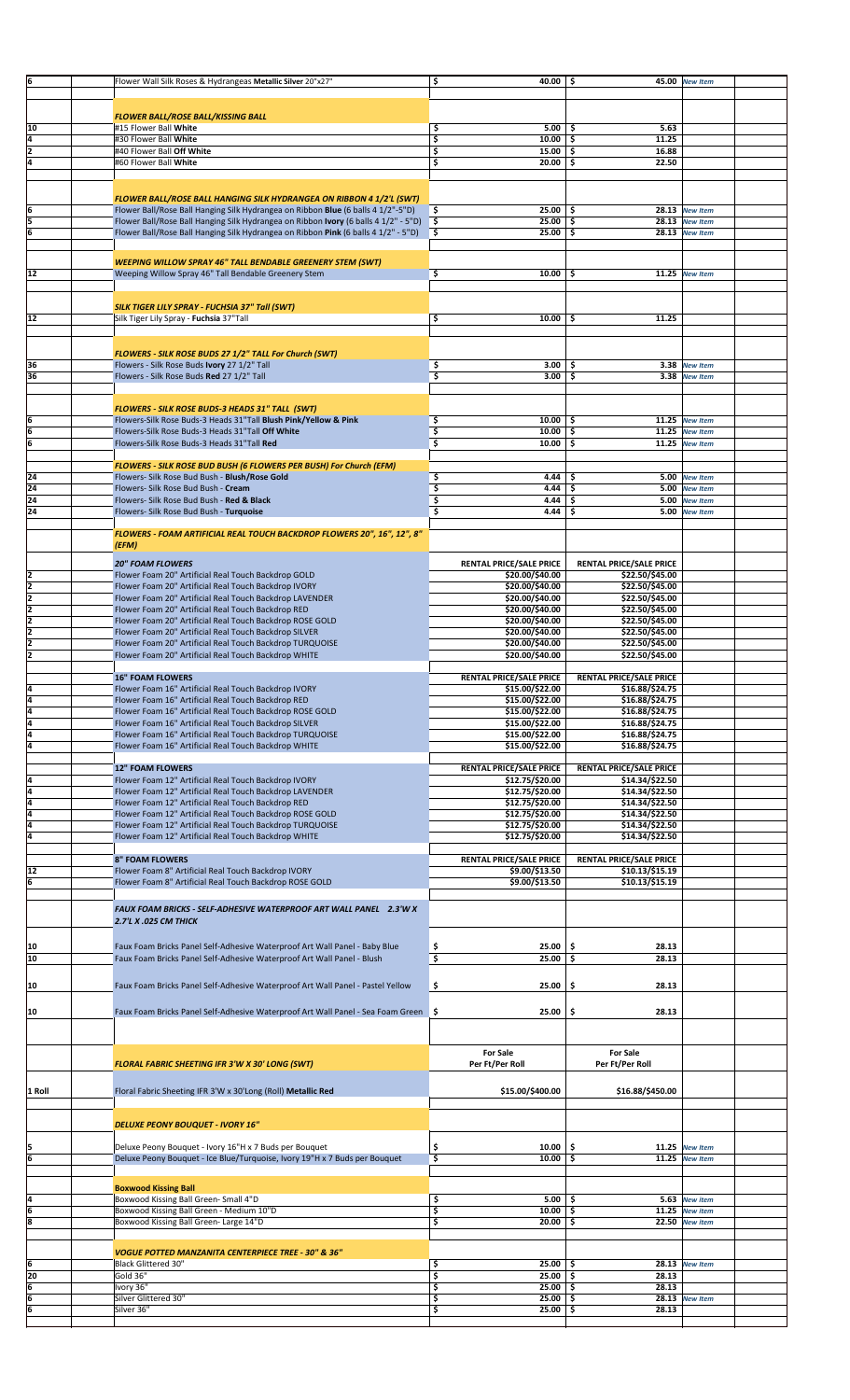| İ6             | Flower Wall Silk Roses & Hydrangeas Metallic Silver 20"x27'                         | \$       | 40.00                          | 45.00<br>\$                               | <b>New Item</b>                    |  |
|----------------|-------------------------------------------------------------------------------------|----------|--------------------------------|-------------------------------------------|------------------------------------|--|
|                |                                                                                     |          |                                |                                           |                                    |  |
|                |                                                                                     |          |                                |                                           |                                    |  |
|                |                                                                                     |          |                                |                                           |                                    |  |
|                | <b>FLOWER BALL/ROSE BALL/KISSING BALL</b>                                           |          |                                |                                           |                                    |  |
| 10             | #15 Flower Ball White                                                               | \$       | 5.00                           | 5.63<br>\$.                               |                                    |  |
| 4              | #30 Flower Ball White                                                               | \$       | 10.00                          | \$<br>11.25                               |                                    |  |
| $\overline{2}$ | #40 Flower Ball Off White                                                           | \$       | 15.00                          | \$<br>16.88                               |                                    |  |
| $\overline{4}$ | #60 Flower Ball White                                                               | \$       | 20.00                          | \$<br>22.50                               |                                    |  |
|                |                                                                                     |          |                                |                                           |                                    |  |
|                |                                                                                     |          |                                |                                           |                                    |  |
|                | FLOWER BALL/ROSE BALL HANGING SILK HYDRANGEA ON RIBBON 4 1/2'L (SWT)                |          |                                |                                           |                                    |  |
| 6              | Flower Ball/Rose Ball Hanging Silk Hydrangea on Ribbon Blue (6 balls 4 1/2"-5"D)    | \$       | $25.00$   \$                   |                                           | 28.13 New Item                     |  |
| 5              | Flower Ball/Rose Ball Hanging Silk Hydrangea on Ribbon Ivory (6 balls 4 1/2" - 5"D) | ۱\$.     | $25.00$ \$                     |                                           | 28.13 New Item                     |  |
| 6              | Flower Ball/Rose Ball Hanging Silk Hydrangea on Ribbon Pink (6 balls 4 1/2" - 5"D)  | \$       | 25.00                          | \$                                        | 28.13 New Item                     |  |
|                |                                                                                     |          |                                |                                           |                                    |  |
|                |                                                                                     |          |                                |                                           |                                    |  |
|                | <b>WEEPING WILLOW SPRAY 46" TALL BENDABLE GREENERY STEM (SWT)</b>                   |          |                                |                                           |                                    |  |
| 12             | Weeping Willow Spray 46" Tall Bendable Greenery Stem                                | \$       | 10.00                          | \$.                                       | 11.25 New Item                     |  |
|                |                                                                                     |          |                                |                                           |                                    |  |
|                |                                                                                     |          |                                |                                           |                                    |  |
|                | <b>SILK TIGER LILY SPRAY - FUCHSIA 37" Tall (SWT)</b>                               |          |                                |                                           |                                    |  |
| 12             | Silk Tiger Lily Spray - Fuchsia 37"Tall                                             | \$       | 10.00                          | 11.25<br>\$                               |                                    |  |
|                |                                                                                     |          |                                |                                           |                                    |  |
|                |                                                                                     |          |                                |                                           |                                    |  |
|                |                                                                                     |          |                                |                                           |                                    |  |
|                | FLOWERS - SILK ROSE BUDS 27 1/2" TALL For Church (SWT)                              |          |                                |                                           |                                    |  |
| 36             | Flowers - Silk Rose Buds Ivory 27 1/2" Tall                                         | \$       | 3.00                           | \$.<br>3.38                               | <b>New Item</b>                    |  |
| 36             | Flowers - Silk Rose Buds Red 27 1/2" Tall                                           | \$       | 3.00                           | \$<br>3.38                                | <b>New Item</b>                    |  |
|                |                                                                                     |          |                                |                                           |                                    |  |
|                |                                                                                     |          |                                |                                           |                                    |  |
|                | <b>FLOWERS - SILK ROSE BUDS-3 HEADS 31" TALL (SWT)</b>                              |          |                                |                                           |                                    |  |
| 6              | Flowers-Silk Rose Buds-3 Heads 31"Tall Blush Pink/Yellow & Pink                     | \$       | 10.00                          | \$                                        | 11.25 New Item                     |  |
| 6              | Flowers-Silk Rose Buds-3 Heads 31"Tall Off White                                    | \$       | 10.00                          | \$<br>11.25                               | <b>New Item</b>                    |  |
| 6              | Flowers-Silk Rose Buds-3 Heads 31"Tall Red                                          | 5        | 10.00                          | \$.<br>11.25                              | <b>New Item</b>                    |  |
|                |                                                                                     |          |                                |                                           |                                    |  |
|                | FLOWERS - SILK ROSE BUD BUSH (6 FLOWERS PER BUSH) For Church (EFM)                  |          |                                |                                           |                                    |  |
| 24             | Flowers- Silk Rose Bud Bush - Blush/Rose Gold                                       | \$       | 4.44                           | \$.                                       | 5.00 New Item                      |  |
| 24             | Flowers- Silk Rose Bud Bush - Cream                                                 | \$       | 4.44                           | \$.<br>5.00                               | <b>New Item</b>                    |  |
| 24             | Flowers- Silk Rose Bud Bush - Red & Black                                           | \$       | 4.44                           | \$<br>5.00                                | <b>New Item</b>                    |  |
| 24             | Flowers- Silk Rose Bud Bush - Turquoise                                             | \$       | 4.44                           | \$<br>5.00                                | <b>New Item</b>                    |  |
|                |                                                                                     |          |                                |                                           |                                    |  |
|                | FLOWERS - FOAM ARTIFICIAL REAL TOUCH BACKDROP FLOWERS 20", 16", 12", 8"             |          |                                |                                           |                                    |  |
|                | (EFM)                                                                               |          |                                |                                           |                                    |  |
|                |                                                                                     |          |                                |                                           |                                    |  |
|                | <b>20" FOAM FLOWERS</b>                                                             |          | RENTAL PRICE/SALE PRICE        | <b>RENTAL PRICE/SALE PRICE</b>            |                                    |  |
| 2              | Flower Foam 20" Artificial Real Touch Backdrop GOLD                                 |          | \$20.00/\$40.00                | \$22.50/\$45.00                           |                                    |  |
| 2              | Flower Foam 20" Artificial Real Touch Backdrop IVORY                                |          | \$20.00/\$40.00                | \$22.50/\$45.00                           |                                    |  |
| E              | Flower Foam 20" Artificial Real Touch Backdrop LAVENDER                             |          | \$20.00/\$40.00                | \$22.50/\$45.00                           |                                    |  |
| 2<br>2         | Flower Foam 20" Artificial Real Touch Backdrop RED                                  |          | \$20.00/\$40.00                | \$22.50/\$45.00                           |                                    |  |
| 2              | Flower Foam 20" Artificial Real Touch Backdrop ROSE GOLD                            |          | \$20.00/\$40.00                | \$22.50/\$45.00                           |                                    |  |
|                | Flower Foam 20" Artificial Real Touch Backdrop SILVER                               |          | \$20.00/\$40.00                | \$22.50/\$45.00                           |                                    |  |
| 2              | Flower Foam 20" Artificial Real Touch Backdrop TURQUOISE                            |          | \$20.00/\$40.00                | \$22.50/\$45.00                           |                                    |  |
| 2              | Flower Foam 20" Artificial Real Touch Backdrop WHITE                                |          | \$20.00/\$40.00                | \$22.50/\$45.00                           |                                    |  |
|                |                                                                                     |          |                                |                                           |                                    |  |
| ļ4             | <b>16" FOAM FLOWERS</b>                                                             |          | <b>RENTAL PRICE/SALE PRICE</b> | <b>RENTAL PRICE/SALE PRICE</b>            |                                    |  |
|                | Flower Foam 16" Artificial Real Touch Backdrop IVORY                                |          | \$15.00/\$22.00                | \$16.88/\$24.75                           |                                    |  |
| ļ4             | Flower Foam 16" Artificial Real Touch Backdrop RED                                  |          | \$15.00/\$22.00                | \$16.88/\$24.75                           |                                    |  |
| 4              | Flower Foam 16" Artificial Real Touch Backdrop ROSE GOLD                            |          | \$15.00/\$22.00                | \$16.88/\$24.75                           |                                    |  |
| T4             | Flower Foam 16" Artificial Real Touch Backdrop SILVER                               |          | \$15.00/\$22.00                | \$16.88/\$24.75                           |                                    |  |
| 4              | Flower Foam 16" Artificial Real Touch Backdrop TURQUOISE                            |          | \$15.00/\$22.00                | \$16.88/\$24.75                           |                                    |  |
| Ā              | Flower Foam 16" Artificial Real Touch Backdrop WHITE                                |          | \$15.00/\$22.00                | \$16.88/\$24.75                           |                                    |  |
|                |                                                                                     |          |                                |                                           |                                    |  |
|                | <b>12" FOAM FLOWERS</b>                                                             |          | <b>RENTAL PRICE/SALE PRICE</b> | <b>RENTAL PRICE/SALE PRICE</b>            |                                    |  |
| 4              | Flower Foam 12" Artificial Real Touch Backdrop IVORY                                |          | \$12.75/\$20.00                | \$14.34/\$22.50                           |                                    |  |
| 4              | Flower Foam 12" Artificial Real Touch Backdrop LAVENDER                             |          | \$12.75/\$20.00                | \$14.34/\$22.50                           |                                    |  |
| Ā              | Flower Foam 12" Artificial Real Touch Backdrop RED                                  |          | \$12.75/\$20.00                | \$14.34/\$22.50                           |                                    |  |
| 4              | Flower Foam 12" Artificial Real Touch Backdrop ROSE GOLD                            |          | \$12.75/\$20.00                | \$14.34/\$22.50                           |                                    |  |
| ā              | Flower Foam 12" Artificial Real Touch Backdrop TURQUOISE                            |          | \$12.75/\$20.00                | \$14.34/\$22.50                           |                                    |  |
| 4              | Flower Foam 12" Artificial Real Touch Backdrop WHITE                                |          | \$12.75/\$20.00                | \$14.34/\$22.50                           |                                    |  |
|                |                                                                                     |          |                                |                                           |                                    |  |
|                | <b>8" FOAM FLOWERS</b>                                                              |          | <b>RENTAL PRICE/SALE PRICE</b> | <b>RENTAL PRICE/SALE PRICE</b>            |                                    |  |
| 12             | Flower Foam 8" Artificial Real Touch Backdrop IVORY                                 |          | \$9.00/\$13.50                 | \$10.13/\$15.19                           |                                    |  |
| 6              | Flower Foam 8" Artificial Real Touch Backdrop ROSE GOLD                             |          | \$9.00/\$13.50                 | \$10.13/\$15.19                           |                                    |  |
|                |                                                                                     |          |                                |                                           |                                    |  |
|                | FAUX FOAM BRICKS - SELF-ADHESIVE WATERPROOF ART WALL PANEL 2.3'W X                  |          |                                |                                           |                                    |  |
|                | <b>2.7'L X .025 CM THICK</b>                                                        |          |                                |                                           |                                    |  |
|                |                                                                                     |          |                                |                                           |                                    |  |
|                |                                                                                     |          |                                |                                           |                                    |  |
| 10             | Faux Foam Bricks Panel Self-Adhesive Waterproof Art Wall Panel - Baby Blue          | \$<br>\$ | 25.00%<br>25.00                | 28.13<br>$\overline{\mathsf{S}}$<br>28.13 |                                    |  |
| 10             | Faux Foam Bricks Panel Self-Adhesive Waterproof Art Wall Panel - Blush              |          |                                |                                           |                                    |  |
|                |                                                                                     |          |                                |                                           |                                    |  |
| 10             | Faux Foam Bricks Panel Self-Adhesive Waterproof Art Wall Panel - Pastel Yellow      | \$       | 25.00                          | 28.13<br>\$                               |                                    |  |
|                |                                                                                     |          |                                |                                           |                                    |  |
| 10             | Faux Foam Bricks Panel Self-Adhesive Waterproof Art Wall Panel - Sea Foam Green \$  |          | 25.00                          | \$<br>28.13                               |                                    |  |
|                |                                                                                     |          |                                |                                           |                                    |  |
|                |                                                                                     |          |                                |                                           |                                    |  |
|                |                                                                                     |          |                                |                                           |                                    |  |
|                |                                                                                     |          | <b>For Sale</b>                | <b>For Sale</b>                           |                                    |  |
|                | <b>FLORAL FABRIC SHEETING IFR 3'W X 30' LONG (SWT)</b>                              |          | Per Ft/Per Roll                | Per Ft/Per Roll                           |                                    |  |
|                |                                                                                     |          |                                |                                           |                                    |  |
| 1 Roll         | Floral Fabric Sheeting IFR 3'W x 30'Long (Roll) Metallic Red                        |          | \$15.00/\$400.00               | \$16.88/\$450.00                          |                                    |  |
|                |                                                                                     |          |                                |                                           |                                    |  |
|                |                                                                                     |          |                                |                                           |                                    |  |
|                | <b>DELUXE PEONY BOUQUET - IVORY 16"</b>                                             |          |                                |                                           |                                    |  |
|                |                                                                                     |          |                                |                                           |                                    |  |
| 15             | Deluxe Peony Bouquet - Ivory 16"H x 7 Buds per Bouquet                              | \$       | 10.00                          | \$                                        | 11.25 New Item                     |  |
| 6              | Deluxe Peony Bouquet - Ice Blue/Turquoise, Ivory 19"H x 7 Buds per Bouquet          | \$       | 10.00                          | \$.<br>11.25                              | <b>New Item</b>                    |  |
|                |                                                                                     |          |                                |                                           |                                    |  |
|                |                                                                                     |          |                                |                                           |                                    |  |
|                | <b>Boxwood Kissing Ball</b>                                                         |          |                                |                                           |                                    |  |
| 4<br>6         | Boxwood Kissing Ball Green- Small 4"D                                               | \$       | 5.00                           | \$.                                       | 5.63 New item                      |  |
| 8              | Boxwood Kissing Ball Green - Medium 10"D<br>Boxwood Kissing Ball Green- Large 14"D  | \$<br>\$ | 10.00<br>20.00                 | \$<br>11.25<br>\$.<br>22.50               | <b>New item</b><br><b>New item</b> |  |
|                |                                                                                     |          |                                |                                           |                                    |  |
|                |                                                                                     |          |                                |                                           |                                    |  |
|                | <b>VOGUE POTTED MANZANITA CENTERPIECE TREE - 30" &amp; 36"</b>                      |          |                                |                                           |                                    |  |
| 6              | Black Glittered 30"                                                                 | \$       | 25.00%                         | 28.13                                     | <b>New Item</b>                    |  |
| 20             | Gold 36"                                                                            | \$       | 25.00                          | \$<br>28.13                               |                                    |  |
| 6              | Ivory 36"                                                                           | \$       | 25.00                          | \$<br>28.13                               |                                    |  |
|                |                                                                                     | \$       | 25.00                          | \$.                                       | 28.13 New Item                     |  |
|                |                                                                                     |          |                                |                                           |                                    |  |
| 6<br><b>6</b>  | Silver Glittered 30"<br>Silver 36"                                                  | \$       | 25.00                          | \$<br>28.13                               |                                    |  |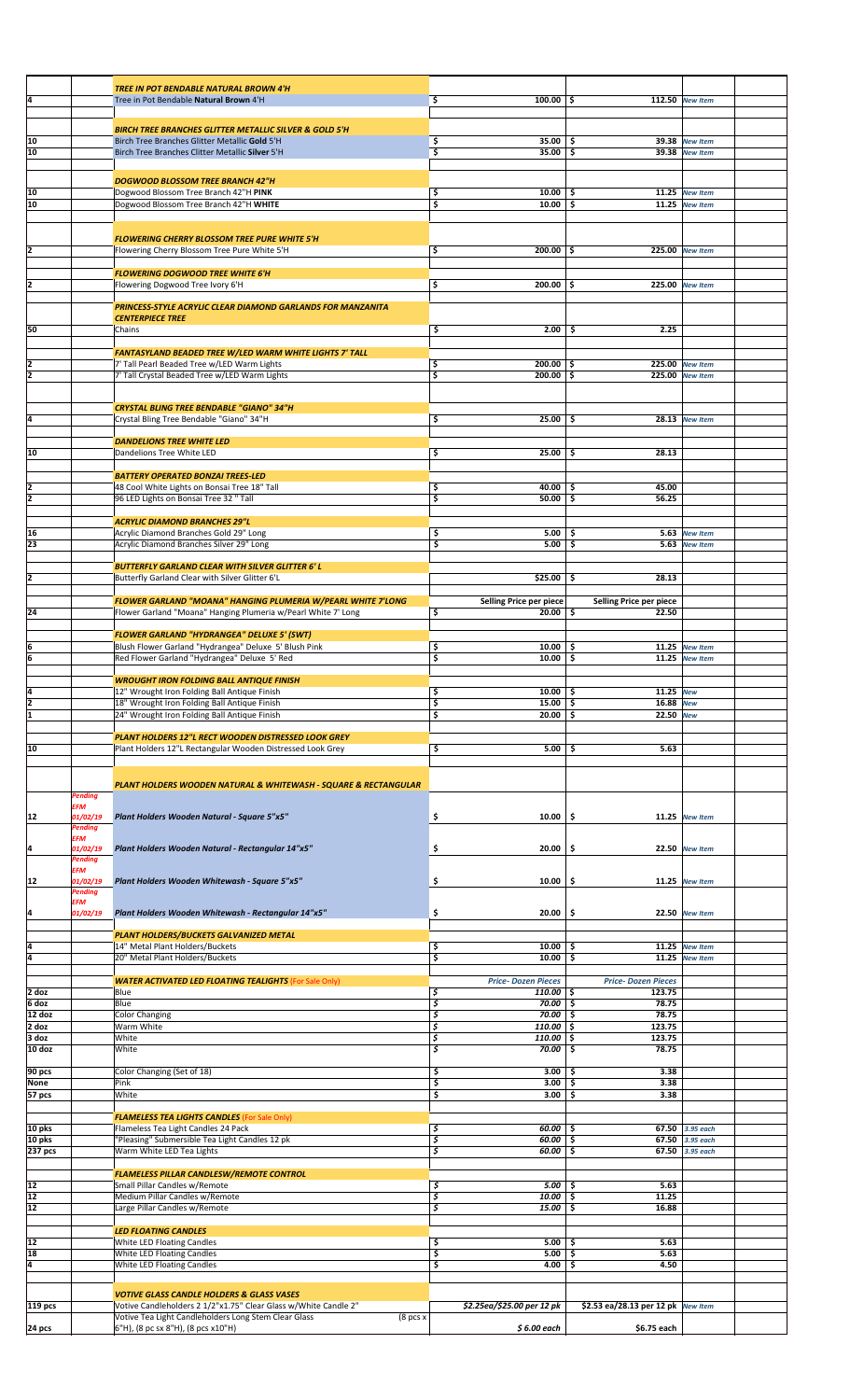|          |                     | TREE IN POT BENDABLE NATURAL BROWN 4'H                                                                 |                                        |                                    |                 |  |
|----------|---------------------|--------------------------------------------------------------------------------------------------------|----------------------------------------|------------------------------------|-----------------|--|
| ļ4       |                     | Tree in Pot Bendable Natural Brown 4'H                                                                 | \$<br>$100.00$ \$                      |                                    | 112.50 New Item |  |
|          |                     |                                                                                                        |                                        |                                    |                 |  |
|          |                     |                                                                                                        |                                        |                                    |                 |  |
|          |                     | <b>BIRCH TREE BRANCHES GLITTER METALLIC SILVER &amp; GOLD 5'H</b>                                      |                                        |                                    |                 |  |
| 10       |                     | Birch Tree Branches Glitter Metallic Gold 5'H                                                          | \$<br>$35.00$ \$                       | 39.38                              | <b>New Item</b> |  |
| 10       |                     | Birch Tree Branches Clitter Metallic Silver 5'H                                                        | $35.00$ \$<br>\$                       |                                    | 39.38 New Item  |  |
|          |                     |                                                                                                        |                                        |                                    |                 |  |
|          |                     | <b>DOGWOOD BLOSSOM TREE BRANCH 42"H</b>                                                                |                                        |                                    |                 |  |
| 10       |                     | Dogwood Blossom Tree Branch 42"H PINK                                                                  | \$.<br>$10.00$ \$                      |                                    | 11.25 New Item  |  |
| 10       |                     | Dogwood Blossom Tree Branch 42"H WHITE                                                                 | $10.00$ \$<br>\$                       |                                    | 11.25 New Item  |  |
|          |                     |                                                                                                        |                                        |                                    |                 |  |
|          |                     |                                                                                                        |                                        |                                    |                 |  |
|          |                     |                                                                                                        |                                        |                                    |                 |  |
|          |                     | <b>FLOWERING CHERRY BLOSSOM TREE PURE WHITE 5'H</b>                                                    |                                        |                                    |                 |  |
| 2        |                     | Flowering Cherry Blossom Tree Pure White 5'H                                                           | \$<br>$200.00$ \$                      |                                    | 225.00 New Item |  |
|          |                     |                                                                                                        |                                        |                                    |                 |  |
|          |                     | <b>FLOWERING DOGWOOD TREE WHITE 6'H</b>                                                                |                                        |                                    |                 |  |
| 12       |                     | Flowering Dogwood Tree Ivory 6'H                                                                       | \$<br>$200.00$ \$                      |                                    | 225.00 New Item |  |
|          |                     |                                                                                                        |                                        |                                    |                 |  |
|          |                     | PRINCESS-STYLE ACRYLIC CLEAR DIAMOND GARLANDS FOR MANZANITA                                            |                                        |                                    |                 |  |
|          |                     | <b>CENTERPIECE TREE</b>                                                                                |                                        |                                    |                 |  |
| 50       |                     | Chains                                                                                                 | \$<br>$2.00$   \$                      | 2.25                               |                 |  |
|          |                     |                                                                                                        |                                        |                                    |                 |  |
|          |                     | FANTASYLAND BEADED TREE W/LED WARM WHITE LIGHTS 7' TALL                                                |                                        |                                    |                 |  |
| 2        |                     | 7' Tall Pearl Beaded Tree w/LED Warm Lights                                                            | \$<br>$200.00$ \$                      |                                    | 225.00 New Item |  |
| 12       |                     | 7' Tall Crystal Beaded Tree w/LED Warm Lights                                                          | \$<br>$200.00$ \$                      |                                    | 225.00 New Item |  |
|          |                     |                                                                                                        |                                        |                                    |                 |  |
|          |                     |                                                                                                        |                                        |                                    |                 |  |
|          |                     | <b>CRYSTAL BLING TREE BENDABLE "GIANO" 34"H</b>                                                        |                                        |                                    |                 |  |
| l4       |                     | Crystal Bling Tree Bendable "Giano" 34"H                                                               | \$<br>$25.00$   \$                     |                                    | 28.13 New Item  |  |
|          |                     |                                                                                                        |                                        |                                    |                 |  |
|          |                     | <b>DANDELIONS TREE WHITE LED</b>                                                                       |                                        |                                    |                 |  |
|          |                     |                                                                                                        |                                        |                                    |                 |  |
| 10       |                     | Dandelions Tree White LED                                                                              | \$<br>25.00                            | \$<br>28.13                        |                 |  |
|          |                     |                                                                                                        |                                        |                                    |                 |  |
|          |                     | <b>BATTERY OPERATED BONZAI TREES-LED</b>                                                               |                                        |                                    |                 |  |
| 2        |                     | 48 Cool White Lights on Bonsai Tree 18" Tall                                                           | \$<br>40.00%                           | 45.00                              |                 |  |
| ī        |                     | 96 LED Lights on Bonsai Tree 32 " Tall                                                                 | \$<br>50.00                            | \$<br>56.25                        |                 |  |
|          |                     |                                                                                                        |                                        |                                    |                 |  |
|          |                     | <b>ACRYLIC DIAMOND BRANCHES 29"L</b>                                                                   |                                        |                                    |                 |  |
| 16       |                     | Acrylic Diamond Branches Gold 29" Long                                                                 | \$<br>5.00                             | \$                                 | 5.63 New Item   |  |
| 23       |                     | Acrylic Diamond Branches Silver 29" Long                                                               | \$<br>5.00                             | \$.                                | 5.63 New Item   |  |
|          |                     |                                                                                                        |                                        |                                    |                 |  |
|          |                     | <b>BUTTERFLY GARLAND CLEAR WITH SILVER GLITTER 6' L</b>                                                |                                        |                                    |                 |  |
| 2        |                     | Butterfly Garland Clear with Silver Glitter 6'L                                                        | $$25.00$ \$                            | 28.13                              |                 |  |
|          |                     |                                                                                                        |                                        |                                    |                 |  |
|          |                     | FLOWER GARLAND "MOANA" HANGING PLUMERIA W/PEARL WHITE 7'LONG                                           | Selling Price per piece                | Selling Price per piece            |                 |  |
| 24       |                     | Flower Garland "Moana" Hanging Plumeria w/Pearl White 7' Long                                          | \$<br>20.00                            | \$<br>22.50                        |                 |  |
|          |                     |                                                                                                        |                                        |                                    |                 |  |
|          |                     | <b>FLOWER GARLAND "HYDRANGEA" DELUXE 5' (SWT)</b>                                                      |                                        |                                    |                 |  |
|          |                     |                                                                                                        |                                        |                                    |                 |  |
| 6        |                     | Blush Flower Garland "Hydrangea" Deluxe 5' Blush Pink                                                  | \$<br>$10.00$ \$                       |                                    | 11.25 New Item  |  |
| 6        |                     | Red Flower Garland "Hydrangea" Deluxe 5' Red                                                           | \$<br>10.00                            | \$                                 | 11.25 New Item  |  |
|          |                     |                                                                                                        |                                        |                                    |                 |  |
|          |                     | <b>WROUGHT IRON FOLDING BALL ANTIQUE FINISH</b>                                                        |                                        |                                    |                 |  |
| l4       |                     | 12" Wrought Iron Folding Ball Antique Finish                                                           | $10.00$ \$<br>\$                       | 11.25 New                          |                 |  |
|          |                     | 18" Wrought Iron Folding Ball Antique Finish                                                           | \$<br>$15.00$ \$                       | 16.88 New                          |                 |  |
| ī        |                     | 24" Wrought Iron Folding Ball Antique Finish                                                           | \$<br>20.00                            | \$.<br>22.50 New                   |                 |  |
|          |                     |                                                                                                        |                                        |                                    |                 |  |
|          |                     | PLANT HOLDERS 12"L RECT WOODEN DISTRESSED LOOK GREY                                                    |                                        |                                    |                 |  |
| 10       |                     | Plant Holders 12"L Rectangular Wooden Distressed Look Grey                                             | \$<br>5.00                             | \$<br>5.63                         |                 |  |
|          |                     |                                                                                                        |                                        |                                    |                 |  |
|          |                     |                                                                                                        |                                        |                                    |                 |  |
|          |                     |                                                                                                        |                                        |                                    |                 |  |
|          |                     | PLANT HOLDERS WOODEN NATURAL & WHITEWASH - SQUARE & RECTANGULAR                                        |                                        |                                    |                 |  |
|          | Pending             |                                                                                                        |                                        |                                    |                 |  |
|          | EFM                 | Plant Holders Wooden Natural - Square 5"x5"                                                            |                                        |                                    |                 |  |
| 12       | 01/02/19<br>Pending |                                                                                                        | \$<br>10.00                            | \$                                 | 11.25 New Item  |  |
|          |                     |                                                                                                        |                                        |                                    |                 |  |
|          | EFM                 |                                                                                                        |                                        |                                    |                 |  |
| ļ4       | 01/02/19            | Plant Holders Wooden Natural - Rectangular 14"x5"                                                      | \$<br>20.00                            | \$                                 | 22.50 New Item  |  |
|          | Pending<br>EFM      |                                                                                                        |                                        |                                    |                 |  |
|          |                     |                                                                                                        |                                        |                                    |                 |  |
| 12       | 01/02/19<br>Pending | Plant Holders Wooden Whitewash - Square 5"x5"                                                          | \$<br>10.00                            | \$                                 | 11.25 New Item  |  |
|          | EFM                 |                                                                                                        |                                        |                                    |                 |  |
| ļ4       | 01/02/19            | Plant Holders Wooden Whitewash - Rectangular 14"x5"                                                    | \$<br>20.00                            | \$                                 | 22.50 New Item  |  |
|          |                     |                                                                                                        |                                        |                                    |                 |  |
|          |                     | PLANT HOLDERS/BUCKETS GALVANIZED METAL                                                                 |                                        |                                    |                 |  |
| ļ4       |                     | 14" Metal Plant Holders/Buckets                                                                        | \$<br>$10.00$ \$                       |                                    | 11.25 New Item  |  |
| ā        |                     | 20" Metal Plant Holders/Buckets                                                                        | $10.00$ \$<br>\$                       |                                    | 11.25 New Item  |  |
|          |                     |                                                                                                        |                                        |                                    |                 |  |
|          |                     | <b>WATER ACTIVATED LED FLOATING TEALIGHTS (For Sale Only)</b>                                          | <b>Price-Dozen Pieces</b>              | <b>Price-Dozen Pieces</b>          |                 |  |
| 2 doz    |                     |                                                                                                        | \$                                     | 123.75                             |                 |  |
|          |                     | Blue                                                                                                   | $110.00$ \$                            |                                    |                 |  |
| 6 doz    |                     | Blue                                                                                                   | \$<br>70.00%                           | 78.75                              |                 |  |
| 12 doz   |                     | <b>Color Changing</b>                                                                                  | \$<br>$70.00$ \$                       | 78.75                              |                 |  |
| 2 doz    |                     | Warm White                                                                                             | \$<br>$110.00$ \$                      | 123.75                             |                 |  |
| 3 doz    |                     | White                                                                                                  | \$<br>$110.00$ \$                      | 123.75                             |                 |  |
| 10 doz   |                     | White                                                                                                  | \$<br>70.00                            | <b>s</b><br>78.75                  |                 |  |
|          |                     |                                                                                                        |                                        |                                    |                 |  |
| 90 pcs   |                     | Color Changing (Set of 18)                                                                             | \$<br>$3.00$ \$                        | 3.38                               |                 |  |
| None     |                     | Pink                                                                                                   | \$<br>3.00                             | \$<br>3.38                         |                 |  |
| 57 pcs   |                     | White                                                                                                  | \$<br>3.00                             | \$<br>3.38                         |                 |  |
|          |                     |                                                                                                        |                                        |                                    |                 |  |
|          |                     | <b>FLAMELESS TEA LIGHTS CANDLES</b> (For Sale Only)                                                    |                                        |                                    |                 |  |
| 10 pks   |                     | Flameless Tea Light Candles 24 Pack                                                                    | \$<br>$60.00$ \$                       |                                    | 67.50 3.95 each |  |
| 10 pks   |                     | "Pleasing" Submersible Tea Light Candles 12 pk                                                         | \$<br>60.00                            | \$                                 | 67.50 3.95 each |  |
| 237 pcs  |                     | Warm White LED Tea Lights                                                                              | $\overline{\mathcal{S}}$<br>$60.00$ \$ |                                    | 67.50 3.95 each |  |
|          |                     |                                                                                                        |                                        |                                    |                 |  |
|          |                     | <b>FLAMELESS PILLAR CANDLESW/REMOTE CONTROL</b>                                                        |                                        |                                    |                 |  |
| 12       |                     | Small Pillar Candles w/Remote                                                                          | \$<br>$5.00$ \$                        | 5.63                               |                 |  |
| 12       |                     | Medium Pillar Candles w/Remote                                                                         | \$<br>$10.00$ \$                       | 11.25                              |                 |  |
|          |                     |                                                                                                        |                                        |                                    |                 |  |
| 12       |                     | Large Pillar Candles w/Remote                                                                          | \$<br>15.00                            | \$<br>16.88                        |                 |  |
|          |                     |                                                                                                        |                                        |                                    |                 |  |
|          |                     |                                                                                                        |                                        |                                    |                 |  |
|          |                     | <b>LED FLOATING CANDLES</b>                                                                            |                                        |                                    |                 |  |
|          |                     | White LED Floating Candles                                                                             | \$<br>$5.00$ \$                        | 5.63                               |                 |  |
| 12<br>18 |                     | White LED Floating Candles                                                                             | \$<br>5.00%                            | 5.63                               |                 |  |
| ļ4       |                     | White LED Floating Candles                                                                             | \$<br>4.00                             | \$<br>4.50                         |                 |  |
|          |                     |                                                                                                        |                                        |                                    |                 |  |
|          |                     |                                                                                                        |                                        |                                    |                 |  |
|          |                     | <b>VOTIVE GLASS CANDLE HOLDERS &amp; GLASS VASES</b>                                                   |                                        |                                    |                 |  |
| 119 pcs  |                     | Votive Candleholders 2 1/2"x1.75" Clear Glass w/White Candle 2"                                        | \$2.25ea/\$25.00 per 12 pk             | \$2.53 ea/28.13 per 12 pk New Item |                 |  |
| 24 pcs   |                     | Votive Tea Light Candleholders Long Stem Clear Glass<br>(8 pcs x<br>6"H), (8 pc sx 8"H), (8 pcs x10"H) | $$6.00$ each                           | \$6.75 each                        |                 |  |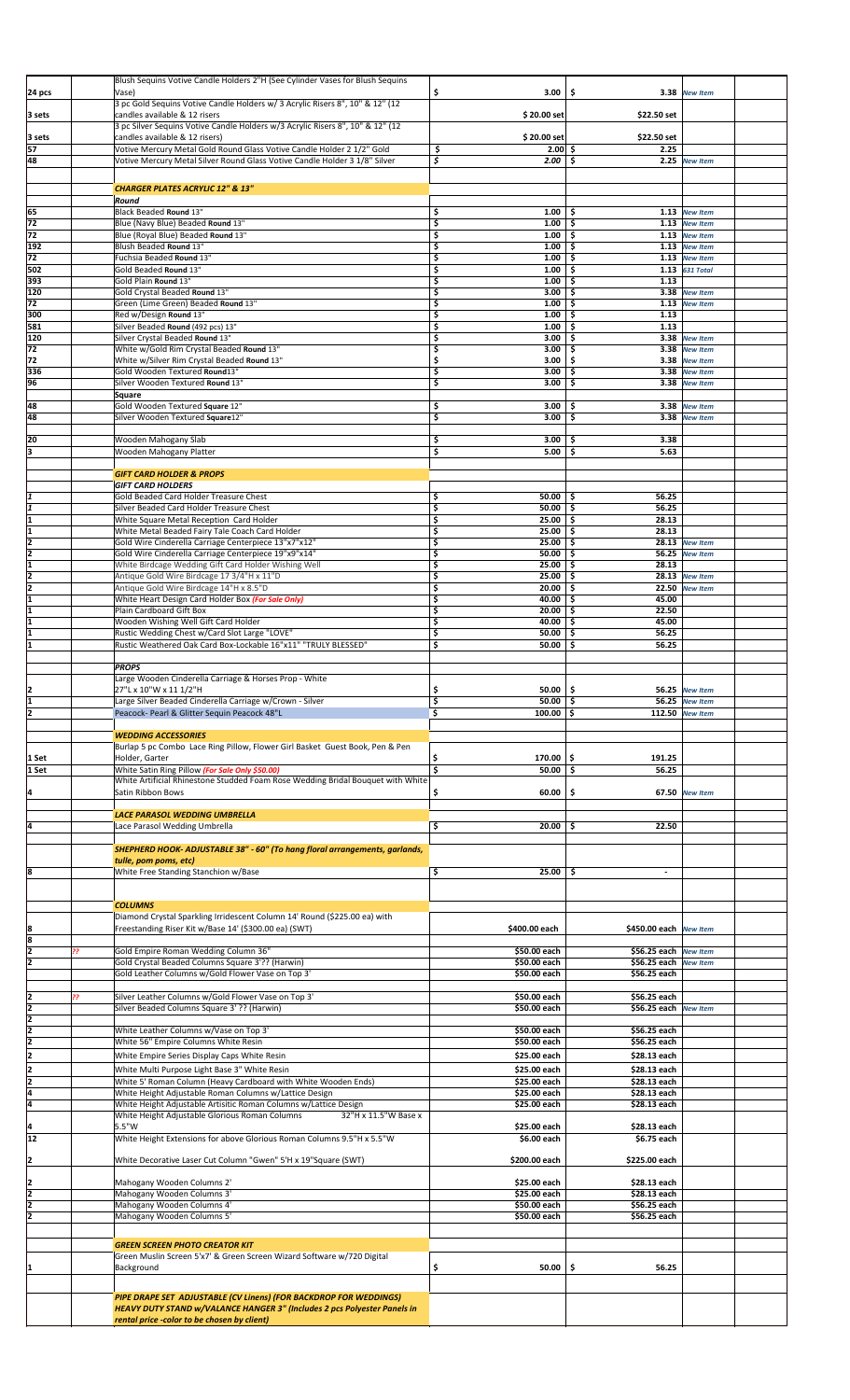|                 | <b>CHARGER PLATES ACRYLIC 12" &amp; 13"</b>                                                                             |                                         |                              |                                   |  |
|-----------------|-------------------------------------------------------------------------------------------------------------------------|-----------------------------------------|------------------------------|-----------------------------------|--|
|                 | Round                                                                                                                   |                                         |                              |                                   |  |
| 65              | Black Beaded Round 13"                                                                                                  | \$<br>1.00                              | \$                           | 1.13 New Item                     |  |
| 72              | Blue (Navy Blue) Beaded Round 13"                                                                                       | \$<br>1.00                              | \$                           | 1.13 New Item                     |  |
| 72              | Blue (Royal Blue) Beaded Round 13"                                                                                      | \$<br>1.00                              | \$                           | 1.13 New Item                     |  |
| 192             | Blush Beaded Round 13"                                                                                                  | \$<br>1.00                              | \$                           | 1.13 New Item                     |  |
| 72              | Fuchsia Beaded Round 13"                                                                                                | \$<br>1.00                              | \$                           | 1.13 New Item                     |  |
| 502             | Gold Beaded Round 13"                                                                                                   | \$<br>1.00                              | Ś.                           | 1.13 631 Total                    |  |
| 393             | Gold Plain Round 13"                                                                                                    | \$<br>1.00                              | 1.13<br>\$                   |                                   |  |
| 120             | Gold Crystal Beaded Round 13"                                                                                           | \$<br>3.00                              | Ś.<br>3.38                   | <b>New Item</b>                   |  |
| 72              | Green (Lime Green) Beaded Round 13"                                                                                     | \$<br>1.00                              | \$                           | 1.13 New Item                     |  |
| 300             | Red w/Design Round 13"                                                                                                  | \$<br>1.00                              | \$<br>1.13                   |                                   |  |
| 581<br>120      | Silver Beaded Round (492 pcs) 13"<br>Silver Crystal Beaded Round 13"                                                    | \$<br>1.00<br>\$<br>3.00                | \$<br>1.13<br>\$             | 3.38 New Item                     |  |
| 72              | White w/Gold Rim Crystal Beaded Round 13"                                                                               | \$<br>3.00                              | \$                           | 3.38 New Item                     |  |
| 72              | White w/Silver Rim Crystal Beaded Round 13"                                                                             | \$<br>3.00                              | 3.38<br>\$                   | <b>New Item</b>                   |  |
| 336             | Gold Wooden Textured Round13"                                                                                           | \$<br>3.00                              | \$                           | 3.38 New Item                     |  |
| 96              | Silver Wooden Textured Round 13"                                                                                        | \$<br>3.00                              | \$<br>3.38                   | <b>New Item</b>                   |  |
|                 | Square                                                                                                                  |                                         |                              |                                   |  |
| 48<br>48        | Gold Wooden Textured Square 12"                                                                                         | \$<br>3.00<br>\$<br>3.00                | \$<br>3.38<br>\$             | <b>New Item</b>                   |  |
|                 | Silver Wooden Textured Square12"                                                                                        |                                         | 3.38                         | <b>New Item</b>                   |  |
| 20              | Wooden Mahogany Slab                                                                                                    | \$<br>$3.00$   \$                       | 3.38                         |                                   |  |
| lз              | Wooden Mahogany Platter                                                                                                 | \$<br>5.00                              | \$<br>5.63                   |                                   |  |
|                 |                                                                                                                         |                                         |                              |                                   |  |
|                 | <b>GIFT CARD HOLDER &amp; PROPS</b>                                                                                     |                                         |                              |                                   |  |
|                 | <b>GIFT CARD HOLDERS</b>                                                                                                |                                         |                              |                                   |  |
|                 | Gold Beaded Card Holder Treasure Chest                                                                                  | \$<br>$50.00$ \$                        | 56.25                        |                                   |  |
|                 | Silver Beaded Card Holder Treasure Chest                                                                                | \$<br>50.00                             | \$<br>56.25                  |                                   |  |
| I1              | White Square Metal Reception Card Holder<br>White Metal Beaded Fairy Tale Coach Card Holder                             | \$<br>25.00<br>\$<br>25.00              | \$<br>28.13<br>\$.<br>28.13  |                                   |  |
| I2              | Gold Wire Cinderella Carriage Centerpiece 13"x7"x12"                                                                    | \$<br>25.00                             | \$<br>28.13                  | <b>New Item</b>                   |  |
| l2              | Gold Wire Cinderella Carriage Centerpiece 19"x9"x14"                                                                    | \$<br>50.00                             | \$                           | 56.25 New Item                    |  |
| I1              | White Birdcage Wedding Gift Card Holder Wishing Well                                                                    | \$<br>25.00                             | \$<br>28.13                  |                                   |  |
|                 | Antique Gold Wire Birdcage 17 3/4"H x 11"D                                                                              | \$<br>25.00                             | 28.13<br>\$                  | <b>New Item</b>                   |  |
|                 | Antique Gold Wire Birdcage 14"H x 8.5"D                                                                                 | \$<br>20.00                             | 22.50<br>\$                  | <b>New Item</b>                   |  |
| I1              | White Heart Design Card Holder Box (For Sale Only)                                                                      | \$<br>40.00<br>\$<br>20.00              | 45.00<br>\$<br>22.50         |                                   |  |
|                 | Plain Cardboard Gift Box<br>Wooden Wishing Well Gift Card Holder                                                        | \$<br>40.00                             | \$<br>45.00<br>\$            |                                   |  |
|                 | Rustic Wedding Chest w/Card Slot Large "LOVE"                                                                           | \$<br>50.00                             | \$<br>56.25                  |                                   |  |
|                 | Rustic Weathered Oak Card Box-Lockable 16"x11" "TRULY BLESSED"                                                          | $\overline{\mathsf{s}}$<br>50.00        | \$<br>56.25                  |                                   |  |
|                 |                                                                                                                         |                                         |                              |                                   |  |
|                 | <b>PROPS</b>                                                                                                            |                                         |                              |                                   |  |
|                 | Large Wooden Cinderella Carriage & Horses Prop - White                                                                  |                                         |                              |                                   |  |
| 2               | 27"L x 10"W x 11 1/2"H                                                                                                  | \$<br>$50.00$   \$                      |                              | 56.25 New Item                    |  |
|                 | Large Silver Beaded Cinderella Carriage w/Crown - Silver<br>Peacock- Pearl & Glitter Sequin Peacock 48"L                | \$<br>$50.00$ \$<br>\$<br>$100.00$   \$ |                              | 56.25 New Item<br>112.50 New Item |  |
|                 |                                                                                                                         |                                         |                              |                                   |  |
|                 |                                                                                                                         |                                         |                              |                                   |  |
|                 | <b>WEDDING ACCESSORIES</b>                                                                                              |                                         |                              |                                   |  |
|                 | Burlap 5 pc Combo Lace Ring Pillow, Flower Girl Basket Guest Book, Pen & Pen                                            |                                         |                              |                                   |  |
| 1 Set           | Holder, Garter                                                                                                          | \$<br>170.00                            | ۱\$<br>191.25                |                                   |  |
| 1 Set           | White Satin Ring Pillow (For Sale Only \$50.00)                                                                         | $\overline{\mathsf{s}}$<br>$50.00$ \$   | 56.25                        |                                   |  |
|                 | White Artificial Rhinestone Studded Foam Rose Wedding Bridal Bouquet with White                                         |                                         |                              |                                   |  |
| 14              | Satin Ribbon Bows                                                                                                       | \$<br>60.00                             | \$                           | 67.50 New Item                    |  |
|                 | LACE PARASOL WEDDING UMBRELLA                                                                                           |                                         |                              |                                   |  |
| l4              | Lace Parasol Wedding Umbrella                                                                                           | \$<br>20.00                             | 22.50<br>\$                  |                                   |  |
|                 |                                                                                                                         |                                         |                              |                                   |  |
|                 | SHEPHERD HOOK- ADJUSTABLE 38" - 60" (To hang floral arrangements, garlands,                                             |                                         |                              |                                   |  |
|                 | tulle, pom poms, etc)                                                                                                   |                                         |                              |                                   |  |
|                 | White Free Standing Stanchion w/Base                                                                                    | \$<br>25.00                             | \$                           |                                   |  |
|                 |                                                                                                                         |                                         |                              |                                   |  |
|                 |                                                                                                                         |                                         |                              |                                   |  |
|                 | <b>COLUMNS</b><br>Diamond Crystal Sparkling Irridescent Column 14' Round (\$225.00 ea) with                             |                                         |                              |                                   |  |
| 8               | Freestanding Riser Kit w/Base 14' (\$300.00 ea) (SWT)                                                                   | \$400.00 each                           | \$450.00 each New Item       |                                   |  |
| 8               |                                                                                                                         |                                         |                              |                                   |  |
| 12              | Gold Empire Roman Wedding Column 36"                                                                                    | \$50.00 each                            | \$56.25 each                 | <b>New Item</b>                   |  |
| I2              | Gold Crystal Beaded Columns Square 3'?? (Harwin)                                                                        | \$50.00 each                            | \$56.25 each                 | <b>New Item</b>                   |  |
|                 | Gold Leather Columns w/Gold Flower Vase on Top 3'                                                                       | \$50.00 each                            | \$56.25 each                 |                                   |  |
|                 | Silver Leather Columns w/Gold Flower Vase on Top 3'<br>22                                                               | \$50.00 each                            | \$56.25 each                 |                                   |  |
| z               | Silver Beaded Columns Square 3' ?? (Harwin)                                                                             | \$50.00 each                            | \$56.25 each                 | <b>New Item</b>                   |  |
| Z               |                                                                                                                         |                                         |                              |                                   |  |
|                 | White Leather Columns w/Vase on Top 3'                                                                                  | \$50.00 each                            | \$56.25 each                 |                                   |  |
| $\frac{2}{2}$   | White 56" Empire Columns White Resin                                                                                    | \$50.00 each                            | \$56.25 each                 |                                   |  |
| 2               | White Empire Series Display Caps White Resin                                                                            | \$25.00 each                            | \$28.13 each                 |                                   |  |
| 12              | White Multi Purpose Light Base 3" White Resin                                                                           | \$25.00 each                            | \$28.13 each                 |                                   |  |
| ī               | White 5' Roman Column (Heavy Cardboard with White Wooden Ends)                                                          | \$25.00 each                            | \$28.13 each                 |                                   |  |
| Ī4              | White Height Adjustable Roman Columns w/Lattice Design                                                                  | \$25.00 each                            | \$28.13 each                 |                                   |  |
| la              | White Height Adjustable Artisitic Roman Columns w/Lattice Design                                                        | \$25.00 each                            | \$28.13 each                 |                                   |  |
| I4              | 32"H x 11.5"W Base x<br>White Height Adjustable Glorious Roman Columns<br>5.5"W                                         | \$25.00 each                            | \$28.13 each                 |                                   |  |
| $\overline{12}$ | White Height Extensions for above Glorious Roman Columns 9.5"H x 5.5"W                                                  | \$6.00 each                             | \$6.75 each                  |                                   |  |
|                 |                                                                                                                         |                                         |                              |                                   |  |
| 2               | White Decorative Laser Cut Column "Gwen" 5'H x 19"Square (SWT)                                                          | \$200.00 each                           | \$225.00 each                |                                   |  |
|                 |                                                                                                                         |                                         |                              |                                   |  |
| I2              | Mahogany Wooden Columns 2'                                                                                              | \$25.00 each                            | \$28.13 each                 |                                   |  |
| l2<br>12        | Mahogany Wooden Columns 3'<br>Mahogany Wooden Columns 4'                                                                | \$25.00 each<br>\$50.00 each            | \$28.13 each<br>\$56.25 each |                                   |  |
| l2              | Mahogany Wooden Columns 5'                                                                                              | \$50.00 each                            | \$56.25 each                 |                                   |  |
|                 |                                                                                                                         |                                         |                              |                                   |  |
|                 |                                                                                                                         |                                         |                              |                                   |  |
|                 | <b>GREEN SCREEN PHOTO CREATOR KIT</b><br>Green Muslin Screen 5'x7' & Green Screen Wizard Software w/720 Digital         |                                         |                              |                                   |  |
|                 | Background                                                                                                              | \$<br>50.00                             | \$<br>56.25                  |                                   |  |
|                 |                                                                                                                         |                                         |                              |                                   |  |
|                 |                                                                                                                         |                                         |                              |                                   |  |
|                 | PIPE DRAPE SET ADJUSTABLE (CV Linens) (FOR BACKDROP FOR WEDDINGS)                                                       |                                         |                              |                                   |  |
|                 | HEAVY DUTY STAND w/VALANCE HANGER 3" (Includes 2 pcs Polyester Panels in<br>rental price -color to be chosen by client) |                                         |                              |                                   |  |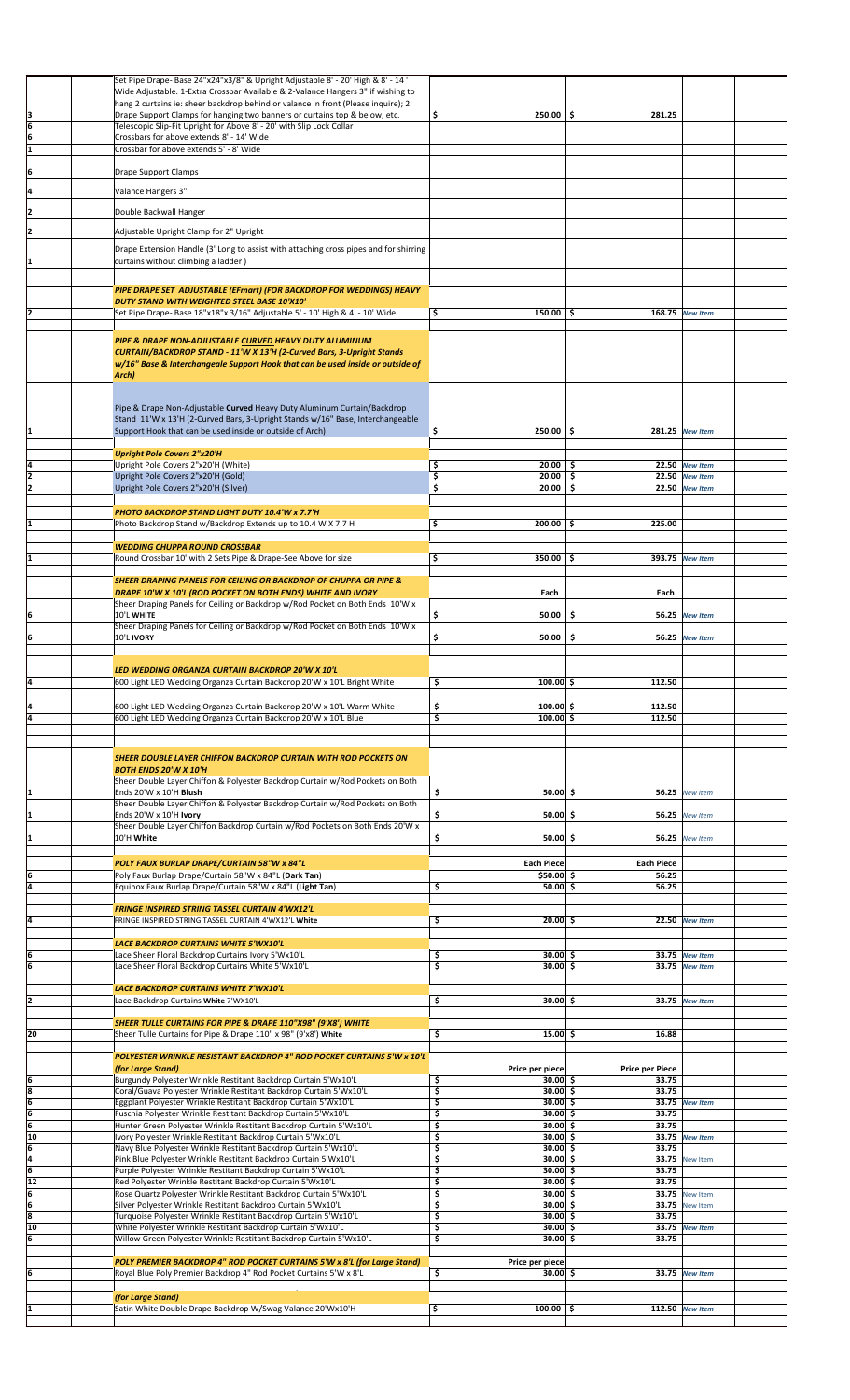|                                       | Set Pipe Drape- Base 24"x24"x3/8" & Upright Adjustable 8' - 20' High & 8' - 14'       |                     |                        |                       |  |
|---------------------------------------|---------------------------------------------------------------------------------------|---------------------|------------------------|-----------------------|--|
|                                       | Wide Adjustable. 1-Extra Crossbar Available & 2-Valance Hangers 3" if wishing to      |                     |                        |                       |  |
|                                       | hang 2 curtains ie: sheer backdrop behind or valance in front (Please inquire); 2     |                     |                        |                       |  |
|                                       | Drape Support Clamps for hanging two banners or curtains top & below, etc.            | \$<br>$250.00$ \$   | 281.25                 |                       |  |
| $\frac{3}{6}$                         | Telescopic Slip-Fit Upright for Above 8' - 20' with Slip Lock Collar                  |                     |                        |                       |  |
| 16                                    | Crossbars for above extends 8' - 14' Wide                                             |                     |                        |                       |  |
|                                       |                                                                                       |                     |                        |                       |  |
| ī                                     | Crossbar for above extends 5' - 8' Wide                                               |                     |                        |                       |  |
|                                       |                                                                                       |                     |                        |                       |  |
| ļ6                                    | Drape Support Clamps                                                                  |                     |                        |                       |  |
|                                       |                                                                                       |                     |                        |                       |  |
| ļ4                                    | Valance Hangers 3"                                                                    |                     |                        |                       |  |
|                                       |                                                                                       |                     |                        |                       |  |
| I2                                    | Double Backwall Hanger                                                                |                     |                        |                       |  |
|                                       |                                                                                       |                     |                        |                       |  |
| I2                                    | Adjustable Upright Clamp for 2" Upright                                               |                     |                        |                       |  |
|                                       | Drape Extension Handle (3' Long to assist with attaching cross pipes and for shirring |                     |                        |                       |  |
|                                       |                                                                                       |                     |                        |                       |  |
| I1                                    | curtains without climbing a ladder)                                                   |                     |                        |                       |  |
|                                       |                                                                                       |                     |                        |                       |  |
|                                       | PIPE DRAPE SET ADJUSTABLE (EFmart) (FOR BACKDROP FOR WEDDINGS) HEAVY                  |                     |                        |                       |  |
|                                       | DUTY STAND WITH WEIGHTED STEEL BASE 10'X10'                                           |                     |                        |                       |  |
| I2                                    |                                                                                       | \$<br>$150.00$   \$ |                        | 168.75 New Item       |  |
|                                       | Set Pipe Drape- Base 18"x18"x 3/16" Adjustable 5' - 10' High & 4' - 10' Wide          |                     |                        |                       |  |
|                                       |                                                                                       |                     |                        |                       |  |
|                                       | PIPE & DRAPE NON-ADJUSTABLE CURVED HEAVY DUTY ALUMINUM                                |                     |                        |                       |  |
|                                       | CURTAIN/BACKDROP STAND - 11'W X 13'H (2-Curved Bars, 3-Upright Stands                 |                     |                        |                       |  |
|                                       | w/16" Base & Interchangeale Support Hook that can be used inside or outside of        |                     |                        |                       |  |
|                                       | Arch)                                                                                 |                     |                        |                       |  |
|                                       |                                                                                       |                     |                        |                       |  |
|                                       |                                                                                       |                     |                        |                       |  |
|                                       |                                                                                       |                     |                        |                       |  |
|                                       | Pipe & Drape Non-Adjustable Curved Heavy Duty Aluminum Curtain/Backdrop               |                     |                        |                       |  |
|                                       | Stand 11'W x 13'H (2-Curved Bars, 3-Upright Stands w/16" Base, Interchangeable        |                     |                        |                       |  |
| I1                                    | Support Hook that can be used inside or outside of Arch)                              | $250.00$ \$<br>\$   |                        | 281.25 New Item       |  |
|                                       |                                                                                       |                     |                        |                       |  |
|                                       | <b>Upright Pole Covers 2"x20'H</b>                                                    |                     |                        |                       |  |
| Į4                                    | Upright Pole Covers 2"x20'H (White)                                                   | $20.00$   \$<br>\$  |                        | 22.50 New Item        |  |
| 2                                     | Upright Pole Covers 2"x20'H (Gold)                                                    | $20.00$ \$<br>\$    |                        | 22.50 New Item        |  |
|                                       |                                                                                       |                     |                        |                       |  |
| 12                                    | Upright Pole Covers 2"x20'H (Silver)                                                  | \$<br>20.00         | \$.                    | 22.50 New Item        |  |
|                                       |                                                                                       |                     |                        |                       |  |
|                                       | PHOTO BACKDROP STAND LIGHT DUTY 10.4'W x 7.7'H                                        |                     |                        |                       |  |
| I1                                    | Photo Backdrop Stand w/Backdrop Extends up to 10.4 W X 7.7 H                          | \$<br>$200.00$ \$   | 225.00                 |                       |  |
|                                       |                                                                                       |                     |                        |                       |  |
|                                       |                                                                                       |                     |                        |                       |  |
|                                       | <b>WEDDING CHUPPA ROUND CROSSBAR</b>                                                  |                     |                        |                       |  |
|                                       | Round Crossbar 10' with 2 Sets Pipe & Drape-See Above for size                        | \$<br>$350.00$   \$ |                        | 393.75 New Item       |  |
|                                       |                                                                                       |                     |                        |                       |  |
|                                       | <b>SHEER DRAPING PANELS FOR CEILING OR BACKDROP OF CHUPPA OR PIPE &amp;</b>           |                     |                        |                       |  |
|                                       | DRAPE 10'W X 10'L (ROD POCKET ON BOTH ENDS) WHITE AND IVORY                           | Each                | Each                   |                       |  |
|                                       | Sheer Draping Panels for Ceiling or Backdrop w/Rod Pocket on Both Ends 10'W x         |                     |                        |                       |  |
| 16                                    | 10'L WHITE                                                                            | \$<br>50.00         | \$                     | 56.25 New Item        |  |
|                                       |                                                                                       |                     |                        |                       |  |
|                                       | Sheer Draping Panels for Ceiling or Backdrop w/Rod Pocket on Both Ends 10'W x         |                     |                        |                       |  |
| 6                                     | 10'L IVORY                                                                            | \$<br>50.00         | \$<br>56.25            | <b>New Item</b>       |  |
|                                       |                                                                                       |                     |                        |                       |  |
|                                       |                                                                                       |                     |                        |                       |  |
|                                       | LED WEDDING ORGANZA CURTAIN BACKDROP 20'W X 10'L                                      |                     |                        |                       |  |
| 14                                    | 600 Light LED Wedding Organza Curtain Backdrop 20'W x 10'L Bright White               | \$<br>$100.00$ \$   | 112.50                 |                       |  |
|                                       |                                                                                       |                     |                        |                       |  |
|                                       |                                                                                       | $100.00$ \$         | 112.50                 |                       |  |
|                                       | 600 Light LED Wedding Organza Curtain Backdrop 20'W x 10'L Warm White                 | \$                  |                        |                       |  |
| ā                                     | 600 Light LED Wedding Organza Curtain Backdrop 20'W x 10'L Blue                       | \$<br>$100.00$ \$   | 112.50                 |                       |  |
|                                       |                                                                                       |                     |                        |                       |  |
|                                       |                                                                                       |                     |                        |                       |  |
|                                       |                                                                                       |                     |                        |                       |  |
|                                       | SHEER DOUBLE LAYER CHIFFON BACKDROP CURTAIN WITH ROD POCKETS ON                       |                     |                        |                       |  |
|                                       | <b>BOTH ENDS 20'W X 10'H</b>                                                          |                     |                        |                       |  |
|                                       | Sheer Double Layer Chiffon & Polyester Backdrop Curtain w/Rod Pockets on Both         |                     |                        |                       |  |
| I1                                    | Ends 20'W x 10'H Blush                                                                | \$<br>$50.00$ \$    |                        | 56.25 New Item        |  |
|                                       | Sheer Double Layer Chiffon & Polyester Backdrop Curtain w/Rod Pockets on Both         |                     |                        |                       |  |
| I1                                    | Ends 20'W x 10'H Ivory                                                                | \$<br>$50.00$ \$    | 56.25                  | New Item              |  |
|                                       | Sheer Double Layer Chiffon Backdrop Curtain w/Rod Pockets on Both Ends 20'W x         |                     |                        |                       |  |
| I1                                    | 10'H White                                                                            | \$<br>50.00 S       | 56.25                  | New Item              |  |
|                                       |                                                                                       |                     |                        |                       |  |
|                                       |                                                                                       |                     |                        |                       |  |
|                                       | POLY FAUX BURLAP DRAPE/CURTAIN 58"W x 84"L                                            | <b>Each Piece</b>   | <b>Each Piece</b>      |                       |  |
| 6                                     | Poly Faux Burlap Drape/Curtain 58"W x 84"L (Dark Tan)                                 | $$50.00$ \$         | 56.25                  |                       |  |
| Ī4                                    | Equinox Faux Burlap Drape/Curtain 58"W x 84"L (Light Tan)                             | \$<br>$50.00$ \$    | 56.25                  |                       |  |
|                                       |                                                                                       |                     |                        |                       |  |
|                                       | FRINGE INSPIRED STRING TASSEL CURTAIN 4'WX12'L                                        |                     |                        |                       |  |
|                                       |                                                                                       |                     |                        |                       |  |
| ļ4                                    | FRINGE INSPIRED STRING TASSEL CURTAIN 4'WX12'L White                                  | \$<br>$20.00$ \$    |                        | 22.50 New Item        |  |
|                                       |                                                                                       |                     |                        |                       |  |
|                                       | <b>LACE BACKDROP CURTAINS WHITE 5'WX10'L</b>                                          |                     |                        |                       |  |
| İ6                                    | Lace Sheer Floral Backdrop Curtains Ivory 5'Wx10'L                                    | \$<br>30.00 \$      |                        | 33.75 New Item        |  |
| ſ6                                    | Lace Sheer Floral Backdrop Curtains White 5'Wx10'L                                    | \$<br>30.00 \$      |                        | 33.75 New Item        |  |
|                                       |                                                                                       |                     |                        |                       |  |
|                                       | LACE BACKDROP CURTAINS WHITE 7'WX10'L                                                 |                     |                        |                       |  |
| l2                                    | Lace Backdrop Curtains White 7'WX10'L                                                 | \$<br>30.00 \$      |                        | 33.75 New Item        |  |
|                                       |                                                                                       |                     |                        |                       |  |
|                                       | SHEER TULLE CURTAINS FOR PIPE & DRAPE 110"X98" (9'X8') WHITE                          |                     |                        |                       |  |
| 20                                    | Sheer Tulle Curtains for Pipe & Drape 110" x 98" (9'x8') White                        | \$<br>$15.00 \,$ \$ | 16.88                  |                       |  |
|                                       |                                                                                       |                     |                        |                       |  |
|                                       |                                                                                       |                     |                        |                       |  |
|                                       | POLYESTER WRINKLE RESISTANT BACKDROP 4" ROD POCKET CURTAINS 5'W x 10'L                |                     |                        |                       |  |
|                                       | (for Large Stand)                                                                     | Price per piece     | <b>Price per Piece</b> |                       |  |
| $\begin{array}{c} 6 \\ 8 \end{array}$ | Burgundy Polyester Wrinkle Restitant Backdrop Curtain 5'Wx10'L                        | \$<br>30.00 \$      | 33.75                  |                       |  |
|                                       | Coral/Guava Polyester Wrinkle Restitant Backdrop Curtain 5'Wx10'L                     | \$<br>$30.00$ \$    | 33.75                  |                       |  |
|                                       | Eggplant Polyester Wrinkle Restitant Backdrop Curtain 5'Wx10'L                        | \$<br>$30.00$ \$    |                        | 33.75 New Item        |  |
|                                       | Fuschia Polyester Wrinkle Restitant Backdrop Curtain 5'Wx10'L                         | \$<br>30.00 \$      | 33.75                  |                       |  |
| $\frac{6}{6}$                         | Hunter Green Polyester Wrinkle Restitant Backdrop Curtain 5'Wx10'L                    | \$<br>30.00 \$      | 33.75                  |                       |  |
|                                       |                                                                                       |                     |                        |                       |  |
| 10                                    | Ivory Polyester Wrinkle Restitant Backdrop Curtain 5'Wx10'L                           | \$<br>$30.00$ \$    |                        | 33.75 New Item        |  |
| 6                                     | Navy Blue Polyester Wrinkle Restitant Backdrop Curtain 5'Wx10'L                       | \$<br>$30.00$ \$    | 33.75                  |                       |  |
| $\frac{4}{6}$                         | Pink Blue Polyester Wrinkle Restitant Backdrop Curtain 5'Wx10'L                       | \$<br>$30.00$ \$    |                        | <b>33.75</b> New Item |  |
|                                       | Purple Polyester Wrinkle Restitant Backdrop Curtain 5'Wx10'L                          | \$<br>$30.00$ \$    | 33.75                  |                       |  |
| 12                                    | Red Polyester Wrinkle Restitant Backdrop Curtain 5'Wx10'L                             | \$<br>$30.00$ \$    | 33.75                  |                       |  |
| ļ6                                    | Rose Quartz Polyester Wrinkle Restitant Backdrop Curtain 5'Wx10'L                     | \$<br>$30.00$ \$    |                        | <b>33.75</b> New Item |  |
| 6                                     | Silver Polyester Wrinkle Restitant Backdrop Curtain 5'Wx10'L                          | \$<br>$30.00$ \$    | 33.75                  | <b>New Item</b>       |  |
| 3                                     | Turquoise Polyester Wrinkle Restitant Backdrop Curtain 5'Wx10'L                       | \$<br>30.00 \$      | 33.75                  |                       |  |
| 10                                    |                                                                                       | $30.00$ \$          |                        |                       |  |
|                                       | White Polyester Wrinkle Restitant Backdrop Curtain 5'Wx10'L                           | \$                  |                        | 33.75 New Item        |  |
| 6                                     | Willow Green Polyester Wrinkle Restitant Backdrop Curtain 5'Wx10'L                    | \$<br>$30.00$ \$    | 33.75                  |                       |  |
|                                       |                                                                                       |                     |                        |                       |  |
|                                       |                                                                                       |                     |                        |                       |  |
|                                       | POLY PREMIER BACKDROP 4" ROD POCKET CURTAINS 5'W x 8'L (for Large Stand)              | Price per piece     |                        |                       |  |
| 6                                     | Royal Blue Poly Premier Backdrop 4" Rod Pocket Curtains 5'W x 8'L                     | \$<br>$30.00$ \$    |                        | 33.75 New Item        |  |
|                                       |                                                                                       |                     |                        |                       |  |
|                                       |                                                                                       |                     |                        |                       |  |
|                                       | (for Large Stand)                                                                     |                     |                        |                       |  |
|                                       | Satin White Double Drape Backdrop W/Swag Valance 20'Wx10'H                            | \$<br>$100.00$ \$   |                        | 112.50 New Item       |  |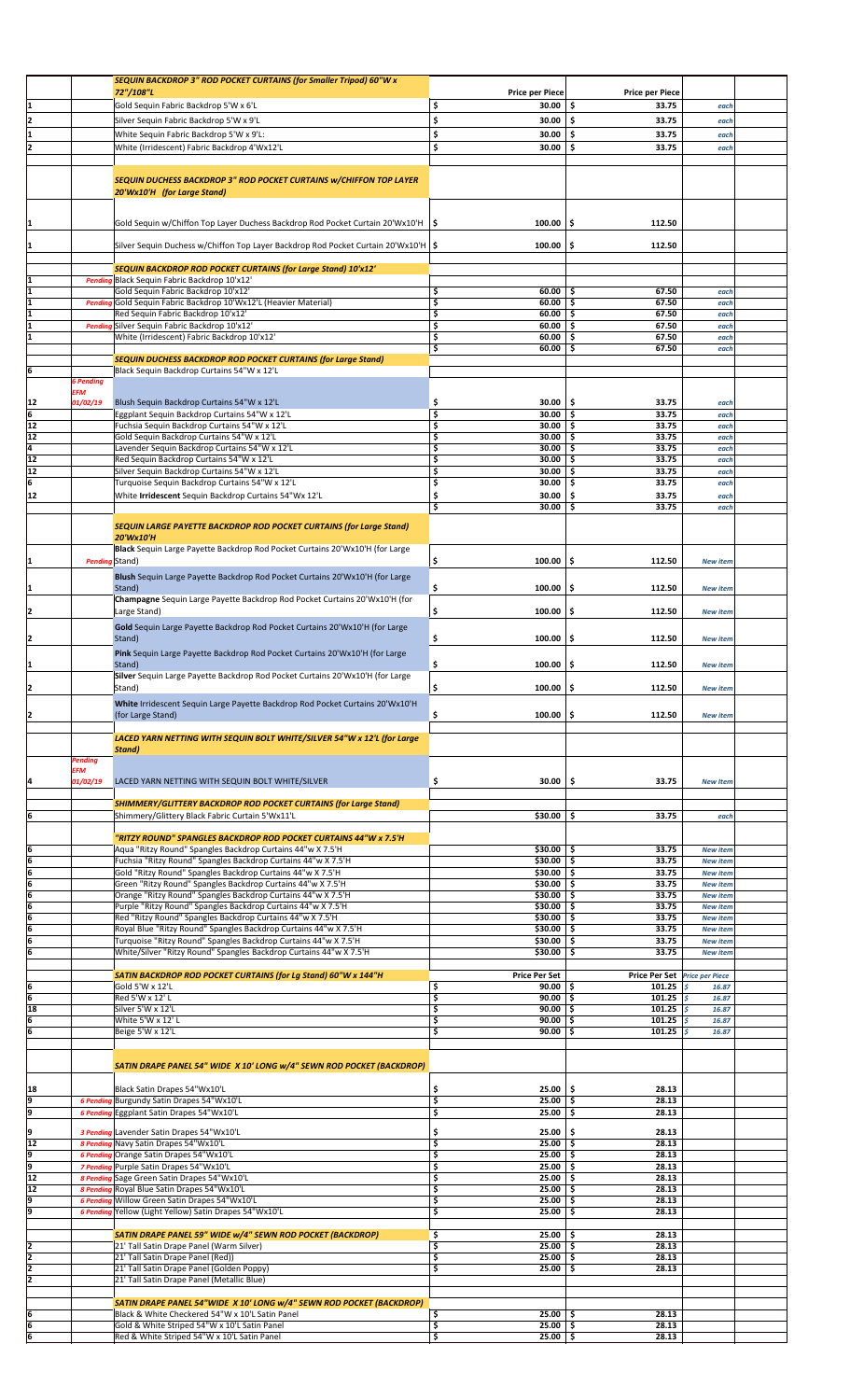|                       |                  | SEQUIN BACKDROP 3" ROD POCKET CURTAINS (for Smaller Tripod) 60"W x                                     |                                   |                               |                 |  |
|-----------------------|------------------|--------------------------------------------------------------------------------------------------------|-----------------------------------|-------------------------------|-----------------|--|
|                       |                  | 72"/108"L                                                                                              | <b>Price per Piece</b>            | <b>Price per Piece</b>        |                 |  |
| 1                     |                  | Gold Sequin Fabric Backdrop 5'W x 6'L                                                                  | \$<br>30.00                       | \$.<br>33.75                  | each            |  |
|                       |                  | Silver Sequin Fabric Backdrop 5'W x 9'L                                                                | \$<br>30.00                       | \$.<br>33.75                  | each            |  |
|                       |                  | White Sequin Fabric Backdrop 5'W x 9'L:                                                                | \$<br>30.00                       | \$<br>33.75                   | each            |  |
| 12                    |                  | White (Irridescent) Fabric Backdrop 4'Wx12'L                                                           | \$<br>30.00                       | 33.75<br>Ś                    | each            |  |
|                       |                  |                                                                                                        |                                   |                               |                 |  |
|                       |                  |                                                                                                        |                                   |                               |                 |  |
|                       |                  | <b>SEQUIN DUCHESS BACKDROP 3" ROD POCKET CURTAINS W/CHIFFON TOP LAYER</b>                              |                                   |                               |                 |  |
|                       |                  | 20'Wx10'H (for Large Stand)                                                                            |                                   |                               |                 |  |
|                       |                  |                                                                                                        |                                   |                               |                 |  |
|                       |                  | Gold Sequin w/Chiffon Top Layer Duchess Backdrop Rod Pocket Curtain 20'Wx10'H                          | 100.00<br>۱\$                     | \$.<br>112.50                 |                 |  |
|                       |                  |                                                                                                        |                                   |                               |                 |  |
|                       |                  | Silver Sequin Duchess w/Chiffon Top Layer Backdrop Rod Pocket Curtain 20'Wx10'H   \$                   | 100.00                            | \$.<br>112.50                 |                 |  |
|                       |                  |                                                                                                        |                                   |                               |                 |  |
|                       |                  | SEQUIN BACKDROP ROD POCKET CURTAINS (for Large Stand) 10'x12'                                          |                                   |                               |                 |  |
|                       | <b>Pendin</b>    | Black Sequin Fabric Backdrop 10'x12'<br>Gold Sequin Fabric Backdrop 10'x12'                            | \$<br>60.00                       | 67.50                         |                 |  |
|                       | <b>Pendin</b>    | Gold Sequin Fabric Backdrop 10'Wx12'L (Heavier Material)                                               | \$<br>60.00                       | - \$<br>67.50<br>\$           | each<br>each    |  |
| 1                     |                  | Red Sequin Fabric Backdrop 10'x12'                                                                     | \$<br>60.00                       | -\$<br>67.50                  | each            |  |
|                       | <b>Pendin</b>    | Silver Sequin Fabric Backdrop 10'x12'                                                                  | \$<br>60.00                       | \$<br>67.50                   | each            |  |
| 1                     |                  | White (Irridescent) Fabric Backdrop 10'x12'                                                            | \$<br>60.00                       | -\$<br>67.50                  | each            |  |
|                       |                  |                                                                                                        | \$<br>60.00                       | \$.<br>67.50                  | each            |  |
|                       |                  | <b>SEQUIN DUCHESS BACKDROP ROD POCKET CURTAINS (for Large Stand)</b>                                   |                                   |                               |                 |  |
| 6                     | <b>6 Pending</b> | Black Sequin Backdrop Curtains 54"W x 12'L                                                             |                                   |                               |                 |  |
|                       | <b>EFM</b>       |                                                                                                        |                                   |                               |                 |  |
| 12                    | 01/02/19         | Blush Sequin Backdrop Curtains 54"W x 12'L                                                             | \$<br>30.00                       | \$.<br>33.75                  | each            |  |
| 6                     |                  | Eggplant Sequin Backdrop Curtains 54"W x 12'L                                                          | \$<br>30.00                       | -\$<br>33.75                  | each            |  |
| 12                    |                  | Fuchsia Sequin Backdrop Curtains 54"W x 12'L                                                           | \$<br>30.00                       | \$.<br>33.75                  | each            |  |
| $\overline{12}$       |                  | Gold Sequin Backdrop Curtains 54"W x 12'L                                                              | \$<br>$30.00$ \$                  | 33.75                         | each            |  |
| 4                     |                  | Lavender Sequin Backdrop Curtains 54"W x 12'L                                                          | \$<br>30.00                       | \$.<br>33.75                  | each            |  |
| $\overline{12}$<br>12 |                  | Red Sequin Backdrop Curtains 54"W x 12'L<br>Silver Sequin Backdrop Curtains 54"W x 12'L                | \$<br>30.00<br>\$<br>30.00        | \$<br>33.75<br>33.75<br>-\$   | each<br>each    |  |
| 6                     |                  | Turquoise Sequin Backdrop Curtains 54"W x 12'L                                                         | \$<br>30.00                       | \$.<br>33.75                  | each            |  |
| 12                    |                  | White Irridescent Sequin Backdrop Curtains 54"Wx 12'L                                                  | \$<br>30.00                       | \$<br>33.75                   | each            |  |
|                       |                  |                                                                                                        | \$<br>30.00                       | Ŝ.<br>33.75                   | each            |  |
|                       |                  |                                                                                                        |                                   |                               |                 |  |
|                       |                  | SEQUIN LARGE PAYETTE BACKDROP ROD POCKET CURTAINS (for Large Stand)                                    |                                   |                               |                 |  |
|                       |                  | 20'Wx10'H                                                                                              |                                   |                               |                 |  |
|                       |                  | Black Sequin Large Payette Backdrop Rod Pocket Curtains 20'Wx10'H (for Large                           |                                   |                               |                 |  |
|                       |                  | Pending Stand)                                                                                         | \$<br>100.00                      | \$<br>112.50                  | <b>New item</b> |  |
|                       |                  | Blush Sequin Large Payette Backdrop Rod Pocket Curtains 20'Wx10'H (for Large                           |                                   |                               |                 |  |
|                       |                  | Stand)                                                                                                 | \$<br>100.00                      | \$.<br>112.50                 | <b>New item</b> |  |
|                       |                  | Champagne Sequin Large Payette Backdrop Rod Pocket Curtains 20'Wx10'H (for                             |                                   |                               |                 |  |
|                       |                  | Large Stand)                                                                                           | \$<br>100.00                      | \$<br>112.50                  | <b>New item</b> |  |
|                       |                  | Gold Sequin Large Payette Backdrop Rod Pocket Curtains 20'Wx10'H (for Large                            |                                   |                               |                 |  |
| 12                    |                  | Stand)                                                                                                 | \$<br>100.00                      | \$.<br>112.50                 | <b>New item</b> |  |
|                       |                  | Pink Sequin Large Payette Backdrop Rod Pocket Curtains 20'Wx10'H (for Large                            |                                   |                               |                 |  |
|                       |                  | Stand)                                                                                                 | \$<br>100.00                      | \$<br>112.50                  | <b>New item</b> |  |
|                       |                  | Silver Sequin Large Payette Backdrop Rod Pocket Curtains 20'Wx10'H (for Large                          |                                   |                               |                 |  |
|                       |                  | Stand)                                                                                                 | \$<br>100.00                      | \$.<br>112.50                 | <b>New item</b> |  |
|                       |                  | White Irridescent Sequin Large Payette Backdrop Rod Pocket Curtains 20'Wx10'H                          |                                   |                               |                 |  |
| 12                    |                  | (for Large Stand)                                                                                      | \$<br>100.00                      | \$.<br>112.50                 | <b>New item</b> |  |
|                       |                  |                                                                                                        |                                   |                               |                 |  |
|                       |                  | LACED YARN NETTING WITH SEQUIN BOLT WHITE/SILVER 54"W x 12'L (for Large                                |                                   |                               |                 |  |
|                       | Pending          | <b>Stand</b> )                                                                                         |                                   |                               |                 |  |
|                       | EFM              |                                                                                                        |                                   |                               |                 |  |
| 14                    | 01/02/19         | LACED YARN NETTING WITH SEQUIN BOLT WHITE/SILVER                                                       | \$<br>30.00                       | \$<br>33.75                   | <b>New Item</b> |  |
|                       |                  |                                                                                                        |                                   |                               |                 |  |
|                       |                  | <b>SHIMMERY/GLITTERY BACKDROP ROD POCKET CURTAINS (for Large Stand)</b>                                |                                   |                               |                 |  |
| 6                     |                  | Shimmery/Glittery Black Fabric Curtain 5'Wx11'L                                                        | \$30.00                           | 33.75<br>\$                   | each            |  |
|                       |                  | "RITZY ROUND" SPANGLES BACKDROP ROD POCKET CURTAINS 44"W x 7.5'H                                       |                                   |                               |                 |  |
| 6                     |                  | Aqua "Ritzy Round" Spangles Backdrop Curtains 44"w X 7.5'H                                             | $$30.00$ $$$                      | 33.75                         | <b>New item</b> |  |
| 6                     |                  | Fuchsia "Ritzy Round" Spangles Backdrop Curtains 44"w X 7.5'H                                          | \$30.00                           | 33.75<br>\$                   | <b>New item</b> |  |
| 6                     |                  | Gold "Ritzy Round" Spangles Backdrop Curtains 44"w X 7.5'H                                             | \$30.00                           | -\$<br>33.75                  | <b>New item</b> |  |
| 6                     |                  | Green "Ritzy Round" Spangles Backdrop Curtains 44"w X 7.5'H                                            | \$30.00                           | \$<br>33.75                   | <b>New item</b> |  |
| $\frac{6}{6}$         |                  | Orange "Ritzy Round" Spangles Backdrop Curtains 44"w X 7.5'H                                           | $$30.00$ $$$                      | 33.75                         | <b>New item</b> |  |
|                       |                  | Purple "Ritzy Round" Spangles Backdrop Curtains 44"w X 7.5'H                                           | \$30.00                           | -\$<br>33.75                  | <b>New item</b> |  |
| 6                     |                  | Red "Ritzy Round" Spangles Backdrop Curtains 44"w X 7.5'H                                              | \$30.00                           | \$<br>33.75                   | <b>New item</b> |  |
| 6                     |                  | Royal Blue "Ritzy Round" Spangles Backdrop Curtains 44"w X 7.5'H                                       | $$30.00$ $$$                      | 33.75                         | <b>New item</b> |  |
| 6                     |                  | Turquoise "Ritzy Round" Spangles Backdrop Curtains 44"w X 7.5'H                                        | \$30.00                           | -\$<br>33.75                  | <b>New item</b> |  |
| ſб                    |                  | White/Silver "Ritzy Round" Spangles Backdrop Curtains 44"w X 7.5'H                                     | \$30.00                           | -\$<br>33.75                  | <b>New item</b> |  |
|                       |                  | SATIN BACKDROP ROD POCKET CURTAINS (for Lg Stand) 60"W x 144"H                                         | <b>Price Per Set</b>              | Price Per Set Price per Piece |                 |  |
| 6                     |                  | Gold 5'W x 12'L                                                                                        | \$<br>$90.00$ \$                  | 101.25 $\sqrt{5}$             | 16.87           |  |
| 6                     |                  | Red 5'W x 12' L                                                                                        | \$<br>$90.00$ \$                  | 101.25 $\frac{1}{5}$          | 16.87           |  |
| 18                    |                  | Silver 5'W x 12'L                                                                                      | \$<br>90.00                       | \$<br>101.25 $\frac{1}{5}$    | 16.87           |  |
| 6                     |                  | White 5'W x 12'L                                                                                       | \$<br>90.00                       | \$<br>101.25                  | l \$<br>16.87   |  |
| 6                     |                  | Beige 5'W x 12'L                                                                                       | \$<br>90.00                       | \$.<br>101.25                 | Ś<br>16.87      |  |
|                       |                  |                                                                                                        |                                   |                               |                 |  |
|                       |                  | SATIN DRAPE PANEL 54" WIDE X 10' LONG w/4" SEWN ROD POCKET (BACKDROP)                                  |                                   |                               |                 |  |
|                       |                  |                                                                                                        |                                   |                               |                 |  |
| 18                    |                  | Black Satin Drapes 54"Wx10'L                                                                           | \$<br>25.00                       | \$<br>28.13                   |                 |  |
| 9                     | <b>6 Pendino</b> | Burgundy Satin Drapes 54"Wx10'L                                                                        | \$<br>25.00                       | 28.13<br>\$                   |                 |  |
| 9                     |                  | 6 Pending Eggplant Satin Drapes 54"Wx10'L                                                              | \$<br>25.00                       | \$<br>28.13                   |                 |  |
|                       |                  |                                                                                                        |                                   |                               |                 |  |
| ļ9<br>12              |                  | 3 Pending Lavender Satin Drapes 54"Wx10'L<br>8 Pending Navy Satin Drapes 54"Wx10'L                     | \$<br>25.00<br>\$<br>25.00        | \$.<br>28.13<br>28.13<br>\$.  |                 |  |
| p                     | <b>6 Pendina</b> | Orange Satin Drapes 54"Wx10'L                                                                          | \$<br>25.00                       | -\$<br>28.13                  |                 |  |
| p                     |                  | 7 Pending Purple Satin Drapes 54"Wx10'L                                                                | \$<br>25.00                       | \$.<br>28.13                  |                 |  |
| 12                    |                  | 8 Pending Sage Green Satin Drapes 54"Wx10'L                                                            | \$<br>25.00                       | 28.13<br>\$.                  |                 |  |
| 12                    | 8 Pendine        | Royal Blue Satin Drapes 54"Wx10'L                                                                      | \$<br>25.00                       | -\$<br>28.13                  |                 |  |
| 9                     | <b>6 Pending</b> | Willow Green Satin Drapes 54"Wx10'L                                                                    | \$<br>25.00                       | \$<br>28.13                   |                 |  |
| p                     |                  | 6 Pending Yellow (Light Yellow) Satin Drapes 54"Wx10'L                                                 | \$<br>25.00                       | -\$<br>28.13                  |                 |  |
|                       |                  |                                                                                                        |                                   |                               |                 |  |
| 2                     |                  | SATIN DRAPE PANEL 59" WIDE w/4" SEWN ROD POCKET (BACKDROP)<br>21' Tall Satin Drape Panel (Warm Silver) | \$<br>25.00<br>\$<br>$25.00$   \$ | 28.13<br>- \$<br>28.13        |                 |  |
| 2                     |                  | 21' Tall Satin Drape Panel (Red))                                                                      | \$<br>25.00                       | \$.<br>28.13                  |                 |  |
| 12                    |                  | 21' Tall Satin Drape Panel (Golden Poppy)                                                              | \$<br>25.00                       | \$.<br>28.13                  |                 |  |
| 2                     |                  | 21' Tall Satin Drape Panel (Metallic Blue)                                                             |                                   |                               |                 |  |
|                       |                  |                                                                                                        |                                   |                               |                 |  |
|                       |                  | SATIN DRAPE PANEL 54"WIDE X 10' LONG w/4" SEWN ROD POCKET (BACKDROP)                                   |                                   |                               |                 |  |
| 6                     |                  | Black & White Checkered 54"W x 10'L Satin Panel                                                        | \$<br>$25.00$ \$                  | 28.13                         |                 |  |
| $\frac{6}{6}$         |                  | Gold & White Striped 54"W x 10'L Satin Panel                                                           | 25.00%<br>\$                      | 28.13                         |                 |  |
|                       |                  | Red & White Striped 54"W x 10'L Satin Panel                                                            | 5<br>$25.00$ \$                   | 28.13                         |                 |  |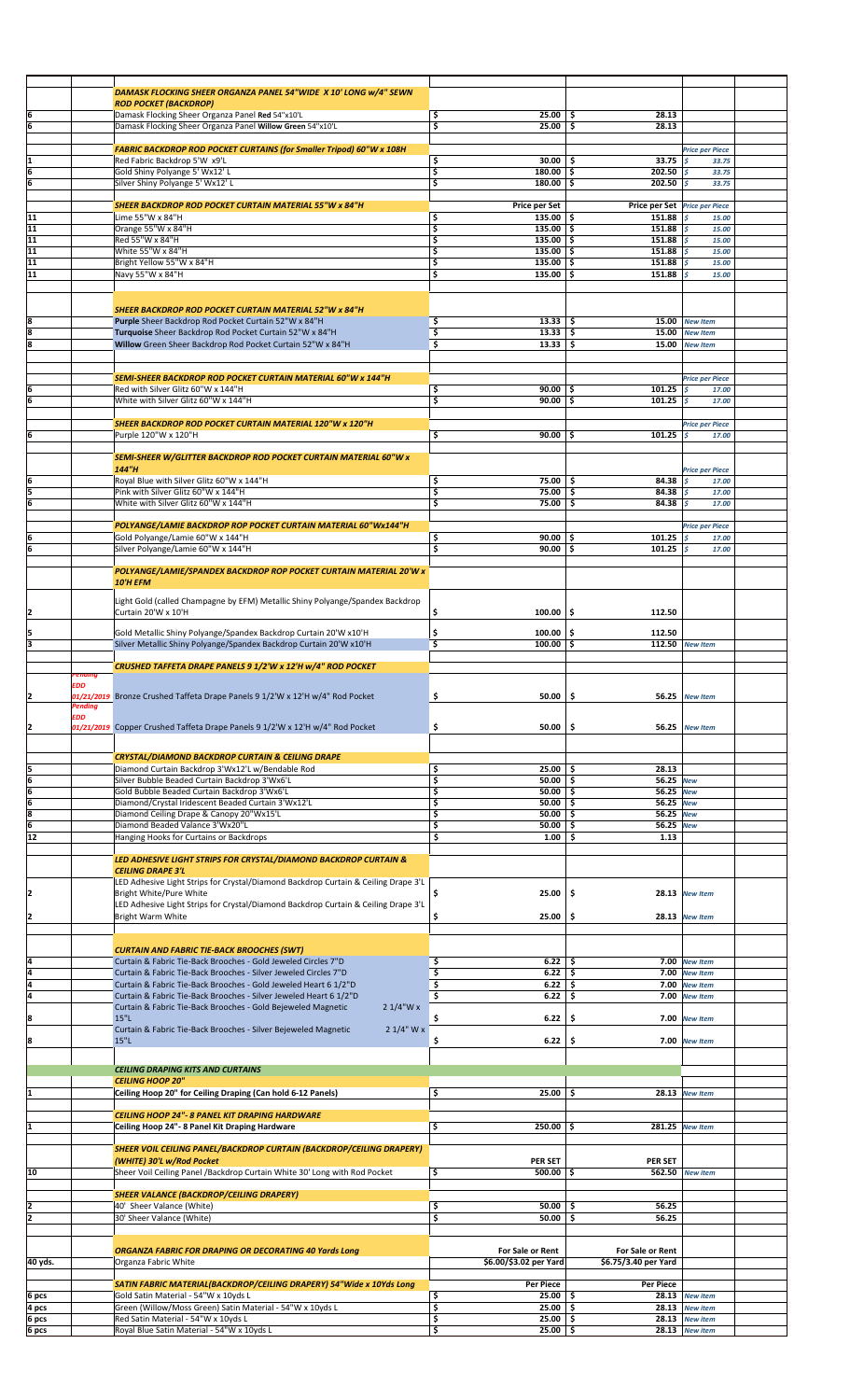|                                |            | DAMASK FLOCKING SHEER ORGANZA PANEL 54"WIDE X 10' LONG w/4" SEWN                                  |                                                   |                               |                                       |  |
|--------------------------------|------------|---------------------------------------------------------------------------------------------------|---------------------------------------------------|-------------------------------|---------------------------------------|--|
|                                |            | <b>ROD POCKET (BACKDROP)</b>                                                                      |                                                   |                               |                                       |  |
| 6                              |            | Damask Flocking Sheer Organza Panel Red 54"x10'L                                                  | \$<br>$25.00$ \$                                  | 28.13                         |                                       |  |
| 6                              |            | Damask Flocking Sheer Organza Panel Willow Green 54"x10'L                                         | \$<br>$25.00$ \$                                  | 28.13                         |                                       |  |
|                                |            |                                                                                                   |                                                   |                               |                                       |  |
|                                |            | <b>FABRIC BACKDROP ROD POCKET CURTAINS (for Smaller Tripod) 60"W x 108H</b>                       |                                                   |                               | <b>Price per Piece</b>                |  |
| I1                             |            | Red Fabric Backdrop 5'W x9'L                                                                      | \$<br>$30.00$ \$                                  | 33.75                         | $\mathfrak{s}$<br>33.75               |  |
| ļ6<br>6                        |            | Gold Shiny Polyange 5' Wx12' L<br>Silver Shiny Polyange 5' Wx12' L                                | \$<br>$180.00$   \$<br>\$<br>$180.00$ \$          | 202.50<br>202.50              | \$<br>33.75<br>\$<br>33.75            |  |
|                                |            |                                                                                                   |                                                   |                               |                                       |  |
|                                |            | <b>SHEER BACKDROP ROD POCKET CURTAIN MATERIAL 55"W x 84"H</b>                                     | Price per Set                                     | Price per Set Price per Piece |                                       |  |
| 11                             |            | Lime 55"W x 84"H                                                                                  | \$<br>$135.00$ \$                                 | 151.88                        | \$<br>15.00                           |  |
| 11                             |            | Orange 55"W x 84"H                                                                                | \$<br>$135.00$ S                                  | 151.88                        | l \$<br>15.00                         |  |
| $\overline{11}$                |            | Red 55"W x 84"H                                                                                   | \$<br>$135.00$ \$                                 | 151.88                        | \$<br>15.00                           |  |
| $\overline{11}$                |            | White 55"W x 84"H                                                                                 | \$<br>$135.00$ \$                                 | 151.88                        | \$<br>15.00                           |  |
| 11<br>11                       |            | Bright Yellow 55"W x 84"H                                                                         | \$<br>$135.00$ \$<br>$135.00$ \$<br>\$            | 151.88<br>151.88              | \$.<br>15.00<br>\$                    |  |
|                                |            | Navy 55"W x 84"H                                                                                  |                                                   |                               | 15.00                                 |  |
|                                |            |                                                                                                   |                                                   |                               |                                       |  |
|                                |            | <b>SHEER BACKDROP ROD POCKET CURTAIN MATERIAL 52"W x 84"H</b>                                     |                                                   |                               |                                       |  |
| 8                              |            | Purple Sheer Backdrop Rod Pocket Curtain 52"W x 84"H                                              | \$<br>$13.33$ $\frac{1}{5}$                       | 15.00                         | <b>New Item</b>                       |  |
| 8                              |            | Turquoise Sheer Backdrop Rod Pocket Curtain 52"W x 84"H                                           | \$<br>$13.33$ \$                                  | 15.00                         | <b>New Item</b>                       |  |
| 8                              |            | Willow Green Sheer Backdrop Rod Pocket Curtain 52"W x 84"H                                        | $13.33$ \$<br>\$                                  | 15.00                         | <b>New Item</b>                       |  |
|                                |            |                                                                                                   |                                                   |                               |                                       |  |
|                                |            |                                                                                                   |                                                   |                               |                                       |  |
|                                |            | SEMI-SHEER BACKDROP ROD POCKET CURTAIN MATERIAL 60"W x 144"H                                      |                                                   |                               | <b>Price per Piece</b>                |  |
| 6<br>6                         |            | Red with Silver Glitz 60"W x 144"H<br>White with Silver Glitz 60"W x 144"H                        | \$<br>$90.00$ \$<br>\$<br>90.00                   | 101.25<br>\$.<br>101.25       | \$<br>17.00<br>\$<br>17.00            |  |
|                                |            |                                                                                                   |                                                   |                               |                                       |  |
|                                |            | SHEER BACKDROP ROD POCKET CURTAIN MATERIAL 120"W x 120"H                                          |                                                   |                               | <b>Price per Piece</b>                |  |
| 6                              |            | Purple 120"W x 120"H                                                                              | \$<br>$90.00$   \$                                | 101.25                        | \$<br>17.00                           |  |
|                                |            |                                                                                                   |                                                   |                               |                                       |  |
|                                |            | SEMI-SHEER W/GLITTER BACKDROP ROD POCKET CURTAIN MATERIAL 60"W x                                  |                                                   |                               |                                       |  |
|                                |            | 144"H                                                                                             |                                                   |                               | <b>Price per Piece</b>                |  |
| 6                              |            | Royal Blue with Silver Glitz 60"W x 144"H                                                         | \$<br>$75.00$ \$                                  | 84.38                         | \$<br>17.00                           |  |
| $\frac{5}{6}$                  |            | Pink with Silver Glitz 60"W x 144"H<br>White with Silver Glitz 60"W x 144"H                       | $\overline{\mathsf{s}}$<br>75.00%<br>\$.<br>75.00 | 84.38<br>\$<br>84.38          | \$<br>17.00<br>$\mathcal{S}$<br>17.00 |  |
|                                |            |                                                                                                   |                                                   |                               |                                       |  |
|                                |            | POLYANGE/LAMIE BACKDROP ROP POCKET CURTAIN MATERIAL 60"Wx144"H                                    |                                                   |                               | <b>Price per Piece</b>                |  |
| 6                              |            | Gold Polyange/Lamie 60"W x 144"H                                                                  | \$<br>$90.00$ \$                                  | 101.25                        | l \$<br>17.00                         |  |
| ļ6                             |            | Silver Polyange/Lamie 60"W x 144"H                                                                | \$<br>$90.00$ \$                                  | 101.25                        | \$<br>17.00                           |  |
|                                |            |                                                                                                   |                                                   |                               |                                       |  |
|                                |            | POLYANGE/LAMIE/SPANDEX BACKDROP ROP POCKET CURTAIN MATERIAL 20'W x                                |                                                   |                               |                                       |  |
|                                |            | 10'H EFM                                                                                          |                                                   |                               |                                       |  |
|                                |            | Light Gold (called Champagne by EFM) Metallic Shiny Polyange/Spandex Backdrop                     |                                                   |                               |                                       |  |
| 2                              |            | Curtain 20'W x 10'H                                                                               | \$<br>100.00                                      | \$.<br>112.50                 |                                       |  |
|                                |            |                                                                                                   |                                                   |                               |                                       |  |
| 5                              |            | Gold Metallic Shiny Polyange/Spandex Backdrop Curtain 20'W x10'H                                  | \$<br>$100.00$   \$                               | 112.50                        |                                       |  |
| E                              |            | Silver Metallic Shiny Polyange/Spandex Backdrop Curtain 20'W x10'H                                | $100.00$ \$<br>\$                                 |                               | 112.50 New Item                       |  |
|                                |            | CRUSHED TAFFETA DRAPE PANELS 9 1/2'W x 12'H w/4" ROD POCKET                                       |                                                   |                               |                                       |  |
|                                | 'endıng    |                                                                                                   |                                                   |                               |                                       |  |
|                                | <b>EDD</b> |                                                                                                   |                                                   |                               |                                       |  |
| 2                              | Pending    | 01/21/2019 Bronze Crushed Taffeta Drape Panels 9 1/2'W x 12'H w/4" Rod Pocket                     | \$.<br>$50.00$   \$                               | 56.25                         | <b>New Item</b>                       |  |
|                                | EDD        |                                                                                                   |                                                   |                               |                                       |  |
| 12                             |            | 01/21/2019 Copper Crushed Taffeta Drape Panels 9 1/2'W x 12'H w/4" Rod Pocket                     | \$<br>50.00                                       | \$.<br>56.25                  | <b>New Item</b>                       |  |
|                                |            |                                                                                                   |                                                   |                               |                                       |  |
|                                |            | <b>CRYSTAL/DIAMOND BACKDROP CURTAIN &amp; CEILING DRAPE</b>                                       |                                                   |                               |                                       |  |
|                                |            | Diamond Curtain Backdrop 3'Wx12'L w/Bendable Rod                                                  | \$<br>$25.00$ \$                                  | 28.13                         |                                       |  |
|                                |            | Silver Bubble Beaded Curtain Backdrop 3'Wx6'L                                                     | \$<br>50.00                                       | -\$<br>56.25 New              |                                       |  |
|                                |            | Gold Bubble Beaded Curtain Backdrop 3'Wx6'L                                                       | \$<br>$50.00$   \$                                | 56.25 New                     |                                       |  |
|                                |            | Diamond/Crystal Iridescent Beaded Curtain 3'Wx12'L                                                | \$<br>$50.00$ \$                                  | 56.25 New                     |                                       |  |
| $\frac{5}{6}$<br>$\frac{6}{6}$ |            | Diamond Ceiling Drape & Canopy 20"Wx15'L                                                          | \$<br>50.00                                       | \$.<br>56.25 New              |                                       |  |
|                                |            | Diamond Beaded Valance 3'Wx20"L                                                                   | \$<br>50.00                                       | \$<br>56.25 New               |                                       |  |
| $\overline{12}$                |            | Hanging Hooks for Curtains or Backdrops                                                           | \$<br>1.00                                        | \$<br>1.13                    |                                       |  |
|                                |            | LED ADHESIVE LIGHT STRIPS FOR CRYSTAL/DIAMOND BACKDROP CURTAIN &                                  |                                                   |                               |                                       |  |
|                                |            | <b>CEILING DRAPE 3'L</b>                                                                          |                                                   |                               |                                       |  |
|                                |            | LED Adhesive Light Strips for Crystal/Diamond Backdrop Curtain & Ceiling Drape 3'L                |                                                   |                               |                                       |  |
| 2                              |            | Bright White/Pure White                                                                           | \$<br>25.00                                       | \$.                           | 28.13 New Item                        |  |
|                                |            | LED Adhesive Light Strips for Crystal/Diamond Backdrop Curtain & Ceiling Drape 3'L                |                                                   |                               |                                       |  |
| 2                              |            | Bright Warm White                                                                                 | \$<br>25.00                                       | \$.                           | 28.13 New Item                        |  |
|                                |            |                                                                                                   |                                                   |                               |                                       |  |
|                                |            | <b>CURTAIN AND FABRIC TIE-BACK BROOCHES (SWT)</b>                                                 |                                                   |                               |                                       |  |
| 4                              |            | Curtain & Fabric Tie-Back Brooches - Gold Jeweled Circles 7"D                                     | $6.22$ \$<br>\$                                   |                               | 7.00 New Item                         |  |
| $\frac{4}{4}$                  |            | Curtain & Fabric Tie-Back Brooches - Silver Jeweled Circles 7"D                                   | \$<br>6.22                                        | \$.                           | 7.00 New Item                         |  |
|                                |            | Curtain & Fabric Tie-Back Brooches - Gold Jeweled Heart 6 1/2"D                                   | \$<br>6.22                                        | \$<br>7.00                    | <b>New Item</b>                       |  |
|                                |            | Curtain & Fabric Tie-Back Brooches - Silver Jeweled Heart 6 1/2"D                                 | \$<br>6.22                                        | \$.<br>7.00                   | <b>New Item</b>                       |  |
|                                |            | Curtain & Fabric Tie-Back Brooches - Gold Bejeweled Magnetic<br>$21/4$ "W x                       |                                                   |                               |                                       |  |
| 8                              |            | 15"L                                                                                              | \$<br>6.22                                        | \$                            | 7.00 New Item                         |  |
| 8                              |            | Curtain & Fabric Tie-Back Brooches - Silver Bejeweled Magnetic<br>$21/4"$ W x<br>15"L             | \$<br>6.22                                        | \$                            | 7.00 New Item                         |  |
|                                |            |                                                                                                   |                                                   |                               |                                       |  |
|                                |            |                                                                                                   |                                                   |                               |                                       |  |
|                                |            | <b>CEILING DRAPING KITS AND CURTAINS</b><br><b>CEILING HOOP 20"</b>                               |                                                   |                               |                                       |  |
|                                |            | Ceiling Hoop 20" for Ceiling Draping (Can hold 6-12 Panels)                                       | 25.00<br>\$                                       | \$.                           | 28.13 New Item                        |  |
|                                |            |                                                                                                   |                                                   |                               |                                       |  |
|                                |            | <b>CEILING HOOP 24"- 8 PANEL KIT DRAPING HARDWARE</b>                                             |                                                   |                               |                                       |  |
| I1                             |            | Ceiling Hoop 24"- 8 Panel Kit Draping Hardware                                                    | \$<br>$250.00$ \$                                 |                               | 281.25 New Item                       |  |
|                                |            |                                                                                                   |                                                   |                               |                                       |  |
|                                |            | SHEER VOIL CEILING PANEL/BACKDROP CURTAIN (BACKDROP/CEILING DRAPERY)                              |                                                   |                               |                                       |  |
|                                |            | (WHITE) 30'L w/Rod Pocket                                                                         | <b>PER SET</b>                                    | <b>PER SET</b>                |                                       |  |
| 10                             |            | Sheer Voil Ceiling Panel / Backdrop Curtain White 30' Long with Rod Pocket                        | \$<br>$500.00$ \$                                 | 562.50                        | <b>New item</b>                       |  |
|                                |            | <b>SHEER VALANCE (BACKDROP/CEILING DRAPERY)</b>                                                   |                                                   |                               |                                       |  |
| 2                              |            | 40' Sheer Valance (White)                                                                         | \$<br>50.00                                       | 56.25<br>\$                   |                                       |  |
| 2                              |            | 30' Sheer Valance (White)                                                                         | \$<br>50.00                                       | \$.<br>56.25                  |                                       |  |
|                                |            |                                                                                                   |                                                   |                               |                                       |  |
|                                |            |                                                                                                   |                                                   |                               |                                       |  |
|                                |            | <b>ORGANZA FABRIC FOR DRAPING OR DECORATING 40 Yards Long</b>                                     | For Sale or Rent                                  | For Sale or Rent              |                                       |  |
| 40 yds.                        |            | Organza Fabric White                                                                              | \$6.00/\$3.02 per Yard                            | \$6.75/3.40 per Yard          |                                       |  |
|                                |            |                                                                                                   |                                                   |                               |                                       |  |
|                                |            |                                                                                                   |                                                   |                               |                                       |  |
|                                |            | SATIN FABRIC MATERIAL(BACKDROP/CEILING DRAPERY) 54"Wide x 10Yds Long                              | <b>Per Piece</b>                                  | <b>Per Piece</b><br>-S        |                                       |  |
| 6 pcs                          |            | Gold Satin Material - 54"W x 10yds L<br>Green (Willow/Moss Green) Satin Material - 54"W x 10yds L | 25.00<br>\$<br>25.00                              |                               | 28.13 New item                        |  |
| 4 pcs<br>$rac{6}{6}$ pcs       |            | Red Satin Material - 54"W x 10yds L                                                               | \$<br>$25.00$ \$                                  | \$                            | 28.13 New item<br>28.13 New item      |  |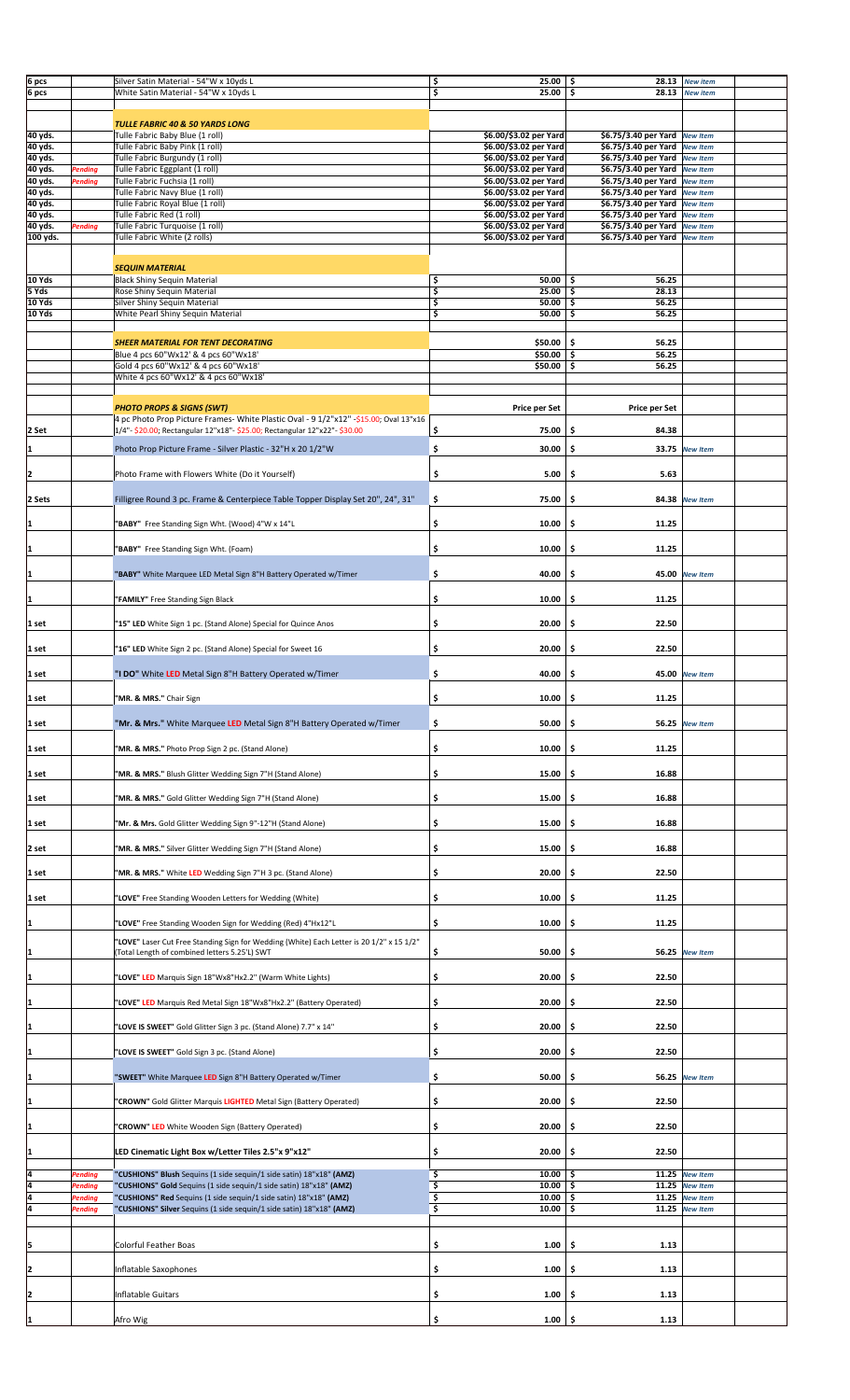| 6 pcs    |         | Silver Satin Material - 54"W x 10yds L                                                   | \$<br>25.00            | 28.13<br>-\$                  | <b>New item</b>       |  |
|----------|---------|------------------------------------------------------------------------------------------|------------------------|-------------------------------|-----------------------|--|
| 6 pcs    |         | White Satin Material - 54"W x 10yds L                                                    | \$<br>25.00            | \$<br>28.13                   | <b>New item</b>       |  |
|          |         |                                                                                          |                        |                               |                       |  |
|          |         |                                                                                          |                        |                               |                       |  |
|          |         | TULLE FABRIC 40 & 50 YARDS LONG                                                          |                        |                               |                       |  |
| 40 yds.  |         | Tulle Fabric Baby Blue (1 roll)                                                          | \$6.00/\$3.02 per Yard | \$6.75/3.40 per Yard          | <b>New Item</b>       |  |
|          |         |                                                                                          |                        |                               |                       |  |
| 40 yds.  |         | Tulle Fabric Baby Pink (1 roll)                                                          | \$6.00/\$3.02 per Yard | \$6.75/3.40 per Yard New Item |                       |  |
| 40 yds.  |         | Tulle Fabric Burgundy (1 roll)                                                           | \$6.00/\$3.02 per Yard | \$6.75/3.40 per Yard New Item |                       |  |
| 40 yds.  | Pending | Tulle Fabric Eggplant (1 roll)                                                           | \$6.00/\$3.02 per Yard | \$6.75/3.40 per Yard          | <b>New Item</b>       |  |
| 40 yds.  |         | Tulle Fabric Fuchsia (1 roll)                                                            | \$6.00/\$3.02 per Yard | \$6.75/3.40 per Yard New Item |                       |  |
|          | Pending |                                                                                          |                        |                               |                       |  |
| 40 yds.  |         | Tulle Fabric Navy Blue (1 roll)                                                          | \$6.00/\$3.02 per Yard | \$6.75/3.40 per Yard New Item |                       |  |
| 40 yds.  |         | Tulle Fabric Royal Blue (1 roll)                                                         | \$6.00/\$3.02 per Yard | \$6.75/3.40 per Yard New Item |                       |  |
| 40 yds.  |         | Tulle Fabric Red (1 roll)                                                                | \$6.00/\$3.02 per Yard | \$6.75/3.40 per Yard          | <b>New Item</b>       |  |
|          |         |                                                                                          |                        |                               |                       |  |
| 40 yds.  | Pending | Tulle Fabric Turquoise (1 roll)                                                          | \$6.00/\$3.02 per Yard | \$6.75/3.40 per Yard New Item |                       |  |
| 100 yds. |         | Tulle Fabric White (2 rolls)                                                             | \$6.00/\$3.02 per Yard | \$6.75/3.40 per Yard New Item |                       |  |
|          |         |                                                                                          |                        |                               |                       |  |
|          |         |                                                                                          |                        |                               |                       |  |
|          |         | <b>SEQUIN MATERIAL</b>                                                                   |                        |                               |                       |  |
| 10 Yds   |         |                                                                                          | $50.00$   \$           | 56.25                         |                       |  |
|          |         | <b>Black Shiny Sequin Material</b>                                                       | \$                     |                               |                       |  |
| 5 Yds    |         | Rose Shiny Sequin Material                                                               | \$<br>25.00            | \$<br>28.13                   |                       |  |
| 10 Yds   |         | Silver Shiny Sequin Material                                                             | \$<br>50.00            | \$<br>56.25                   |                       |  |
| 10 Yds   |         | White Pearl Shiny Sequin Material                                                        | \$<br>50.00            | \$<br>56.25                   |                       |  |
|          |         |                                                                                          |                        |                               |                       |  |
|          |         |                                                                                          |                        |                               |                       |  |
|          |         |                                                                                          |                        |                               |                       |  |
|          |         | <b>SHEER MATERIAL FOR TENT DECORATING</b>                                                | \$50.00                | \$.<br>56.25                  |                       |  |
|          |         | Blue 4 pcs 60"Wx12' & 4 pcs 60"Wx18"                                                     | \$50.00                | \$.<br>56.25                  |                       |  |
|          |         | Gold 4 pcs 60"Wx12' & 4 pcs 60"Wx18"                                                     | \$50.00                | s,<br>56.25                   |                       |  |
|          |         | White 4 pcs 60"Wx12' & 4 pcs 60"Wx18"                                                    |                        |                               |                       |  |
|          |         |                                                                                          |                        |                               |                       |  |
|          |         |                                                                                          |                        |                               |                       |  |
|          |         |                                                                                          |                        |                               |                       |  |
|          |         | <b>PHOTO PROPS &amp; SIGNS (SWT)</b>                                                     | Price per Set          | Price per Set                 |                       |  |
|          |         | 4 pc Photo Prop Picture Frames- White Plastic Oval - 9 1/2"x12" -\$15.00; Oval 13"x16    |                        |                               |                       |  |
| 2 Set    |         | 1/4"- \$20.00; Rectangular 12"x18"- \$25.00; Rectangular 12"x22"- \$30.00                | \$<br>75.00            | \$<br>84.38                   |                       |  |
|          |         |                                                                                          |                        |                               |                       |  |
|          |         |                                                                                          | \$<br>30.00            | \$                            | 33.75 New Item        |  |
| 1        |         | Photo Prop Picture Frame - Silver Plastic - 32"H x 20 1/2"W                              |                        |                               |                       |  |
|          |         |                                                                                          |                        |                               |                       |  |
| 2        |         | Photo Frame with Flowers White (Do it Yourself)                                          | \$<br>5.00             | \$<br>5.63                    |                       |  |
|          |         |                                                                                          |                        |                               |                       |  |
|          |         |                                                                                          |                        |                               |                       |  |
| 2 Sets   |         | Filligree Round 3 pc. Frame & Centerpiece Table Topper Display Set 20", 24", 31"         | \$<br>75.00            | \$                            | 84.38 New Item        |  |
|          |         |                                                                                          |                        |                               |                       |  |
|          |         |                                                                                          |                        |                               |                       |  |
| I1       |         | 'BABY" Free Standing Sign Wht. (Wood) 4"W x 14"L                                         | \$<br>10.00            | \$<br>11.25                   |                       |  |
|          |         |                                                                                          |                        |                               |                       |  |
| I1       |         |                                                                                          | \$                     | \$<br>11.25                   |                       |  |
|          |         | 'BABY" Free Standing Sign Wht. (Foam)                                                    | 10.00                  |                               |                       |  |
|          |         |                                                                                          |                        |                               |                       |  |
| I1       |         | "BABY" White Marquee LED Metal Sign 8"H Battery Operated w/Timer                         | \$<br>40.00            | \$<br>45.00                   | <b>New Item</b>       |  |
|          |         |                                                                                          |                        |                               |                       |  |
|          |         |                                                                                          |                        |                               |                       |  |
| I1       |         | 'FAMILY" Free Standing Sign Black                                                        | \$<br>10.00            | \$<br>11.25                   |                       |  |
|          |         |                                                                                          |                        |                               |                       |  |
|          |         |                                                                                          |                        |                               |                       |  |
| 1 set    |         | '15" LED White Sign 1 pc. (Stand Alone) Special for Quince Anos                          | \$<br>20.00            | \$<br>22.50                   |                       |  |
|          |         |                                                                                          |                        |                               |                       |  |
|          |         |                                                                                          |                        |                               |                       |  |
| 1 set    |         | '16" LED White Sign 2 pc. (Stand Alone) Special for Sweet 16                             | \$<br>20.00            | \$<br>22.50                   |                       |  |
|          |         |                                                                                          |                        |                               |                       |  |
| 1 set    |         | "I DO" White LED Metal Sign 8"H Battery Operated w/Timer                                 | \$<br>40.00            | \$                            | 45.00 New Item        |  |
|          |         |                                                                                          |                        |                               |                       |  |
|          |         |                                                                                          |                        |                               |                       |  |
| 1 set    |         | 'MR. & MRS." Chair Sign                                                                  | 10.00<br>\$.           | \$<br>11.25                   |                       |  |
|          |         |                                                                                          |                        |                               |                       |  |
|          |         |                                                                                          |                        |                               |                       |  |
| 1 set    |         | "Mr. & Mrs." White Marquee LED Metal Sign 8"H Battery Operated w/Timer                   | \$<br>50.00            | \$<br>56.25                   | <b>New Item</b>       |  |
|          |         |                                                                                          |                        |                               |                       |  |
|          |         |                                                                                          |                        |                               |                       |  |
| 1 set    |         | 'MR. & MRS." Photo Prop Sign 2 pc. (Stand Alone)                                         | \$<br>10.00            | \$<br>11.25                   |                       |  |
|          |         |                                                                                          |                        |                               |                       |  |
| 1 set    |         | 'MR. & MRS." Blush Glitter Wedding Sign 7"H (Stand Alone)                                | \$<br>15.00            | \$<br>16.88                   |                       |  |
|          |         |                                                                                          |                        |                               |                       |  |
|          |         |                                                                                          |                        |                               |                       |  |
| 1 set    |         | 'MR. & MRS." Gold Glitter Wedding Sign 7"H (Stand Alone)                                 | \$<br>15.00            | \$<br>16.88                   |                       |  |
|          |         |                                                                                          |                        |                               |                       |  |
|          |         |                                                                                          |                        |                               |                       |  |
| 1 set    |         | 'Mr. & Mrs. Gold Glitter Wedding Sign 9"-12"H (Stand Alone)                              | \$<br>15.00            | \$<br>16.88                   |                       |  |
|          |         |                                                                                          |                        |                               |                       |  |
| 2 set    |         | 'MR. & MRS." Silver Glitter Wedding Sign 7"H (Stand Alone)                               | \$<br>15.00            | \$<br>16.88                   |                       |  |
|          |         |                                                                                          |                        |                               |                       |  |
|          |         |                                                                                          |                        |                               |                       |  |
| 1 set    |         | "MR. & MRS." White LED Wedding Sign 7"H 3 pc. (Stand Alone)                              | \$<br>20.00            | \$<br>22.50                   |                       |  |
|          |         |                                                                                          |                        |                               |                       |  |
|          |         |                                                                                          |                        |                               |                       |  |
| 1 set    |         | "LOVE" Free Standing Wooden Letters for Wedding (White)                                  | \$<br>10.00            | \$<br>11.25                   |                       |  |
|          |         |                                                                                          |                        |                               |                       |  |
| 1        |         |                                                                                          | \$<br>10.00            | 11.25<br>\$                   |                       |  |
|          |         | 'LOVE" Free Standing Wooden Sign for Wedding (Red) 4"Hx12"L                              |                        |                               |                       |  |
|          |         |                                                                                          |                        |                               |                       |  |
|          |         | "LOVE" Laser Cut Free Standing Sign for Wedding (White) Each Letter is 20 1/2" x 15 1/2" |                        |                               |                       |  |
|          |         | (Total Length of combined letters 5.25'L) SWT                                            | \$<br>50.00            | \$                            | 56.25 New Item        |  |
|          |         |                                                                                          |                        |                               |                       |  |
|          |         | "LOVE" LED Marquis Sign 18"Wx8"Hx2.2" (Warm White Lights)                                | 20.00<br>\$            | 22.50<br>\$.                  |                       |  |
|          |         |                                                                                          |                        |                               |                       |  |
|          |         |                                                                                          |                        |                               |                       |  |
|          |         |                                                                                          |                        |                               |                       |  |
|          |         | "LOVE" LED Marquis Red Metal Sign 18"Wx8"Hx2.2" (Battery Operated)                       | \$<br>20.00            | 22.50<br>-\$                  |                       |  |
|          |         |                                                                                          |                        |                               |                       |  |
|          |         |                                                                                          |                        |                               |                       |  |
|          |         | "LOVE IS SWEET" Gold Glitter Sign 3 pc. (Stand Alone) 7.7" x 14"                         | \$<br>20.00            | 22.50<br>\$.                  |                       |  |
|          |         |                                                                                          |                        |                               |                       |  |
|          |         |                                                                                          |                        |                               |                       |  |
|          |         | "LOVE IS SWEET" Gold Sign 3 pc. (Stand Alone)                                            | \$<br>20.00            | 22.50<br>\$                   |                       |  |
|          |         |                                                                                          |                        |                               |                       |  |
|          |         |                                                                                          | \$<br>50.00            | \$.                           | <b>56.25</b> New Item |  |
|          |         | "SWEET" White Marquee LED Sign 8"H Battery Operated w/Timer                              |                        |                               |                       |  |
|          |         |                                                                                          |                        |                               |                       |  |
|          |         | "CROWN" Gold Glitter Marquis LIGHTED Metal Sign (Battery Operated)                       | \$<br>20.00            | 22.50<br>-\$                  |                       |  |
|          |         |                                                                                          |                        |                               |                       |  |
|          |         |                                                                                          |                        |                               |                       |  |
|          |         | "CROWN" LED White Wooden Sign (Battery Operated)                                         | 20.00<br>\$            | 22.50<br>\$.                  |                       |  |
|          |         |                                                                                          |                        |                               |                       |  |
|          |         |                                                                                          |                        |                               |                       |  |
|          |         | LED Cinematic Light Box w/Letter Tiles 2.5"x 9"x12"                                      | \$<br>20.00            | 22.50<br>\$                   |                       |  |
|          |         |                                                                                          |                        |                               |                       |  |
| 4        | Pending | "CUSHIONS" Blush Sequins (1 side sequin/1 side satin) 18"x18" (AMZ)                      | 10.00<br>\$            | \$.                           | 11.25 New Item        |  |
|          |         |                                                                                          |                        |                               |                       |  |
|          | Pending | "CUSHIONS" Gold Sequins (1 side sequin/1 side satin) 18"x18" (AMZ)                       | 10.00<br>\$            | \$.                           | 11.25 New Item        |  |
| 4        | Pending | "CUSHIONS" Red Sequins (1 side sequin/1 side satin) 18"x18" (AMZ)                        | \$<br>10.00            | \$                            | 11.25 New Item        |  |
| 4        | Pending | "CUSHIONS" Silver Sequins (1 side sequin/1 side satin) 18"x18" (AMZ)                     | \$<br>10.00            | \$                            | 11.25 New Item        |  |
|          |         |                                                                                          |                        |                               |                       |  |
|          |         |                                                                                          |                        |                               |                       |  |
|          |         |                                                                                          |                        |                               |                       |  |
|          |         | Colorful Feather Boas                                                                    | \$<br>1.00             | 1.13<br>\$.                   |                       |  |
|          |         |                                                                                          |                        |                               |                       |  |
|          |         |                                                                                          |                        |                               |                       |  |
|          |         | Inflatable Saxophones                                                                    | \$<br>1.00             | \$<br>1.13                    |                       |  |
|          |         |                                                                                          |                        |                               |                       |  |
|          |         |                                                                                          |                        |                               |                       |  |
|          |         | Inflatable Guitars                                                                       | \$<br>1.00             | 1.13<br>\$.                   |                       |  |
|          |         |                                                                                          |                        |                               |                       |  |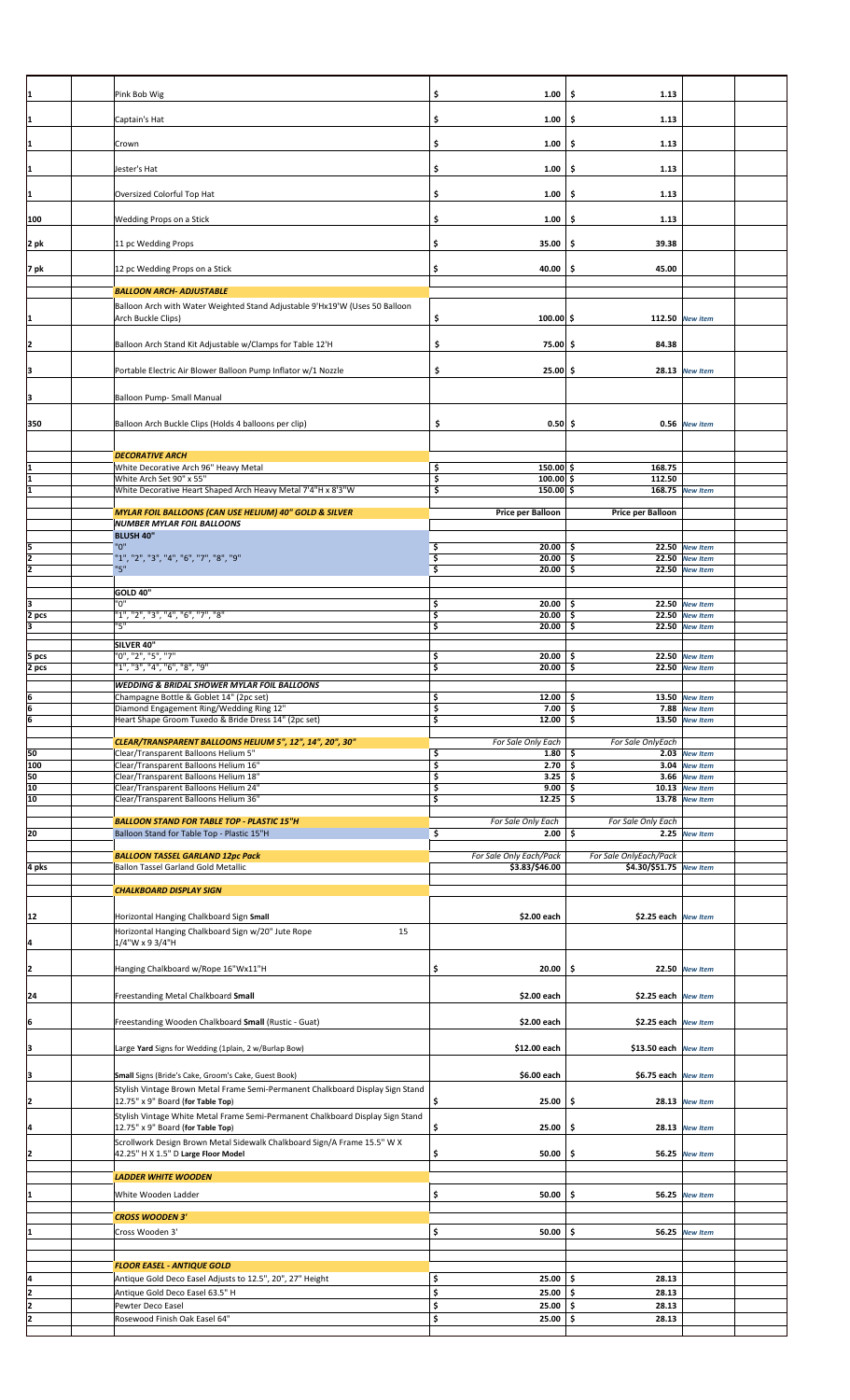| 1              | Pink Bob Wig                                                                                                        | \$<br>1.00                       | \$<br>1.13                 |                                  |  |
|----------------|---------------------------------------------------------------------------------------------------------------------|----------------------------------|----------------------------|----------------------------------|--|
|                |                                                                                                                     |                                  |                            |                                  |  |
| 1              | Captain's Hat                                                                                                       | \$<br>1.00                       | \$.<br>1.13                |                                  |  |
|                | Crown                                                                                                               | \$                               | 1.13                       |                                  |  |
| 1              |                                                                                                                     | 1.00                             | \$                         |                                  |  |
| 1              | Jester's Hat                                                                                                        | \$<br>1.00                       | \$<br>1.13                 |                                  |  |
|                |                                                                                                                     |                                  |                            |                                  |  |
| 1              | Oversized Colorful Top Hat                                                                                          | \$<br>1.00                       | \$<br>1.13                 |                                  |  |
| 100            | Wedding Props on a Stick                                                                                            | \$<br>1.00                       | -\$<br>1.13                |                                  |  |
|                |                                                                                                                     |                                  |                            |                                  |  |
| 2 pk           | 11 pc Wedding Props                                                                                                 | \$<br>35.00                      | 39.38<br>\$                |                                  |  |
|                | 12 pc Wedding Props on a Stick                                                                                      | \$<br>40.00                      | \$<br>45.00                |                                  |  |
| 7 pk           |                                                                                                                     |                                  |                            |                                  |  |
|                | <b>BALLOON ARCH- ADJUSTABLE</b>                                                                                     |                                  |                            |                                  |  |
|                | Balloon Arch with Water Weighted Stand Adjustable 9'Hx19'W (Uses 50 Balloon                                         |                                  |                            |                                  |  |
| 1              | Arch Buckle Clips)                                                                                                  | \$<br>$100.00$ \$                |                            | 112.50 New item                  |  |
| 2              | Balloon Arch Stand Kit Adjustable w/Clamps for Table 12'H                                                           | \$<br>75.00 \$                   | 84.38                      |                                  |  |
|                |                                                                                                                     |                                  |                            |                                  |  |
| ļЗ             | Portable Electric Air Blower Balloon Pump Inflator w/1 Nozzle                                                       | \$<br>$25.00$ \$                 |                            | 28.13 New Item                   |  |
|                |                                                                                                                     |                                  |                            |                                  |  |
| Įз             | Balloon Pump- Small Manual                                                                                          |                                  |                            |                                  |  |
| 350            | Balloon Arch Buckle Clips (Holds 4 balloons per clip)                                                               | \$<br>$0.50$ \$                  |                            | 0.56 New item                    |  |
|                |                                                                                                                     |                                  |                            |                                  |  |
|                | <b>DECORATIVE ARCH</b>                                                                                              |                                  |                            |                                  |  |
|                | White Decorative Arch 96" Heavy Metal                                                                               | \$<br>$150.00$ \$                | 168.75                     |                                  |  |
| 1<br>ī         | White Arch Set 90" x 55"                                                                                            | \$<br>$100.00$ \$<br>$150.00$ \$ | 112.50                     |                                  |  |
|                | White Decorative Heart Shaped Arch Heavy Metal 7'4"H x 8'3"W                                                        | \$                               |                            | 168.75 New Item                  |  |
|                | MYLAR FOIL BALLOONS (CAN USE HELIUM) 40" GOLD & SILVER                                                              | Price per Balloon                | Price per Balloon          |                                  |  |
|                | <b>NUMBER MYLAR FOIL BALLOONS</b><br><b>BLUSH 40"</b>                                                               |                                  |                            |                                  |  |
|                | "0"                                                                                                                 | $20.00$ \$<br>\$                 |                            | 22.50 New Item                   |  |
| $\frac{5}{2}$  | "1", "2", "3", "4", "6", "7", "8", "9"                                                                              | \$<br>$20.00$   \$               |                            | 22.50 New Item                   |  |
|                | "5"                                                                                                                 | \$<br>20.00                      | \$                         | 22.50 New Item                   |  |
|                | <b>GOLD 40"</b>                                                                                                     |                                  |                            |                                  |  |
| 3              | "ט"                                                                                                                 | \$<br>$20.00$ \$                 |                            | 22.50 New Item                   |  |
| 2 pcs<br>E     | "1", "2", "3", "4", "6", "7", "8"<br>"5"                                                                            | \$<br>$20.00$ \$<br>\$<br>20.00  | \$                         | 22.50 New Item<br>22.50 New Item |  |
|                | SILVER 40"                                                                                                          |                                  |                            |                                  |  |
| 5 pcs          | "0", "2", "5", "7"                                                                                                  | \$<br>20.00                      | \$.                        | 22.50 New Item                   |  |
| 2 pcs          | "1", "3", "4", "6", "8", "9"                                                                                        | \$<br>20.00                      | \$.                        | 22.50 New Item                   |  |
|                | WEDDING & BRIDAL SHOWER MYLAR FOIL BALLOONS                                                                         |                                  |                            |                                  |  |
|                | Champagne Bottle & Goblet 14" (2pc set)                                                                             | 12.00 \$<br>\$<br>$7.00$ \$      |                            | 13.50 New Item                   |  |
| $\frac{6}{6}$  | Diamond Engagement Ring/Wedding Ring 12"<br>Heart Shape Groom Tuxedo & Bride Dress 14" (2pc set)                    | \$<br>\$<br>$12.00$ \$           |                            | 7.88 New Item<br>13.50 New Item  |  |
|                |                                                                                                                     |                                  |                            |                                  |  |
| 50             | CLEAR/TRANSPARENT BALLOONS HELIUM 5", 12", 14", 20", 30"                                                            | For Sale Only Each               | For Sale OnlyEach          |                                  |  |
|                |                                                                                                                     |                                  |                            |                                  |  |
|                | Clear/Transparent Balloons Helium 5"<br>Clear/Transparent Balloons Helium 16"                                       | \$<br>1.80<br>\$<br>2.70         | \$<br>-\$                  | 2.03 New Item<br>3.04 New Item   |  |
| 100<br>50      | Clear/Transparent Balloons Helium 18"                                                                               | \$<br>3.25                       | \$                         | 3.66 New Item                    |  |
| 10             | Clear/Transparent Balloons Helium 24"                                                                               | \$<br>$9.00$ \$                  |                            | 10.13 New Item                   |  |
| 10             | Clear/Transparent Balloons Helium 36"                                                                               | \$<br>$12.25$ \$                 |                            | 13.78 New Item                   |  |
|                | <b>BALLOON STAND FOR TABLE TOP - PLASTIC 15"H</b>                                                                   | For Sale Only Each               | For Sale Only Each         |                                  |  |
| 20             | Balloon Stand for Table Top - Plastic 15"H                                                                          | \$<br>2.00                       | \$                         | 2.25 New Item                    |  |
|                | <b>BALLOON TASSEL GARLAND 12pc Pack</b>                                                                             | For Sale Only Each/Pack          | For Sale OnlyEach/Pack     |                                  |  |
| 4 pks          | Ballon Tassel Garland Gold Metallic                                                                                 | \$3.83/\$46.00                   | \$4.30/\$51.75 New Item    |                                  |  |
|                | <b>CHALKBOARD DISPLAY SIGN</b>                                                                                      |                                  |                            |                                  |  |
|                |                                                                                                                     |                                  |                            |                                  |  |
| 12             | Horizontal Hanging Chalkboard Sign Small                                                                            | \$2.00 each                      | \$2.25 each New Item       |                                  |  |
|                | Horizontal Hanging Chalkboard Sign w/20" Jute Rope<br>15                                                            |                                  |                            |                                  |  |
| L              | 1/4"W x 9 3/4"H                                                                                                     |                                  |                            |                                  |  |
|                | Hanging Chalkboard w/Rope 16"Wx11"H                                                                                 | \$<br>20.00                      | \$                         | 22.50 New Item                   |  |
| $\overline{2}$ |                                                                                                                     |                                  |                            |                                  |  |
| 24             | Freestanding Metal Chalkboard Small                                                                                 | \$2.00 each                      | \$2.25 each New Item       |                                  |  |
|                |                                                                                                                     |                                  |                            |                                  |  |
| $\frac{6}{2}$  | Freestanding Wooden Chalkboard Small (Rustic - Guat)                                                                | \$2.00 each                      | \$2.25 each New Item       |                                  |  |
|                | Large Yard Signs for Wedding (1plain, 2 w/Burlap Bow)                                                               | \$12.00 each                     | \$13.50 each New Item      |                                  |  |
| 3              |                                                                                                                     |                                  |                            |                                  |  |
| 3              | Small Signs (Bride's Cake, Groom's Cake, Guest Book)                                                                | \$6.00 each                      | \$6.75 each New Item       |                                  |  |
|                | Stylish Vintage Brown Metal Frame Semi-Permanent Chalkboard Display Sign Stand                                      |                                  |                            |                                  |  |
| 2              | 12.75" x 9" Board (for Table Top)                                                                                   | \$<br>25.00                      | \$                         | 28.13 New Item                   |  |
| 4              | Stylish Vintage White Metal Frame Semi-Permanent Chalkboard Display Sign Stand<br>12.75" x 9" Board (for Table Top) | \$<br>25.00                      | \$                         | 28.13 New Item                   |  |
|                | Scrollwork Design Brown Metal Sidewalk Chalkboard Sign/A Frame 15.5" W X                                            |                                  |                            |                                  |  |
| 2              | 42.25" H X 1.5" D Large Floor Model                                                                                 | \$<br>50.00                      | \$                         | <b>56.25</b> New Item            |  |
|                | <b>LADDER WHITE WOODEN</b>                                                                                          |                                  |                            |                                  |  |
|                |                                                                                                                     |                                  |                            |                                  |  |
| 1              | White Wooden Ladder                                                                                                 | \$<br>50.00                      | \$                         | 56.25 New Item                   |  |
|                | <b>CROSS WOODEN 3'</b>                                                                                              |                                  |                            |                                  |  |
| 1              | Cross Wooden 3'                                                                                                     | \$<br>50.00                      | \$.                        | 56.25 New Item                   |  |
|                |                                                                                                                     |                                  |                            |                                  |  |
|                | <b>FLOOR EASEL - ANTIQUE GOLD</b>                                                                                   |                                  |                            |                                  |  |
|                | Antique Gold Deco Easel Adjusts to 12.5", 20", 27" Height                                                           | \$<br>$25.00$ \$                 | 28.13                      |                                  |  |
| $\frac{4}{2}$  | Antique Gold Deco Easel 63.5" H                                                                                     | \$<br>25.00                      | \$.<br>28.13               |                                  |  |
| $\frac{2}{2}$  | Pewter Deco Easel<br>Rosewood Finish Oak Easel 64"                                                                  | \$<br>25.00<br>\$<br>25.00       | \$<br>28.13<br>\$<br>28.13 |                                  |  |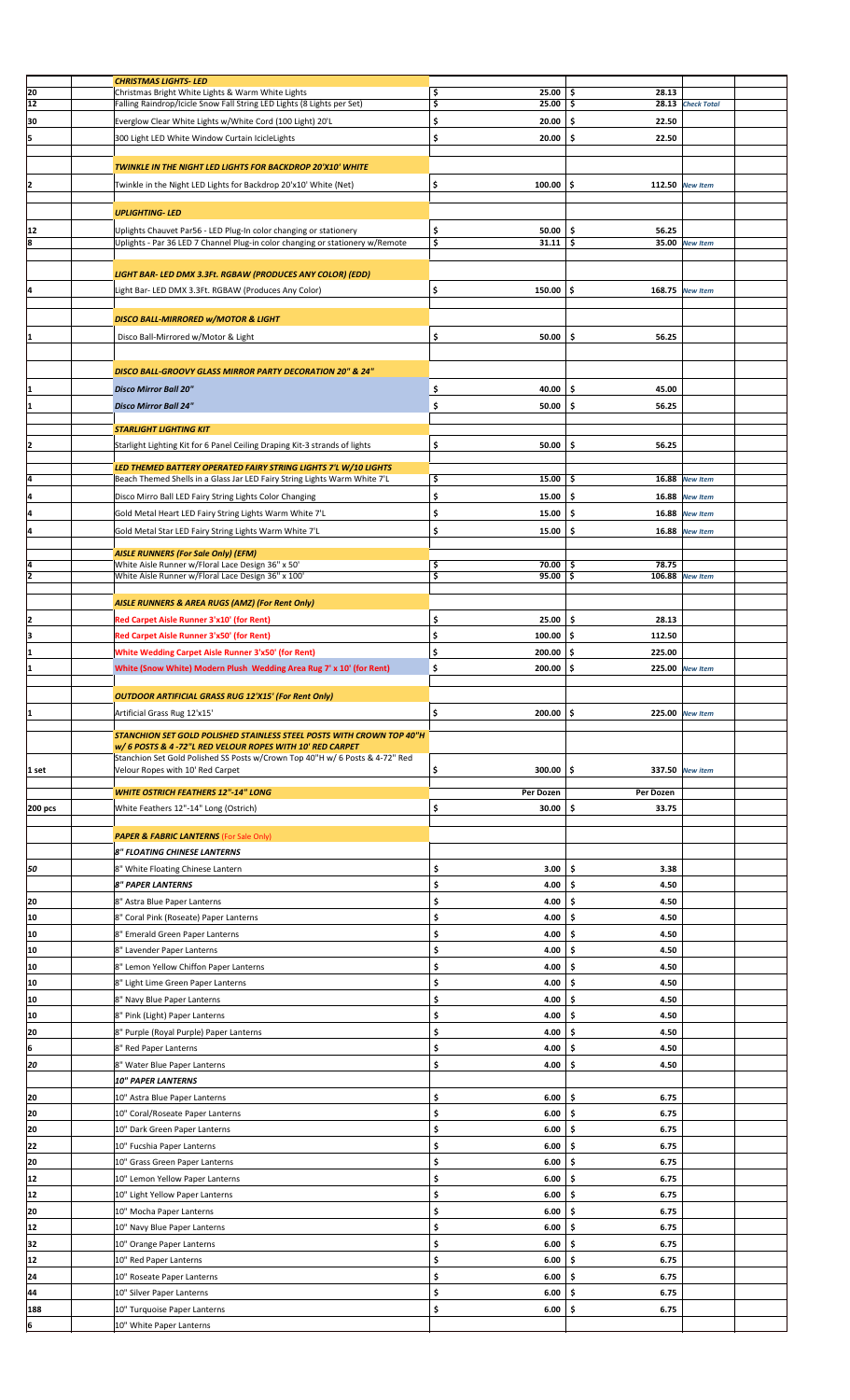|          | <b>CHRISTMAS LIGHTS-LED</b>                                                                                                                        |                                 |              |                   |  |
|----------|----------------------------------------------------------------------------------------------------------------------------------------------------|---------------------------------|--------------|-------------------|--|
| 20       | Christmas Bright White Lights & Warm White Lights                                                                                                  | \$<br>25.00                     | \$<br>28.13  |                   |  |
| 12       | Falling Raindrop/Icicle Snow Fall String LED Lights (8 Lights per Set)                                                                             | \$<br>25.00                     | \$           | 28.13 Check Total |  |
|          |                                                                                                                                                    |                                 |              |                   |  |
| 30       | Everglow Clear White Lights w/White Cord (100 Light) 20'L                                                                                          | \$<br>20.00                     | 22.50<br>\$  |                   |  |
| ļ5       | 300 Light LED White Window Curtain IcicleLights                                                                                                    | \$<br>20.00                     | \$<br>22.50  |                   |  |
|          |                                                                                                                                                    |                                 |              |                   |  |
|          |                                                                                                                                                    |                                 |              |                   |  |
|          | TWINKLE IN THE NIGHT LED LIGHTS FOR BACKDROP 20'X10' WHITE                                                                                         |                                 |              |                   |  |
| 2        | Twinkle in the Night LED Lights for Backdrop 20'x10' White (Net)                                                                                   | \$<br>100.00                    | \$           | 112.50 New Item   |  |
|          |                                                                                                                                                    |                                 |              |                   |  |
|          |                                                                                                                                                    |                                 |              |                   |  |
|          | <b>UPLIGHTING-LED</b>                                                                                                                              |                                 |              |                   |  |
|          |                                                                                                                                                    |                                 |              |                   |  |
| 12<br>8  | Uplights Chauvet Par56 - LED Plug-In color changing or stationery<br>Uplights - Par 36 LED 7 Channel Plug-in color changing or stationery w/Remote | \$<br>50.00<br>$31.11$ \$<br>\$ | \$<br>56.25  | 35.00 New Item    |  |
|          |                                                                                                                                                    |                                 |              |                   |  |
|          |                                                                                                                                                    |                                 |              |                   |  |
|          | LIGHT BAR- LED DMX 3.3Ft. RGBAW (PRODUCES ANY COLOR) (EDD)                                                                                         |                                 |              |                   |  |
|          |                                                                                                                                                    |                                 |              |                   |  |
| l4       | Light Bar- LED DMX 3.3Ft. RGBAW (Produces Any Color)                                                                                               | \$<br>150.00                    | \$.          | 168.75 New Item   |  |
|          |                                                                                                                                                    |                                 |              |                   |  |
|          |                                                                                                                                                    |                                 |              |                   |  |
|          | <b>DISCO BALL-MIRRORED W/MOTOR &amp; LIGHT</b>                                                                                                     |                                 |              |                   |  |
| I1       | Disco Ball-Mirrored w/Motor & Light                                                                                                                | \$<br>50.00                     | \$<br>56.25  |                   |  |
|          |                                                                                                                                                    |                                 |              |                   |  |
|          |                                                                                                                                                    |                                 |              |                   |  |
|          | <b>DISCO BALL-GROOVY GLASS MIRROR PARTY DECORATION 20" &amp; 24"</b>                                                                               |                                 |              |                   |  |
|          |                                                                                                                                                    |                                 |              |                   |  |
|          | <b>Disco Mirror Ball 20"</b>                                                                                                                       | \$<br>40.00                     | \$<br>45.00  |                   |  |
| I1       | <b>Disco Mirror Ball 24"</b>                                                                                                                       | \$<br>50.00                     | \$.<br>56.25 |                   |  |
|          |                                                                                                                                                    |                                 |              |                   |  |
|          | <b>STARLIGHT LIGHTING KIT</b>                                                                                                                      |                                 |              |                   |  |
|          |                                                                                                                                                    |                                 |              |                   |  |
| 12       | Starlight Lighting Kit for 6 Panel Ceiling Draping Kit-3 strands of lights                                                                         | \$<br>50.00                     | \$.<br>56.25 |                   |  |
|          |                                                                                                                                                    |                                 |              |                   |  |
|          | LED THEMED BATTERY OPERATED FAIRY STRING LIGHTS 7'L W/10 LIGHTS                                                                                    |                                 |              |                   |  |
| Į4       | Beach Themed Shells in a Glass Jar LED Fairy String Lights Warm White 7'L                                                                          | \$<br>15.00                     | \$           | 16.88 New Item    |  |
| l4       |                                                                                                                                                    | \$<br>15.00                     | \$           | 16.88 New Item    |  |
|          | Disco Mirro Ball LED Fairy String Lights Color Changing                                                                                            |                                 |              |                   |  |
| l4       | Gold Metal Heart LED Fairy String Lights Warm White 7'L                                                                                            | \$<br>15.00                     | \$<br>16.88  | <b>New Item</b>   |  |
|          |                                                                                                                                                    |                                 |              |                   |  |
| l4       | Gold Metal Star LED Fairy String Lights Warm White 7'L                                                                                             | \$<br>15.00                     | \$<br>16.88  | <b>New Item</b>   |  |
|          |                                                                                                                                                    |                                 |              |                   |  |
|          | <b>AISLE RUNNERS (For Sale Only) (EFM)</b>                                                                                                         |                                 |              |                   |  |
| I4       | White Aisle Runner w/Floral Lace Design 36" x 50'                                                                                                  | \$<br>70.00                     | 78.75<br>-\$ |                   |  |
| 2        | White Aisle Runner w/Floral Lace Design 36" x 100'                                                                                                 | \$<br>95.00                     | \$<br>106.88 | <b>New Item</b>   |  |
|          |                                                                                                                                                    |                                 |              |                   |  |
|          | AISLE RUNNERS & AREA RUGS (AMZ) (For Rent Only)                                                                                                    |                                 |              |                   |  |
|          |                                                                                                                                                    |                                 |              |                   |  |
| I2       | Red Carpet Aisle Runner 3'x10' (for Rent)                                                                                                          | \$<br>25.00                     | \$.<br>28.13 |                   |  |
| Iз       | Red Carpet Aisle Runner 3'x50' (for Rent)                                                                                                          | \$<br>100.00                    | \$<br>112.50 |                   |  |
| 1        | <b>White Wedding Carpet Aisle Runner 3'x50' (for Rent)</b>                                                                                         | \$                              | 225.00       |                   |  |
|          |                                                                                                                                                    | 200.00                          | \$           |                   |  |
| I1       | White (Snow White) Modern Plush Wedding Area Rug 7' x 10' (for Rent)                                                                               | \$<br>200.00                    | \$           | 225.00 New Item   |  |
|          |                                                                                                                                                    |                                 |              |                   |  |
|          | <b>OUTDOOR ARTIFICIAL GRASS RUG 12'X15' (For Rent Only)</b>                                                                                        |                                 |              |                   |  |
|          |                                                                                                                                                    |                                 |              |                   |  |
|          |                                                                                                                                                    |                                 |              |                   |  |
| 11       | Artificial Grass Rug 12'x15'                                                                                                                       | \$<br>200.00                    | \$           | 225.00 New Item   |  |
|          |                                                                                                                                                    |                                 |              |                   |  |
|          | STANCHION SET GOLD POLISHED STAINLESS STEEL POSTS WITH CROWN TOP 40"H                                                                              |                                 |              |                   |  |
|          | w/ 6 POSTS & 4 -72"L RED VELOUR ROPES WITH 10' RED CARPET                                                                                          |                                 |              |                   |  |
|          | Stanchion Set Gold Polished SS Posts w/Crown Top 40"H w/ 6 Posts & 4-72" Red                                                                       |                                 |              |                   |  |
| 1 set    | Velour Ropes with 10' Red Carpet                                                                                                                   | \$<br>300.00                    | \$           | 337.50 New item   |  |
|          |                                                                                                                                                    |                                 |              |                   |  |
|          | <b>WHITE OSTRICH FEATHERS 12"-14" LONG</b>                                                                                                         | Per Dozen                       | Per Dozen    |                   |  |
|          |                                                                                                                                                    |                                 |              |                   |  |
| 200 pcs  | White Feathers 12"-14" Long (Ostrich)                                                                                                              | \$<br>30.00                     | \$<br>33.75  |                   |  |
|          |                                                                                                                                                    |                                 |              |                   |  |
|          | <b>PAPER &amp; FABRIC LANTERNS (For Sale Only)</b>                                                                                                 |                                 |              |                   |  |
|          |                                                                                                                                                    |                                 |              |                   |  |
|          | 8" FLOATING CHINESE LANTERNS                                                                                                                       |                                 |              |                   |  |
| 50       | 8" White Floating Chinese Lantern                                                                                                                  | \$<br>3.00                      | \$<br>3.38   |                   |  |
|          |                                                                                                                                                    |                                 |              |                   |  |
|          | <b>8" PAPER LANTERNS</b>                                                                                                                           | \$<br>4.00                      | \$<br>4.50   |                   |  |
| 20       | 8" Astra Blue Paper Lanterns                                                                                                                       | \$<br>4.00                      | -\$<br>4.50  |                   |  |
|          |                                                                                                                                                    |                                 | \$           |                   |  |
| 10       | 8" Coral Pink (Roseate) Paper Lanterns                                                                                                             | \$<br>4.00                      | 4.50         |                   |  |
| 10       | 8" Emerald Green Paper Lanterns                                                                                                                    | \$<br>4.00                      | \$<br>4.50   |                   |  |
| 10       | 8" Lavender Paper Lanterns                                                                                                                         | \$<br>4.00                      | \$<br>4.50   |                   |  |
|          |                                                                                                                                                    |                                 |              |                   |  |
| 10       | 8" Lemon Yellow Chiffon Paper Lanterns                                                                                                             | \$<br>4.00                      | \$<br>4.50   |                   |  |
| 10       | 8" Light Lime Green Paper Lanterns                                                                                                                 | \$<br>4.00                      | \$<br>4.50   |                   |  |
|          |                                                                                                                                                    |                                 |              |                   |  |
| 10       | 8" Navy Blue Paper Lanterns                                                                                                                        | \$<br>4.00                      | \$<br>4.50   |                   |  |
| 10       | 8" Pink (Light) Paper Lanterns                                                                                                                     | \$<br>4.00                      | 4.50<br>\$   |                   |  |
|          |                                                                                                                                                    |                                 |              |                   |  |
| 20       | 8" Purple (Royal Purple) Paper Lanterns                                                                                                            | \$<br>4.00                      | 4.50<br>\$   |                   |  |
| 6        | 8" Red Paper Lanterns                                                                                                                              | \$<br>4.00                      | \$<br>4.50   |                   |  |
|          |                                                                                                                                                    |                                 |              |                   |  |
| 20       | 8" Water Blue Paper Lanterns                                                                                                                       | \$<br>4.00                      | \$<br>4.50   |                   |  |
|          | <b>10" PAPER LANTERNS</b>                                                                                                                          |                                 |              |                   |  |
|          |                                                                                                                                                    |                                 |              |                   |  |
| 20       | 10" Astra Blue Paper Lanterns                                                                                                                      | \$<br>6.00                      | -\$<br>6.75  |                   |  |
| 20       | 10" Coral/Roseate Paper Lanterns                                                                                                                   | \$<br>6.00                      | 6.75<br>\$   |                   |  |
| 20       | 10" Dark Green Paper Lanterns                                                                                                                      | \$<br>6.00                      | \$<br>6.75   |                   |  |
|          |                                                                                                                                                    |                                 |              |                   |  |
| 22       | 10" Fucshia Paper Lanterns                                                                                                                         | \$<br>6.00                      | \$<br>6.75   |                   |  |
| 20       | 10" Grass Green Paper Lanterns                                                                                                                     | \$<br>6.00                      | \$<br>6.75   |                   |  |
|          |                                                                                                                                                    |                                 |              |                   |  |
| 12       | 10" Lemon Yellow Paper Lanterns                                                                                                                    | \$<br>6.00                      | \$<br>6.75   |                   |  |
| 12       | 10" Light Yellow Paper Lanterns                                                                                                                    | \$<br>6.00                      | \$<br>6.75   |                   |  |
|          |                                                                                                                                                    |                                 |              |                   |  |
| 20       | 10" Mocha Paper Lanterns                                                                                                                           | \$<br>6.00                      | 6.75<br>\$   |                   |  |
| 12       | 10" Navy Blue Paper Lanterns                                                                                                                       | \$<br>6.00                      | \$<br>6.75   |                   |  |
|          |                                                                                                                                                    |                                 |              |                   |  |
| 32       | 10" Orange Paper Lanterns                                                                                                                          | \$<br>6.00                      | \$<br>6.75   |                   |  |
| 12       | 10" Red Paper Lanterns                                                                                                                             | \$<br>6.00                      | -\$<br>6.75  |                   |  |
|          |                                                                                                                                                    |                                 |              |                   |  |
| 24       | 10" Roseate Paper Lanterns                                                                                                                         | \$<br>6.00                      | -\$<br>6.75  |                   |  |
| 44       | 10" Silver Paper Lanterns                                                                                                                          | \$<br>6.00                      | Ś<br>6.75    |                   |  |
|          |                                                                                                                                                    |                                 | 6.75         |                   |  |
| 188<br>6 | 10" Turquoise Paper Lanterns<br>10" White Paper Lanterns                                                                                           | \$<br>6.00                      | \$           |                   |  |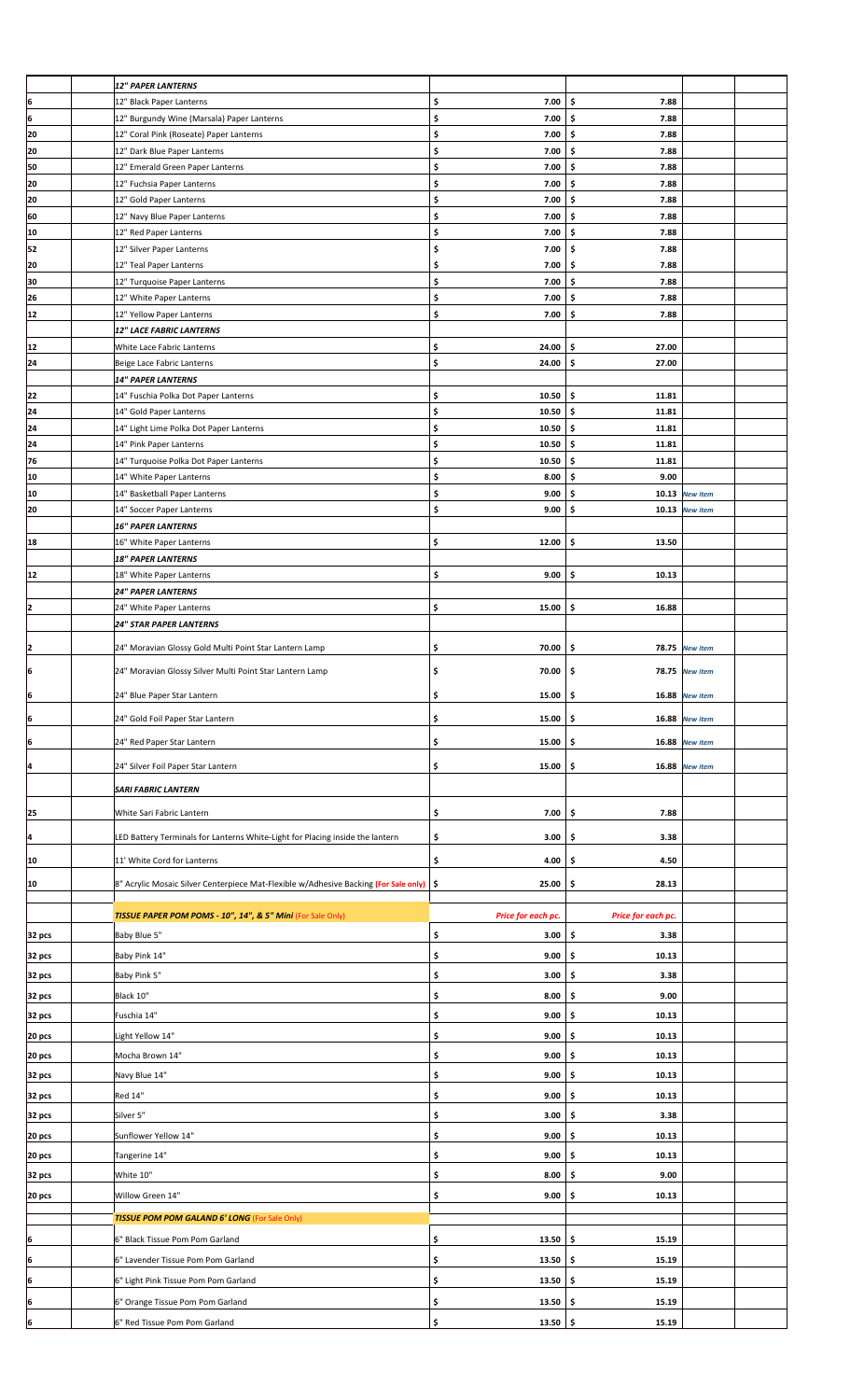|           | <b>12" PAPER LANTERNS</b>                                                                 |                            |                     |                 |  |
|-----------|-------------------------------------------------------------------------------------------|----------------------------|---------------------|-----------------|--|
| 6         | 12" Black Paper Lanterns                                                                  | \$<br>7.00                 | \$<br>7.88          |                 |  |
| ļ6        | 12" Burgundy Wine (Marsala) Paper Lanterns                                                | \$<br>7.00                 | \$<br>7.88          |                 |  |
| 20        | 12" Coral Pink (Roseate) Paper Lanterns                                                   | \$<br>7.00                 | \$<br>7.88          |                 |  |
| 20        | 12" Dark Blue Paper Lanterns                                                              | \$<br>7.00                 | \$<br>7.88          |                 |  |
| 50        | 12" Emerald Green Paper Lanterns                                                          | \$<br>7.00                 | \$<br>7.88          |                 |  |
| 20        | 12" Fuchsia Paper Lanterns                                                                | \$<br>7.00                 | \$<br>7.88          |                 |  |
| 20        | 12" Gold Paper Lanterns                                                                   | \$<br>7.00                 | \$<br>7.88          |                 |  |
| 60        | 12" Navy Blue Paper Lanterns                                                              | \$<br>7.00                 | \$<br>7.88          |                 |  |
| 10        | 12" Red Paper Lanterns                                                                    | \$<br>7.00                 | \$<br>7.88          |                 |  |
| 52        | 12" Silver Paper Lanterns                                                                 | \$<br>7.00                 | \$<br>7.88          |                 |  |
| 20        | 12" Teal Paper Lanterns                                                                   | \$<br>7.00                 | \$<br>7.88          |                 |  |
| 30        | 12" Turquoise Paper Lanterns                                                              | \$<br>7.00                 | \$<br>7.88          |                 |  |
| 26        | 12" White Paper Lanterns                                                                  | \$<br>7.00                 | \$.<br>7.88         |                 |  |
| 12        | 12" Yellow Paper Lanterns                                                                 | \$<br>7.00                 | \$<br>7.88          |                 |  |
|           | <b>12" LACE FABRIC LANTERNS</b>                                                           |                            |                     |                 |  |
| 12        | White Lace Fabric Lanterns                                                                | \$<br>24.00                | \$<br>27.00         |                 |  |
| 24        | Beige Lace Fabric Lanterns                                                                | \$<br>24.00                | \$<br>27.00         |                 |  |
|           | <b>14" PAPER LANTERNS</b>                                                                 |                            |                     |                 |  |
| 22        | 14" Fuschia Polka Dot Paper Lanterns                                                      | \$<br>10.50                | \$<br>11.81         |                 |  |
| 24        | 14" Gold Paper Lanterns                                                                   | \$<br>10.50                | \$<br>11.81         |                 |  |
| 24        | 14" Light Lime Polka Dot Paper Lanterns                                                   | \$<br>10.50                | \$<br>11.81         |                 |  |
| 24        | 14" Pink Paper Lanterns                                                                   | \$<br>10.50                | \$<br>11.81         |                 |  |
| 76        | 14" Turquoise Polka Dot Paper Lanterns                                                    | \$<br>10.50                | \$<br>11.81         |                 |  |
| 10        | 14" White Paper Lanterns                                                                  | \$<br>8.00                 | \$.<br>9.00         |                 |  |
| 10        | 14" Basketball Paper Lanterns                                                             | \$<br>9.00                 | $\cdot$ \$<br>10.13 | <b>New item</b> |  |
| 20        | 14" Soccer Paper Lanterns                                                                 | \$<br>9.00                 | \$<br>10.13         | <b>New item</b> |  |
|           | <b>16" PAPER LANTERNS</b>                                                                 |                            |                     |                 |  |
| 18        | 16" White Paper Lanterns                                                                  | \$<br>12.00                | \$<br>13.50         |                 |  |
|           | <b>18" PAPER LANTERNS</b>                                                                 |                            |                     |                 |  |
| 12        | 18" White Paper Lanterns                                                                  | \$<br>9.00                 | \$<br>10.13         |                 |  |
|           | <b>24" PAPER LANTERNS</b>                                                                 |                            |                     |                 |  |
| 2         | 24" White Paper Lanterns                                                                  | \$<br>15.00                | \$<br>16.88         |                 |  |
|           | <b>24" STAR PAPER LANTERNS</b>                                                            |                            |                     |                 |  |
| 12        | 24" Moravian Glossy Gold Multi Point Star Lantern Lamp                                    | \$<br>70.00                | \$                  | 78.75 New item  |  |
|           |                                                                                           |                            |                     |                 |  |
| ļ6        | 24" Moravian Glossy Silver Multi Point Star Lantern Lamp                                  | \$<br>70.00                | \$                  | 78.75 New item  |  |
|           | 24" Blue Paper Star Lantern                                                               | Ś<br>$15.00$ \$            |                     | 16.88 New item  |  |
|           |                                                                                           |                            |                     |                 |  |
| ļ6        | 24" Gold Foil Paper Star Lantern                                                          | \$<br>15.00                | \$                  | 16.88 New item  |  |
| ļ6        | 24" Red Paper Star Lantern                                                                | \$<br>15.00                | \$                  | 16.88 New item  |  |
|           |                                                                                           |                            |                     |                 |  |
| ļ4        | 24" Silver Foil Paper Star Lantern                                                        | \$<br>15.00                | \$                  | 16.88 New item  |  |
|           | <b>SARI FABRIC LANTERN</b>                                                                |                            |                     |                 |  |
|           |                                                                                           |                            | 7.88                |                 |  |
| 25        | White Sari Fabric Lantern                                                                 | \$<br>7.00                 | \$                  |                 |  |
| ļ4        | LED Battery Terminals for Lanterns White-Light for Placing inside the lantern             | \$<br>3.00                 | 3.38<br>\$.         |                 |  |
| 10        | 11' White Cord for Lanterns                                                               | \$<br>4.00                 | 4.50<br>\$          |                 |  |
|           |                                                                                           |                            |                     |                 |  |
| 10        | 8" Acrylic Mosaic Silver Centerpiece Mat-Flexible w/Adhesive Backing (For Sale only)   \$ | 25.00                      | \$<br>28.13         |                 |  |
|           |                                                                                           |                            |                     |                 |  |
|           | TISSUE PAPER POM POMS - 10", 14", & 5" Mini (For Sale Only)                               | Price for each pc.         | Price for each pc.  |                 |  |
| 32 pcs    | Baby Blue 5"                                                                              | \$<br>3.00                 | \$<br>3.38          |                 |  |
| 32 pcs    | Baby Pink 14"                                                                             | \$<br>9.00                 | \$<br>10.13         |                 |  |
| 32 pcs    | Baby Pink 5"                                                                              | \$<br>3.00                 | \$<br>3.38          |                 |  |
|           |                                                                                           |                            | 9.00                |                 |  |
| 32 pcs    | Black 10"                                                                                 | \$<br>8.00                 | \$                  |                 |  |
| 32 pcs    | Fuschia 14"                                                                               | \$<br>9.00                 | 10.13<br>\$         |                 |  |
| 20 pcs    | Light Yellow 14"                                                                          | \$<br>9.00                 | 10.13<br>\$         |                 |  |
| 20 pcs    | Mocha Brown 14"                                                                           | \$<br>9.00                 | \$<br>10.13         |                 |  |
| 32 pcs    | Navy Blue 14"                                                                             | \$<br>9.00                 | \$<br>10.13         |                 |  |
|           |                                                                                           |                            |                     |                 |  |
| 32 pcs    | Red 14"                                                                                   | \$<br>9.00                 | 10.13<br>\$         |                 |  |
| 32 pcs    | Silver 5"                                                                                 | \$<br>3.00                 | 3.38<br>\$          |                 |  |
| 20 pcs    | Sunflower Yellow 14"                                                                      | \$<br>9.00                 | 10.13<br>\$         |                 |  |
| 20 pcs    | Tangerine 14"                                                                             | \$<br>9.00                 | 10.13<br>\$         |                 |  |
| 32 pcs    | White 10"                                                                                 | \$<br>8.00                 | 9.00<br>\$          |                 |  |
|           |                                                                                           |                            |                     |                 |  |
| 20 pcs    | Willow Green 14"                                                                          | \$<br>9.00                 | \$<br>10.13         |                 |  |
|           | <b>TISSUE POM POM GALAND 6' LONG (For Sale Only)</b>                                      |                            |                     |                 |  |
| 6         | 6" Black Tissue Pom Pom Garland                                                           | \$<br>$13.50$ \$           | 15.19               |                 |  |
|           |                                                                                           | \$<br>13.50                | 15.19               |                 |  |
| ļ6        | 6" Lavender Tissue Pom Pom Garland                                                        |                            | \$                  |                 |  |
| 16        | 6" Light Pink Tissue Pom Pom Garland                                                      | \$<br>13.50                | 15.19<br>\$         |                 |  |
| ļ6        | 6" Orange Tissue Pom Pom Garland                                                          | \$<br>13.50                | 15.19<br>\$         |                 |  |
| <u>16</u> | 6" Red Tissue Pom Pom Garland                                                             | <u>  S</u><br>$13.50$   \$ | 15.19               |                 |  |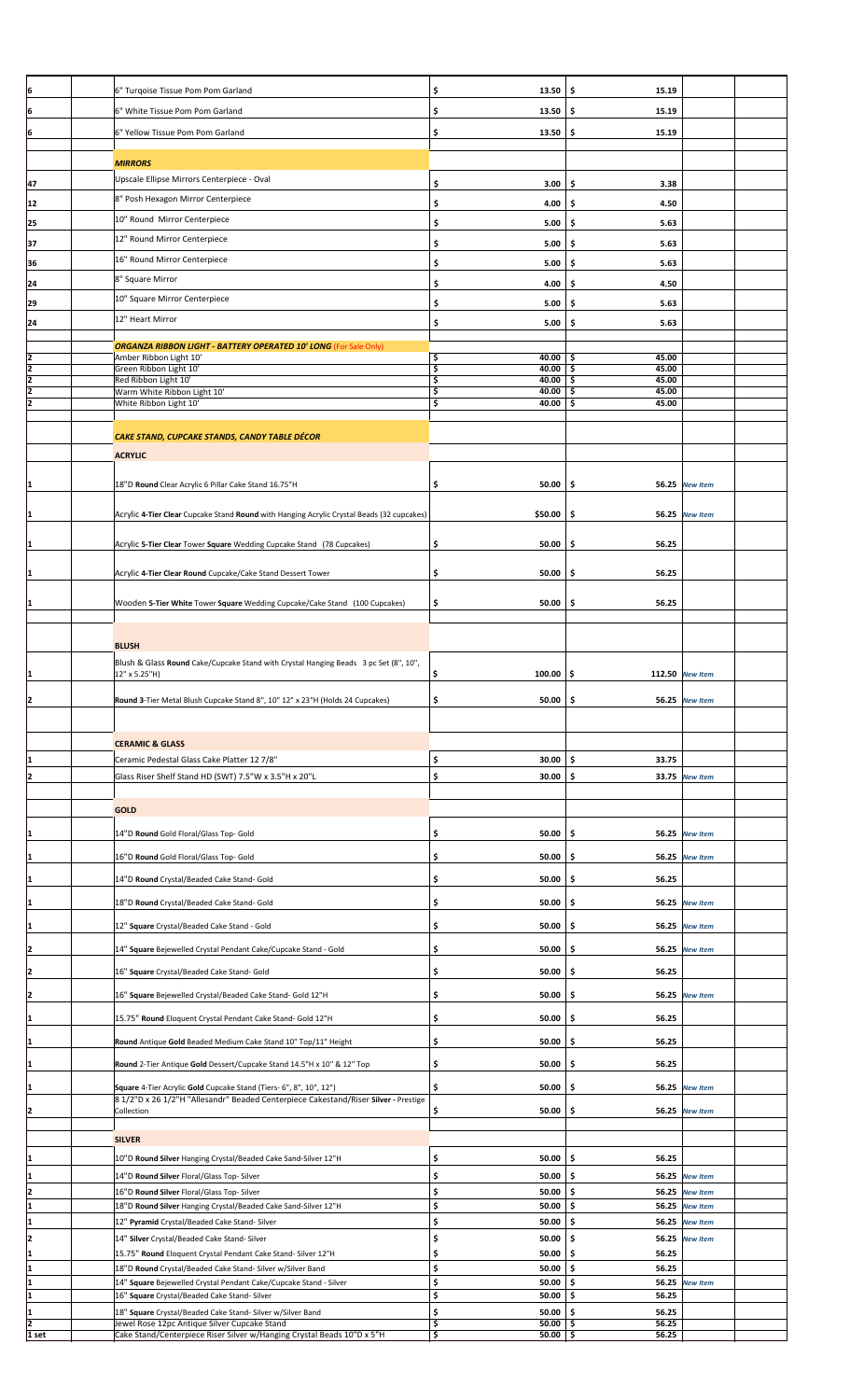| ļ6                                        | 6" Turqoise Tissue Pom Pom Garland                                                                                          | \$<br>13.50                     | \$<br>15.19                  |                       |  |
|-------------------------------------------|-----------------------------------------------------------------------------------------------------------------------------|---------------------------------|------------------------------|-----------------------|--|
| 6                                         | 6" White Tissue Pom Pom Garland                                                                                             | \$<br>13.50                     | \$<br>15.19                  |                       |  |
| 6                                         | 6" Yellow Tissue Pom Pom Garland                                                                                            | \$<br>13.50                     | \$<br>15.19                  |                       |  |
|                                           |                                                                                                                             |                                 |                              |                       |  |
|                                           | <b>MIRRORS</b>                                                                                                              |                                 |                              |                       |  |
| 47                                        | Upscale Ellipse Mirrors Centerpiece - Oval                                                                                  | \$<br>3.00                      | \$<br>3.38                   |                       |  |
| 12                                        | 8" Posh Hexagon Mirror Centerpiece                                                                                          | \$<br>4.00                      | \$.<br>4.50                  |                       |  |
| 25                                        | 10" Round Mirror Centerpiece                                                                                                | \$<br>5.00                      | \$<br>5.63                   |                       |  |
|                                           | 12" Round Mirror Centerpiece                                                                                                |                                 |                              |                       |  |
| 37                                        | 16" Round Mirror Centerpiece                                                                                                | \$<br>5.00                      | \$<br>5.63                   |                       |  |
| 36                                        |                                                                                                                             | \$<br>5.00                      | 5.63<br>\$                   |                       |  |
| 24                                        | 8" Square Mirror                                                                                                            | \$<br>4.00                      | \$<br>4.50                   |                       |  |
| 29                                        | 10" Square Mirror Centerpiece                                                                                               | \$<br>5.00                      | \$.<br>5.63                  |                       |  |
| 24                                        | 12" Heart Mirror                                                                                                            | \$<br>5.00                      | \$<br>5.63                   |                       |  |
|                                           | <b>ORGANZA RIBBON LIGHT - BATTERY OPERATED 10' LONG (For Sale Only)</b>                                                     |                                 |                              |                       |  |
|                                           | Amber Ribbon Light 10'                                                                                                      | \$<br>40.00                     | \$.<br>45.00<br>45.00        |                       |  |
| $\frac{2}{2}$ $\frac{2}{2}$ $\frac{2}{2}$ | Green Ribbon Light 10'<br>Red Ribbon Light 10'                                                                              | \$<br>40.00<br>\$<br>$40.00$ \$ | \$<br>45.00                  |                       |  |
|                                           | Warm White Ribbon Light 10'<br>White Ribbon Light 10'                                                                       | \$<br>40.00<br>\$<br>40.00      | \$<br>45.00<br>45.00<br>\$   |                       |  |
|                                           |                                                                                                                             |                                 |                              |                       |  |
|                                           | CAKE STAND, CUPCAKE STANDS, CANDY TABLE DÉCOR                                                                               |                                 |                              |                       |  |
|                                           | <b>ACRYLIC</b>                                                                                                              |                                 |                              |                       |  |
|                                           |                                                                                                                             |                                 |                              |                       |  |
|                                           | 18"D Round Clear Acrylic 6 Pillar Cake Stand 16.75"H                                                                        | \$<br>50.00                     | \$                           | 56.25 New Item        |  |
|                                           |                                                                                                                             |                                 |                              |                       |  |
| 1                                         | Acrylic 4-Tier Clear Cupcake Stand Round with Hanging Acrylic Crystal Beads (32 cupcakes)                                   | \$50.00                         | \$                           | 56.25 New Item        |  |
| 1                                         | Acrylic 5-Tier Clear Tower Square Wedding Cupcake Stand (78 Cupcakes)                                                       | \$<br>50.00                     | 56.25<br>\$                  |                       |  |
|                                           |                                                                                                                             |                                 |                              |                       |  |
| 1                                         | Acrylic 4-Tier Clear Round Cupcake/Cake Stand Dessert Tower                                                                 | \$<br>50.00                     | 56.25<br>\$                  |                       |  |
|                                           |                                                                                                                             |                                 |                              |                       |  |
| 1                                         | Wooden 5-Tier White Tower Square Wedding Cupcake/Cake Stand (100 Cupcakes)                                                  | \$<br>50.00                     | \$<br>56.25                  |                       |  |
|                                           |                                                                                                                             |                                 |                              |                       |  |
|                                           | <b>BLUSH</b>                                                                                                                |                                 |                              |                       |  |
|                                           | Blush & Glass Round Cake/Cupcake Stand with Crystal Hanging Beads 3 pc Set (8", 10",                                        |                                 |                              |                       |  |
|                                           | 12" x 5.25"H)                                                                                                               | \$<br>100.00                    | \$                           | 112.50 New Item       |  |
| 2                                         | Round 3-Tier Metal Blush Cupcake Stand 8", 10" 12" x 23"H (Holds 24 Cupcakes)                                               | \$<br>$50.00$ \$                |                              | 56.25 New Item        |  |
|                                           |                                                                                                                             |                                 |                              |                       |  |
|                                           | <b>CERAMIC &amp; GLASS</b>                                                                                                  |                                 |                              |                       |  |
| 1                                         | Ceramic Pedestal Glass Cake Platter 12 7/8"                                                                                 | \$<br>30.00                     | \$<br>33.75                  |                       |  |
| 2                                         | Glass Riser Shelf Stand HD (SWT) 7.5"W x 3.5"H x 20"L                                                                       | \$<br>30.00                     | \$                           | 33.75 New Item        |  |
|                                           |                                                                                                                             |                                 |                              |                       |  |
|                                           | <b>GOLD</b>                                                                                                                 |                                 |                              |                       |  |
| 1                                         | 14"D Round Gold Floral/Glass Top- Gold                                                                                      | \$<br>50.00                     | \$                           | 56.25 New Item        |  |
|                                           |                                                                                                                             |                                 |                              |                       |  |
| 11                                        | 16"D Round Gold Floral/Glass Top- Gold                                                                                      | \$<br>50.00                     | \$                           | <b>56.25</b> New Item |  |
| 1                                         | 14"D Round Crystal/Beaded Cake Stand- Gold                                                                                  | \$<br>$50.00$   \$              | 56.25                        |                       |  |
| 1                                         | 18"D Round Crystal/Beaded Cake Stand- Gold                                                                                  | \$<br>50.00                     | \$                           | 56.25 New Item        |  |
|                                           |                                                                                                                             | \$<br>50.00                     | \$                           | 56.25 New Item        |  |
| 1                                         | 12" Square Crystal/Beaded Cake Stand - Gold                                                                                 |                                 |                              |                       |  |
| 2                                         | 14" Square Bejewelled Crystal Pendant Cake/Cupcake Stand - Gold                                                             | \$<br>50.00                     | \$<br>56.25                  | <b>New Item</b>       |  |
| 2                                         | 16" Square Crystal/Beaded Cake Stand- Gold                                                                                  | \$<br>50.00                     | 56.25<br>\$                  |                       |  |
| 2                                         | 16" Square Bejewelled Crystal/Beaded Cake Stand- Gold 12"H                                                                  | \$<br>50.00                     | \$                           | 56.25 New Item        |  |
|                                           |                                                                                                                             |                                 |                              |                       |  |
| 1                                         | 15.75" Round Eloquent Crystal Pendant Cake Stand- Gold 12"H                                                                 | \$<br>50.00                     | \$<br>56.25                  |                       |  |
| 1                                         | Round Antique Gold Beaded Medium Cake Stand 10" Top/11" Height                                                              | \$<br>50.00                     | \$<br>56.25                  |                       |  |
| 1                                         | Round 2-Tier Antique Gold Dessert/Cupcake Stand 14.5"H x 10" & 12" Top                                                      | \$<br>50.00                     | \$<br>56.25                  |                       |  |
| I1                                        | Square 4-Tier Acrylic Gold Cupcake Stand (Tiers- 6", 8", 10", 12")                                                          | \$<br>50.00                     | \$                           | <b>56.25</b> New Item |  |
|                                           | 8 1/2"D x 26 1/2"H "Allesandr" Beaded Centerpiece Cakestand/Riser Silver - Prestige                                         |                                 |                              |                       |  |
| 2                                         | Collection                                                                                                                  | \$<br>50.00                     | \$                           | 56.25 New Item        |  |
|                                           | <b>SILVER</b>                                                                                                               |                                 |                              |                       |  |
| 1                                         | 10"D Round Silver Hanging Crystal/Beaded Cake Sand-Silver 12"H                                                              | \$<br>50.00                     | \$<br>56.25                  |                       |  |
| 1                                         | 14"D Round Silver Floral/Glass Top-Silver                                                                                   | \$<br>50.00                     | \$                           | 56.25 New Item        |  |
| 2                                         | 16"D Round Silver Floral/Glass Top-Silver                                                                                   | \$<br>50.00                     | \$<br>56.25                  | <b>New Item</b>       |  |
| 1                                         | 18"D Round Silver Hanging Crystal/Beaded Cake Sand-Silver 12"H                                                              | \$<br>50.00                     | \$                           | 56.25 New Item        |  |
| 1                                         | 12" Pyramid Crystal/Beaded Cake Stand- Silver                                                                               | \$<br>50.00                     | \$.                          | 56.25 New Item        |  |
| 12                                        | 14" Silver Crystal/Beaded Cake Stand- Silver                                                                                | \$<br>50.00                     | \$.                          | 56.25 New Item        |  |
| 1<br>I1                                   | 15.75" Round Eloquent Crystal Pendant Cake Stand- Silver 12"H<br>18"D Round Crystal/Beaded Cake Stand- Silver w/Silver Band | \$<br>50.00<br>\$<br>50.00      | \$.<br>56.25<br>\$.<br>56.25 |                       |  |
|                                           | 14" Square Bejewelled Crystal Pendant Cake/Cupcake Stand - Silver                                                           | \$<br>50.00                     | \$.                          | <b>56.25</b> New Item |  |
| 1                                         |                                                                                                                             |                                 |                              |                       |  |
| I1                                        | 16" Square Crystal/Beaded Cake Stand- Silver                                                                                | \$<br>50.00                     | \$.<br>56.25                 |                       |  |
| $\frac{2}{1 \text{ set}}$                 | 18" Square Crystal/Beaded Cake Stand- Silver w/Silver Band<br>Jewel Rose 12pc Antique Silver Cupcake Stand                  | \$<br>50.00<br>\$<br>$50.00$ \$ | \$<br>56.25<br>56.25         |                       |  |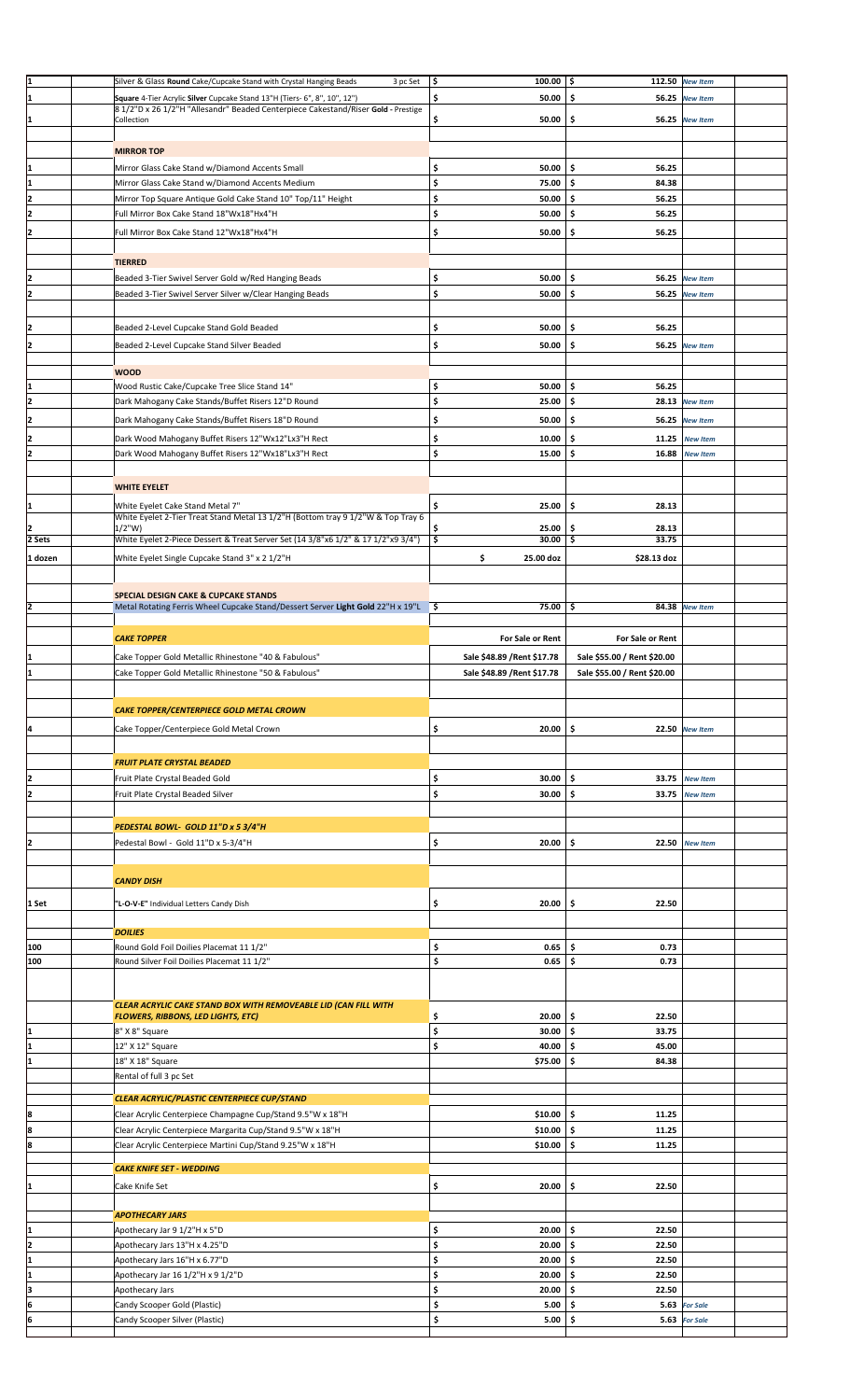| I1      | Silver & Glass Round Cake/Cupcake Stand with Crystal Hanging Beads<br>3 pc Set     | $100.00$ \$<br>\$           |                             | 112.50 New Item       |  |
|---------|------------------------------------------------------------------------------------|-----------------------------|-----------------------------|-----------------------|--|
|         |                                                                                    |                             |                             |                       |  |
| I1      | Square 4-Tier Acrylic Silver Cupcake Stand 13"H (Tiers- 6", 8", 10", 12")          | \$<br>50.00                 | \$                          | <b>56.25</b> New Item |  |
|         | 8 1/2"D x 26 1/2"H "Allesandr" Beaded Centerpiece Cakestand/Riser Gold - Prestige  |                             |                             |                       |  |
|         | Collection                                                                         | \$<br>$50.00$ \$            |                             | 56.25 New Item        |  |
|         |                                                                                    |                             |                             |                       |  |
|         | <b>MIRROR TOP</b>                                                                  |                             |                             |                       |  |
|         |                                                                                    |                             |                             |                       |  |
| 1       | Mirror Glass Cake Stand w/Diamond Accents Small                                    | \$<br>50.00                 | \$<br>56.25                 |                       |  |
| I1      | Mirror Glass Cake Stand w/Diamond Accents Medium                                   | \$<br>75.00                 | \$.<br>84.38                |                       |  |
|         |                                                                                    |                             |                             |                       |  |
| 12      | Mirror Top Square Antique Gold Cake Stand 10" Top/11" Height                       | \$<br>50.00                 | \$<br>56.25                 |                       |  |
| I2      | Full Mirror Box Cake Stand 18"Wx18"Hx4"H                                           | \$<br>50.00                 | \$<br>56.25                 |                       |  |
|         |                                                                                    |                             |                             |                       |  |
|         | Full Mirror Box Cake Stand 12"Wx18"Hx4"H                                           | \$<br>50.00                 | \$.<br>56.25                |                       |  |
|         |                                                                                    |                             |                             |                       |  |
|         | <b>TIERRED</b>                                                                     |                             |                             |                       |  |
|         |                                                                                    |                             |                             |                       |  |
|         | Beaded 3-Tier Swivel Server Gold w/Red Hanging Beads                               | \$<br>50.00                 | \$                          | 56.25 New Item        |  |
| I2      | Beaded 3-Tier Swivel Server Silver w/Clear Hanging Beads                           | \$<br>$50.00$ \$            |                             | 56.25 New Item        |  |
|         |                                                                                    |                             |                             |                       |  |
|         |                                                                                    |                             |                             |                       |  |
|         | Beaded 2-Level Cupcake Stand Gold Beaded                                           | \$<br>50.00                 | \$.<br>56.25                |                       |  |
|         |                                                                                    |                             |                             |                       |  |
|         | Beaded 2-Level Cupcake Stand Silver Beaded                                         | \$<br>50.00                 | \$.                         | <b>56.25 New Item</b> |  |
|         |                                                                                    |                             |                             |                       |  |
|         | <b>WOOD</b>                                                                        |                             |                             |                       |  |
|         |                                                                                    |                             |                             |                       |  |
|         | Wood Rustic Cake/Cupcake Tree Slice Stand 14"                                      | \$<br>$50.00$   \$          | 56.25                       |                       |  |
| I2      | Dark Mahogany Cake Stands/Buffet Risers 12"D Round                                 | \$<br>$25.00$ \$            |                             | 28.13 New Item        |  |
|         |                                                                                    |                             |                             |                       |  |
|         | Dark Mahogany Cake Stands/Buffet Risers 18"D Round                                 | \$<br>50.00                 | \$                          | <b>56.25</b> New Item |  |
|         | Dark Wood Mahogany Buffet Risers 12"Wx12"Lx3"H Rect                                | \$<br>10.00                 | \$.                         | 11.25 New Item        |  |
|         |                                                                                    |                             |                             |                       |  |
| 17      | Dark Wood Mahogany Buffet Risers 12"Wx18"Lx3"H Rect                                | \$<br>15.00                 | \$<br>16.88                 | <b>New Item</b>       |  |
|         |                                                                                    |                             |                             |                       |  |
|         |                                                                                    |                             |                             |                       |  |
|         | <b>WHITE EYELET</b>                                                                |                             |                             |                       |  |
| I1      | White Eyelet Cake Stand Metal 7"                                                   | \$<br>25.00                 | \$.<br>28.13                |                       |  |
|         | White Eyelet 2-Tier Treat Stand Metal 13 1/2"H (Bottom tray 9 1/2"W & Top Tray 6   |                             |                             |                       |  |
|         | $1/2$ "W)                                                                          | \$<br>25.00                 | \$<br>28.13                 |                       |  |
| 2 Sets  | White Eyelet 2-Piece Dessert & Treat Server Set (14 3/8"x6 1/2" & 17 1/2"x9 3/4")  | \$<br>$30.00$ \$            | 33.75                       |                       |  |
|         |                                                                                    |                             |                             |                       |  |
| 1 dozen | White Eyelet Single Cupcake Stand 3" x 2 1/2"H                                     | \$<br>25.00 doz             | \$28.13 doz                 |                       |  |
|         |                                                                                    |                             |                             |                       |  |
|         |                                                                                    |                             |                             |                       |  |
|         | <b>SPECIAL DESIGN CAKE &amp; CUPCAKE STANDS</b>                                    |                             |                             |                       |  |
| I2      | Metal Rotating Ferris Wheel Cupcake Stand/Dessert Server Light Gold 22"H x 19"L \$ | 75.00                       | \$                          | 84.38 New Item        |  |
|         |                                                                                    |                             |                             |                       |  |
|         |                                                                                    |                             |                             |                       |  |
|         | <b>CAKE TOPPER</b>                                                                 | For Sale or Rent            | For Sale or Rent            |                       |  |
|         |                                                                                    |                             |                             |                       |  |
| 11      | Cake Topper Gold Metallic Rhinestone "40 & Fabulous"                               | Sale \$48.89 / Rent \$17.78 | Sale \$55.00 / Rent \$20.00 |                       |  |
| I1      | Cake Topper Gold Metallic Rhinestone "50 & Fabulous"                               | Sale \$48.89 / Rent \$17.78 | Sale \$55.00 / Rent \$20.00 |                       |  |
|         |                                                                                    |                             |                             |                       |  |
|         |                                                                                    |                             |                             |                       |  |
|         |                                                                                    |                             |                             |                       |  |
|         |                                                                                    |                             |                             |                       |  |
|         | CAKE TOPPER/CENTERPIECE GOLD METAL CROWN                                           |                             |                             |                       |  |
| Į4      |                                                                                    | $20.00$ \$                  |                             | 22.50 New Item        |  |
|         | Cake Topper/Centerpiece Gold Metal Crown                                           | \$                          |                             |                       |  |
|         |                                                                                    |                             |                             |                       |  |
|         |                                                                                    |                             |                             |                       |  |
|         | <b>FRUIT PLATE CRYSTAL BEADED</b>                                                  |                             |                             |                       |  |
| 2       | Fruit Plate Crystal Beaded Gold                                                    | \$<br>30.00                 | \$<br>33.75                 | <b>New Item</b>       |  |
| I2      | Fruit Plate Crystal Beaded Silver                                                  | \$<br>30.00                 | \$<br>33.75                 | <b>New Item</b>       |  |
|         |                                                                                    |                             |                             |                       |  |
|         |                                                                                    |                             |                             |                       |  |
|         | PEDESTAL BOWL- GOLD 11"D x 5 3/4"H                                                 |                             |                             |                       |  |
|         |                                                                                    |                             |                             |                       |  |
| 12      | Pedestal Bowl - Gold 11"D x 5-3/4"H                                                | \$<br>$20.00$ \$            |                             | 22.50 New Item        |  |
|         |                                                                                    |                             |                             |                       |  |
|         |                                                                                    |                             |                             |                       |  |
|         | <b>CANDY DISH</b>                                                                  |                             |                             |                       |  |
|         |                                                                                    |                             |                             |                       |  |
| 1 Set   | "L-O-V-E" Individual Letters Candy Dish                                            | \$<br>$20.00$ \$            | 22.50                       |                       |  |
|         |                                                                                    |                             |                             |                       |  |
|         |                                                                                    |                             |                             |                       |  |
|         | <b>DOILIES</b>                                                                     |                             |                             |                       |  |
| 100     | Round Gold Foil Doilies Placemat 11 1/2"                                           | \$<br>0.65                  | \$.<br>0.73                 |                       |  |
| 100     | Round Silver Foil Doilies Placemat 11 1/2"                                         | \$<br>0.65                  | \$<br>0.73                  |                       |  |
|         |                                                                                    |                             |                             |                       |  |
|         |                                                                                    |                             |                             |                       |  |
|         |                                                                                    |                             |                             |                       |  |
|         | CLEAR ACRYLIC CAKE STAND BOX WITH REMOVEABLE LID (CAN FILL WITH                    |                             |                             |                       |  |
|         | <b>FLOWERS, RIBBONS, LED LIGHTS, ETC)</b>                                          | 20.00<br>\$                 | \$<br>22.50                 |                       |  |
| I1      | 8" X 8" Square                                                                     | \$<br>30.00                 | \$.<br>33.75                |                       |  |
| 1       |                                                                                    |                             |                             |                       |  |
|         | 12" X 12" Square                                                                   | \$<br>40.00                 | 45.00<br>\$                 |                       |  |
|         | 18" X 18" Square                                                                   | \$75.00                     | \$<br>84.38                 |                       |  |
|         | Rental of full 3 pc Set                                                            |                             |                             |                       |  |
|         |                                                                                    |                             |                             |                       |  |
|         | CLEAR ACRYLIC/PLASTIC CENTERPIECE CUP/STAND                                        |                             |                             |                       |  |
|         |                                                                                    |                             |                             |                       |  |
| 8       | Clear Acrylic Centerpiece Champagne Cup/Stand 9.5"W x 18"H                         | \$10.00                     | \$<br>11.25                 |                       |  |
| l8      | Clear Acrylic Centerpiece Margarita Cup/Stand 9.5"W x 18"H                         | \$10.00                     | \$<br>11.25                 |                       |  |
| l8      | Clear Acrylic Centerpiece Martini Cup/Stand 9.25"W x 18"H                          | $$10.00$ $$$                | 11.25                       |                       |  |
|         |                                                                                    |                             |                             |                       |  |
|         | <b>CAKE KNIFE SET - WEDDING</b>                                                    |                             |                             |                       |  |
|         |                                                                                    |                             |                             |                       |  |
|         | Cake Knife Set                                                                     | \$<br>20.00                 | \$<br>22.50                 |                       |  |
|         |                                                                                    |                             |                             |                       |  |
|         |                                                                                    |                             |                             |                       |  |
|         | <b>APOTHECARY JARS</b>                                                             |                             |                             |                       |  |
| I1      | Apothecary Jar 9 1/2"H x 5"D                                                       | \$<br>20.00                 | \$<br>22.50                 |                       |  |
| 12      | Apothecary Jars 13"H x 4.25"D                                                      | \$<br>20.00                 | 22.50<br>\$                 |                       |  |
|         |                                                                                    |                             |                             |                       |  |
| I1      | Apothecary Jars 16"H x 6.77"D                                                      | \$<br>20.00                 | \$<br>22.50                 |                       |  |
| I1      | Apothecary Jar 16 1/2"H x 9 1/2"D                                                  | \$<br>$20.00$   \$          | 22.50                       |                       |  |
| lз      | Apothecary Jars                                                                    | \$<br>20.00                 | 22.50<br>Ŝ                  |                       |  |
|         |                                                                                    |                             |                             |                       |  |
| 6       | Candy Scooper Gold (Plastic)                                                       | \$<br>5.00                  | \$                          | 5.63 For Sale         |  |
|         | Candy Scooper Silver (Plastic)                                                     | 5.00%                       |                             | 5.63 For Sale         |  |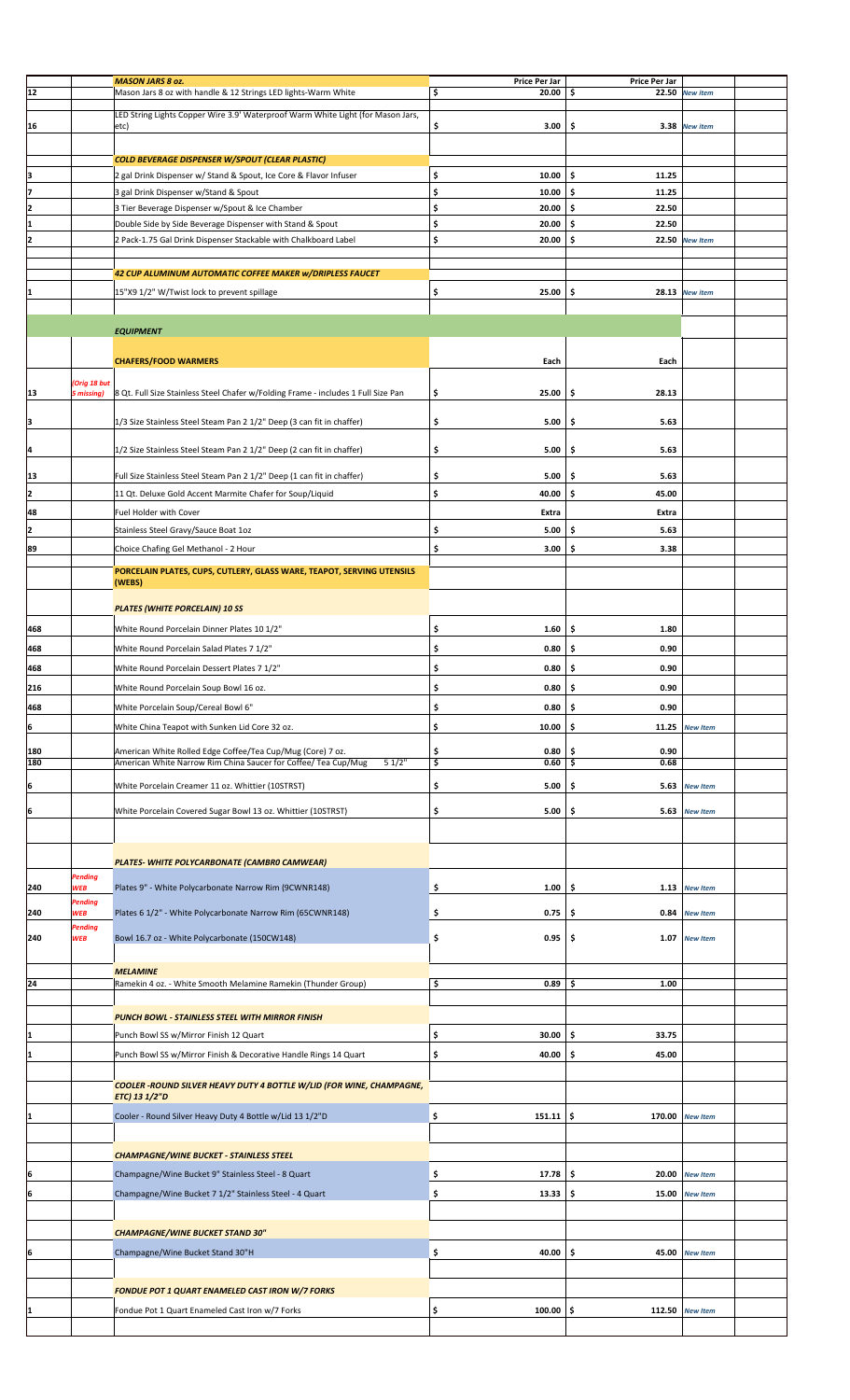|     |             | <b>MASON JARS 8 oz.</b>                                                           | Price Per Jar     | Price Per Jar |                 |  |
|-----|-------------|-----------------------------------------------------------------------------------|-------------------|---------------|-----------------|--|
| 12  |             | Mason Jars 8 oz with handle & 12 Strings LED lights-Warm White                    | \$<br>20.00       | \$            | 22.50 New item  |  |
|     |             |                                                                                   |                   |               |                 |  |
|     |             | LED String Lights Copper Wire 3.9' Waterproof Warm White Light (for Mason Jars,   |                   |               |                 |  |
| 16  |             | etc)                                                                              | \$<br>3.00        | \$.           | 3.38 New item   |  |
|     |             |                                                                                   |                   |               |                 |  |
|     |             |                                                                                   |                   |               |                 |  |
|     |             | <b>COLD BEVERAGE DISPENSER W/SPOUT (CLEAR PLASTIC)</b>                            |                   |               |                 |  |
| ļЗ  |             | 2 gal Drink Dispenser w/ Stand & Spout, Ice Core & Flavor Infuser                 | \$<br>10.00       | \$<br>11.25   |                 |  |
|     |             |                                                                                   |                   |               |                 |  |
| 17  |             | 3 gal Drink Dispenser w/Stand & Spout                                             | \$<br>10.00       | \$.<br>11.25  |                 |  |
| 12  |             | 3 Tier Beverage Dispenser w/Spout & Ice Chamber                                   | \$<br>20.00       | \$<br>22.50   |                 |  |
| 1   |             | Double Side by Side Beverage Dispenser with Stand & Spout                         | \$<br>20.00       | \$<br>22.50   |                 |  |
| 12  |             | 2 Pack-1.75 Gal Drink Dispenser Stackable with Chalkboard Label                   | \$<br>20.00       | \$            | 22.50 New Item  |  |
|     |             |                                                                                   |                   |               |                 |  |
|     |             |                                                                                   |                   |               |                 |  |
|     |             | 42 CUP ALUMINUM AUTOMATIC COFFEE MAKER w/DRIPLESS FAUCET                          |                   |               |                 |  |
|     |             |                                                                                   |                   |               |                 |  |
|     |             | 15"X9 1/2" W/Twist lock to prevent spillage                                       | \$<br>25.00       | \$            | 28.13 New item  |  |
|     |             |                                                                                   |                   |               |                 |  |
|     |             |                                                                                   |                   |               |                 |  |
|     |             | <b>EQUIPMENT</b>                                                                  |                   |               |                 |  |
|     |             |                                                                                   |                   |               |                 |  |
|     |             | <b>CHAFERS/FOOD WARMERS</b>                                                       | Each              | Each          |                 |  |
|     |             |                                                                                   |                   |               |                 |  |
|     | Orig 18 but |                                                                                   |                   |               |                 |  |
| 13  | 5 missing)  | 8 Qt. Full Size Stainless Steel Chafer w/Folding Frame - includes 1 Full Size Pan | \$<br>25.00       | 28.13<br>\$   |                 |  |
|     |             |                                                                                   |                   |               |                 |  |
| 3   |             | 1/3 Size Stainless Steel Steam Pan 2 1/2" Deep (3 can fit in chaffer)             | \$<br>5.00        | 5.63<br>\$    |                 |  |
|     |             |                                                                                   |                   |               |                 |  |
| ļ4  |             | 1/2 Size Stainless Steel Steam Pan 2 1/2" Deep (2 can fit in chaffer)             | \$<br>5.00        | \$<br>5.63    |                 |  |
|     |             |                                                                                   |                   |               |                 |  |
|     |             |                                                                                   |                   |               |                 |  |
| 13  |             | Full Size Stainless Steel Steam Pan 2 1/2" Deep (1 can fit in chaffer)            | \$<br>5.00        | \$.<br>5.63   |                 |  |
| 12  |             | 11 Qt. Deluxe Gold Accent Marmite Chafer for Soup/Liquid                          | \$<br>40.00       | \$.<br>45.00  |                 |  |
|     |             | Fuel Holder with Cover                                                            |                   |               |                 |  |
| 48  |             |                                                                                   | Extra             | Extra         |                 |  |
| 2   |             | Stainless Steel Gravy/Sauce Boat 1oz                                              | \$<br>5.00        | \$.<br>5.63   |                 |  |
| 89  |             | Choice Chafing Gel Methanol - 2 Hour                                              | \$<br>3.00        | \$<br>3.38    |                 |  |
|     |             |                                                                                   |                   |               |                 |  |
|     |             | PORCELAIN PLATES, CUPS, CUTLERY, GLASS WARE, TEAPOT, SERVING UTENSILS             |                   |               |                 |  |
|     |             | (WEBS)                                                                            |                   |               |                 |  |
|     |             |                                                                                   |                   |               |                 |  |
|     |             | <b>PLATES (WHITE PORCELAIN) 10 SS</b>                                             |                   |               |                 |  |
|     |             |                                                                                   |                   |               |                 |  |
| 468 |             | White Round Porcelain Dinner Plates 10 1/2"                                       | \$<br>1.60        | \$<br>1.80    |                 |  |
| 468 |             | White Round Porcelain Salad Plates 7 1/2"                                         | \$<br>0.80        | \$<br>0.90    |                 |  |
|     |             |                                                                                   |                   |               |                 |  |
| 468 |             | White Round Porcelain Dessert Plates 7 1/2"                                       | \$<br>0.80        | 0.90<br>\$.   |                 |  |
|     |             |                                                                                   |                   |               |                 |  |
| 216 |             | White Round Porcelain Soup Bowl 16 oz.                                            | \$<br>0.80        | 0.90<br>\$    |                 |  |
| 468 |             | White Porcelain Soup/Cereal Bowl 6"                                               | \$<br>0.80        | \$<br>0.90    |                 |  |
|     |             |                                                                                   |                   |               |                 |  |
| İ6  |             | White China Teapot with Sunken Lid Core 32 oz.                                    | \$<br>10.00       | \$            | 11.25 New Item  |  |
|     |             |                                                                                   |                   |               |                 |  |
| 180 |             | American White Rolled Edge Coffee/Tea Cup/Mug (Core) 7 oz.                        | \$<br>0.80        | \$<br>0.90    |                 |  |
| 180 |             | American White Narrow Rim China Saucer for Coffee/ Tea Cup/Mug<br>51/2"           | \$<br>0.60        | \$<br>0.68    |                 |  |
|     |             |                                                                                   |                   |               |                 |  |
| Į6  |             | White Porcelain Creamer 11 oz. Whittier (10STRST)                                 | \$<br>5.00        | \$            | 5.63 New Item   |  |
|     |             |                                                                                   |                   |               |                 |  |
| 16  |             | White Porcelain Covered Sugar Bowl 13 oz. Whittier (10STRST)                      | \$<br>5.00        | \$<br>5.63    | <b>New Item</b> |  |
|     |             |                                                                                   |                   |               |                 |  |
|     |             |                                                                                   |                   |               |                 |  |
|     |             |                                                                                   |                   |               |                 |  |
|     |             | PLATES- WHITE POLYCARBONATE (CAMBRO CAMWEAR)                                      |                   |               |                 |  |
|     | Pending     |                                                                                   |                   |               |                 |  |
| 240 | WEB         | Plates 9" - White Polycarbonate Narrow Rim (9CWNR148)                             | \$<br>1.00        | -\$           | 1.13 New Item   |  |
|     | Pending     |                                                                                   |                   |               |                 |  |
| 240 | WEB         | Plates 6 1/2" - White Polycarbonate Narrow Rim (65CWNR148)                        | \$<br>0.75        | \$<br>0.84    | <b>New Item</b> |  |
|     | Pending     |                                                                                   |                   |               |                 |  |
| 240 | WEB         | Bowl 16.7 oz - White Polycarbonate (150CW148)                                     | \$<br>0.95        | \$<br>1.07    | <b>New Item</b> |  |
|     |             |                                                                                   |                   |               |                 |  |
|     |             |                                                                                   |                   |               |                 |  |
|     |             | <b>MELAMINE</b>                                                                   | 0.89              | 1.00          |                 |  |
| 24  |             | Ramekin 4 oz. - White Smooth Melamine Ramekin (Thunder Group)                     | \$                | \$            |                 |  |
|     |             |                                                                                   |                   |               |                 |  |
|     |             | <b>PUNCH BOWL - STAINLESS STEEL WITH MIRROR FINISH</b>                            |                   |               |                 |  |
|     |             |                                                                                   |                   |               |                 |  |
| 11  |             | Punch Bowl SS w/Mirror Finish 12 Quart                                            | \$<br>30.00       | \$<br>33.75   |                 |  |
|     |             | Punch Bowl SS w/Mirror Finish & Decorative Handle Rings 14 Quart                  | \$<br>40.00       | \$<br>45.00   |                 |  |
|     |             |                                                                                   |                   |               |                 |  |
|     |             |                                                                                   |                   |               |                 |  |
|     |             | COOLER -ROUND SILVER HEAVY DUTY 4 BOTTLE W/LID (FOR WINE, CHAMPAGNE,              |                   |               |                 |  |
|     |             | <b>ETC) 13 1/2"D</b>                                                              |                   |               |                 |  |
| I1  |             | Cooler - Round Silver Heavy Duty 4 Bottle w/Lid 13 1/2"D                          | \$<br>$151.11$ \$ |               | 170.00 New Item |  |
|     |             |                                                                                   |                   |               |                 |  |
|     |             |                                                                                   |                   |               |                 |  |
|     |             | <b>CHAMPAGNE/WINE BUCKET - STAINLESS STEEL</b>                                    |                   |               |                 |  |
|     |             |                                                                                   |                   |               |                 |  |
| 6   |             | Champagne/Wine Bucket 9" Stainless Steel - 8 Quart                                | \$<br>17.78       | \$            | 20.00 New Item  |  |
| ļ6  |             | Champagne/Wine Bucket 7 1/2" Stainless Steel - 4 Quart                            | \$<br>13.33       | \$            | 15.00 New Item  |  |
|     |             |                                                                                   |                   |               |                 |  |
|     |             |                                                                                   |                   |               |                 |  |
|     |             | <b>CHAMPAGNE/WINE BUCKET STAND 30"</b>                                            |                   |               |                 |  |
|     |             |                                                                                   |                   |               |                 |  |
| ļ6  |             | Champagne/Wine Bucket Stand 30"H                                                  | 40.00<br>\$       | \$            | 45.00 New Item  |  |
|     |             |                                                                                   |                   |               |                 |  |
|     |             |                                                                                   |                   |               |                 |  |
|     |             | <b>FONDUE POT 1 QUART ENAMELED CAST IRON W/7 FORKS</b>                            |                   |               |                 |  |
|     |             | Fondue Pot 1 Quart Enameled Cast Iron w/7 Forks                                   |                   |               |                 |  |
| I1  |             |                                                                                   | \$<br>$100.00$ \$ |               | 112.50 New Item |  |
|     |             |                                                                                   |                   |               |                 |  |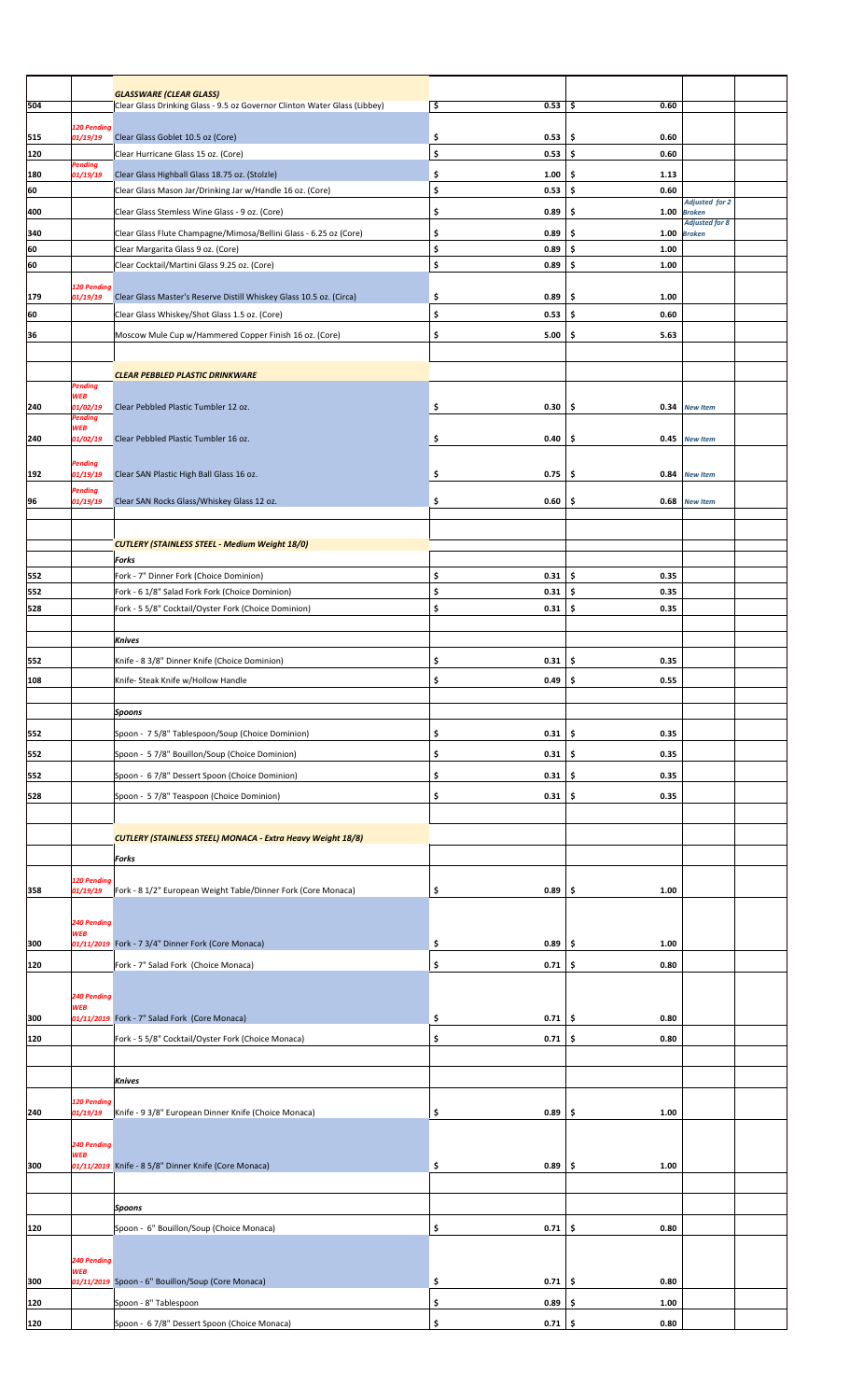|     |                           | <b>GLASSWARE (CLEAR GLASS)</b>                                            |                          |            |                                        |  |
|-----|---------------------------|---------------------------------------------------------------------------|--------------------------|------------|----------------------------------------|--|
| 504 |                           | Clear Glass Drinking Glass - 9.5 oz Governor Clinton Water Glass (Libbey) | \$<br>0.53               | \$<br>0.60 |                                        |  |
|     | 120 Pending               |                                                                           |                          |            |                                        |  |
| 515 | 01/19/19                  | Clear Glass Goblet 10.5 oz (Core)                                         | \$<br>0.53               | \$<br>0.60 |                                        |  |
| 120 |                           | Clear Hurricane Glass 15 oz. (Core)                                       | \$<br>0.53               | \$<br>0.60 |                                        |  |
|     | Pending                   |                                                                           |                          | 1.13       |                                        |  |
| 180 | 01/19/19                  | Clear Glass Highball Glass 18.75 oz. (Stolzle)                            | \$<br>1.00               | \$         |                                        |  |
| 60  |                           | Clear Glass Mason Jar/Drinking Jar w/Handle 16 oz. (Core)                 | \$<br>0.53               | \$<br>0.60 | <b>Adjusted for 2</b>                  |  |
| 400 |                           | Clear Glass Stemless Wine Glass - 9 oz. (Core)                            | \$<br>0.89               | \$<br>1.00 | <b>Broken</b>                          |  |
| 340 |                           |                                                                           | \$                       | \$<br>1.00 | <b>Adjusted for 8</b><br><b>Broken</b> |  |
|     |                           | Clear Glass Flute Champagne/Mimosa/Bellini Glass - 6.25 oz (Core)         | 0.89                     |            |                                        |  |
| 60  |                           | Clear Margarita Glass 9 oz. (Core)                                        | \$<br>0.89               | \$<br>1.00 |                                        |  |
| 60  |                           | Clear Cocktail/Martini Glass 9.25 oz. (Core)                              | \$<br>0.89               | \$<br>1.00 |                                        |  |
|     | 120 Pending               |                                                                           |                          |            |                                        |  |
| 179 | 01/19/19                  | Clear Glass Master's Reserve Distill Whiskey Glass 10.5 oz. (Circa)       | \$<br>0.89               | \$<br>1.00 |                                        |  |
| 60  |                           | Clear Glass Whiskey/Shot Glass 1.5 oz. (Core)                             | \$<br>0.53               | \$<br>0.60 |                                        |  |
| 36  |                           | Moscow Mule Cup w/Hammered Copper Finish 16 oz. (Core)                    | \$<br>5.00               | \$<br>5.63 |                                        |  |
|     |                           |                                                                           |                          |            |                                        |  |
|     |                           |                                                                           |                          |            |                                        |  |
|     |                           | <b>CLEAR PEBBLED PLASTIC DRINKWARE</b>                                    |                          |            |                                        |  |
|     | Pending                   |                                                                           |                          |            |                                        |  |
| 240 | <b>WEB</b><br>01/02/19    | Clear Pebbled Plastic Tumbler 12 oz.                                      | \$<br>0.30               | \$         | 0.34 New Item                          |  |
|     | Pending                   |                                                                           |                          |            |                                        |  |
|     | <b>WEB</b>                |                                                                           |                          |            |                                        |  |
| 240 | 01/02/19                  | Clear Pebbled Plastic Tumbler 16 oz.                                      | \$<br>0.40               | \$<br>0.45 | <b>New Item</b>                        |  |
|     | Pending                   |                                                                           |                          |            |                                        |  |
| 192 | 01/19/19                  | Clear SAN Plastic High Ball Glass 16 oz.                                  | \$<br>0.75               | \$<br>0.84 | <b>New Item</b>                        |  |
|     | Pending                   |                                                                           |                          |            |                                        |  |
| 96  | 01/19/19                  | Clear SAN Rocks Glass/Whiskey Glass 12 oz.                                | \$<br>0.60               | \$<br>0.68 | <b>New Item</b>                        |  |
|     |                           |                                                                           |                          |            |                                        |  |
|     |                           |                                                                           |                          |            |                                        |  |
|     |                           | <b>CUTLERY (STAINLESS STEEL - Medium Weight 18/0)</b>                     |                          |            |                                        |  |
|     |                           | Forks                                                                     |                          |            |                                        |  |
| 552 |                           | Fork - 7" Dinner Fork (Choice Dominion)                                   | \$<br>0.31               | \$<br>0.35 |                                        |  |
| 552 |                           | Fork - 6 1/8" Salad Fork Fork (Choice Dominion)                           | \$<br>0.31               | \$<br>0.35 |                                        |  |
| 528 |                           | Fork - 5 5/8" Cocktail/Oyster Fork (Choice Dominion)                      | \$<br>0.31               | \$<br>0.35 |                                        |  |
|     |                           |                                                                           |                          |            |                                        |  |
|     |                           | <b>Knives</b>                                                             |                          |            |                                        |  |
| 552 |                           | Knife - 8 3/8" Dinner Knife (Choice Dominion)                             | \$<br>0.31               | \$<br>0.35 |                                        |  |
|     |                           |                                                                           |                          |            |                                        |  |
| 108 |                           | Knife- Steak Knife w/Hollow Handle                                        | \$<br>0.49               | \$<br>0.55 |                                        |  |
|     |                           |                                                                           |                          |            |                                        |  |
|     |                           | <b>Spoons</b>                                                             |                          |            |                                        |  |
| 552 |                           | Spoon - 7 5/8" Tablespoon/Soup (Choice Dominion)                          | \$<br>0.31               | \$<br>0.35 |                                        |  |
|     |                           |                                                                           | 0.31                     | 0.35       |                                        |  |
| 552 |                           | Spoon - 5 7/8" Bouillon/Soup (Choice Dominion)                            | \$                       | \$         |                                        |  |
| 552 |                           | Spoon - 6 7/8" Dessert Spoon (Choice Dominion)                            | \$<br>0.31               | \$<br>0.35 |                                        |  |
| 528 |                           | Spoon - 5 7/8" Teaspoon (Choice Dominion)                                 | \$<br>0.31               | \$<br>0.35 |                                        |  |
|     |                           |                                                                           |                          |            |                                        |  |
|     |                           |                                                                           |                          |            |                                        |  |
|     |                           | <b>CUTLERY (STAINLESS STEEL) MONACA - Extra Heavy Weight 18/8)</b>        |                          |            |                                        |  |
|     |                           | Forks                                                                     |                          |            |                                        |  |
|     |                           |                                                                           |                          |            |                                        |  |
| 358 | 120 Pending<br>01/19/19   | Fork - 8 1/2" European Weight Table/Dinner Fork (Core Monaca)             | \$<br>0.89               | 1.00<br>\$ |                                        |  |
|     |                           |                                                                           |                          |            |                                        |  |
|     |                           |                                                                           |                          |            |                                        |  |
|     | 240 Pending<br><b>WEB</b> |                                                                           |                          |            |                                        |  |
| 300 |                           | 01/11/2019 Fork - 7 3/4" Dinner Fork (Core Monaca)                        | \$<br>0.89               | \$<br>1.00 |                                        |  |
| 120 |                           | Fork - 7" Salad Fork (Choice Monaca)                                      | \$<br>0.71               | \$<br>0.80 |                                        |  |
|     |                           |                                                                           |                          |            |                                        |  |
|     | 240 Pending               |                                                                           |                          |            |                                        |  |
|     | <b>WEB</b>                |                                                                           |                          |            |                                        |  |
| 300 |                           | 01/11/2019 Fork - 7" Salad Fork (Core Monaca)                             | \$<br>0.71               | \$<br>0.80 |                                        |  |
| 120 |                           | Fork - 5 5/8" Cocktail/Oyster Fork (Choice Monaca)                        | \$<br>0.71               | \$<br>0.80 |                                        |  |
|     |                           |                                                                           |                          |            |                                        |  |
|     |                           |                                                                           |                          |            |                                        |  |
|     |                           | <b>Knives</b>                                                             |                          |            |                                        |  |
|     | 120 Pending               |                                                                           |                          |            |                                        |  |
| 240 | 01/19/19                  | Knife - 9 3/8" European Dinner Knife (Choice Monaca)                      | \$<br>0.89               | \$<br>1.00 |                                        |  |
|     |                           |                                                                           |                          |            |                                        |  |
|     | 240 Pending               |                                                                           |                          |            |                                        |  |
|     | <b>WEB</b>                |                                                                           |                          |            |                                        |  |
| 300 |                           | 01/11/2019 Knife - 8 5/8" Dinner Knife (Core Monaca)                      | \$<br>0.89               | \$<br>1.00 |                                        |  |
|     |                           |                                                                           |                          |            |                                        |  |
|     |                           | <b>Spoons</b>                                                             |                          |            |                                        |  |
|     |                           |                                                                           |                          |            |                                        |  |
| 120 |                           | Spoon - 6" Bouillon/Soup (Choice Monaca)                                  | \$<br>0.71               | \$<br>0.80 |                                        |  |
|     |                           |                                                                           |                          |            |                                        |  |
|     | 240 Pending               |                                                                           |                          |            |                                        |  |
| 300 | <b>WEB</b>                | 01/11/2019 Spoon - 6" Bouillon/Soup (Core Monaca)                         | \$<br>0.71               | \$<br>0.80 |                                        |  |
|     |                           |                                                                           |                          |            |                                        |  |
| 120 |                           | Spoon - 8" Tablespoon                                                     | \$<br>0.89               | \$<br>1.00 |                                        |  |
| 120 |                           | Spoon - 6 7/8" Dessert Spoon (Choice Monaca)                              | <u>ډ</u><br>$0.71 \,$ \$ | 0.80       |                                        |  |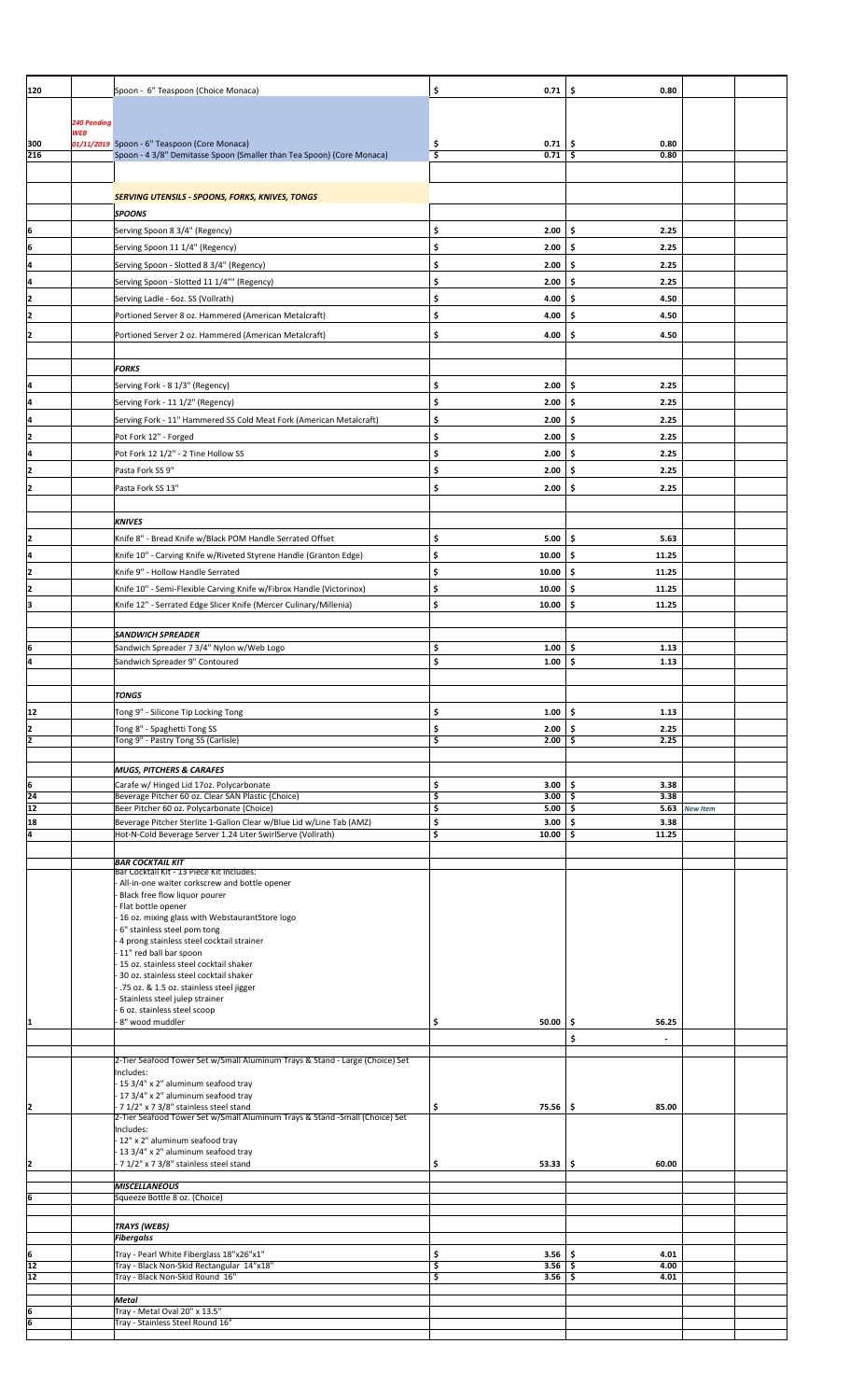| 120                            |                           | Spoon - 6" Teaspoon (Choice Monaca)                                                                                   | \$<br>0.71               | \$<br>0.80                |               |
|--------------------------------|---------------------------|-----------------------------------------------------------------------------------------------------------------------|--------------------------|---------------------------|---------------|
|                                |                           |                                                                                                                       |                          |                           |               |
|                                | 240 Pending<br><b>WEB</b> |                                                                                                                       |                          |                           |               |
| 300<br>216                     |                           | 01/11/2019 Spoon - 6" Teaspoon (Core Monaca)<br>Spoon - 4 3/8" Demitasse Spoon (Smaller than Tea Spoon) (Core Monaca) | \$<br>0.71<br>\$<br>0.71 | \$<br>0.80<br>-\$<br>0.80 |               |
|                                |                           |                                                                                                                       |                          |                           |               |
|                                |                           |                                                                                                                       |                          |                           |               |
|                                |                           | <b>SERVING UTENSILS - SPOONS, FORKS, KNIVES, TONGS</b>                                                                |                          |                           |               |
|                                |                           | <b>SPOONS</b>                                                                                                         |                          |                           |               |
| 6                              |                           | Serving Spoon 8 3/4" (Regency)                                                                                        | \$<br>2.00               | \$<br>2.25                |               |
| 6                              |                           | Serving Spoon 11 1/4" (Regency)                                                                                       | \$<br>2.00               | \$.<br>2.25               |               |
| ļ4                             |                           | Serving Spoon - Slotted 8 3/4" (Regency)                                                                              | \$<br>2.00               | \$<br>2.25                |               |
| Ŀ                              |                           | Serving Spoon - Slotted 11 1/4"" (Regency)                                                                            | \$<br>2.00               | \$<br>2.25                |               |
| 2                              |                           | Serving Ladle - 6oz. SS (Vollrath)                                                                                    | \$<br>4.00               | \$.<br>4.50               |               |
| 2                              |                           | Portioned Server 8 oz. Hammered (American Metalcraft)                                                                 | \$<br>4.00               | \$.<br>4.50               |               |
| 2                              |                           | Portioned Server 2 oz. Hammered (American Metalcraft)                                                                 | \$<br>4.00               | \$.<br>4.50               |               |
|                                |                           |                                                                                                                       |                          |                           |               |
|                                |                           | <b>FORKS</b>                                                                                                          |                          |                           |               |
| I4                             |                           | Serving Fork - 8 1/3" (Regency)                                                                                       | \$<br>2.00               | -\$<br>2.25               |               |
| 4                              |                           | Serving Fork - 11 1/2" (Regency)                                                                                      | \$<br>2.00               | \$<br>2.25                |               |
| ļ4                             |                           | Serving Fork - 11" Hammered SS Cold Meat Fork (American Metalcraft)                                                   | \$<br>2.00               | 2.25<br>\$.               |               |
| 2                              |                           | Pot Fork 12" - Forged                                                                                                 | \$<br>2.00               | \$.<br>2.25               |               |
| ļ4                             |                           | Pot Fork 12 1/2" - 2 Tine Hollow SS                                                                                   | \$<br>2.00               | \$.<br>2.25               |               |
| I2                             |                           | Pasta Fork SS 9"                                                                                                      | \$<br>2.00               | \$.<br>2.25               |               |
| I2                             |                           | Pasta Fork SS 13"                                                                                                     | \$<br>2.00               | \$<br>2.25                |               |
|                                |                           |                                                                                                                       |                          |                           |               |
|                                |                           | <b>KNIVES</b>                                                                                                         |                          |                           |               |
| 2                              |                           | Knife 8" - Bread Knife w/Black POM Handle Serrated Offset                                                             | \$<br>5.00               | \$<br>5.63                |               |
| 4                              |                           | Knife 10" - Carving Knife w/Riveted Styrene Handle (Granton Edge)                                                     | \$<br>10.00              | \$.<br>11.25              |               |
| 12                             |                           | Knife 9" - Hollow Handle Serrated                                                                                     | \$<br>10.00              | \$.<br>11.25              |               |
| I2                             |                           | Knife 10" - Semi-Flexible Carving Knife w/Fibrox Handle (Victorinox)                                                  | \$<br>10.00              | \$.<br>11.25              |               |
| ļЗ                             |                           | Knife 12" - Serrated Edge Slicer Knife (Mercer Culinary/Millenia)                                                     | \$<br>10.00              | \$<br>11.25               |               |
|                                |                           |                                                                                                                       |                          |                           |               |
|                                |                           | <b>SANDWICH SPREADER</b>                                                                                              |                          |                           |               |
| Į6                             |                           | Sandwich Spreader 7 3/4" Nylon w/Web Logo                                                                             | \$<br>1.00               | \$<br>1.13                |               |
|                                |                           | Sandwich Spreader 9" Contoured                                                                                        | \$<br>1.00               | \$.<br>1.13               |               |
|                                |                           |                                                                                                                       |                          |                           |               |
|                                |                           | TONGS                                                                                                                 |                          |                           |               |
| 12                             |                           | Tong 9" - Silicone Tip Locking Tong                                                                                   | \$<br>1.00               | \$<br>1.13                |               |
| 2                              |                           | Tong 8" - Spaghetti Tong SS                                                                                           | \$<br>2.00               | 2.25<br>-\$               |               |
| 2                              |                           | Tong 9" - Pastry Tong SS (Carlisle)                                                                                   | \$<br>2.00               | \$<br>2.25                |               |
|                                |                           | <b>MUGS, PITCHERS &amp; CARAFES</b>                                                                                   |                          |                           |               |
|                                |                           | Carafe w/ Hinged Lid 17oz. Polycarbonate                                                                              | \$<br>3.00               | \$<br>3.38                |               |
| $\frac{6}{24}$ $\frac{24}{12}$ |                           | Beverage Pitcher 60 oz. Clear SAN Plastic (Choice)                                                                    | \$<br>3.00               | -\$<br>3.38               |               |
| 18                             |                           | Beer Pitcher 60 oz. Polycarbonate (Choice)<br>Beverage Pitcher Sterlite 1-Gallon Clear w/Blue Lid w/Line Tab (AMZ)    | \$<br>5.00<br>\$<br>3.00 | \$<br>\$.<br>3.38         | 5.63 New Item |
| 4                              |                           | Hot-N-Cold Beverage Server 1.24 Liter SwirlServe (Vollrath)                                                           | \$<br>10.00              | \$<br>11.25               |               |
|                                |                           |                                                                                                                       |                          |                           |               |
|                                |                           | <b>BAR COCKTAIL KIT</b><br>Bar Cocktail Kit - 13 Piece Kit Includes:                                                  |                          |                           |               |
|                                |                           | All-in-one waiter corkscrew and bottle opener                                                                         |                          |                           |               |
|                                |                           | Black free flow liquor pourer<br>Flat bottle opener                                                                   |                          |                           |               |
|                                |                           | 16 oz. mixing glass with WebstaurantStore logo                                                                        |                          |                           |               |
|                                |                           | 6" stainless steel pom tong                                                                                           |                          |                           |               |
|                                |                           | 4 prong stainless steel cocktail strainer<br>11" red ball bar spoon                                                   |                          |                           |               |
|                                |                           | 15 oz. stainless steel cocktail shaker                                                                                |                          |                           |               |
|                                |                           | 30 oz. stainless steel cocktail shaker<br>.75 oz. & 1.5 oz. stainless steel jigger                                    |                          |                           |               |
|                                |                           | Stainless steel julep strainer                                                                                        |                          |                           |               |
| 1                              |                           | 6 oz. stainless steel scoop<br>8" wood muddler                                                                        | \$<br>50.00              | \$<br>56.25               |               |
|                                |                           |                                                                                                                       |                          | \$                        |               |
|                                |                           |                                                                                                                       |                          |                           |               |
|                                |                           | 2-Tier Seafood Tower Set w/Small Aluminum Trays & Stand - Large (Choice) Set<br>Includes:                             |                          |                           |               |
|                                |                           | 15 3/4" x 2" aluminum seafood tray                                                                                    |                          |                           |               |
| 2                              |                           | 17 3/4" x 2" aluminum seafood tray<br>71/2" x 73/8" stainless steel stand                                             | \$<br>$75.56$ \$         | 85.00                     |               |
|                                |                           | 2-Tier Seafood Tower Set w/Small Aluminum Trays & Stand -Small (Choice) Set                                           |                          |                           |               |
|                                |                           | Includes:<br>12" x 2" aluminum seafood tray                                                                           |                          |                           |               |
|                                |                           | 13 3/4" x 2" aluminum seafood tray                                                                                    |                          |                           |               |
| $\overline{2}$                 |                           | 7 1/2" x 7 3/8" stainless steel stand                                                                                 | \$<br>$53.33$ \$         | 60.00                     |               |
|                                |                           | <b>MISCELLANEOUS</b>                                                                                                  |                          |                           |               |
| 6                              |                           | Squeeze Bottle 8 oz. (Choice)                                                                                         |                          |                           |               |
|                                |                           |                                                                                                                       |                          |                           |               |
|                                |                           | <b>TRAYS (WEBS)</b><br><b>Fibergalss</b>                                                                              |                          |                           |               |
| 6                              |                           | Tray - Pearl White Fiberglass 18"x26"x1"                                                                              | \$<br>3.56               | \$<br>4.01                |               |
| 12                             |                           | Tray - Black Non-Skid Rectangular 14"x18"                                                                             | \$<br>$3.56$ \$          | 4.00                      |               |
| 12                             |                           | Tray - Black Non-Skid Round 16"                                                                                       | $3.56$ \$<br>\$          | 4.01                      |               |
|                                |                           | Metal                                                                                                                 |                          |                           |               |
| $6 \overline{6}$               |                           | Tray - Metal Oval 20" x 13.5"<br>Tray - Stainless Steel Round 16                                                      |                          |                           |               |
|                                |                           |                                                                                                                       |                          |                           |               |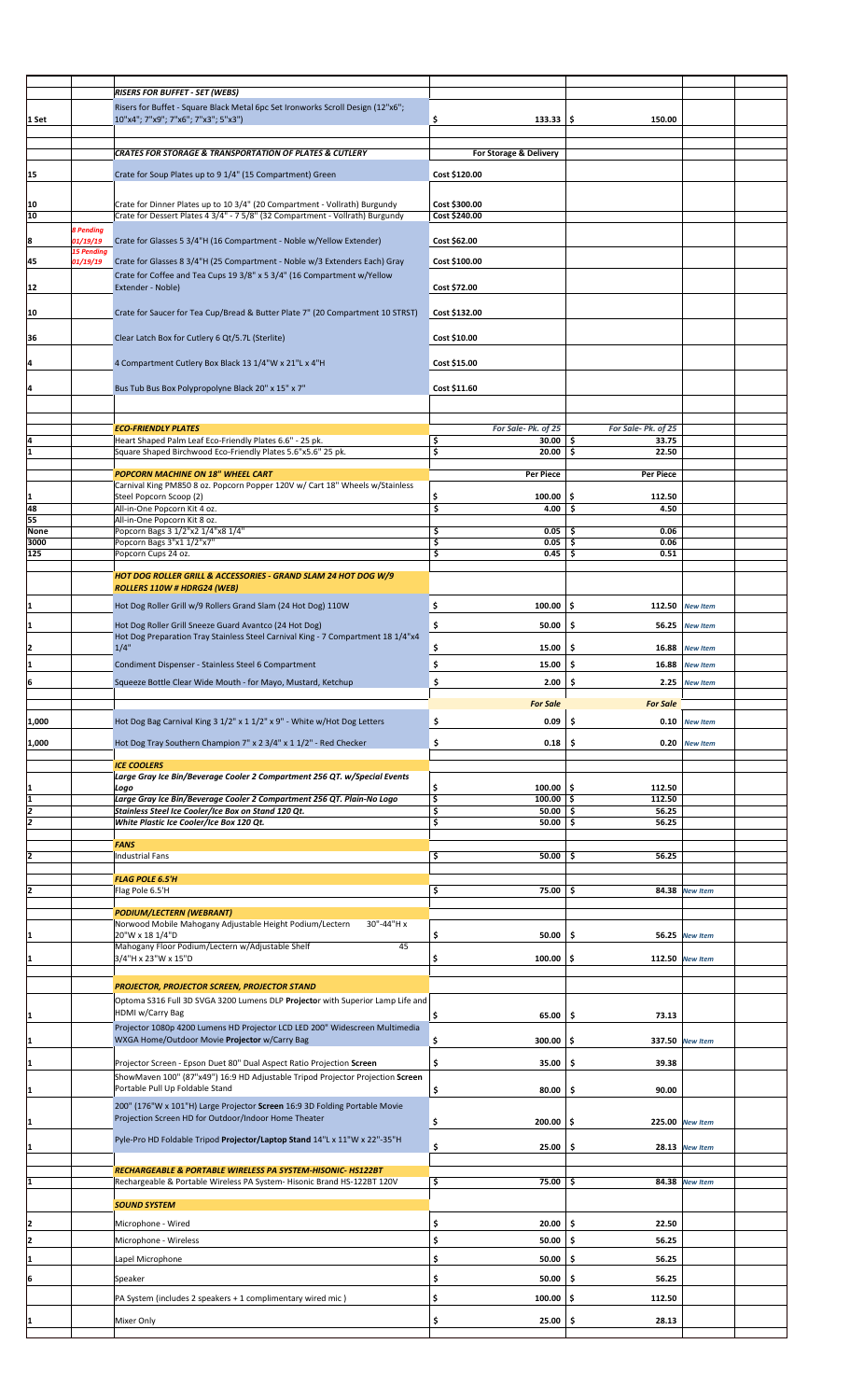|       |                               | <b>RISERS FOR BUFFET - SET (WEBS)</b>                                            |                                       |                     |                       |  |
|-------|-------------------------------|----------------------------------------------------------------------------------|---------------------------------------|---------------------|-----------------------|--|
|       |                               |                                                                                  |                                       |                     |                       |  |
|       |                               | Risers for Buffet - Square Black Metal 6pc Set Ironworks Scroll Design (12"x6";  |                                       |                     |                       |  |
| 1 Set |                               | 10"x4"; 7"x9"; 7"x6"; 7"x3"; 5"x3")                                              | \$<br>$133.33$ \$                     | 150.00              |                       |  |
|       |                               |                                                                                  |                                       |                     |                       |  |
|       |                               |                                                                                  |                                       |                     |                       |  |
|       |                               | <b>CRATES FOR STORAGE &amp; TRANSPORTATION OF PLATES &amp; CUTLERY</b>           | For Storage & Delivery                |                     |                       |  |
|       |                               |                                                                                  |                                       |                     |                       |  |
| 15    |                               | Crate for Soup Plates up to 9 1/4" (15 Compartment) Green                        | Cost \$120.00                         |                     |                       |  |
|       |                               |                                                                                  |                                       |                     |                       |  |
| 10    |                               | Crate for Dinner Plates up to 10 3/4" (20 Compartment - Vollrath) Burgundy       | Cost \$300.00                         |                     |                       |  |
| 10    |                               | Crate for Dessert Plates 4 3/4" - 7 5/8" (32 Compartment - Vollrath) Burgundy    | Cost \$240.00                         |                     |                       |  |
|       |                               |                                                                                  |                                       |                     |                       |  |
|       | <b>8 Pending</b>              |                                                                                  |                                       |                     |                       |  |
| 8     | 01/19/19<br><b>15 Pending</b> | Crate for Glasses 5 3/4"H (16 Compartment - Noble w/Yellow Extender)             | Cost \$62.00                          |                     |                       |  |
| 45    | 01/19/19                      | Crate for Glasses 8 3/4"H (25 Compartment - Noble w/3 Extenders Each) Gray       | Cost \$100.00                         |                     |                       |  |
|       |                               |                                                                                  |                                       |                     |                       |  |
|       |                               | Crate for Coffee and Tea Cups 19 3/8" x 5 3/4" (16 Compartment w/Yellow          |                                       |                     |                       |  |
| 12    |                               | Extender - Noble)                                                                | Cost \$72.00                          |                     |                       |  |
|       |                               |                                                                                  |                                       |                     |                       |  |
| 10    |                               | Crate for Saucer for Tea Cup/Bread & Butter Plate 7" (20 Compartment 10 STRST)   | Cost \$132.00                         |                     |                       |  |
|       |                               |                                                                                  |                                       |                     |                       |  |
| 36    |                               | Clear Latch Box for Cutlery 6 Qt/5.7L (Sterlite)                                 | Cost \$10.00                          |                     |                       |  |
|       |                               |                                                                                  |                                       |                     |                       |  |
|       |                               |                                                                                  |                                       |                     |                       |  |
| I4    |                               | 4 Compartment Cutlery Box Black 13 1/4"W x 21"L x 4"H                            | Cost \$15.00                          |                     |                       |  |
|       |                               |                                                                                  |                                       |                     |                       |  |
| I4    |                               | Bus Tub Bus Box Polypropolyne Black 20" x 15" x 7"                               | Cost \$11.60                          |                     |                       |  |
|       |                               |                                                                                  |                                       |                     |                       |  |
|       |                               |                                                                                  |                                       |                     |                       |  |
|       |                               |                                                                                  |                                       |                     |                       |  |
|       |                               | <b>ECO-FRIENDLY PLATES</b>                                                       | For Sale-Pk. of 25                    | For Sale- Pk. of 25 |                       |  |
| I4    |                               | Heart Shaped Palm Leaf Eco-Friendly Plates 6.6" - 25 pk.                         | $30.00$ \$<br>\$                      | 33.75               |                       |  |
| I1    |                               | Square Shaped Birchwood Eco-Friendly Plates 5.6"x5.6" 25 pk.                     | \$<br>20.00                           | \$<br>22.50         |                       |  |
|       |                               |                                                                                  |                                       |                     |                       |  |
|       |                               | <b>POPCORN MACHINE ON 18" WHEEL CART</b>                                         | <b>Per Piece</b>                      | Per Piece           |                       |  |
|       |                               | Carnival King PM850 8 oz. Popcorn Popper 120V w/ Cart 18" Wheels w/Stainless     |                                       |                     |                       |  |
| I1    |                               | Steel Popcorn Scoop (2)                                                          | \$<br>100.00                          | \$<br>112.50        |                       |  |
| 48    |                               | All-in-One Popcorn Kit 4 oz.                                                     | \$<br>4.00                            | \$.<br>4.50         |                       |  |
| 55    |                               | All-in-One Popcorn Kit 8 oz.                                                     |                                       |                     |                       |  |
| None  |                               | Popcorn Bags 3 1/2"x2 1/4"x8 1/4"                                                | \$<br>0.05                            | -\$<br>0.06         |                       |  |
| 3000  |                               | Popcorn Bags 3"x1 1/2"x7"                                                        | \$<br>0.05                            | \$<br>0.06          |                       |  |
| 125   |                               | Popcorn Cups 24 oz.                                                              | \$<br>0.45                            | \$<br>0.51          |                       |  |
|       |                               |                                                                                  |                                       |                     |                       |  |
|       |                               | HOT DOG ROLLER GRILL & ACCESSORIES - GRAND SLAM 24 HOT DOG W/9                   |                                       |                     |                       |  |
|       |                               | ROLLERS 110W # HDRG24 (WEB)                                                      |                                       |                     |                       |  |
|       |                               |                                                                                  |                                       |                     |                       |  |
| I1    |                               | Hot Dog Roller Grill w/9 Rollers Grand Slam (24 Hot Dog) 110W                    | \$<br>100.00                          | \$.                 | 112.50 New Item       |  |
|       |                               |                                                                                  |                                       |                     |                       |  |
| 11    |                               | Hot Dog Roller Grill Sneeze Guard Avantco (24 Hot Dog)                           | \$<br>50.00                           | \$.<br>56.25        | <b>New Item</b>       |  |
|       |                               | Hot Dog Preparation Tray Stainless Steel Carnival King - 7 Compartment 18 1/4"x4 |                                       |                     |                       |  |
| 12    |                               | 1/4"                                                                             | \$<br>15.00                           | \$.<br>16.88        | <b>New Item</b>       |  |
|       |                               |                                                                                  |                                       |                     |                       |  |
| I1    |                               | Condiment Dispenser - Stainless Steel 6 Compartment                              | \$<br>15.00                           | \$<br>16.88         | <b>New Item</b>       |  |
| 6     |                               | Squeeze Bottle Clear Wide Mouth - for Mayo, Mustard, Ketchup                     | \$<br>2.00                            | -\$                 | 2.25 New Item         |  |
|       |                               |                                                                                  |                                       |                     |                       |  |
|       |                               |                                                                                  | <b>For Sale</b>                       | <b>For Sale</b>     |                       |  |
|       |                               |                                                                                  |                                       |                     |                       |  |
| 1,000 |                               | Hot Dog Bag Carnival King 3 1/2" x 1 1/2" x 9" - White w/Hot Dog Letters         | \$<br>0.09                            | \$                  | 0.10 New Item         |  |
|       |                               |                                                                                  |                                       |                     |                       |  |
| 1,000 |                               | Hot Dog Tray Southern Champion 7" x 2 3/4" x 1 1/2" - Red Checker                | \$<br>0.18                            | \$<br>0.20          | <b>New Item</b>       |  |
|       |                               |                                                                                  |                                       |                     |                       |  |
|       |                               | <b>ICE COOLERS</b>                                                               |                                       |                     |                       |  |
|       |                               | Large Gray Ice Bin/Beverage Cooler 2 Compartment 256 QT. w/Special Events        |                                       |                     |                       |  |
| I1    |                               | Logo                                                                             | \$<br>100.00                          | \$<br>112.50        |                       |  |
| I1    |                               | Large Gray Ice Bin/Beverage Cooler 2 Compartment 256 QT. Plain-No Logo           | \$<br>$100.00$ \$                     | 112.50              |                       |  |
| 2     |                               | Stainless Steel Ice Cooler/Ice Box on Stand 120 Qt.                              | $\overline{\mathsf{s}}$<br>$50.00$ \$ | 56.25               |                       |  |
| l2    |                               | White Plastic Ice Cooler/Ice Box 120 Qt.                                         | \$<br>$50.00$ \$                      | 56.25               |                       |  |
|       |                               |                                                                                  |                                       |                     |                       |  |
|       |                               | <b>FANS</b>                                                                      |                                       |                     |                       |  |
| I2    |                               | <b>Industrial Fans</b>                                                           | \$<br>$50.00$ \$                      | 56.25               |                       |  |
|       |                               |                                                                                  |                                       |                     |                       |  |
|       |                               |                                                                                  |                                       |                     |                       |  |
|       |                               | <b>FLAG POLE 6.5'H</b>                                                           |                                       |                     |                       |  |
| 12    |                               | Flag Pole 6.5'H                                                                  | \$.<br>75.00                          | -\$                 | 84.38 New Item        |  |
|       |                               |                                                                                  |                                       |                     |                       |  |
|       |                               | PODIUM/LECTERN (WEBRANT)                                                         |                                       |                     |                       |  |
|       |                               | Norwood Mobile Mahogany Adjustable Height Podium/Lectern<br>30"-44"H x           |                                       |                     |                       |  |
|       |                               | 20"W x 18 1/4"D                                                                  | \$<br>50.00                           | \$                  | <b>56.25</b> New Item |  |
|       |                               | Mahogany Floor Podium/Lectern w/Adjustable Shelf<br>45                           |                                       |                     |                       |  |
|       |                               | 3/4"H x 23"W x 15"D                                                              | \$<br>100.00                          | \$.                 | 112.50 New Item       |  |
|       |                               |                                                                                  |                                       |                     |                       |  |
|       |                               | PROJECTOR, PROJECTOR SCREEN, PROJECTOR STAND                                     |                                       |                     |                       |  |
|       |                               |                                                                                  |                                       |                     |                       |  |
|       |                               |                                                                                  |                                       |                     |                       |  |
|       |                               | Optoma S316 Full 3D SVGA 3200 Lumens DLP Projector with Superior Lamp Life and   |                                       |                     |                       |  |
| I1    |                               | HDMI w/Carry Bag                                                                 | \$<br>65.00                           | \$<br>73.13         |                       |  |
|       |                               | Projector 1080p 4200 Lumens HD Projector LCD LED 200" Widescreen Multimedia      |                                       |                     |                       |  |
| I1    |                               |                                                                                  |                                       |                     |                       |  |
|       |                               | WXGA Home/Outdoor Movie Projector w/Carry Bag                                    | \$<br>300.00                          | \$                  | 337.50 New Item       |  |
| I1    |                               |                                                                                  |                                       |                     |                       |  |
|       |                               | Projector Screen - Epson Duet 80" Dual Aspect Ratio Projection Screen            | \$<br>35.00                           | \$<br>39.38         |                       |  |
|       |                               | ShowMaven 100" (87"x49") 16:9 HD Adjustable Tripod Projector Projection Screen   |                                       |                     |                       |  |
| I1    |                               | Portable Pull Up Foldable Stand                                                  | \$<br>80.00                           | \$<br>90.00         |                       |  |
|       |                               |                                                                                  |                                       |                     |                       |  |
|       |                               | 200" (176"W x 101"H) Large Projector Screen 16:9 3D Folding Portable Movie       |                                       |                     |                       |  |
| I1    |                               | Projection Screen HD for Outdoor/Indoor Home Theater                             | \$<br>200.00                          | \$                  | 225.00 New Item       |  |
|       |                               |                                                                                  |                                       |                     |                       |  |
|       |                               | Pyle-Pro HD Foldable Tripod Projector/Laptop Stand 14"L x 11"W x 22"-35"H        | \$<br>25.00                           | \$                  | 28.13 New Item        |  |
|       |                               |                                                                                  |                                       |                     |                       |  |
|       |                               | RECHARGEABLE & PORTABLE WIRELESS PA SYSTEM-HISONIC-HS122BT                       |                                       |                     |                       |  |
| I1    |                               |                                                                                  | 75.00                                 |                     | 84.38 New Item        |  |
|       |                               | Rechargeable & Portable Wireless PA System-Hisonic Brand HS-122BT 120V           | \$                                    | \$                  |                       |  |
|       |                               |                                                                                  |                                       |                     |                       |  |
|       |                               | <b>SOUND SYSTEM</b>                                                              |                                       |                     |                       |  |
| I2    |                               | Microphone - Wired                                                               | \$<br>20.00                           | \$<br>22.50         |                       |  |
|       |                               |                                                                                  |                                       |                     |                       |  |
| I2    |                               | Microphone - Wireless                                                            | \$<br>50.00                           | \$<br>56.25         |                       |  |
|       |                               |                                                                                  |                                       |                     |                       |  |
| I1    |                               | Lapel Microphone                                                                 | \$<br>50.00                           | \$<br>56.25         |                       |  |
|       |                               |                                                                                  |                                       |                     |                       |  |
| I6    |                               | Speaker                                                                          | \$<br>50.00                           | \$<br>56.25         |                       |  |
|       |                               |                                                                                  | \$<br>100.00                          | \$<br>112.50        |                       |  |
|       |                               | PA System (includes 2 speakers + 1 complimentary wired mic)                      |                                       |                     |                       |  |
|       |                               | Mixer Only                                                                       | $25.00$ \$                            | 28.13               |                       |  |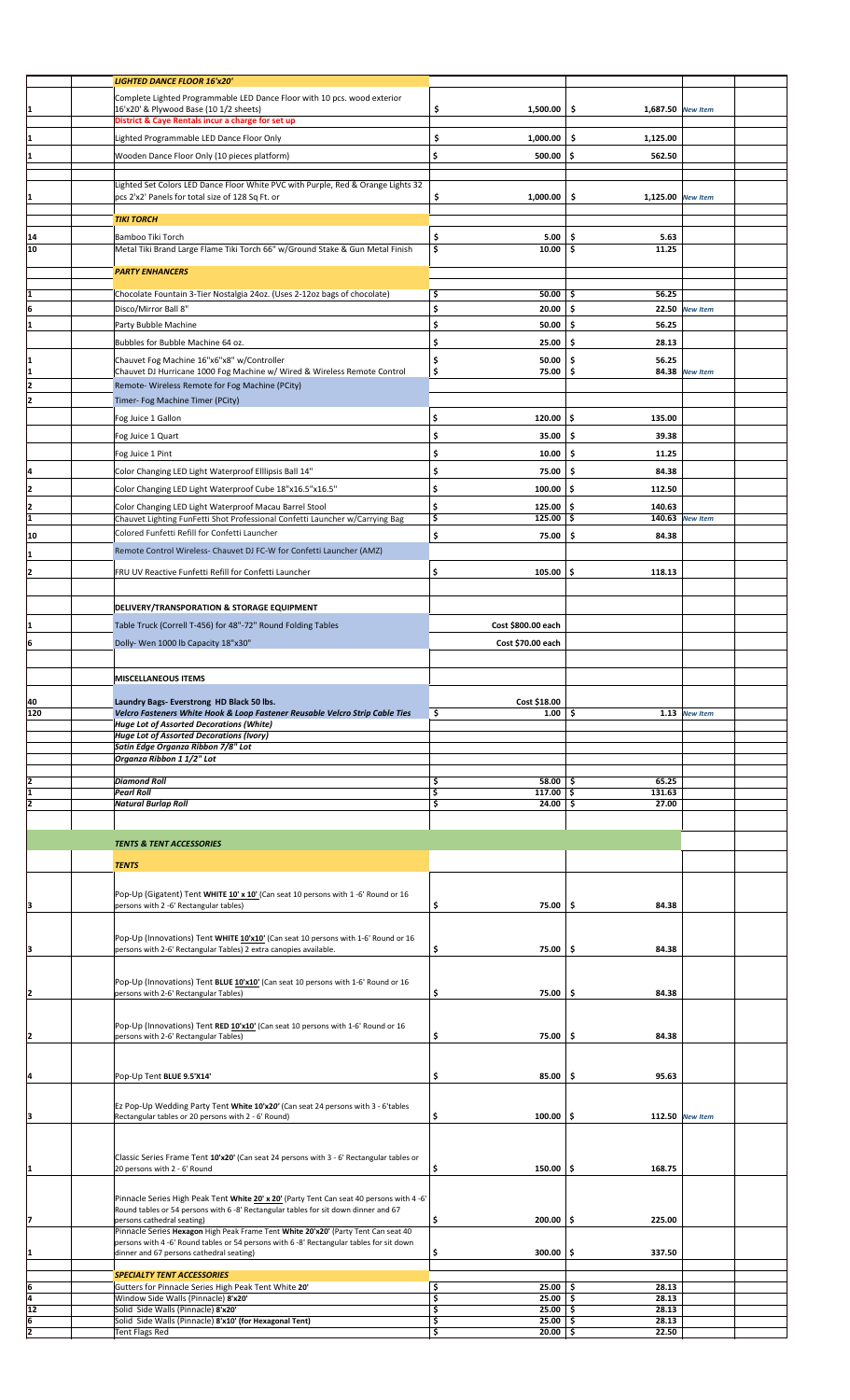|                                       | <b>LIGHTED DANCE FLOOR 16'x20'</b>                                                                                                                      |                             |                          |                 |  |
|---------------------------------------|---------------------------------------------------------------------------------------------------------------------------------------------------------|-----------------------------|--------------------------|-----------------|--|
|                                       | Complete Lighted Programmable LED Dance Floor with 10 pcs. wood exterior                                                                                |                             |                          |                 |  |
|                                       | 16'x20' & Plywood Base (10 1/2 sheets)                                                                                                                  | \$<br>1,500.00              | \$<br>1,687.50 New Item  |                 |  |
|                                       | District & Caye Rentals incur a charge for set up                                                                                                       |                             |                          |                 |  |
|                                       | Lighted Programmable LED Dance Floor Only                                                                                                               | \$<br>1,000.00              | \$<br>1,125.00           |                 |  |
|                                       |                                                                                                                                                         |                             |                          |                 |  |
| 1                                     | Wooden Dance Floor Only (10 pieces platform)                                                                                                            | \$<br>500.00                | \$<br>562.50             |                 |  |
|                                       |                                                                                                                                                         |                             |                          |                 |  |
|                                       | Lighted Set Colors LED Dance Floor White PVC with Purple, Red & Orange Lights 32                                                                        |                             |                          |                 |  |
| $\mathbf{1}$                          | pcs 2'x2' Panels for total size of 128 Sq Ft. or                                                                                                        | \$<br>1,000.00              | -\$<br>1,125.00 New Item |                 |  |
|                                       | <b>TIKI TORCH</b>                                                                                                                                       |                             |                          |                 |  |
|                                       | Bamboo Tiki Torch                                                                                                                                       | \$<br>5.00                  | \$<br>5.63               |                 |  |
| 14<br>10                              | Metal Tiki Brand Large Flame Tiki Torch 66" w/Ground Stake & Gun Metal Finish                                                                           | \$<br>10.00                 | \$.<br>11.25             |                 |  |
|                                       |                                                                                                                                                         |                             |                          |                 |  |
|                                       | <b>PARTY ENHANCERS</b>                                                                                                                                  |                             |                          |                 |  |
|                                       |                                                                                                                                                         |                             |                          |                 |  |
|                                       | Chocolate Fountain 3-Tier Nostalgia 24oz. (Uses 2-12oz bags of chocolate)                                                                               | \$<br>50.00                 | \$<br>56.25              |                 |  |
| 6                                     | Disco/Mirror Ball 8"                                                                                                                                    | \$<br>20.00                 | \$.                      | 22.50 New Item  |  |
| 1                                     | Party Bubble Machine                                                                                                                                    | \$<br>50.00                 | \$<br>56.25              |                 |  |
|                                       | Bubbles for Bubble Machine 64 oz.                                                                                                                       | \$<br>25.00                 | \$<br>28.13              |                 |  |
|                                       | Chauvet Fog Machine 16"x6"x8" w/Controller                                                                                                              | \$<br>50.00                 | \$<br>56.25              |                 |  |
| $\frac{1}{1}$                         | Chauvet DJ Hurricane 1000 Fog Machine w/ Wired & Wireless Remote Control                                                                                | \$<br>75.00                 | \$                       | 84.38 New Item  |  |
| $\overline{2}$                        | Remote- Wireless Remote for Fog Machine (PCity)                                                                                                         |                             |                          |                 |  |
| 2                                     |                                                                                                                                                         |                             |                          |                 |  |
|                                       | Timer- Fog Machine Timer (PCity)                                                                                                                        |                             |                          |                 |  |
|                                       | Fog Juice 1 Gallon                                                                                                                                      | \$<br>120.00                | \$<br>135.00             |                 |  |
|                                       | Fog Juice 1 Quart                                                                                                                                       | \$<br>35.00                 | \$<br>39.38              |                 |  |
|                                       | Fog Juice 1 Pint                                                                                                                                        | \$<br>10.00                 | \$<br>11.25              |                 |  |
|                                       |                                                                                                                                                         |                             |                          |                 |  |
| $\overline{a}$                        | Color Changing LED Light Waterproof Elllipsis Ball 14"                                                                                                  | \$<br>75.00                 | \$<br>84.38              |                 |  |
| $\overline{2}$                        | Color Changing LED Light Waterproof Cube 18"x16.5"x16.5"                                                                                                | \$<br>100.00                | \$<br>112.50             |                 |  |
|                                       | Color Changing LED Light Waterproof Macau Barrel Stool                                                                                                  | \$<br>125.00                | \$.<br>140.63            |                 |  |
| $\begin{array}{c} 2 \\ 1 \end{array}$ | Chauvet Lighting FunFetti Shot Professional Confetti Launcher w/Carrying Bag                                                                            | \$<br>125.00                | \$                       | 140.63 New Item |  |
|                                       | Colored Funfetti Refill for Confetti Launcher                                                                                                           |                             |                          |                 |  |
| 10                                    |                                                                                                                                                         | \$<br>75.00                 | .\$<br>84.38             |                 |  |
| 1                                     | Remote Control Wireless- Chauvet DJ FC-W for Confetti Launcher (AMZ)                                                                                    |                             |                          |                 |  |
| 2                                     | FRU UV Reactive Funfetti Refill for Confetti Launcher                                                                                                   | \$<br>105.00                | \$.<br>118.13            |                 |  |
|                                       |                                                                                                                                                         |                             |                          |                 |  |
|                                       |                                                                                                                                                         |                             |                          |                 |  |
|                                       | DELIVERY/TRANSPORATION & STORAGE EQUIPMENT                                                                                                              |                             |                          |                 |  |
| 1                                     | Table Truck (Correll T-456) for 48"-72" Round Folding Tables                                                                                            | Cost \$800.00 each          |                          |                 |  |
| 6                                     | Dolly- Wen 1000 lb Capacity 18"x30"                                                                                                                     | Cost \$70.00 each           |                          |                 |  |
|                                       |                                                                                                                                                         |                             |                          |                 |  |
|                                       |                                                                                                                                                         |                             |                          |                 |  |
|                                       | <b>MISCELLANEOUS ITEMS</b>                                                                                                                              |                             |                          |                 |  |
|                                       |                                                                                                                                                         |                             |                          |                 |  |
|                                       | Laundry Bags- Everstrong HD Black 50 lbs.                                                                                                               |                             |                          |                 |  |
|                                       |                                                                                                                                                         | Cost \$18.00                |                          |                 |  |
| 40<br>120                             | Velcro Fasteners White Hook & Loop Fastener Reusable Velcro Strip Cable Ties                                                                            | \$<br>1.00                  | \$                       | 1.13 New Item   |  |
|                                       | <b>Huge Lot of Assorted Decorations (White)</b><br>Huge Lot of Assorted Decorations (Ivory)                                                             |                             |                          |                 |  |
|                                       | Satin Edge Organza Ribbon 7/8" Lot                                                                                                                      |                             |                          |                 |  |
|                                       | Organza Ribbon 1 1/2" Lot                                                                                                                               |                             |                          |                 |  |
|                                       |                                                                                                                                                         |                             |                          |                 |  |
|                                       | <b>Diamond Roll</b>                                                                                                                                     | \$<br>58.00%                | 65.25                    |                 |  |
|                                       | <b>Pearl Roll</b>                                                                                                                                       | \$<br>$117.00$ \$           | 131.63                   |                 |  |
| $\frac{2}{1}$                         | <b>Natural Burlap Roll</b>                                                                                                                              | $24.00$ \$<br>\$            | 27.00                    |                 |  |
|                                       |                                                                                                                                                         |                             |                          |                 |  |
|                                       | <b>TENTS &amp; TENT ACCESSORIES</b>                                                                                                                     |                             |                          |                 |  |
|                                       |                                                                                                                                                         |                             |                          |                 |  |
|                                       | <b>TENTS</b>                                                                                                                                            |                             |                          |                 |  |
|                                       |                                                                                                                                                         |                             |                          |                 |  |
|                                       | Pop-Up (Gigatent) Tent WHITE 10' x 10' (Can seat 10 persons with 1 -6' Round or 16                                                                      |                             |                          |                 |  |
| 3                                     | persons with 2 -6' Rectangular tables)                                                                                                                  | \$<br>75.00                 | \$<br>84.38              |                 |  |
|                                       |                                                                                                                                                         |                             |                          |                 |  |
|                                       |                                                                                                                                                         |                             |                          |                 |  |
| 3                                     | Pop-Up (Innovations) Tent WHITE 10'x10' (Can seat 10 persons with 1-6' Round or 16<br>persons with 2-6' Rectangular Tables) 2 extra canopies available. | \$<br>75.00                 | \$.<br>84.38             |                 |  |
|                                       |                                                                                                                                                         |                             |                          |                 |  |
|                                       |                                                                                                                                                         |                             |                          |                 |  |
|                                       | Pop-Up (Innovations) Tent BLUE 10'x10' (Can seat 10 persons with 1-6' Round or 16<br>persons with 2-6' Rectangular Tables)                              | \$<br>75.00                 | \$.<br>84.38             |                 |  |
| 2                                     |                                                                                                                                                         |                             |                          |                 |  |
|                                       |                                                                                                                                                         |                             |                          |                 |  |
|                                       | Pop-Up (Innovations) Tent RED 10'x10' (Can seat 10 persons with 1-6' Round or 16                                                                        |                             |                          |                 |  |
| $\overline{2}$                        | persons with 2-6' Rectangular Tables)                                                                                                                   | \$<br>75.00                 | \$<br>84.38              |                 |  |
|                                       |                                                                                                                                                         |                             |                          |                 |  |
|                                       |                                                                                                                                                         | \$<br>85.00                 | \$.<br>95.63             |                 |  |
| 4                                     | Pop-Up Tent BLUE 9.5'X14'                                                                                                                               |                             |                          |                 |  |
|                                       |                                                                                                                                                         |                             |                          |                 |  |
|                                       | Ez Pop-Up Wedding Party Tent White 10'x20' (Can seat 24 persons with 3 - 6'tables<br>Rectangular tables or 20 persons with 2 - 6' Round)                | \$<br>$100.00$ \$           |                          | 112.50 New Item |  |
| 3                                     |                                                                                                                                                         |                             |                          |                 |  |
|                                       |                                                                                                                                                         |                             |                          |                 |  |
|                                       | Classic Series Frame Tent 10'x20' (Can seat 24 persons with 3 - 6' Rectangular tables or                                                                |                             |                          |                 |  |
| 1                                     | 20 persons with 2 - 6' Round                                                                                                                            | \$<br>150.00                | \$<br>168.75             |                 |  |
|                                       |                                                                                                                                                         |                             |                          |                 |  |
|                                       | Pinnacle Series High Peak Tent White 20' x 20' (Party Tent Can seat 40 persons with 4 -6'                                                               |                             |                          |                 |  |
|                                       | Round tables or 54 persons with 6 -8' Rectangular tables for sit down dinner and 67                                                                     |                             |                          |                 |  |
| 7                                     | persons cathedral seating)                                                                                                                              | \$<br>200.00                | \$<br>225.00             |                 |  |
|                                       | Pinnacle Series Hexagon High Peak Frame Tent White 20'x20' (Party Tent Can seat 40                                                                      |                             |                          |                 |  |
|                                       | persons with 4 -6' Round tables or 54 persons with 6 -8' Rectangular tables for sit down                                                                | \$<br>300.00                | 337.50<br>\$.            |                 |  |
| $\vert$ 1                             | dinner and 67 persons cathedral seating)                                                                                                                |                             |                          |                 |  |
|                                       | <b>SPECIALTY TENT ACCESSORIES</b>                                                                                                                       |                             |                          |                 |  |
|                                       | Gutters for Pinnacle Series High Peak Tent White 20'                                                                                                    | \$<br>25.00                 | \$<br>28.13              |                 |  |
|                                       | Window Side Walls (Pinnacle) 8'x20'                                                                                                                     | \$<br>25.00                 | \$<br>28.13              |                 |  |
| $rac{6}{4}$<br>12<br>$\frac{6}{2}$    | Solid Side Walls (Pinnacle) 8'x20'<br>Solid Side Walls (Pinnacle) 8'x10' (for Hexagonal Tent)                                                           | \$<br>25.00<br>25.00%<br>\$ | \$<br>28.13<br>28.13     |                 |  |